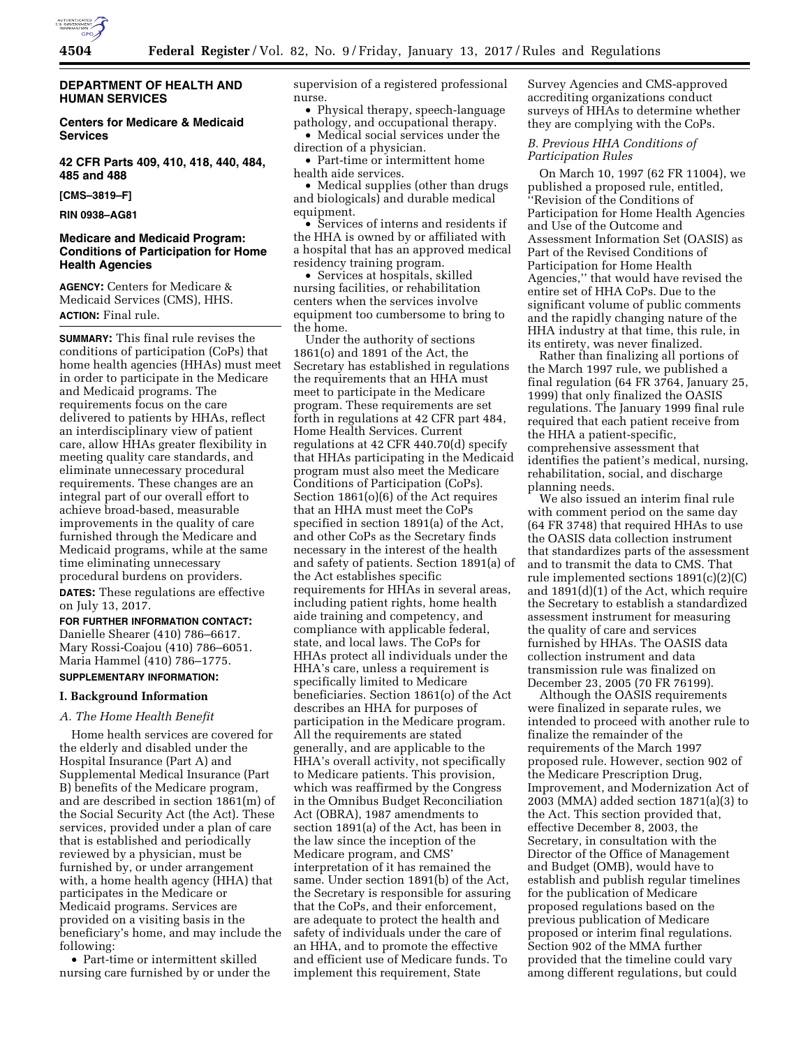

# **DEPARTMENT OF HEALTH AND HUMAN SERVICES**

**Centers for Medicare & Medicaid Services** 

**42 CFR Parts 409, 410, 418, 440, 484, 485 and 488** 

**[CMS–3819–F]** 

**RIN 0938–AG81** 

# **Medicare and Medicaid Program: Conditions of Participation for Home Health Agencies**

**AGENCY:** Centers for Medicare & Medicaid Services (CMS), HHS. **ACTION:** Final rule.

**SUMMARY:** This final rule revises the conditions of participation (CoPs) that home health agencies (HHAs) must meet in order to participate in the Medicare and Medicaid programs. The requirements focus on the care delivered to patients by HHAs, reflect an interdisciplinary view of patient care, allow HHAs greater flexibility in meeting quality care standards, and eliminate unnecessary procedural requirements. These changes are an integral part of our overall effort to achieve broad-based, measurable improvements in the quality of care furnished through the Medicare and Medicaid programs, while at the same time eliminating unnecessary procedural burdens on providers. **DATES:** These regulations are effective on July 13, 2017.

**FOR FURTHER INFORMATION CONTACT:**  Danielle Shearer (410) 786–6617. Mary Rossi-Coajou (410) 786–6051. Maria Hammel (410) 786–1775.

# **SUPPLEMENTARY INFORMATION:**

# **I. Background Information**

# *A. The Home Health Benefit*

Home health services are covered for the elderly and disabled under the Hospital Insurance (Part A) and Supplemental Medical Insurance (Part B) benefits of the Medicare program, and are described in section 1861(m) of the Social Security Act (the Act). These services, provided under a plan of care that is established and periodically reviewed by a physician, must be furnished by, or under arrangement with, a home health agency (HHA) that participates in the Medicare or Medicaid programs. Services are provided on a visiting basis in the beneficiary's home, and may include the following:

• Part-time or intermittent skilled nursing care furnished by or under the supervision of a registered professional nurse.

• Physical therapy, speech-language pathology, and occupational therapy. • Medical social services under the

direction of a physician.

• Part-time or intermittent home health aide services.

• Medical supplies (other than drugs and biologicals) and durable medical equipment.

• Services of interns and residents if the HHA is owned by or affiliated with a hospital that has an approved medical residency training program.

• Services at hospitals, skilled nursing facilities, or rehabilitation centers when the services involve equipment too cumbersome to bring to the home.

Under the authority of sections 1861(o) and 1891 of the Act, the Secretary has established in regulations the requirements that an HHA must meet to participate in the Medicare program. These requirements are set forth in regulations at 42 CFR part 484, Home Health Services. Current regulations at 42 CFR 440.70(d) specify that HHAs participating in the Medicaid program must also meet the Medicare Conditions of Participation (CoPs). Section 1861(o)(6) of the Act requires that an HHA must meet the CoPs specified in section 1891(a) of the Act, and other CoPs as the Secretary finds necessary in the interest of the health and safety of patients. Section 1891(a) of the Act establishes specific requirements for HHAs in several areas, including patient rights, home health aide training and competency, and compliance with applicable federal, state, and local laws. The CoPs for HHAs protect all individuals under the HHA's care, unless a requirement is specifically limited to Medicare beneficiaries. Section 1861(o) of the Act describes an HHA for purposes of participation in the Medicare program. All the requirements are stated generally, and are applicable to the HHA's overall activity, not specifically to Medicare patients. This provision, which was reaffirmed by the Congress in the Omnibus Budget Reconciliation Act (OBRA), 1987 amendments to section 1891(a) of the Act, has been in the law since the inception of the Medicare program, and CMS' interpretation of it has remained the same. Under section 1891(b) of the Act, the Secretary is responsible for assuring that the CoPs, and their enforcement, are adequate to protect the health and safety of individuals under the care of an HHA, and to promote the effective and efficient use of Medicare funds. To implement this requirement, State

Survey Agencies and CMS-approved accrediting organizations conduct surveys of HHAs to determine whether they are complying with the CoPs.

# *B. Previous HHA Conditions of Participation Rules*

On March 10, 1997 (62 FR 11004), we published a proposed rule, entitled, ''Revision of the Conditions of Participation for Home Health Agencies and Use of the Outcome and Assessment Information Set (OASIS) as Part of the Revised Conditions of Participation for Home Health Agencies,'' that would have revised the entire set of HHA CoPs. Due to the significant volume of public comments and the rapidly changing nature of the HHA industry at that time, this rule, in its entirety, was never finalized.

Rather than finalizing all portions of the March 1997 rule, we published a final regulation (64 FR 3764, January 25, 1999) that only finalized the OASIS regulations. The January 1999 final rule required that each patient receive from the HHA a patient-specific, comprehensive assessment that identifies the patient's medical, nursing, rehabilitation, social, and discharge planning needs.

We also issued an interim final rule with comment period on the same day (64 FR 3748) that required HHAs to use the OASIS data collection instrument that standardizes parts of the assessment and to transmit the data to CMS. That rule implemented sections 1891(c)(2)(C) and 1891(d)(1) of the Act, which require the Secretary to establish a standardized assessment instrument for measuring the quality of care and services furnished by HHAs. The OASIS data collection instrument and data transmission rule was finalized on December 23, 2005 (70 FR 76199).

Although the OASIS requirements were finalized in separate rules, we intended to proceed with another rule to finalize the remainder of the requirements of the March 1997 proposed rule. However, section 902 of the Medicare Prescription Drug, Improvement, and Modernization Act of 2003 (MMA) added section 1871(a)(3) to the Act. This section provided that, effective December 8, 2003, the Secretary, in consultation with the Director of the Office of Management and Budget (OMB), would have to establish and publish regular timelines for the publication of Medicare proposed regulations based on the previous publication of Medicare proposed or interim final regulations. Section 902 of the MMA further provided that the timeline could vary among different regulations, but could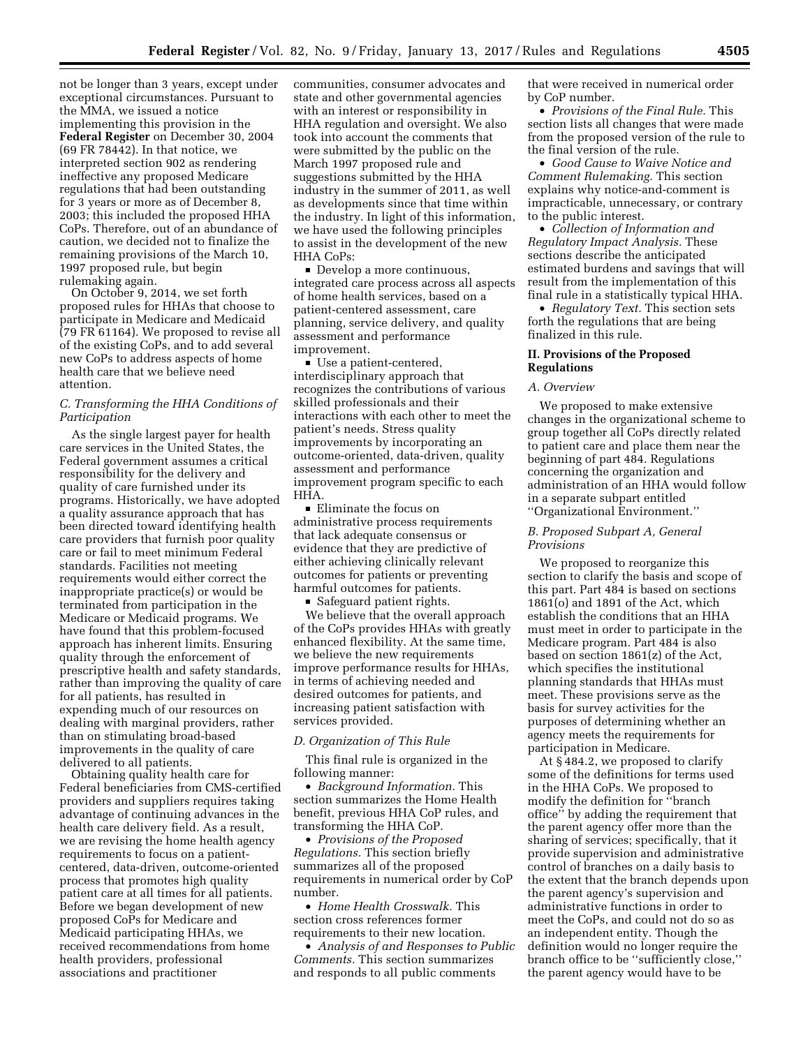not be longer than 3 years, except under exceptional circumstances. Pursuant to the MMA, we issued a notice implementing this provision in the **Federal Register** on December 30, 2004 (69 FR 78442). In that notice, we interpreted section 902 as rendering ineffective any proposed Medicare regulations that had been outstanding for 3 years or more as of December 8, 2003; this included the proposed HHA CoPs. Therefore, out of an abundance of caution, we decided not to finalize the remaining provisions of the March 10, 1997 proposed rule, but begin rulemaking again.

On October 9, 2014, we set forth proposed rules for HHAs that choose to participate in Medicare and Medicaid (79 FR 61164). We proposed to revise all of the existing CoPs, and to add several new CoPs to address aspects of home health care that we believe need attention.

#### *C. Transforming the HHA Conditions of Participation*

As the single largest payer for health care services in the United States, the Federal government assumes a critical responsibility for the delivery and quality of care furnished under its programs. Historically, we have adopted a quality assurance approach that has been directed toward identifying health care providers that furnish poor quality care or fail to meet minimum Federal standards. Facilities not meeting requirements would either correct the inappropriate practice(s) or would be terminated from participation in the Medicare or Medicaid programs. We have found that this problem-focused approach has inherent limits. Ensuring quality through the enforcement of prescriptive health and safety standards, rather than improving the quality of care for all patients, has resulted in expending much of our resources on dealing with marginal providers, rather than on stimulating broad-based improvements in the quality of care delivered to all patients.

Obtaining quality health care for Federal beneficiaries from CMS-certified providers and suppliers requires taking advantage of continuing advances in the health care delivery field. As a result, we are revising the home health agency requirements to focus on a patientcentered, data-driven, outcome-oriented process that promotes high quality patient care at all times for all patients. Before we began development of new proposed CoPs for Medicare and Medicaid participating HHAs, we received recommendations from home health providers, professional associations and practitioner

communities, consumer advocates and state and other governmental agencies with an interest or responsibility in HHA regulation and oversight. We also took into account the comments that were submitted by the public on the March 1997 proposed rule and suggestions submitted by the HHA industry in the summer of 2011, as well as developments since that time within the industry. In light of this information, we have used the following principles to assist in the development of the new HHA CoPs:

■ Develop a more continuous, integrated care process across all aspects of home health services, based on a patient-centered assessment, care planning, service delivery, and quality assessment and performance improvement.

■ Use a patient-centered, interdisciplinary approach that recognizes the contributions of various skilled professionals and their interactions with each other to meet the patient's needs. Stress quality improvements by incorporating an outcome-oriented, data-driven, quality assessment and performance improvement program specific to each HHA.

**Eliminate the focus on** administrative process requirements that lack adequate consensus or evidence that they are predictive of either achieving clinically relevant outcomes for patients or preventing harmful outcomes for patients.

■ Safeguard patient rights.

We believe that the overall approach of the CoPs provides HHAs with greatly enhanced flexibility. At the same time, we believe the new requirements improve performance results for HHAs, in terms of achieving needed and desired outcomes for patients, and increasing patient satisfaction with services provided.

# *D. Organization of This Rule*

This final rule is organized in the following manner:

• *Background Information.* This section summarizes the Home Health benefit, previous HHA CoP rules, and transforming the HHA CoP.

• *Provisions of the Proposed Regulations.* This section briefly summarizes all of the proposed requirements in numerical order by CoP number.

• *Home Health Crosswalk.* This section cross references former requirements to their new location.

• *Analysis of and Responses to Public Comments.* This section summarizes and responds to all public comments

that were received in numerical order by CoP number.

• *Provisions of the Final Rule.* This section lists all changes that were made from the proposed version of the rule to the final version of the rule.

• *Good Cause to Waive Notice and Comment Rulemaking.* This section explains why notice-and-comment is impracticable, unnecessary, or contrary to the public interest.

• *Collection of Information and Regulatory Impact Analysis.* These sections describe the anticipated estimated burdens and savings that will result from the implementation of this final rule in a statistically typical HHA.

• *Regulatory Text.* This section sets forth the regulations that are being finalized in this rule.

#### **II. Provisions of the Proposed Regulations**

#### *A. Overview*

We proposed to make extensive changes in the organizational scheme to group together all CoPs directly related to patient care and place them near the beginning of part 484. Regulations concerning the organization and administration of an HHA would follow in a separate subpart entitled ''Organizational Environment.''

#### *B. Proposed Subpart A, General Provisions*

We proposed to reorganize this section to clarify the basis and scope of this part. Part 484 is based on sections 1861(o) and 1891 of the Act, which establish the conditions that an HHA must meet in order to participate in the Medicare program. Part 484 is also based on section 1861(z) of the Act, which specifies the institutional planning standards that HHAs must meet. These provisions serve as the basis for survey activities for the purposes of determining whether an agency meets the requirements for participation in Medicare.

At § 484.2, we proposed to clarify some of the definitions for terms used in the HHA CoPs. We proposed to modify the definition for ''branch office'' by adding the requirement that the parent agency offer more than the sharing of services; specifically, that it provide supervision and administrative control of branches on a daily basis to the extent that the branch depends upon the parent agency's supervision and administrative functions in order to meet the CoPs, and could not do so as an independent entity. Though the definition would no longer require the branch office to be ''sufficiently close,'' the parent agency would have to be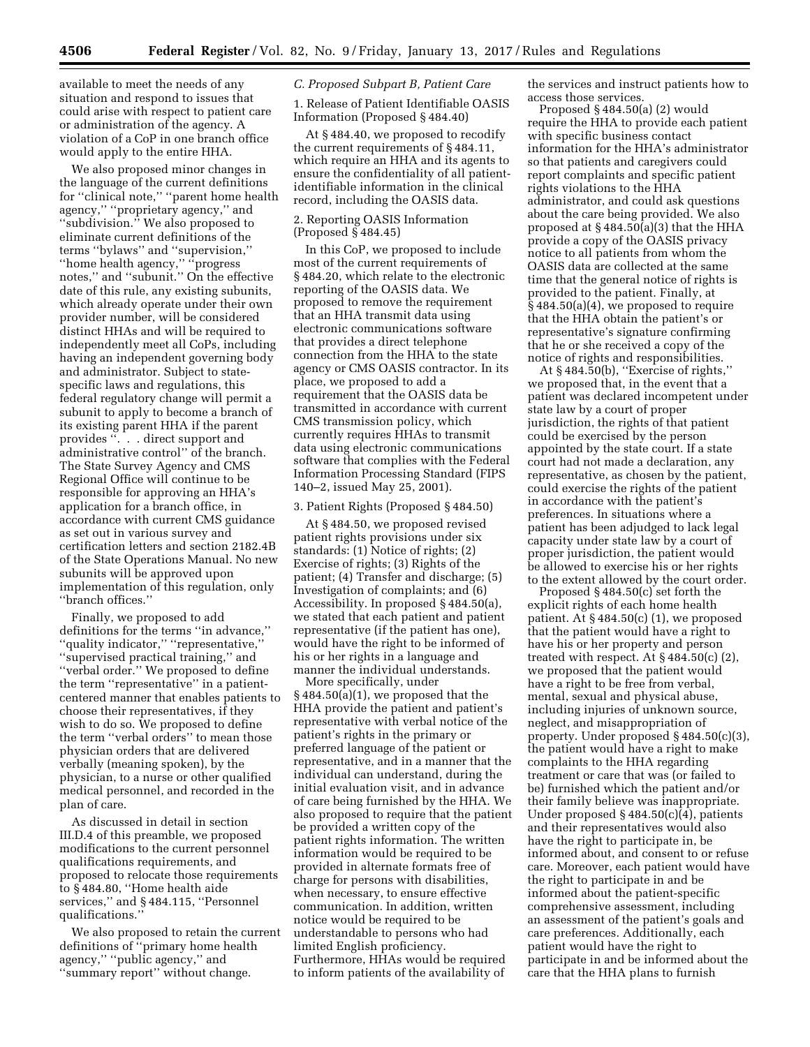available to meet the needs of any situation and respond to issues that could arise with respect to patient care or administration of the agency. A violation of a CoP in one branch office would apply to the entire HHA.

We also proposed minor changes in the language of the current definitions for "clinical note," "parent home health agency,'' ''proprietary agency,'' and ''subdivision.'' We also proposed to eliminate current definitions of the terms ''bylaws'' and ''supervision,'' ''home health agency,'' ''progress notes,'' and ''subunit.'' On the effective date of this rule, any existing subunits, which already operate under their own provider number, will be considered distinct HHAs and will be required to independently meet all CoPs, including having an independent governing body and administrator. Subject to statespecific laws and regulations, this federal regulatory change will permit a subunit to apply to become a branch of its existing parent HHA if the parent provides ''. . . direct support and administrative control'' of the branch. The State Survey Agency and CMS Regional Office will continue to be responsible for approving an HHA's application for a branch office, in accordance with current CMS guidance as set out in various survey and certification letters and section 2182.4B of the State Operations Manual. No new subunits will be approved upon implementation of this regulation, only ''branch offices.''

Finally, we proposed to add definitions for the terms ''in advance,'' ''quality indicator,'' ''representative,'' ''supervised practical training,'' and ''verbal order.'' We proposed to define the term ''representative'' in a patientcentered manner that enables patients to choose their representatives, if they wish to do so. We proposed to define the term ''verbal orders'' to mean those physician orders that are delivered verbally (meaning spoken), by the physician, to a nurse or other qualified medical personnel, and recorded in the plan of care.

As discussed in detail in section III.D.4 of this preamble, we proposed modifications to the current personnel qualifications requirements, and proposed to relocate those requirements to § 484.80, ''Home health aide services,'' and § 484.115, ''Personnel qualifications.''

We also proposed to retain the current definitions of ''primary home health agency,'' ''public agency,'' and ''summary report'' without change.

#### *C. Proposed Subpart B, Patient Care*

1. Release of Patient Identifiable OASIS Information (Proposed § 484.40)

At § 484.40, we proposed to recodify the current requirements of § 484.11, which require an HHA and its agents to ensure the confidentiality of all patientidentifiable information in the clinical record, including the OASIS data.

# 2. Reporting OASIS Information (Proposed § 484.45)

In this CoP, we proposed to include most of the current requirements of § 484.20, which relate to the electronic reporting of the OASIS data. We proposed to remove the requirement that an HHA transmit data using electronic communications software that provides a direct telephone connection from the HHA to the state agency or CMS OASIS contractor. In its place, we proposed to add a requirement that the OASIS data be transmitted in accordance with current CMS transmission policy, which currently requires HHAs to transmit data using electronic communications software that complies with the Federal Information Processing Standard (FIPS 140–2, issued May 25, 2001).

# 3. Patient Rights (Proposed § 484.50)

At § 484.50, we proposed revised patient rights provisions under six standards: (1) Notice of rights; (2) Exercise of rights; (3) Rights of the patient; (4) Transfer and discharge; (5) Investigation of complaints; and (6) Accessibility. In proposed § 484.50(a), we stated that each patient and patient representative (if the patient has one), would have the right to be informed of his or her rights in a language and manner the individual understands.

More specifically, under § 484.50(a)(1), we proposed that the HHA provide the patient and patient's representative with verbal notice of the patient's rights in the primary or preferred language of the patient or representative, and in a manner that the individual can understand, during the initial evaluation visit, and in advance of care being furnished by the HHA. We also proposed to require that the patient be provided a written copy of the patient rights information. The written information would be required to be provided in alternate formats free of charge for persons with disabilities, when necessary, to ensure effective communication. In addition, written notice would be required to be understandable to persons who had limited English proficiency. Furthermore, HHAs would be required to inform patients of the availability of

the services and instruct patients how to access those services.

Proposed § 484.50(a) (2) would require the HHA to provide each patient with specific business contact information for the HHA's administrator so that patients and caregivers could report complaints and specific patient rights violations to the HHA administrator, and could ask questions about the care being provided. We also proposed at § 484.50(a)(3) that the HHA provide a copy of the OASIS privacy notice to all patients from whom the OASIS data are collected at the same time that the general notice of rights is provided to the patient. Finally, at § 484.50(a)(4), we proposed to require that the HHA obtain the patient's or representative's signature confirming that he or she received a copy of the notice of rights and responsibilities.

At § 484.50(b), ''Exercise of rights,'' we proposed that, in the event that a patient was declared incompetent under state law by a court of proper jurisdiction, the rights of that patient could be exercised by the person appointed by the state court. If a state court had not made a declaration, any representative, as chosen by the patient, could exercise the rights of the patient in accordance with the patient's preferences. In situations where a patient has been adjudged to lack legal capacity under state law by a court of proper jurisdiction, the patient would be allowed to exercise his or her rights to the extent allowed by the court order.

Proposed § 484.50(c) set forth the explicit rights of each home health patient. At § 484.50(c) (1), we proposed that the patient would have a right to have his or her property and person treated with respect. At § 484.50(c) (2), we proposed that the patient would have a right to be free from verbal, mental, sexual and physical abuse, including injuries of unknown source, neglect, and misappropriation of property. Under proposed § 484.50(c)(3), the patient would have a right to make complaints to the HHA regarding treatment or care that was (or failed to be) furnished which the patient and/or their family believe was inappropriate. Under proposed  $§$  484.50(c)(4), patients and their representatives would also have the right to participate in, be informed about, and consent to or refuse care. Moreover, each patient would have the right to participate in and be informed about the patient-specific comprehensive assessment, including an assessment of the patient's goals and care preferences. Additionally, each patient would have the right to participate in and be informed about the care that the HHA plans to furnish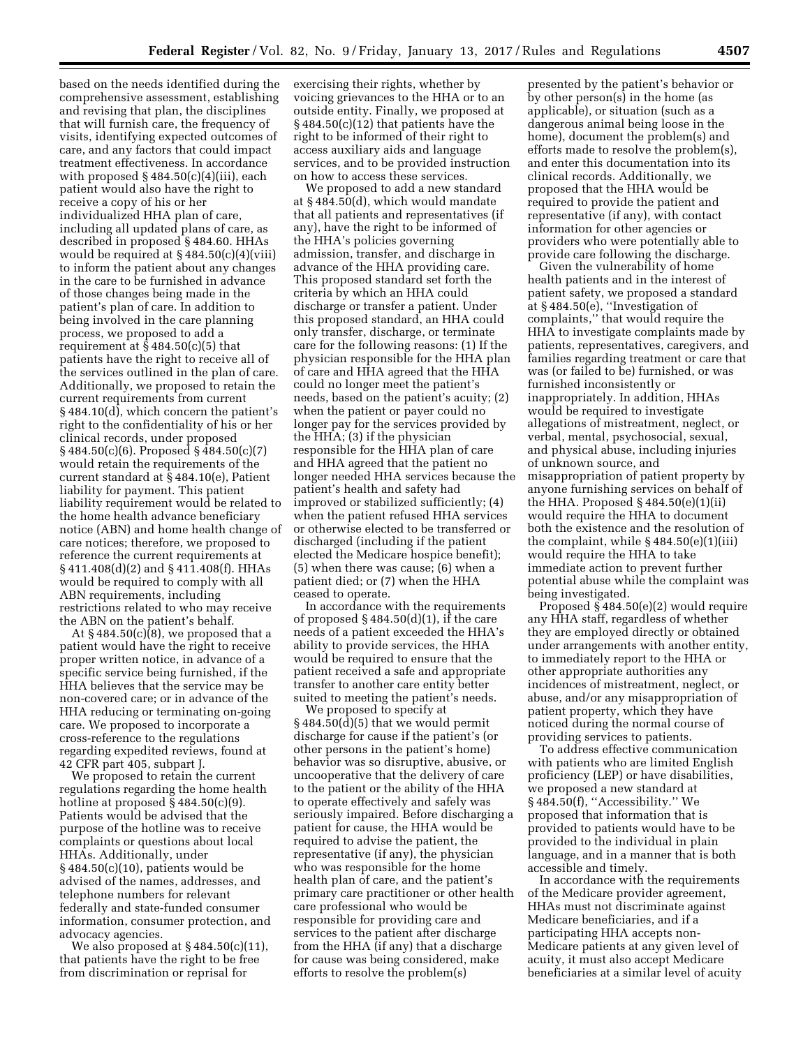based on the needs identified during the comprehensive assessment, establishing and revising that plan, the disciplines that will furnish care, the frequency of visits, identifying expected outcomes of care, and any factors that could impact treatment effectiveness. In accordance with proposed §484.50(c)(4)(iii), each patient would also have the right to receive a copy of his or her individualized HHA plan of care, including all updated plans of care, as described in proposed § 484.60. HHAs would be required at  $§$  484.50(c)(4)(viii) to inform the patient about any changes in the care to be furnished in advance of those changes being made in the patient's plan of care. In addition to being involved in the care planning process, we proposed to add a requirement at  $§$  484.50(c)(5) that patients have the right to receive all of the services outlined in the plan of care. Additionally, we proposed to retain the current requirements from current § 484.10(d), which concern the patient's right to the confidentiality of his or her clinical records, under proposed § 484.50(c)(6). Proposed § 484.50(c)(7) would retain the requirements of the current standard at § 484.10(e), Patient liability for payment. This patient liability requirement would be related to the home health advance beneficiary notice (ABN) and home health change of care notices; therefore, we proposed to reference the current requirements at § 411.408(d)(2) and § 411.408(f). HHAs would be required to comply with all ABN requirements, including restrictions related to who may receive the ABN on the patient's behalf.

At  $\S 484.50(c)(8)$ , we proposed that a patient would have the right to receive proper written notice, in advance of a specific service being furnished, if the HHA believes that the service may be non-covered care; or in advance of the HHA reducing or terminating on-going care. We proposed to incorporate a cross-reference to the regulations regarding expedited reviews, found at 42 CFR part 405, subpart J.

We proposed to retain the current regulations regarding the home health hotline at proposed  $\bar{\S}$  484.50(c)(9). Patients would be advised that the purpose of the hotline was to receive complaints or questions about local HHAs. Additionally, under § 484.50(c)(10), patients would be advised of the names, addresses, and telephone numbers for relevant federally and state-funded consumer information, consumer protection, and advocacy agencies.

We also proposed at  $\S 484.50(c)(11)$ , that patients have the right to be free from discrimination or reprisal for

exercising their rights, whether by voicing grievances to the HHA or to an outside entity. Finally, we proposed at § 484.50(c)(12) that patients have the right to be informed of their right to access auxiliary aids and language services, and to be provided instruction on how to access these services.

We proposed to add a new standard at § 484.50(d), which would mandate that all patients and representatives (if any), have the right to be informed of the HHA's policies governing admission, transfer, and discharge in advance of the HHA providing care. This proposed standard set forth the criteria by which an HHA could discharge or transfer a patient. Under this proposed standard, an HHA could only transfer, discharge, or terminate care for the following reasons: (1) If the physician responsible for the HHA plan of care and HHA agreed that the HHA could no longer meet the patient's needs, based on the patient's acuity; (2) when the patient or payer could no longer pay for the services provided by the HHA; (3) if the physician responsible for the HHA plan of care and HHA agreed that the patient no longer needed HHA services because the patient's health and safety had improved or stabilized sufficiently; (4) when the patient refused HHA services or otherwise elected to be transferred or discharged (including if the patient elected the Medicare hospice benefit); (5) when there was cause; (6) when a patient died; or (7) when the HHA ceased to operate.

In accordance with the requirements of proposed  $\S 484.50(d)(1)$ , if the care needs of a patient exceeded the HHA's ability to provide services, the HHA would be required to ensure that the patient received a safe and appropriate transfer to another care entity better suited to meeting the patient's needs.

We proposed to specify at § 484.50(d)(5) that we would permit discharge for cause if the patient's (or other persons in the patient's home) behavior was so disruptive, abusive, or uncooperative that the delivery of care to the patient or the ability of the HHA to operate effectively and safely was seriously impaired. Before discharging a patient for cause, the HHA would be required to advise the patient, the representative (if any), the physician who was responsible for the home health plan of care, and the patient's primary care practitioner or other health care professional who would be responsible for providing care and services to the patient after discharge from the HHA (if any) that a discharge for cause was being considered, make efforts to resolve the problem(s)

presented by the patient's behavior or by other person(s) in the home (as applicable), or situation (such as a dangerous animal being loose in the home), document the problem(s) and efforts made to resolve the problem(s), and enter this documentation into its clinical records. Additionally, we proposed that the HHA would be required to provide the patient and representative (if any), with contact information for other agencies or providers who were potentially able to provide care following the discharge.

Given the vulnerability of home health patients and in the interest of patient safety, we proposed a standard at § 484.50(e), ''Investigation of complaints,'' that would require the HHA to investigate complaints made by patients, representatives, caregivers, and families regarding treatment or care that was (or failed to be) furnished, or was furnished inconsistently or inappropriately. In addition, HHAs would be required to investigate allegations of mistreatment, neglect, or verbal, mental, psychosocial, sexual, and physical abuse, including injuries of unknown source, and misappropriation of patient property by anyone furnishing services on behalf of the HHA. Proposed  $\S 484.50(e)(1)(ii)$ would require the HHA to document both the existence and the resolution of the complaint, while  $§ 484.50(e)(1)(iii)$ would require the HHA to take immediate action to prevent further potential abuse while the complaint was being investigated.

Proposed § 484.50(e)(2) would require any HHA staff, regardless of whether they are employed directly or obtained under arrangements with another entity, to immediately report to the HHA or other appropriate authorities any incidences of mistreatment, neglect, or abuse, and/or any misappropriation of patient property, which they have noticed during the normal course of providing services to patients.

To address effective communication with patients who are limited English proficiency (LEP) or have disabilities, we proposed a new standard at § 484.50(f), ''Accessibility.'' We proposed that information that is provided to patients would have to be provided to the individual in plain language, and in a manner that is both accessible and timely.

In accordance with the requirements of the Medicare provider agreement, HHAs must not discriminate against Medicare beneficiaries, and if a participating HHA accepts non-Medicare patients at any given level of acuity, it must also accept Medicare beneficiaries at a similar level of acuity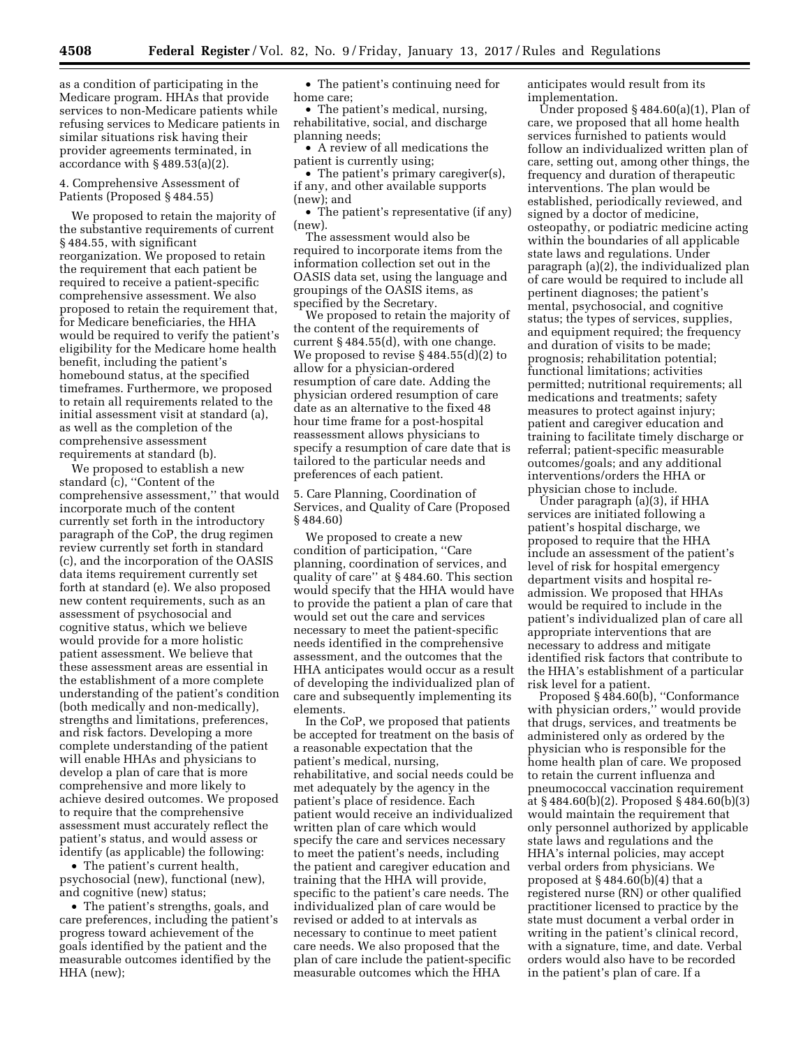as a condition of participating in the Medicare program. HHAs that provide services to non-Medicare patients while refusing services to Medicare patients in similar situations risk having their provider agreements terminated, in accordance with § 489.53(a)(2).

4. Comprehensive Assessment of Patients (Proposed § 484.55)

We proposed to retain the majority of the substantive requirements of current § 484.55, with significant reorganization. We proposed to retain the requirement that each patient be required to receive a patient-specific comprehensive assessment. We also proposed to retain the requirement that, for Medicare beneficiaries, the HHA would be required to verify the patient's eligibility for the Medicare home health benefit, including the patient's homebound status, at the specified timeframes. Furthermore, we proposed to retain all requirements related to the initial assessment visit at standard (a), as well as the completion of the comprehensive assessment requirements at standard (b).

We proposed to establish a new standard (c), ''Content of the comprehensive assessment,'' that would incorporate much of the content currently set forth in the introductory paragraph of the CoP, the drug regimen review currently set forth in standard (c), and the incorporation of the OASIS data items requirement currently set forth at standard (e). We also proposed new content requirements, such as an assessment of psychosocial and cognitive status, which we believe would provide for a more holistic patient assessment. We believe that these assessment areas are essential in the establishment of a more complete understanding of the patient's condition (both medically and non-medically), strengths and limitations, preferences, and risk factors. Developing a more complete understanding of the patient will enable HHAs and physicians to develop a plan of care that is more comprehensive and more likely to achieve desired outcomes. We proposed to require that the comprehensive assessment must accurately reflect the patient's status, and would assess or identify (as applicable) the following:

• The patient's current health, psychosocial (new), functional (new), and cognitive (new) status;

• The patient's strengths, goals, and care preferences, including the patient's progress toward achievement of the goals identified by the patient and the measurable outcomes identified by the HHA (new);

• The patient's continuing need for home care;

• The patient's medical, nursing, rehabilitative, social, and discharge planning needs;

• A review of all medications the patient is currently using;

• The patient's primary caregiver(s), if any, and other available supports (new); and

• The patient's representative (if any) (new).

The assessment would also be required to incorporate items from the information collection set out in the OASIS data set, using the language and groupings of the OASIS items, as specified by the Secretary.

We proposed to retain the majority of the content of the requirements of current § 484.55(d), with one change. We proposed to revise § 484.55(d)(2) to allow for a physician-ordered resumption of care date. Adding the physician ordered resumption of care date as an alternative to the fixed 48 hour time frame for a post-hospital reassessment allows physicians to specify a resumption of care date that is tailored to the particular needs and preferences of each patient.

5. Care Planning, Coordination of Services, and Quality of Care (Proposed § 484.60)

We proposed to create a new condition of participation, ''Care planning, coordination of services, and quality of care'' at § 484.60. This section would specify that the HHA would have to provide the patient a plan of care that would set out the care and services necessary to meet the patient-specific needs identified in the comprehensive assessment, and the outcomes that the HHA anticipates would occur as a result of developing the individualized plan of care and subsequently implementing its elements.

In the CoP, we proposed that patients be accepted for treatment on the basis of a reasonable expectation that the patient's medical, nursing, rehabilitative, and social needs could be met adequately by the agency in the patient's place of residence. Each patient would receive an individualized written plan of care which would specify the care and services necessary to meet the patient's needs, including the patient and caregiver education and training that the HHA will provide, specific to the patient's care needs. The individualized plan of care would be revised or added to at intervals as necessary to continue to meet patient care needs. We also proposed that the plan of care include the patient-specific measurable outcomes which the HHA

anticipates would result from its implementation.

Under proposed § 484.60(a)(1), Plan of care, we proposed that all home health services furnished to patients would follow an individualized written plan of care, setting out, among other things, the frequency and duration of therapeutic interventions. The plan would be established, periodically reviewed, and signed by a doctor of medicine, osteopathy, or podiatric medicine acting within the boundaries of all applicable state laws and regulations. Under paragraph (a)(2), the individualized plan of care would be required to include all pertinent diagnoses; the patient's mental, psychosocial, and cognitive status; the types of services, supplies, and equipment required; the frequency and duration of visits to be made; prognosis; rehabilitation potential; functional limitations; activities permitted; nutritional requirements; all medications and treatments; safety measures to protect against injury; patient and caregiver education and training to facilitate timely discharge or referral; patient-specific measurable outcomes/goals; and any additional interventions/orders the HHA or physician chose to include.

Under paragraph (a)(3), if HHA services are initiated following a patient's hospital discharge, we proposed to require that the HHA include an assessment of the patient's level of risk for hospital emergency department visits and hospital readmission. We proposed that HHAs would be required to include in the patient's individualized plan of care all appropriate interventions that are necessary to address and mitigate identified risk factors that contribute to the HHA's establishment of a particular risk level for a patient.

Proposed § 484.60(b), ''Conformance with physician orders,'' would provide that drugs, services, and treatments be administered only as ordered by the physician who is responsible for the home health plan of care. We proposed to retain the current influenza and pneumococcal vaccination requirement at § 484.60(b)(2). Proposed § 484.60(b)(3) would maintain the requirement that only personnel authorized by applicable state laws and regulations and the HHA's internal policies, may accept verbal orders from physicians. We proposed at  $§$  484.60(b)(4) that a registered nurse (RN) or other qualified practitioner licensed to practice by the state must document a verbal order in writing in the patient's clinical record, with a signature, time, and date. Verbal orders would also have to be recorded in the patient's plan of care. If a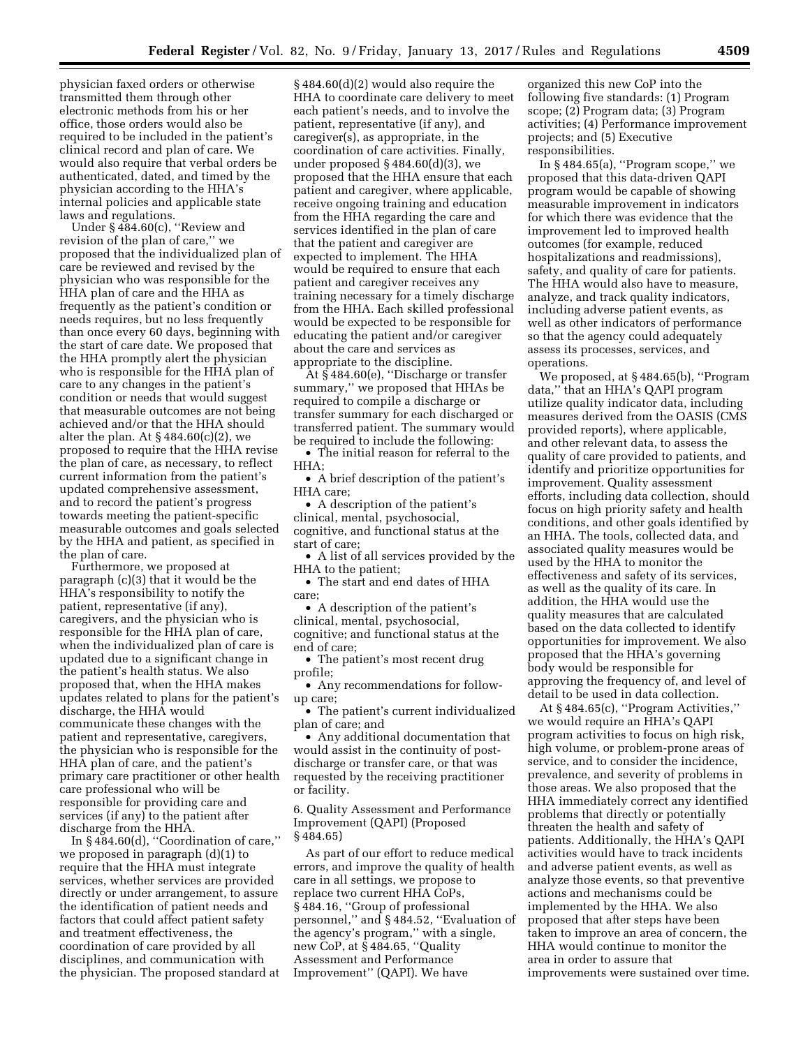physician faxed orders or otherwise transmitted them through other electronic methods from his or her office, those orders would also be required to be included in the patient's clinical record and plan of care. We would also require that verbal orders be authenticated, dated, and timed by the physician according to the HHA's internal policies and applicable state laws and regulations.

Under § 484.60(c), "Review and revision of the plan of care,'' we proposed that the individualized plan of care be reviewed and revised by the physician who was responsible for the HHA plan of care and the HHA as frequently as the patient's condition or needs requires, but no less frequently than once every 60 days, beginning with the start of care date. We proposed that the HHA promptly alert the physician who is responsible for the HHA plan of care to any changes in the patient's condition or needs that would suggest that measurable outcomes are not being achieved and/or that the HHA should alter the plan. At  $\S 484.60(c)(2)$ , we proposed to require that the HHA revise the plan of care, as necessary, to reflect current information from the patient's updated comprehensive assessment, and to record the patient's progress towards meeting the patient-specific measurable outcomes and goals selected by the HHA and patient, as specified in the plan of care.

Furthermore, we proposed at paragraph (c)(3) that it would be the HHA's responsibility to notify the patient, representative (if any), caregivers, and the physician who is responsible for the HHA plan of care, when the individualized plan of care is updated due to a significant change in the patient's health status. We also proposed that, when the HHA makes updates related to plans for the patient's discharge, the HHA would communicate these changes with the patient and representative, caregivers, the physician who is responsible for the HHA plan of care, and the patient's primary care practitioner or other health care professional who will be responsible for providing care and services (if any) to the patient after discharge from the HHA.

In § 484.60(d), ''Coordination of care,'' we proposed in paragraph (d)(1) to require that the HHA must integrate services, whether services are provided directly or under arrangement, to assure the identification of patient needs and factors that could affect patient safety and treatment effectiveness, the coordination of care provided by all disciplines, and communication with the physician. The proposed standard at

§ 484.60(d)(2) would also require the HHA to coordinate care delivery to meet each patient's needs, and to involve the patient, representative (if any), and caregiver(s), as appropriate, in the coordination of care activities. Finally, under proposed  $§$  484.60 $(d)(3)$ , we proposed that the HHA ensure that each patient and caregiver, where applicable, receive ongoing training and education from the HHA regarding the care and services identified in the plan of care that the patient and caregiver are expected to implement. The HHA would be required to ensure that each patient and caregiver receives any training necessary for a timely discharge from the HHA. Each skilled professional would be expected to be responsible for educating the patient and/or caregiver about the care and services as appropriate to the discipline.

At § 484.60(e), ''Discharge or transfer summary,'' we proposed that HHAs be required to compile a discharge or transfer summary for each discharged or transferred patient. The summary would be required to include the following:

• The initial reason for referral to the HHA;

• A brief description of the patient's HHA care;

• A description of the patient's clinical, mental, psychosocial, cognitive, and functional status at the start of care;

• A list of all services provided by the HHA to the patient;

• The start and end dates of HHA care;

• A description of the patient's clinical, mental, psychosocial, cognitive; and functional status at the end of care;

• The patient's most recent drug profile;

• Any recommendations for followup care;

• The patient's current individualized plan of care; and

• Any additional documentation that would assist in the continuity of postdischarge or transfer care, or that was requested by the receiving practitioner or facility.

6. Quality Assessment and Performance Improvement (QAPI) (Proposed § 484.65)

As part of our effort to reduce medical errors, and improve the quality of health care in all settings, we propose to replace two current HHA CoPs, § 484.16, ''Group of professional personnel,'' and § 484.52, ''Evaluation of the agency's program,'' with a single, new CoP, at  $\S$  484.65, "Quality Assessment and Performance Improvement'' (QAPI). We have

organized this new CoP into the following five standards: (1) Program scope; (2) Program data; (3) Program activities; (4) Performance improvement projects; and (5) Executive responsibilities.

In § 484.65(a), ''Program scope,'' we proposed that this data-driven QAPI program would be capable of showing measurable improvement in indicators for which there was evidence that the improvement led to improved health outcomes (for example, reduced hospitalizations and readmissions), safety, and quality of care for patients. The HHA would also have to measure, analyze, and track quality indicators, including adverse patient events, as well as other indicators of performance so that the agency could adequately assess its processes, services, and operations.

We proposed, at § 484.65(b), ''Program data,'' that an HHA's QAPI program utilize quality indicator data, including measures derived from the OASIS (CMS provided reports), where applicable, and other relevant data, to assess the quality of care provided to patients, and identify and prioritize opportunities for improvement. Quality assessment efforts, including data collection, should focus on high priority safety and health conditions, and other goals identified by an HHA. The tools, collected data, and associated quality measures would be used by the HHA to monitor the effectiveness and safety of its services, as well as the quality of its care. In addition, the HHA would use the quality measures that are calculated based on the data collected to identify opportunities for improvement. We also proposed that the HHA's governing body would be responsible for approving the frequency of, and level of detail to be used in data collection.

At § 484.65(c), ''Program Activities,'' we would require an HHA's QAPI program activities to focus on high risk, high volume, or problem-prone areas of service, and to consider the incidence, prevalence, and severity of problems in those areas. We also proposed that the HHA immediately correct any identified problems that directly or potentially threaten the health and safety of patients. Additionally, the HHA's QAPI activities would have to track incidents and adverse patient events, as well as analyze those events, so that preventive actions and mechanisms could be implemented by the HHA. We also proposed that after steps have been taken to improve an area of concern, the HHA would continue to monitor the area in order to assure that improvements were sustained over time.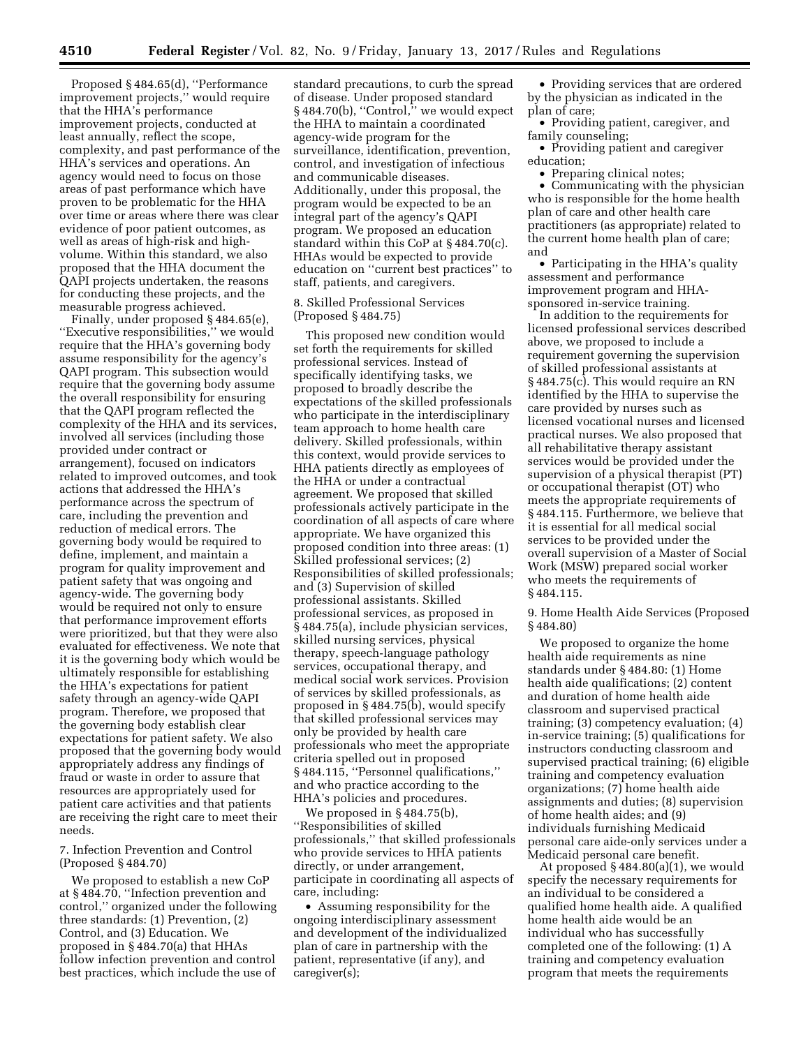Proposed § 484.65(d), ''Performance improvement projects,'' would require that the HHA's performance improvement projects, conducted at least annually, reflect the scope, complexity, and past performance of the HHA's services and operations. An agency would need to focus on those areas of past performance which have proven to be problematic for the HHA over time or areas where there was clear evidence of poor patient outcomes, as well as areas of high-risk and highvolume. Within this standard, we also proposed that the HHA document the QAPI projects undertaken, the reasons for conducting these projects, and the measurable progress achieved.

Finally, under proposed § 484.65(e), ''Executive responsibilities,'' we would require that the HHA's governing body assume responsibility for the agency's QAPI program. This subsection would require that the governing body assume the overall responsibility for ensuring that the QAPI program reflected the complexity of the HHA and its services, involved all services (including those provided under contract or arrangement), focused on indicators related to improved outcomes, and took actions that addressed the HHA's performance across the spectrum of care, including the prevention and reduction of medical errors. The governing body would be required to define, implement, and maintain a program for quality improvement and patient safety that was ongoing and agency-wide. The governing body would be required not only to ensure that performance improvement efforts were prioritized, but that they were also evaluated for effectiveness. We note that it is the governing body which would be ultimately responsible for establishing the HHA's expectations for patient safety through an agency-wide QAPI program. Therefore, we proposed that the governing body establish clear expectations for patient safety. We also proposed that the governing body would appropriately address any findings of fraud or waste in order to assure that resources are appropriately used for patient care activities and that patients are receiving the right care to meet their needs.

7. Infection Prevention and Control (Proposed § 484.70)

We proposed to establish a new CoP at § 484.70, ''Infection prevention and control,'' organized under the following three standards: (1) Prevention, (2) Control, and (3) Education. We proposed in § 484.70(a) that HHAs follow infection prevention and control best practices, which include the use of

standard precautions, to curb the spread of disease. Under proposed standard § 484.70(b), "Control," we would expect the HHA to maintain a coordinated agency-wide program for the surveillance, identification, prevention, control, and investigation of infectious and communicable diseases. Additionally, under this proposal, the program would be expected to be an integral part of the agency's QAPI program. We proposed an education standard within this CoP at § 484.70(c). HHAs would be expected to provide education on ''current best practices'' to staff, patients, and caregivers.

# 8. Skilled Professional Services (Proposed § 484.75)

This proposed new condition would set forth the requirements for skilled professional services. Instead of specifically identifying tasks, we proposed to broadly describe the expectations of the skilled professionals who participate in the interdisciplinary team approach to home health care delivery. Skilled professionals, within this context, would provide services to HHA patients directly as employees of the HHA or under a contractual agreement. We proposed that skilled professionals actively participate in the coordination of all aspects of care where appropriate. We have organized this proposed condition into three areas: (1) Skilled professional services; (2) Responsibilities of skilled professionals; and (3) Supervision of skilled professional assistants. Skilled professional services, as proposed in § 484.75(a), include physician services, skilled nursing services, physical therapy, speech-language pathology services, occupational therapy, and medical social work services. Provision of services by skilled professionals, as proposed in § 484.75(b), would specify that skilled professional services may only be provided by health care professionals who meet the appropriate criteria spelled out in proposed § 484.115, ''Personnel qualifications,'' and who practice according to the HHA's policies and procedures.

We proposed in § 484.75(b), ''Responsibilities of skilled professionals,'' that skilled professionals who provide services to HHA patients directly, or under arrangement, participate in coordinating all aspects of care, including:

• Assuming responsibility for the ongoing interdisciplinary assessment and development of the individualized plan of care in partnership with the patient, representative (if any), and caregiver(s);

• Providing services that are ordered by the physician as indicated in the plan of care;

• Providing patient, caregiver, and family counseling;

• Providing patient and caregiver education;

• Preparing clinical notes;

• Communicating with the physician who is responsible for the home health plan of care and other health care practitioners (as appropriate) related to the current home health plan of care; and

• Participating in the HHA's quality assessment and performance improvement program and HHAsponsored in-service training.

In addition to the requirements for licensed professional services described above, we proposed to include a requirement governing the supervision of skilled professional assistants at § 484.75(c). This would require an RN identified by the HHA to supervise the care provided by nurses such as licensed vocational nurses and licensed practical nurses. We also proposed that all rehabilitative therapy assistant services would be provided under the supervision of a physical therapist (PT) or occupational therapist (OT) who meets the appropriate requirements of § 484.115. Furthermore, we believe that it is essential for all medical social services to be provided under the overall supervision of a Master of Social Work (MSW) prepared social worker who meets the requirements of § 484.115.

9. Home Health Aide Services (Proposed § 484.80)

We proposed to organize the home health aide requirements as nine standards under § 484.80: (1) Home health aide qualifications; (2) content and duration of home health aide classroom and supervised practical training; (3) competency evaluation; (4) in-service training; (5) qualifications for instructors conducting classroom and supervised practical training; (6) eligible training and competency evaluation organizations; (7) home health aide assignments and duties; (8) supervision of home health aides; and (9) individuals furnishing Medicaid personal care aide-only services under a Medicaid personal care benefit.

At proposed § 484.80(a)(1), we would specify the necessary requirements for an individual to be considered a qualified home health aide. A qualified home health aide would be an individual who has successfully completed one of the following: (1) A training and competency evaluation program that meets the requirements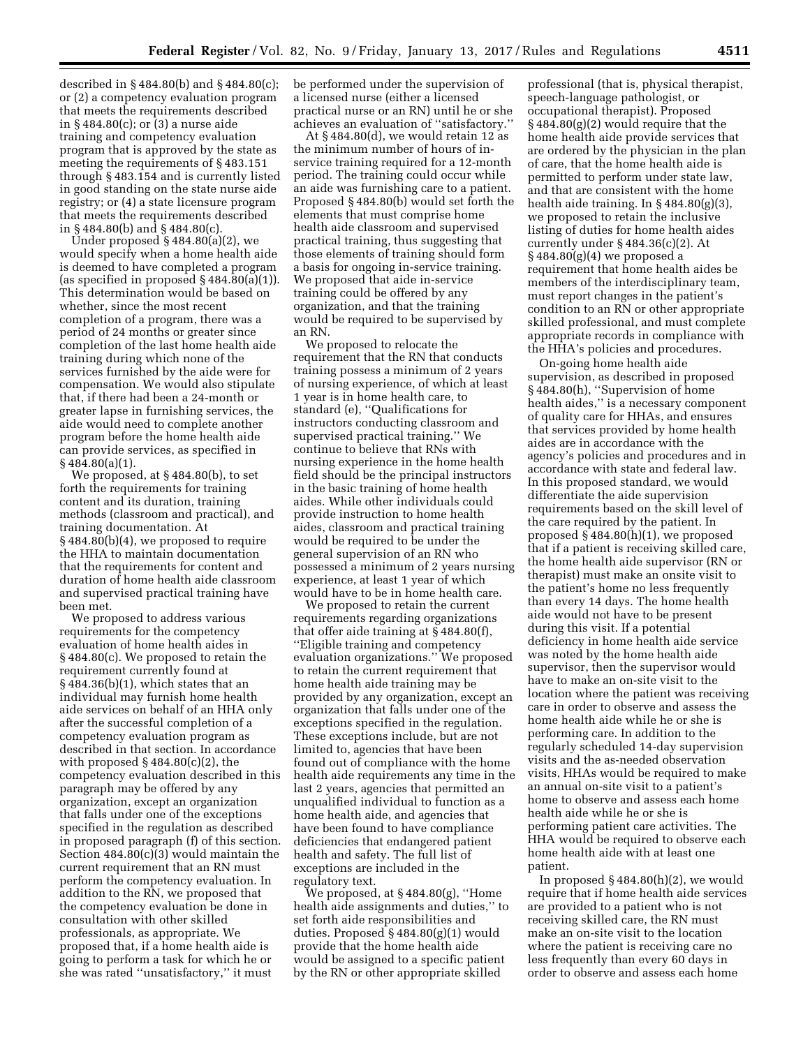described in § 484.80(b) and § 484.80(c); or (2) a competency evaluation program that meets the requirements described in § 484.80(c); or (3) a nurse aide training and competency evaluation program that is approved by the state as meeting the requirements of § 483.151 through § 483.154 and is currently listed in good standing on the state nurse aide registry; or (4) a state licensure program that meets the requirements described in § 484.80(b) and § 484.80(c).

Under proposed § 484.80(a)(2), we would specify when a home health aide is deemed to have completed a program (as specified in proposed  $\S 484.80(a)(1)$ ). This determination would be based on whether, since the most recent completion of a program, there was a period of 24 months or greater since completion of the last home health aide training during which none of the services furnished by the aide were for compensation. We would also stipulate that, if there had been a 24-month or greater lapse in furnishing services, the aide would need to complete another program before the home health aide can provide services, as specified in § 484.80(a)(1).

We proposed, at § 484.80(b), to set forth the requirements for training content and its duration, training methods (classroom and practical), and training documentation. At § 484.80(b)(4), we proposed to require the HHA to maintain documentation that the requirements for content and duration of home health aide classroom and supervised practical training have been met.

We proposed to address various requirements for the competency evaluation of home health aides in § 484.80(c). We proposed to retain the requirement currently found at § 484.36(b)(1), which states that an individual may furnish home health aide services on behalf of an HHA only after the successful completion of a competency evaluation program as described in that section. In accordance with proposed  $\S$  484.80(c)(2), the competency evaluation described in this paragraph may be offered by any organization, except an organization that falls under one of the exceptions specified in the regulation as described in proposed paragraph (f) of this section. Section 484.80(c)(3) would maintain the current requirement that an RN must perform the competency evaluation. In addition to the RN, we proposed that the competency evaluation be done in consultation with other skilled professionals, as appropriate. We proposed that, if a home health aide is going to perform a task for which he or she was rated ''unsatisfactory,'' it must

be performed under the supervision of a licensed nurse (either a licensed practical nurse or an RN) until he or she achieves an evaluation of ''satisfactory.''

At  $§$  484.80(d), we would retain 12 as the minimum number of hours of inservice training required for a 12-month period. The training could occur while an aide was furnishing care to a patient. Proposed § 484.80(b) would set forth the elements that must comprise home health aide classroom and supervised practical training, thus suggesting that those elements of training should form a basis for ongoing in-service training. We proposed that aide in-service training could be offered by any organization, and that the training would be required to be supervised by an RN.

We proposed to relocate the requirement that the RN that conducts training possess a minimum of 2 years of nursing experience, of which at least 1 year is in home health care, to standard (e), ''Qualifications for instructors conducting classroom and supervised practical training.'' We continue to believe that RNs with nursing experience in the home health field should be the principal instructors in the basic training of home health aides. While other individuals could provide instruction to home health aides, classroom and practical training would be required to be under the general supervision of an RN who possessed a minimum of 2 years nursing experience, at least 1 year of which would have to be in home health care.

We proposed to retain the current requirements regarding organizations that offer aide training at § 484.80(f), ''Eligible training and competency evaluation organizations.'' We proposed to retain the current requirement that home health aide training may be provided by any organization, except an organization that falls under one of the exceptions specified in the regulation. These exceptions include, but are not limited to, agencies that have been found out of compliance with the home health aide requirements any time in the last 2 years, agencies that permitted an unqualified individual to function as a home health aide, and agencies that have been found to have compliance deficiencies that endangered patient health and safety. The full list of exceptions are included in the regulatory text.

We proposed, at § 484.80(g), ''Home health aide assignments and duties,'' to set forth aide responsibilities and duties. Proposed § 484.80(g)(1) would provide that the home health aide would be assigned to a specific patient by the RN or other appropriate skilled

professional (that is, physical therapist, speech-language pathologist, or occupational therapist). Proposed § 484.80(g)(2) would require that the home health aide provide services that are ordered by the physician in the plan of care, that the home health aide is permitted to perform under state law, and that are consistent with the home health aide training. In § 484.80(g)(3), we proposed to retain the inclusive listing of duties for home health aides currently under § 484.36(c)(2). At § 484.80(g)(4) we proposed a requirement that home health aides be members of the interdisciplinary team, must report changes in the patient's condition to an RN or other appropriate skilled professional, and must complete appropriate records in compliance with the HHA's policies and procedures.

On-going home health aide supervision, as described in proposed § 484.80(h), ''Supervision of home health aides,'' is a necessary component of quality care for HHAs, and ensures that services provided by home health aides are in accordance with the agency's policies and procedures and in accordance with state and federal law. In this proposed standard, we would differentiate the aide supervision requirements based on the skill level of the care required by the patient. In proposed § 484.80(h)(1), we proposed that if a patient is receiving skilled care, the home health aide supervisor (RN or therapist) must make an onsite visit to the patient's home no less frequently than every 14 days. The home health aide would not have to be present during this visit. If a potential deficiency in home health aide service was noted by the home health aide supervisor, then the supervisor would have to make an on-site visit to the location where the patient was receiving care in order to observe and assess the home health aide while he or she is performing care. In addition to the regularly scheduled 14-day supervision visits and the as-needed observation visits, HHAs would be required to make an annual on-site visit to a patient's home to observe and assess each home health aide while he or she is performing patient care activities. The HHA would be required to observe each home health aide with at least one patient.

In proposed  $§$  484.80(h)(2), we would require that if home health aide services are provided to a patient who is not receiving skilled care, the RN must make an on-site visit to the location where the patient is receiving care no less frequently than every 60 days in order to observe and assess each home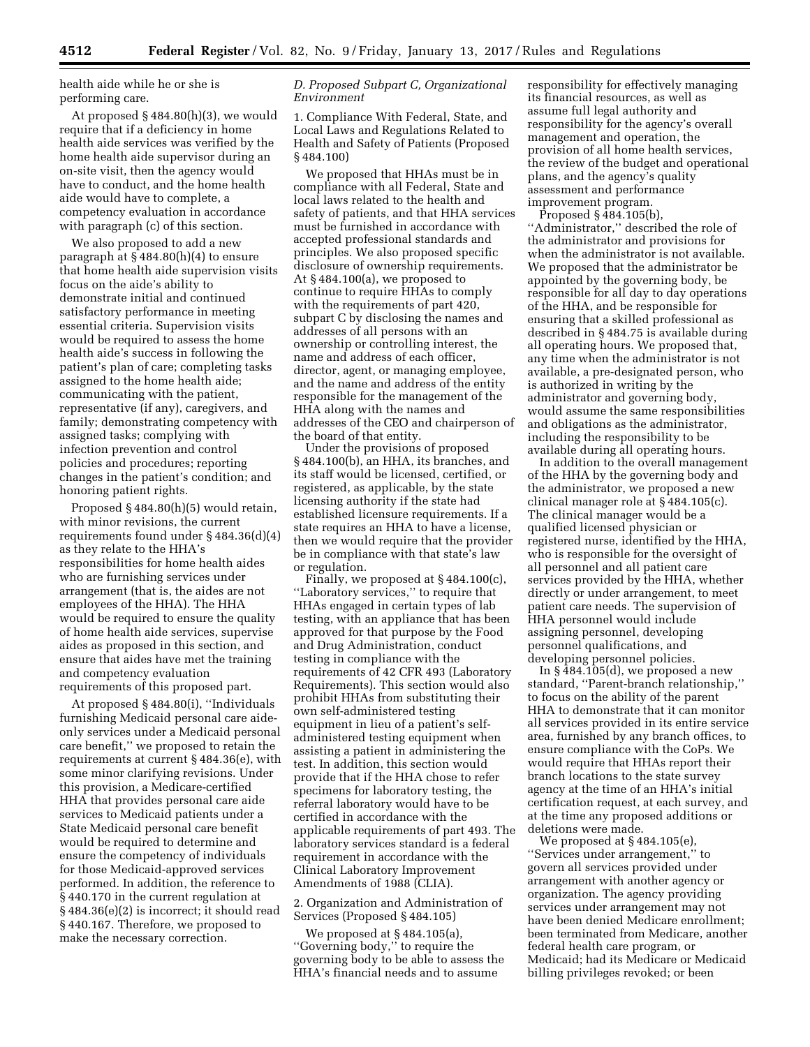health aide while he or she is performing care.

At proposed  $§$  484.80(h)(3), we would require that if a deficiency in home health aide services was verified by the home health aide supervisor during an on-site visit, then the agency would have to conduct, and the home health aide would have to complete, a competency evaluation in accordance with paragraph (c) of this section.

We also proposed to add a new paragraph at § 484.80(h)(4) to ensure that home health aide supervision visits focus on the aide's ability to demonstrate initial and continued satisfactory performance in meeting essential criteria. Supervision visits would be required to assess the home health aide's success in following the patient's plan of care; completing tasks assigned to the home health aide; communicating with the patient, representative (if any), caregivers, and family; demonstrating competency with assigned tasks; complying with infection prevention and control policies and procedures; reporting changes in the patient's condition; and honoring patient rights.

Proposed § 484.80(h)(5) would retain, with minor revisions, the current requirements found under § 484.36(d)(4) as they relate to the HHA's responsibilities for home health aides who are furnishing services under arrangement (that is, the aides are not employees of the HHA). The HHA would be required to ensure the quality of home health aide services, supervise aides as proposed in this section, and ensure that aides have met the training and competency evaluation requirements of this proposed part.

At proposed § 484.80(i), ''Individuals furnishing Medicaid personal care aideonly services under a Medicaid personal care benefit,'' we proposed to retain the requirements at current § 484.36(e), with some minor clarifying revisions. Under this provision, a Medicare-certified HHA that provides personal care aide services to Medicaid patients under a State Medicaid personal care benefit would be required to determine and ensure the competency of individuals for those Medicaid-approved services performed. In addition, the reference to § 440.170 in the current regulation at § 484.36(e)(2) is incorrect; it should read § 440.167. Therefore, we proposed to make the necessary correction.

#### *D. Proposed Subpart C, Organizational Environment*

1. Compliance With Federal, State, and Local Laws and Regulations Related to Health and Safety of Patients (Proposed § 484.100)

We proposed that HHAs must be in compliance with all Federal, State and local laws related to the health and safety of patients, and that HHA services must be furnished in accordance with accepted professional standards and principles. We also proposed specific disclosure of ownership requirements. At § 484.100(a), we proposed to continue to require HHAs to comply with the requirements of part 420, subpart C by disclosing the names and addresses of all persons with an ownership or controlling interest, the name and address of each officer, director, agent, or managing employee, and the name and address of the entity responsible for the management of the HHA along with the names and addresses of the CEO and chairperson of the board of that entity.

Under the provisions of proposed § 484.100(b), an HHA, its branches, and its staff would be licensed, certified, or registered, as applicable, by the state licensing authority if the state had established licensure requirements. If a state requires an HHA to have a license, then we would require that the provider be in compliance with that state's law or regulation.

Finally, we proposed at § 484.100(c), ''Laboratory services,'' to require that HHAs engaged in certain types of lab testing, with an appliance that has been approved for that purpose by the Food and Drug Administration, conduct testing in compliance with the requirements of 42 CFR 493 (Laboratory Requirements). This section would also prohibit HHAs from substituting their own self-administered testing equipment in lieu of a patient's selfadministered testing equipment when assisting a patient in administering the test. In addition, this section would provide that if the HHA chose to refer specimens for laboratory testing, the referral laboratory would have to be certified in accordance with the applicable requirements of part 493. The laboratory services standard is a federal requirement in accordance with the Clinical Laboratory Improvement Amendments of 1988 (CLIA).

2. Organization and Administration of Services (Proposed § 484.105)

We proposed at § 484.105(a), ''Governing body,'' to require the governing body to be able to assess the HHA's financial needs and to assume

responsibility for effectively managing its financial resources, as well as assume full legal authority and responsibility for the agency's overall management and operation, the provision of all home health services, the review of the budget and operational plans, and the agency's quality assessment and performance improvement program.

Proposed  $\S$  484.105(b), ''Administrator,'' described the role of the administrator and provisions for when the administrator is not available. We proposed that the administrator be appointed by the governing body, be responsible for all day to day operations of the HHA, and be responsible for ensuring that a skilled professional as described in § 484.75 is available during all operating hours. We proposed that, any time when the administrator is not available, a pre-designated person, who is authorized in writing by the administrator and governing body, would assume the same responsibilities and obligations as the administrator, including the responsibility to be available during all operating hours.

In addition to the overall management of the HHA by the governing body and the administrator, we proposed a new clinical manager role at § 484.105(c). The clinical manager would be a qualified licensed physician or registered nurse, identified by the HHA, who is responsible for the oversight of all personnel and all patient care services provided by the HHA, whether directly or under arrangement, to meet patient care needs. The supervision of HHA personnel would include assigning personnel, developing personnel qualifications, and developing personnel policies.

In § 484.105(d), we proposed a new standard, ''Parent-branch relationship,'' to focus on the ability of the parent HHA to demonstrate that it can monitor all services provided in its entire service area, furnished by any branch offices, to ensure compliance with the CoPs. We would require that HHAs report their branch locations to the state survey agency at the time of an HHA's initial certification request, at each survey, and at the time any proposed additions or deletions were made.

We proposed at § 484.105(e), ''Services under arrangement,'' to govern all services provided under arrangement with another agency or organization. The agency providing services under arrangement may not have been denied Medicare enrollment; been terminated from Medicare, another federal health care program, or Medicaid; had its Medicare or Medicaid billing privileges revoked; or been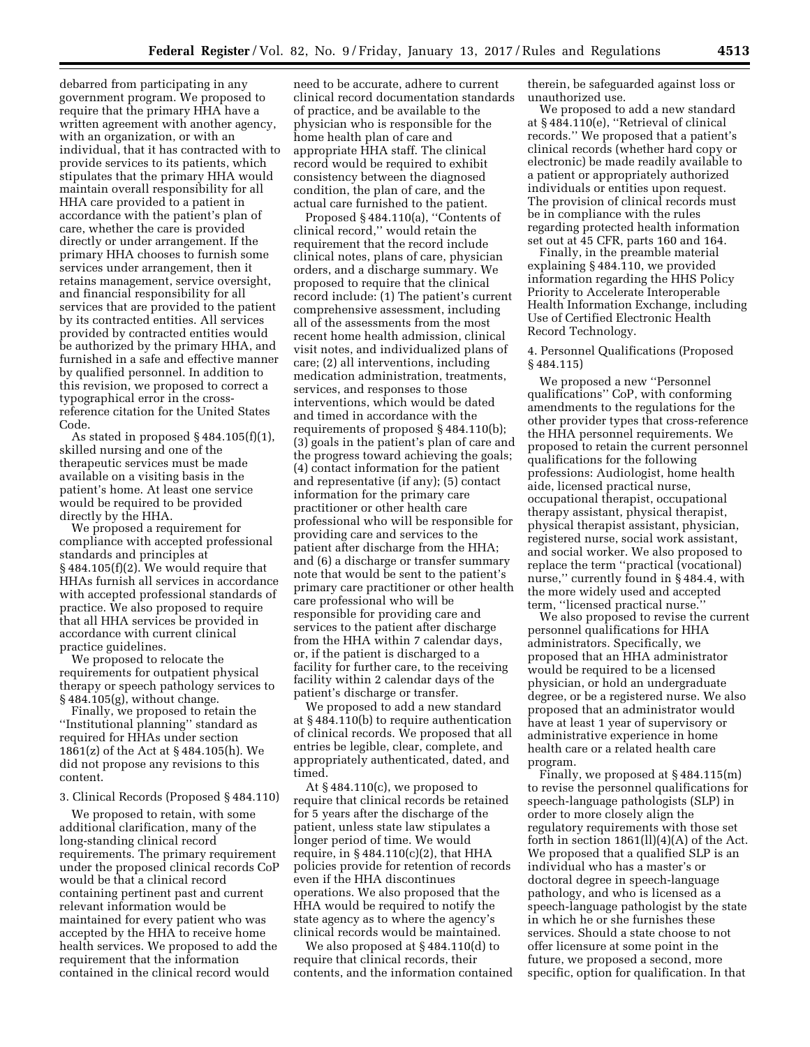debarred from participating in any government program. We proposed to require that the primary HHA have a written agreement with another agency, with an organization, or with an individual, that it has contracted with to provide services to its patients, which stipulates that the primary HHA would maintain overall responsibility for all HHA care provided to a patient in accordance with the patient's plan of care, whether the care is provided directly or under arrangement. If the primary HHA chooses to furnish some services under arrangement, then it retains management, service oversight, and financial responsibility for all services that are provided to the patient by its contracted entities. All services provided by contracted entities would be authorized by the primary HHA, and furnished in a safe and effective manner by qualified personnel. In addition to this revision, we proposed to correct a typographical error in the crossreference citation for the United States Code.

As stated in proposed § 484.105(f)(1), skilled nursing and one of the therapeutic services must be made available on a visiting basis in the patient's home. At least one service would be required to be provided directly by the HHA.

We proposed a requirement for compliance with accepted professional standards and principles at  $§ 484.105(f)(2)$ . We would require that HHAs furnish all services in accordance with accepted professional standards of practice. We also proposed to require that all HHA services be provided in accordance with current clinical practice guidelines.

We proposed to relocate the requirements for outpatient physical therapy or speech pathology services to § 484.105(g), without change.

Finally, we proposed to retain the ''Institutional planning'' standard as required for HHAs under section 1861(z) of the Act at § 484.105(h). We did not propose any revisions to this content.

#### 3. Clinical Records (Proposed § 484.110)

We proposed to retain, with some additional clarification, many of the long-standing clinical record requirements. The primary requirement under the proposed clinical records CoP would be that a clinical record containing pertinent past and current relevant information would be maintained for every patient who was accepted by the HHA to receive home health services. We proposed to add the requirement that the information contained in the clinical record would

need to be accurate, adhere to current clinical record documentation standards of practice, and be available to the physician who is responsible for the home health plan of care and appropriate HHA staff. The clinical record would be required to exhibit consistency between the diagnosed condition, the plan of care, and the actual care furnished to the patient.

Proposed § 484.110(a), ''Contents of clinical record,'' would retain the requirement that the record include clinical notes, plans of care, physician orders, and a discharge summary. We proposed to require that the clinical record include: (1) The patient's current comprehensive assessment, including all of the assessments from the most recent home health admission, clinical visit notes, and individualized plans of care; (2) all interventions, including medication administration, treatments, services, and responses to those interventions, which would be dated and timed in accordance with the requirements of proposed § 484.110(b); (3) goals in the patient's plan of care and the progress toward achieving the goals; (4) contact information for the patient and representative (if any); (5) contact information for the primary care practitioner or other health care professional who will be responsible for providing care and services to the patient after discharge from the HHA; and (6) a discharge or transfer summary note that would be sent to the patient's primary care practitioner or other health care professional who will be responsible for providing care and services to the patient after discharge from the HHA within 7 calendar days, or, if the patient is discharged to a facility for further care, to the receiving facility within 2 calendar days of the patient's discharge or transfer.

We proposed to add a new standard at § 484.110(b) to require authentication of clinical records. We proposed that all entries be legible, clear, complete, and appropriately authenticated, dated, and timed.

At § 484.110(c), we proposed to require that clinical records be retained for 5 years after the discharge of the patient, unless state law stipulates a longer period of time. We would require, in § 484.110(c)(2), that HHA policies provide for retention of records even if the HHA discontinues operations. We also proposed that the HHA would be required to notify the state agency as to where the agency's clinical records would be maintained.

We also proposed at § 484.110(d) to require that clinical records, their contents, and the information contained

therein, be safeguarded against loss or unauthorized use.

We proposed to add a new standard at § 484.110(e), ''Retrieval of clinical records.'' We proposed that a patient's clinical records (whether hard copy or electronic) be made readily available to a patient or appropriately authorized individuals or entities upon request. The provision of clinical records must be in compliance with the rules regarding protected health information set out at 45 CFR, parts 160 and 164.

Finally, in the preamble material explaining § 484.110, we provided information regarding the HHS Policy Priority to Accelerate Interoperable Health Information Exchange, including Use of Certified Electronic Health Record Technology.

4. Personnel Qualifications (Proposed § 484.115)

We proposed a new ''Personnel qualifications'' CoP, with conforming amendments to the regulations for the other provider types that cross-reference the HHA personnel requirements. We proposed to retain the current personnel qualifications for the following professions: Audiologist, home health aide, licensed practical nurse, occupational therapist, occupational therapy assistant, physical therapist, physical therapist assistant, physician, registered nurse, social work assistant, and social worker. We also proposed to replace the term ''practical (vocational) nurse," currently found in §484.4, with the more widely used and accepted term, ''licensed practical nurse.''

We also proposed to revise the current personnel qualifications for HHA administrators. Specifically, we proposed that an HHA administrator would be required to be a licensed physician, or hold an undergraduate degree, or be a registered nurse. We also proposed that an administrator would have at least 1 year of supervisory or administrative experience in home health care or a related health care program.

Finally, we proposed at § 484.115(m) to revise the personnel qualifications for speech-language pathologists (SLP) in order to more closely align the regulatory requirements with those set forth in section  $1861(11)(4)(A)$  of the Act. We proposed that a qualified SLP is an individual who has a master's or doctoral degree in speech-language pathology, and who is licensed as a speech-language pathologist by the state in which he or she furnishes these services. Should a state choose to not offer licensure at some point in the future, we proposed a second, more specific, option for qualification. In that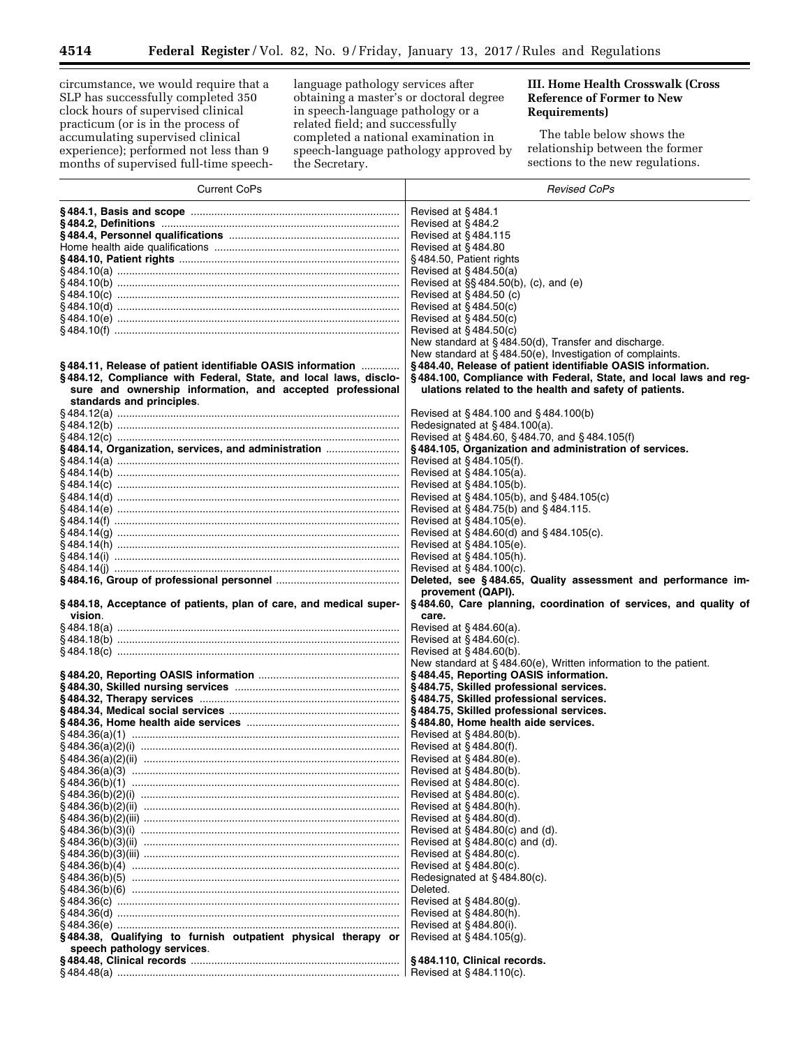۳

circumstance, we would require that a SLP has successfully completed 350 clock hours of supervised clinical practicum (or is in the process of accumulating supervised clinical experience); performed not less than 9 months of supervised full-time speech-

language pathology services after obtaining a master's or doctoral degree in speech-language pathology or a related field; and successfully completed a national examination in speech-language pathology approved by the Secretary.

# **III. Home Health Crosswalk (Cross Reference of Former to New Requirements)**

The table below shows the relationship between the former sections to the new regulations.

| <b>Current CoPs</b>                                                                                                                                                                                                                                                    | <b>Revised CoPs</b>                                                                                                                                                                                                                                                                                                                                                                                                                                                                                                                                                                                                                        |
|------------------------------------------------------------------------------------------------------------------------------------------------------------------------------------------------------------------------------------------------------------------------|--------------------------------------------------------------------------------------------------------------------------------------------------------------------------------------------------------------------------------------------------------------------------------------------------------------------------------------------------------------------------------------------------------------------------------------------------------------------------------------------------------------------------------------------------------------------------------------------------------------------------------------------|
| §484.10(a) …………………………………………………………………………………<br>§484.11, Release of patient identifiable OASIS information<br>§484.12, Compliance with Federal, State, and local laws, disclo-<br>sure and ownership information, and accepted professional<br>standards and principles. | Revised at $§$ 484.1<br>Revised at §484.2<br>Revised at $§$ 484.115<br>Revised at $§$ 484.80<br>§484.50, Patient rights<br>Revised at $\S$ 484.50(a)<br>Revised at $\S$ §484.50(b), (c), and (e)<br>Revised at $\S$ 484.50 (c)<br>Revised at $\S$ 484.50(c)<br>Revised at $\S$ 484.50(c)<br>Revised at $\S$ 484.50(c)<br>New standard at §484.50(d), Transfer and discharge.<br>New standard at $\S$ 484.50(e), Investigation of complaints.<br>§484.40, Release of patient identifiable OASIS information.<br>§484.100, Compliance with Federal, State, and local laws and reg-<br>ulations related to the health and safety of patients. |
| §484.14, Organization, services, and administration<br>§ 484.14(a) …………………………………………………………………………………                                                                                                                                                                     | Revised at $\S$ 484.100 and $\S$ 484.100(b)<br>Redesignated at §484.100(a).<br>Revised at $\S$ 484.60, $\S$ 484.70, and $\S$ 484.105(f)<br>§484.105, Organization and administration of services.<br>Revised at $\S$ 484.105(f).<br>Revised at $§$ 484.105(a).<br>Revised at $§$ 484.105(b).<br>Revised at §484.105(b), and §484.105(c)<br>Revised at §484.75(b) and §484.115.<br>Revised at §484.105(e).<br>Revised at §484.60(d) and §484.105(c).<br>Revised at $§$ 484.105(e).<br>Revised at §484.105(h).<br>Revised at $§$ 484.100(c).<br>Deleted, see §484.65, Quality assessment and performance im-<br>provement (QAPI).            |
| §484.18, Acceptance of patients, plan of care, and medical super-<br>vision.                                                                                                                                                                                           | §484.60, Care planning, coordination of services, and quality of<br>care.<br>Revised at $\S$ 484.60(a).<br>Revised at $\S$ 484.60(c).<br>Revised at $\S$ 484.60(b).<br>New standard at $\S$ 484.60(e), Written information to the patient.<br>§484.45, Reporting OASIS information.<br>§484.75, Skilled professional services.<br>§484.75, Skilled professional services.<br>§484.75, Skilled professional services.<br>§484.80, Home health aide services.                                                                                                                                                                                |
| § 484.36(a)(3) …………………………………………………………………………………………<br>§484.38. Qualifying to furnish outpatient physical therapy or<br>speech pathology services.                                                                                                                       | Revised at $\S$ 484.80(b).<br>Revised at §484.80(f).<br>Revised at $§$ 484.80(e).<br>Revised at $\S$ 484.80(b).<br>Revised at §484.80(c).<br>Revised at $§$ 484.80(c).<br>Revised at $\S$ 484.80(h).<br>Revised at §484.80(d).<br>Revised at $\S$ 484.80(c) and (d).<br>Revised at $\S$ 484.80(c) and (d).<br>Revised at $\S$ 484.80(c).<br>Revised at §484.80(c).<br>Redesignated at $\S$ 484.80(c).<br>Deleted.<br>Revised at $\S$ 484.80(g).<br>Revised at $\S$ 484.80(h).<br>Revised at $§$ 484.80(i).<br>Revised at §484.105(g).                                                                                                      |
|                                                                                                                                                                                                                                                                        | §484.110, Clinical records.<br>Revised at $\S$ 484.110(c).                                                                                                                                                                                                                                                                                                                                                                                                                                                                                                                                                                                 |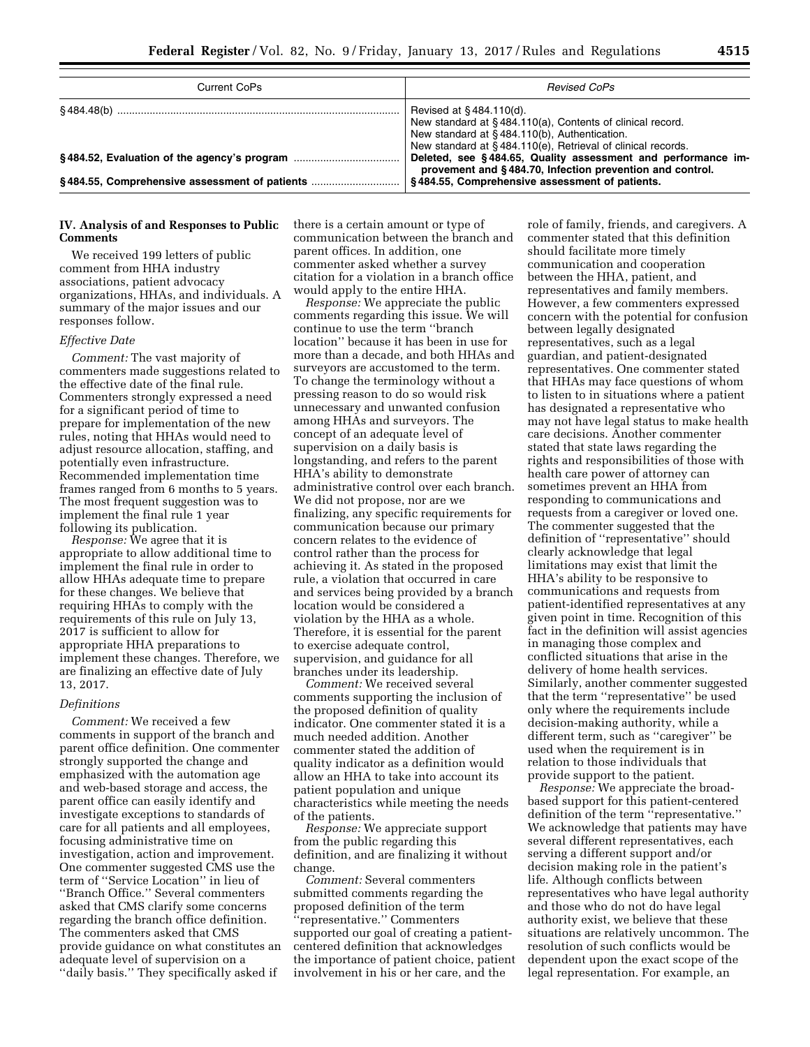| Current CoPs                                  | <b>Revised CoPs</b>                                                                                                                                                                                 |
|-----------------------------------------------|-----------------------------------------------------------------------------------------------------------------------------------------------------------------------------------------------------|
|                                               | Revised at §484.110(d).<br>New standard at §484.110(a), Contents of clinical record.<br>New standard at §484.110(b), Authentication.<br>New standard at §484.110(e), Retrieval of clinical records. |
|                                               | Deleted, see §484.65, Quality assessment and performance im-<br>provement and §484.70, Infection prevention and control.                                                                            |
| §484.55, Comprehensive assessment of patients | §484.55, Comprehensive assessment of patients.                                                                                                                                                      |

#### **IV. Analysis of and Responses to Public Comments**

We received 199 letters of public comment from HHA industry associations, patient advocacy organizations, HHAs, and individuals. A summary of the major issues and our responses follow.

#### *Effective Date*

*Comment:* The vast majority of commenters made suggestions related to the effective date of the final rule. Commenters strongly expressed a need for a significant period of time to prepare for implementation of the new rules, noting that HHAs would need to adjust resource allocation, staffing, and potentially even infrastructure. Recommended implementation time frames ranged from 6 months to 5 years. The most frequent suggestion was to implement the final rule 1 year following its publication.

*Response:* We agree that it is appropriate to allow additional time to implement the final rule in order to allow HHAs adequate time to prepare for these changes. We believe that requiring HHAs to comply with the requirements of this rule on July 13, 2017 is sufficient to allow for appropriate HHA preparations to implement these changes. Therefore, we are finalizing an effective date of July 13, 2017.

#### *Definitions*

*Comment:* We received a few comments in support of the branch and parent office definition. One commenter strongly supported the change and emphasized with the automation age and web-based storage and access, the parent office can easily identify and investigate exceptions to standards of care for all patients and all employees, focusing administrative time on investigation, action and improvement. One commenter suggested CMS use the term of ''Service Location'' in lieu of ''Branch Office.'' Several commenters asked that CMS clarify some concerns regarding the branch office definition. The commenters asked that CMS provide guidance on what constitutes an adequate level of supervision on a ''daily basis.'' They specifically asked if

there is a certain amount or type of communication between the branch and parent offices. In addition, one commenter asked whether a survey citation for a violation in a branch office would apply to the entire HHA.

*Response:* We appreciate the public comments regarding this issue. We will continue to use the term ''branch location'' because it has been in use for more than a decade, and both HHAs and surveyors are accustomed to the term. To change the terminology without a pressing reason to do so would risk unnecessary and unwanted confusion among HHAs and surveyors. The concept of an adequate level of supervision on a daily basis is longstanding, and refers to the parent HHA's ability to demonstrate administrative control over each branch. We did not propose, nor are we finalizing, any specific requirements for communication because our primary concern relates to the evidence of control rather than the process for achieving it. As stated in the proposed rule, a violation that occurred in care and services being provided by a branch location would be considered a violation by the HHA as a whole. Therefore, it is essential for the parent to exercise adequate control, supervision, and guidance for all branches under its leadership.

*Comment:* We received several comments supporting the inclusion of the proposed definition of quality indicator. One commenter stated it is a much needed addition. Another commenter stated the addition of quality indicator as a definition would allow an HHA to take into account its patient population and unique characteristics while meeting the needs of the patients.

*Response:* We appreciate support from the public regarding this definition, and are finalizing it without change.

*Comment:* Several commenters submitted comments regarding the proposed definition of the term ''representative.'' Commenters supported our goal of creating a patientcentered definition that acknowledges the importance of patient choice, patient involvement in his or her care, and the

role of family, friends, and caregivers. A commenter stated that this definition should facilitate more timely communication and cooperation between the HHA, patient, and representatives and family members. However, a few commenters expressed concern with the potential for confusion between legally designated representatives, such as a legal guardian, and patient-designated representatives. One commenter stated that HHAs may face questions of whom to listen to in situations where a patient has designated a representative who may not have legal status to make health care decisions. Another commenter stated that state laws regarding the rights and responsibilities of those with health care power of attorney can sometimes prevent an HHA from responding to communications and requests from a caregiver or loved one. The commenter suggested that the definition of ''representative'' should clearly acknowledge that legal limitations may exist that limit the HHA's ability to be responsive to communications and requests from patient-identified representatives at any given point in time. Recognition of this fact in the definition will assist agencies in managing those complex and conflicted situations that arise in the delivery of home health services. Similarly, another commenter suggested that the term ''representative'' be used only where the requirements include decision-making authority, while a different term, such as ''caregiver'' be used when the requirement is in relation to those individuals that provide support to the patient.

*Response:* We appreciate the broadbased support for this patient-centered definition of the term ''representative.'' We acknowledge that patients may have several different representatives, each serving a different support and/or decision making role in the patient's life. Although conflicts between representatives who have legal authority and those who do not do have legal authority exist, we believe that these situations are relatively uncommon. The resolution of such conflicts would be dependent upon the exact scope of the legal representation. For example, an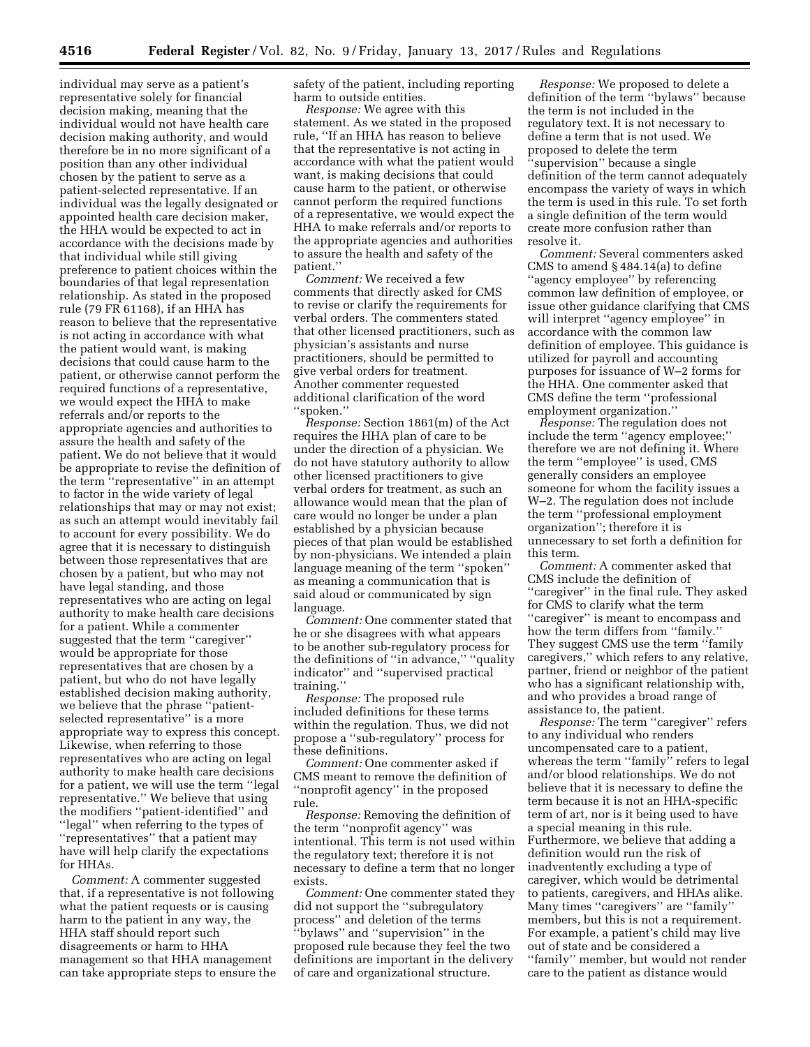individual may serve as a patient's representative solely for financial decision making, meaning that the individual would not have health care decision making authority, and would therefore be in no more significant of a position than any other individual chosen by the patient to serve as a patient-selected representative. If an individual was the legally designated or appointed health care decision maker, the HHA would be expected to act in accordance with the decisions made by that individual while still giving preference to patient choices within the boundaries of that legal representation relationship. As stated in the proposed rule (79 FR 61168), if an HHA has reason to believe that the representative is not acting in accordance with what the patient would want, is making decisions that could cause harm to the patient, or otherwise cannot perform the required functions of a representative, we would expect the HHA to make referrals and/or reports to the appropriate agencies and authorities to assure the health and safety of the patient. We do not believe that it would be appropriate to revise the definition of the term ''representative'' in an attempt to factor in the wide variety of legal relationships that may or may not exist; as such an attempt would inevitably fail to account for every possibility. We do agree that it is necessary to distinguish between those representatives that are chosen by a patient, but who may not have legal standing, and those representatives who are acting on legal authority to make health care decisions for a patient. While a commenter suggested that the term ''caregiver'' would be appropriate for those representatives that are chosen by a patient, but who do not have legally established decision making authority, we believe that the phrase ''patientselected representative'' is a more appropriate way to express this concept. Likewise, when referring to those representatives who are acting on legal authority to make health care decisions for a patient, we will use the term ''legal representative.'' We believe that using the modifiers ''patient-identified'' and ''legal'' when referring to the types of ''representatives'' that a patient may have will help clarify the expectations for HHAs.

*Comment:* A commenter suggested that, if a representative is not following what the patient requests or is causing harm to the patient in any way, the HHA staff should report such disagreements or harm to HHA management so that HHA management can take appropriate steps to ensure the safety of the patient, including reporting harm to outside entities.

*Response:* We agree with this statement. As we stated in the proposed rule, ''If an HHA has reason to believe that the representative is not acting in accordance with what the patient would want, is making decisions that could cause harm to the patient, or otherwise cannot perform the required functions of a representative, we would expect the HHA to make referrals and/or reports to the appropriate agencies and authorities to assure the health and safety of the patient.''

*Comment:* We received a few comments that directly asked for CMS to revise or clarify the requirements for verbal orders. The commenters stated that other licensed practitioners, such as physician's assistants and nurse practitioners, should be permitted to give verbal orders for treatment. Another commenter requested additional clarification of the word ''spoken.''

*Response:* Section 1861(m) of the Act requires the HHA plan of care to be under the direction of a physician. We do not have statutory authority to allow other licensed practitioners to give verbal orders for treatment, as such an allowance would mean that the plan of care would no longer be under a plan established by a physician because pieces of that plan would be established by non-physicians. We intended a plain language meaning of the term ''spoken'' as meaning a communication that is said aloud or communicated by sign language.

*Comment:* One commenter stated that he or she disagrees with what appears to be another sub-regulatory process for the definitions of ''in advance,'' ''quality indicator'' and ''supervised practical training.''

*Response:* The proposed rule included definitions for these terms within the regulation. Thus, we did not propose a ''sub-regulatory'' process for these definitions.

*Comment:* One commenter asked if CMS meant to remove the definition of ''nonprofit agency'' in the proposed rule.

*Response:* Removing the definition of the term ''nonprofit agency'' was intentional. This term is not used within the regulatory text; therefore it is not necessary to define a term that no longer exists.

*Comment:* One commenter stated they did not support the ''subregulatory process'' and deletion of the terms ''bylaws'' and ''supervision'' in the proposed rule because they feel the two definitions are important in the delivery of care and organizational structure.

*Response:* We proposed to delete a definition of the term ''bylaws'' because the term is not included in the regulatory text. It is not necessary to define a term that is not used. We proposed to delete the term ''supervision'' because a single definition of the term cannot adequately encompass the variety of ways in which the term is used in this rule. To set forth a single definition of the term would create more confusion rather than resolve it.

*Comment:* Several commenters asked CMS to amend § 484.14(a) to define ''agency employee'' by referencing common law definition of employee, or issue other guidance clarifying that CMS will interpret ''agency employee'' in accordance with the common law definition of employee. This guidance is utilized for payroll and accounting purposes for issuance of W–2 forms for the HHA. One commenter asked that CMS define the term ''professional employment organization.''

*Response:* The regulation does not include the term ''agency employee;'' therefore we are not defining it. Where the term ''employee'' is used, CMS generally considers an employee someone for whom the facility issues a W–2. The regulation does not include the term ''professional employment organization''; therefore it is unnecessary to set forth a definition for this term.

*Comment:* A commenter asked that CMS include the definition of ''caregiver'' in the final rule. They asked for CMS to clarify what the term "caregiver" is meant to encompass and how the term differs from ''family.'' They suggest CMS use the term ''family caregivers,'' which refers to any relative, partner, friend or neighbor of the patient who has a significant relationship with, and who provides a broad range of assistance to, the patient.

*Response:* The term ''caregiver'' refers to any individual who renders uncompensated care to a patient, whereas the term ''family'' refers to legal and/or blood relationships. We do not believe that it is necessary to define the term because it is not an HHA-specific term of art, nor is it being used to have a special meaning in this rule. Furthermore, we believe that adding a definition would run the risk of inadventently excluding a type of caregiver, which would be detrimental to patients, caregivers, and HHAs alike. Many times ''caregivers'' are ''family'' members, but this is not a requirement. For example, a patient's child may live out of state and be considered a ''family'' member, but would not render care to the patient as distance would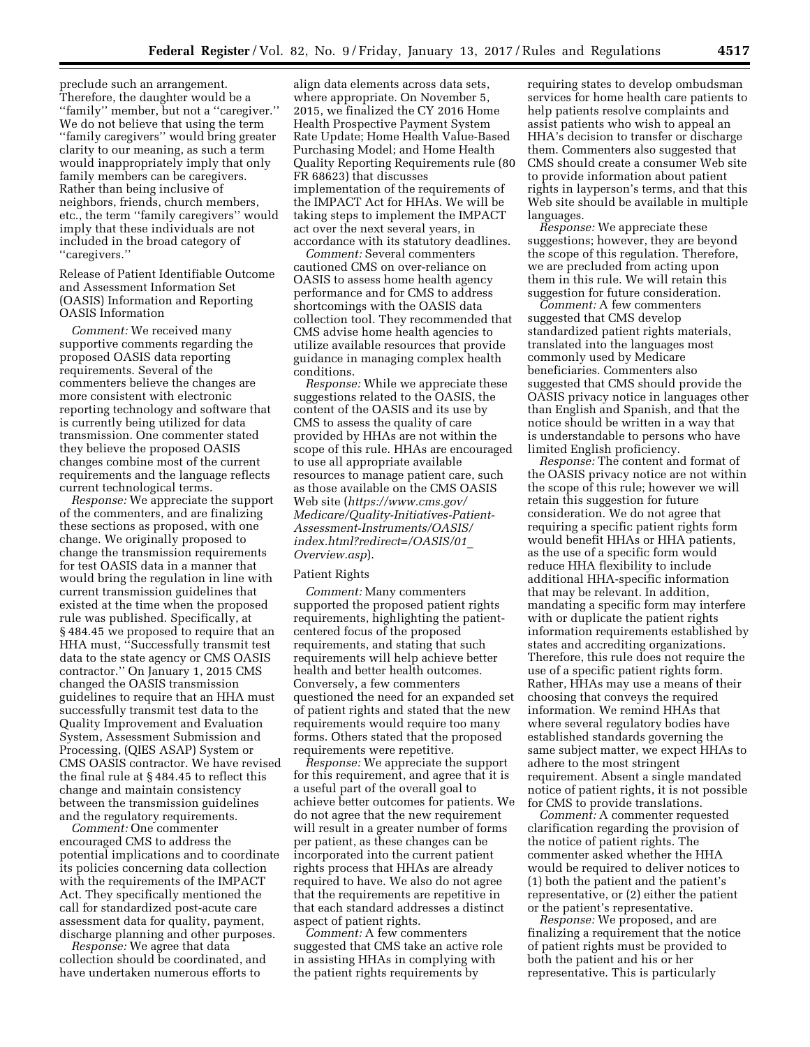preclude such an arrangement. Therefore, the daughter would be a ''family'' member, but not a ''caregiver.'' We do not believe that using the term "family caregivers" would bring greater clarity to our meaning, as such a term would inappropriately imply that only family members can be caregivers. Rather than being inclusive of neighbors, friends, church members, etc., the term ''family caregivers'' would imply that these individuals are not included in the broad category of ''caregivers.''

Release of Patient Identifiable Outcome and Assessment Information Set (OASIS) Information and Reporting OASIS Information

*Comment:* We received many supportive comments regarding the proposed OASIS data reporting requirements. Several of the commenters believe the changes are more consistent with electronic reporting technology and software that is currently being utilized for data transmission. One commenter stated they believe the proposed OASIS changes combine most of the current requirements and the language reflects current technological terms.

*Response:* We appreciate the support of the commenters, and are finalizing these sections as proposed, with one change. We originally proposed to change the transmission requirements for test OASIS data in a manner that would bring the regulation in line with current transmission guidelines that existed at the time when the proposed rule was published. Specifically, at § 484.45 we proposed to require that an HHA must, ''Successfully transmit test data to the state agency or CMS OASIS contractor.'' On January 1, 2015 CMS changed the OASIS transmission guidelines to require that an HHA must successfully transmit test data to the Quality Improvement and Evaluation System, Assessment Submission and Processing, (QIES ASAP) System or CMS OASIS contractor. We have revised the final rule at § 484.45 to reflect this change and maintain consistency between the transmission guidelines and the regulatory requirements.

*Comment:* One commenter encouraged CMS to address the potential implications and to coordinate its policies concerning data collection with the requirements of the IMPACT Act. They specifically mentioned the call for standardized post-acute care assessment data for quality, payment, discharge planning and other purposes.

*Response:* We agree that data collection should be coordinated, and have undertaken numerous efforts to

align data elements across data sets, where appropriate. On November 5, 2015, we finalized the CY 2016 Home Health Prospective Payment System Rate Update; Home Health Value-Based Purchasing Model; and Home Health Quality Reporting Requirements rule (80 FR 68623) that discusses implementation of the requirements of the IMPACT Act for HHAs. We will be taking steps to implement the IMPACT act over the next several years, in accordance with its statutory deadlines.

*Comment:* Several commenters cautioned CMS on over-reliance on OASIS to assess home health agency performance and for CMS to address shortcomings with the OASIS data collection tool. They recommended that CMS advise home health agencies to utilize available resources that provide guidance in managing complex health conditions.

*Response:* While we appreciate these suggestions related to the OASIS, the content of the OASIS and its use by CMS to assess the quality of care provided by HHAs are not within the scope of this rule. HHAs are encouraged to use all appropriate available resources to manage patient care, such as those available on the CMS OASIS Web site (*[https://www.cms.gov/](https://www.cms.gov/Medicare/Quality-Initiatives-Patient-Assessment-Instruments/OASIS/index.html?redirect=/OASIS/01_Overview.asp) [Medicare/Quality-Initiatives-Patient-](https://www.cms.gov/Medicare/Quality-Initiatives-Patient-Assessment-Instruments/OASIS/index.html?redirect=/OASIS/01_Overview.asp)[Assessment-Instruments/OASIS/](https://www.cms.gov/Medicare/Quality-Initiatives-Patient-Assessment-Instruments/OASIS/index.html?redirect=/OASIS/01_Overview.asp)  [index.html?redirect=/OASIS/01](https://www.cms.gov/Medicare/Quality-Initiatives-Patient-Assessment-Instruments/OASIS/index.html?redirect=/OASIS/01_Overview.asp)*\_ *[Overview.asp](https://www.cms.gov/Medicare/Quality-Initiatives-Patient-Assessment-Instruments/OASIS/index.html?redirect=/OASIS/01_Overview.asp)*).

#### Patient Rights

*Comment:* Many commenters supported the proposed patient rights requirements, highlighting the patientcentered focus of the proposed requirements, and stating that such requirements will help achieve better health and better health outcomes. Conversely, a few commenters questioned the need for an expanded set of patient rights and stated that the new requirements would require too many forms. Others stated that the proposed requirements were repetitive.

*Response:* We appreciate the support for this requirement, and agree that it is a useful part of the overall goal to achieve better outcomes for patients. We do not agree that the new requirement will result in a greater number of forms per patient, as these changes can be incorporated into the current patient rights process that HHAs are already required to have. We also do not agree that the requirements are repetitive in that each standard addresses a distinct aspect of patient rights.

*Comment:* A few commenters suggested that CMS take an active role in assisting HHAs in complying with the patient rights requirements by

requiring states to develop ombudsman services for home health care patients to help patients resolve complaints and assist patients who wish to appeal an HHA's decision to transfer or discharge them. Commenters also suggested that CMS should create a consumer Web site to provide information about patient rights in layperson's terms, and that this Web site should be available in multiple languages.

*Response:* We appreciate these suggestions; however, they are beyond the scope of this regulation. Therefore, we are precluded from acting upon them in this rule. We will retain this suggestion for future consideration.

*Comment:* A few commenters suggested that CMS develop standardized patient rights materials, translated into the languages most commonly used by Medicare beneficiaries. Commenters also suggested that CMS should provide the OASIS privacy notice in languages other than English and Spanish, and that the notice should be written in a way that is understandable to persons who have limited English proficiency.

*Response:* The content and format of the OASIS privacy notice are not within the scope of this rule; however we will retain this suggestion for future consideration. We do not agree that requiring a specific patient rights form would benefit HHAs or HHA patients, as the use of a specific form would reduce HHA flexibility to include additional HHA-specific information that may be relevant. In addition, mandating a specific form may interfere with or duplicate the patient rights information requirements established by states and accrediting organizations. Therefore, this rule does not require the use of a specific patient rights form. Rather, HHAs may use a means of their choosing that conveys the required information. We remind HHAs that where several regulatory bodies have established standards governing the same subject matter, we expect HHAs to adhere to the most stringent requirement. Absent a single mandated notice of patient rights, it is not possible for CMS to provide translations.

*Comment:* A commenter requested clarification regarding the provision of the notice of patient rights. The commenter asked whether the HHA would be required to deliver notices to (1) both the patient and the patient's representative, or (2) either the patient or the patient's representative.

*Response:* We proposed, and are finalizing a requirement that the notice of patient rights must be provided to both the patient and his or her representative. This is particularly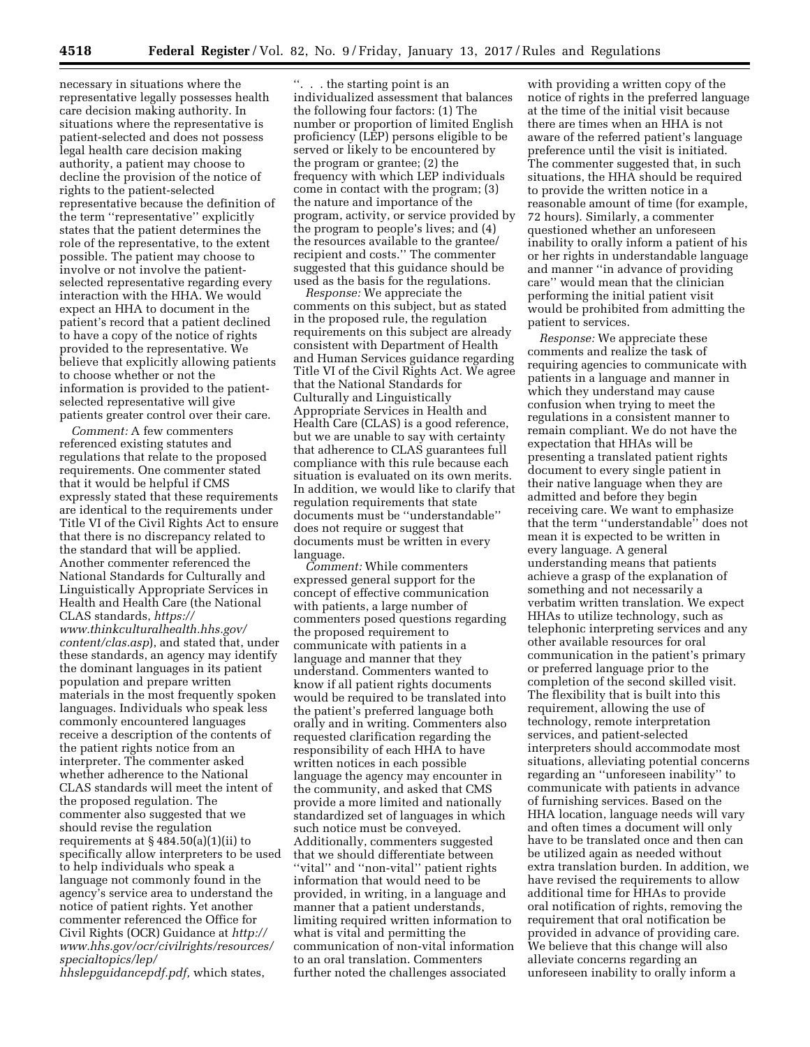necessary in situations where the representative legally possesses health care decision making authority. In situations where the representative is patient-selected and does not possess legal health care decision making authority, a patient may choose to decline the provision of the notice of rights to the patient-selected representative because the definition of the term ''representative'' explicitly states that the patient determines the role of the representative, to the extent possible. The patient may choose to involve or not involve the patientselected representative regarding every interaction with the HHA. We would expect an HHA to document in the patient's record that a patient declined to have a copy of the notice of rights provided to the representative. We believe that explicitly allowing patients to choose whether or not the information is provided to the patientselected representative will give patients greater control over their care.

*Comment:* A few commenters referenced existing statutes and regulations that relate to the proposed requirements. One commenter stated that it would be helpful if CMS expressly stated that these requirements are identical to the requirements under Title VI of the Civil Rights Act to ensure that there is no discrepancy related to the standard that will be applied. Another commenter referenced the National Standards for Culturally and Linguistically Appropriate Services in Health and Health Care (the National CLAS standards, *[https://](https://www.thinkculturalhealth.hhs.gov/content/clas.asp) [www.thinkculturalhealth.hhs.gov/](https://www.thinkculturalhealth.hhs.gov/content/clas.asp)  [content/clas.asp](https://www.thinkculturalhealth.hhs.gov/content/clas.asp)*), and stated that, under these standards, an agency may identify the dominant languages in its patient population and prepare written materials in the most frequently spoken languages. Individuals who speak less commonly encountered languages receive a description of the contents of the patient rights notice from an interpreter. The commenter asked whether adherence to the National CLAS standards will meet the intent of the proposed regulation. The commenter also suggested that we should revise the regulation requirements at  $§$  484.50(a)(1)(ii) to specifically allow interpreters to be used to help individuals who speak a language not commonly found in the agency's service area to understand the notice of patient rights. Yet another commenter referenced the Office for Civil Rights (OCR) Guidance at *[http://](http://www.hhs.gov/ocr/civilrights/resources/specialtopics/lep/hhslepguidancepdf.pdf) [www.hhs.gov/ocr/civilrights/resources/](http://www.hhs.gov/ocr/civilrights/resources/specialtopics/lep/hhslepguidancepdf.pdf)  [specialtopics/lep/](http://www.hhs.gov/ocr/civilrights/resources/specialtopics/lep/hhslepguidancepdf.pdf)* 

*[hhslepguidancepdf.pdf,](http://www.hhs.gov/ocr/civilrights/resources/specialtopics/lep/hhslepguidancepdf.pdf)* which states,

''. . . the starting point is an individualized assessment that balances the following four factors: (1) The number or proportion of limited English proficiency (LEP) persons eligible to be served or likely to be encountered by the program or grantee; (2) the frequency with which LEP individuals come in contact with the program; (3) the nature and importance of the program, activity, or service provided by the program to people's lives; and (4) the resources available to the grantee/ recipient and costs.'' The commenter suggested that this guidance should be used as the basis for the regulations.

*Response:* We appreciate the comments on this subject, but as stated in the proposed rule, the regulation requirements on this subject are already consistent with Department of Health and Human Services guidance regarding Title VI of the Civil Rights Act. We agree that the National Standards for Culturally and Linguistically Appropriate Services in Health and Health Care (CLAS) is a good reference, but we are unable to say with certainty that adherence to CLAS guarantees full compliance with this rule because each situation is evaluated on its own merits. In addition, we would like to clarify that regulation requirements that state documents must be ''understandable'' does not require or suggest that documents must be written in every language.

*Comment:* While commenters expressed general support for the concept of effective communication with patients, a large number of commenters posed questions regarding the proposed requirement to communicate with patients in a language and manner that they understand. Commenters wanted to know if all patient rights documents would be required to be translated into the patient's preferred language both orally and in writing. Commenters also requested clarification regarding the responsibility of each HHA to have written notices in each possible language the agency may encounter in the community, and asked that CMS provide a more limited and nationally standardized set of languages in which such notice must be conveyed. Additionally, commenters suggested that we should differentiate between ''vital'' and ''non-vital'' patient rights information that would need to be provided, in writing, in a language and manner that a patient understands, limiting required written information to what is vital and permitting the communication of non-vital information to an oral translation. Commenters further noted the challenges associated

with providing a written copy of the notice of rights in the preferred language at the time of the initial visit because there are times when an HHA is not aware of the referred patient's language preference until the visit is initiated. The commenter suggested that, in such situations, the HHA should be required to provide the written notice in a reasonable amount of time (for example, 72 hours). Similarly, a commenter questioned whether an unforeseen inability to orally inform a patient of his or her rights in understandable language and manner ''in advance of providing care'' would mean that the clinician performing the initial patient visit would be prohibited from admitting the patient to services.

*Response:* We appreciate these comments and realize the task of requiring agencies to communicate with patients in a language and manner in which they understand may cause confusion when trying to meet the regulations in a consistent manner to remain compliant. We do not have the expectation that HHAs will be presenting a translated patient rights document to every single patient in their native language when they are admitted and before they begin receiving care. We want to emphasize that the term ''understandable'' does not mean it is expected to be written in every language. A general understanding means that patients achieve a grasp of the explanation of something and not necessarily a verbatim written translation. We expect HHAs to utilize technology, such as telephonic interpreting services and any other available resources for oral communication in the patient's primary or preferred language prior to the completion of the second skilled visit. The flexibility that is built into this requirement, allowing the use of technology, remote interpretation services, and patient-selected interpreters should accommodate most situations, alleviating potential concerns regarding an ''unforeseen inability'' to communicate with patients in advance of furnishing services. Based on the HHA location, language needs will vary and often times a document will only have to be translated once and then can be utilized again as needed without extra translation burden. In addition, we have revised the requirements to allow additional time for HHAs to provide oral notification of rights, removing the requirement that oral notification be provided in advance of providing care. We believe that this change will also alleviate concerns regarding an unforeseen inability to orally inform a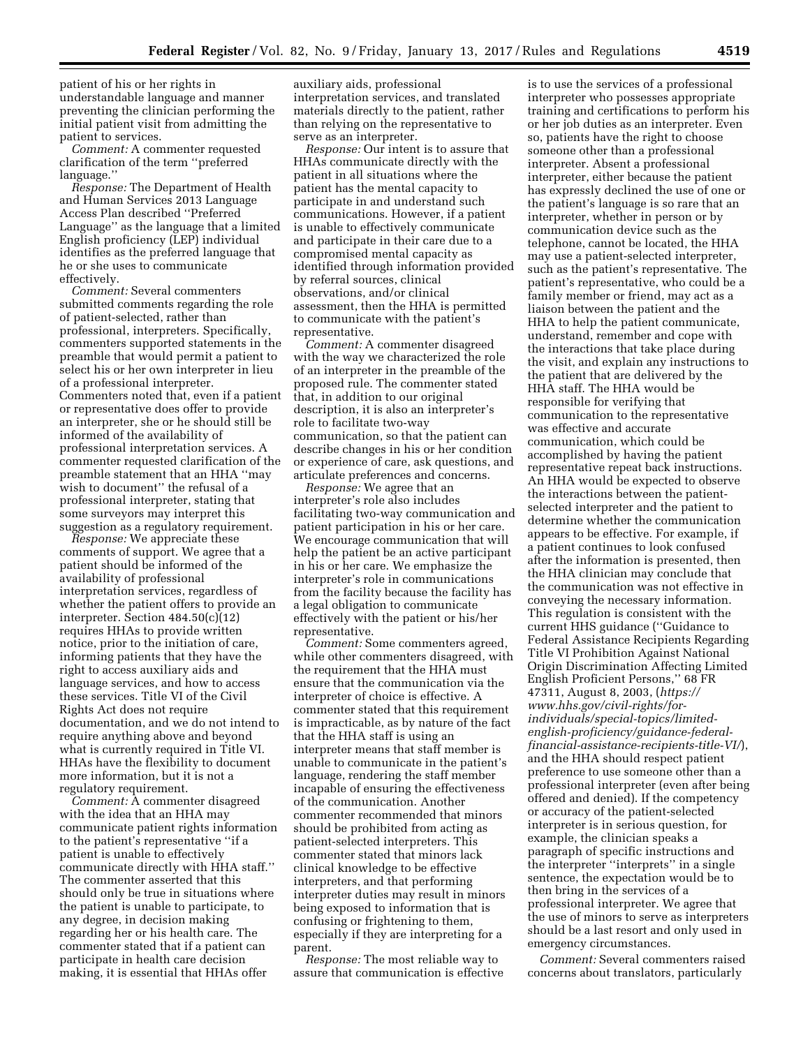patient of his or her rights in understandable language and manner preventing the clinician performing the initial patient visit from admitting the patient to services.

*Comment:* A commenter requested clarification of the term ''preferred language.''

*Response:* The Department of Health and Human Services 2013 Language Access Plan described ''Preferred Language'' as the language that a limited English proficiency (LEP) individual identifies as the preferred language that he or she uses to communicate effectively.

*Comment:* Several commenters submitted comments regarding the role of patient-selected, rather than professional, interpreters. Specifically, commenters supported statements in the preamble that would permit a patient to select his or her own interpreter in lieu of a professional interpreter. Commenters noted that, even if a patient or representative does offer to provide an interpreter, she or he should still be informed of the availability of professional interpretation services. A commenter requested clarification of the preamble statement that an HHA ''may wish to document'' the refusal of a professional interpreter, stating that some surveyors may interpret this suggestion as a regulatory requirement.

*Response:* We appreciate these comments of support. We agree that a patient should be informed of the availability of professional interpretation services, regardless of whether the patient offers to provide an interpreter. Section 484.50(c)(12) requires HHAs to provide written notice, prior to the initiation of care, informing patients that they have the right to access auxiliary aids and language services, and how to access these services. Title VI of the Civil Rights Act does not require documentation, and we do not intend to require anything above and beyond what is currently required in Title VI. HHAs have the flexibility to document more information, but it is not a regulatory requirement.

*Comment:* A commenter disagreed with the idea that an HHA may communicate patient rights information to the patient's representative ''if a patient is unable to effectively communicate directly with HHA staff.'' The commenter asserted that this should only be true in situations where the patient is unable to participate, to any degree, in decision making regarding her or his health care. The commenter stated that if a patient can participate in health care decision making, it is essential that HHAs offer

auxiliary aids, professional interpretation services, and translated materials directly to the patient, rather than relying on the representative to serve as an interpreter.

*Response:* Our intent is to assure that HHAs communicate directly with the patient in all situations where the patient has the mental capacity to participate in and understand such communications. However, if a patient is unable to effectively communicate and participate in their care due to a compromised mental capacity as identified through information provided by referral sources, clinical observations, and/or clinical assessment, then the HHA is permitted to communicate with the patient's representative.

*Comment:* A commenter disagreed with the way we characterized the role of an interpreter in the preamble of the proposed rule. The commenter stated that, in addition to our original description, it is also an interpreter's role to facilitate two-way communication, so that the patient can describe changes in his or her condition or experience of care, ask questions, and articulate preferences and concerns.

*Response:* We agree that an interpreter's role also includes facilitating two-way communication and patient participation in his or her care. We encourage communication that will help the patient be an active participant in his or her care. We emphasize the interpreter's role in communications from the facility because the facility has a legal obligation to communicate effectively with the patient or his/her representative.

*Comment:* Some commenters agreed, while other commenters disagreed, with the requirement that the HHA must ensure that the communication via the interpreter of choice is effective. A commenter stated that this requirement is impracticable, as by nature of the fact that the HHA staff is using an interpreter means that staff member is unable to communicate in the patient's language, rendering the staff member incapable of ensuring the effectiveness of the communication. Another commenter recommended that minors should be prohibited from acting as patient-selected interpreters. This commenter stated that minors lack clinical knowledge to be effective interpreters, and that performing interpreter duties may result in minors being exposed to information that is confusing or frightening to them, especially if they are interpreting for a parent.

*Response:* The most reliable way to assure that communication is effective is to use the services of a professional interpreter who possesses appropriate training and certifications to perform his or her job duties as an interpreter. Even so, patients have the right to choose someone other than a professional interpreter. Absent a professional interpreter, either because the patient has expressly declined the use of one or the patient's language is so rare that an interpreter, whether in person or by communication device such as the telephone, cannot be located, the HHA may use a patient-selected interpreter, such as the patient's representative. The patient's representative, who could be a family member or friend, may act as a liaison between the patient and the HHA to help the patient communicate, understand, remember and cope with the interactions that take place during the visit, and explain any instructions to the patient that are delivered by the HHA staff. The HHA would be responsible for verifying that communication to the representative was effective and accurate communication, which could be accomplished by having the patient representative repeat back instructions. An HHA would be expected to observe the interactions between the patientselected interpreter and the patient to determine whether the communication appears to be effective. For example, if a patient continues to look confused after the information is presented, then the HHA clinician may conclude that the communication was not effective in conveying the necessary information. This regulation is consistent with the current HHS guidance (''Guidance to Federal Assistance Recipients Regarding Title VI Prohibition Against National Origin Discrimination Affecting Limited English Proficient Persons,'' 68 FR 47311, August 8, 2003, (*[https://](https://www.hhs.gov/civil-rights/for-individuals/special-topics/limited-english-proficiency/guidance-federal-financial-assistance-recipients-title-VI/) www.hhs.gov/civil-rights/forindividuals/special-topics/limitedenglish-proficiency/guidance-federal[financial-assistance-recipients-title-VI/](https://www.hhs.gov/civil-rights/for-individuals/special-topics/limited-english-proficiency/guidance-federal-financial-assistance-recipients-title-VI/)*), and the HHA should respect patient preference to use someone other than a professional interpreter (even after being offered and denied). If the competency or accuracy of the patient-selected interpreter is in serious question, for example, the clinician speaks a paragraph of specific instructions and the interpreter ''interprets'' in a single sentence, the expectation would be to then bring in the services of a professional interpreter. We agree that the use of minors to serve as interpreters should be a last resort and only used in emergency circumstances.

*Comment:* Several commenters raised concerns about translators, particularly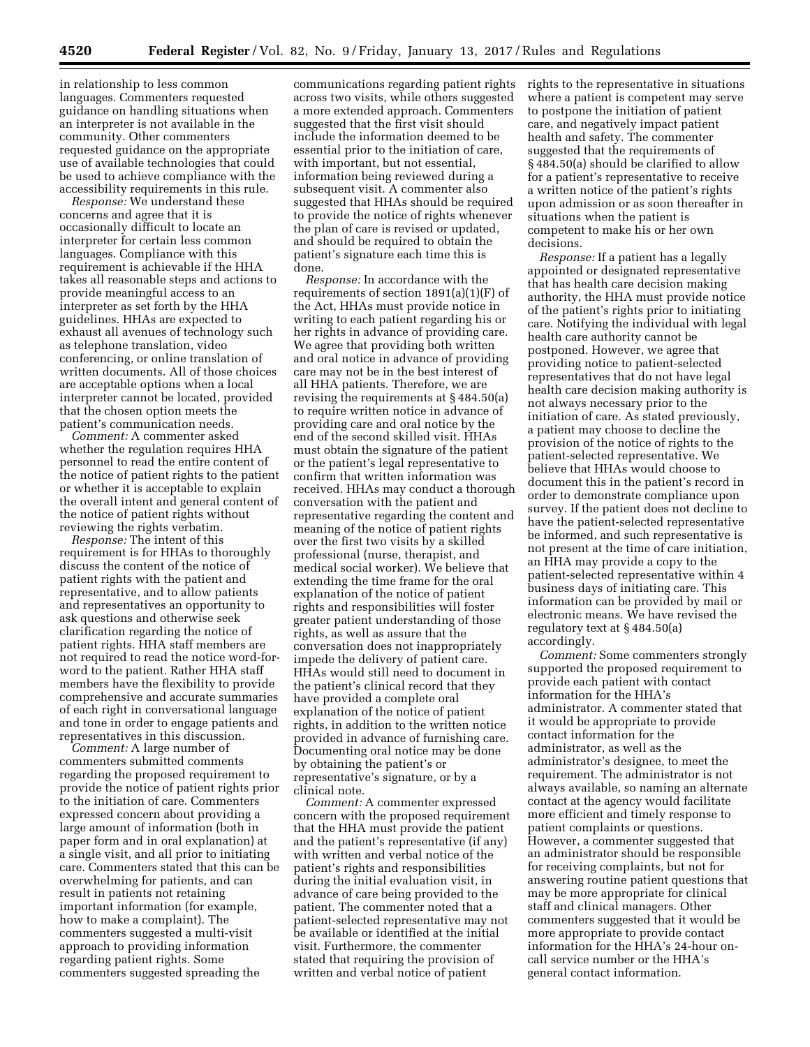in relationship to less common languages. Commenters requested guidance on handling situations when an interpreter is not available in the community. Other commenters requested guidance on the appropriate use of available technologies that could be used to achieve compliance with the accessibility requirements in this rule.

*Response:* We understand these concerns and agree that it is occasionally difficult to locate an interpreter for certain less common languages. Compliance with this requirement is achievable if the HHA takes all reasonable steps and actions to provide meaningful access to an interpreter as set forth by the HHA guidelines. HHAs are expected to exhaust all avenues of technology such as telephone translation, video conferencing, or online translation of written documents. All of those choices are acceptable options when a local interpreter cannot be located, provided that the chosen option meets the patient's communication needs.

*Comment:* A commenter asked whether the regulation requires HHA personnel to read the entire content of the notice of patient rights to the patient or whether it is acceptable to explain the overall intent and general content of the notice of patient rights without reviewing the rights verbatim.

*Response:* The intent of this requirement is for HHAs to thoroughly discuss the content of the notice of patient rights with the patient and representative, and to allow patients and representatives an opportunity to ask questions and otherwise seek clarification regarding the notice of patient rights. HHA staff members are not required to read the notice word-forword to the patient. Rather HHA staff members have the flexibility to provide comprehensive and accurate summaries of each right in conversational language and tone in order to engage patients and representatives in this discussion.

*Comment:* A large number of commenters submitted comments regarding the proposed requirement to provide the notice of patient rights prior to the initiation of care. Commenters expressed concern about providing a large amount of information (both in paper form and in oral explanation) at a single visit, and all prior to initiating care. Commenters stated that this can be overwhelming for patients, and can result in patients not retaining important information (for example, how to make a complaint). The commenters suggested a multi-visit approach to providing information regarding patient rights. Some commenters suggested spreading the

communications regarding patient rights across two visits, while others suggested a more extended approach. Commenters suggested that the first visit should include the information deemed to be essential prior to the initiation of care, with important, but not essential, information being reviewed during a subsequent visit. A commenter also suggested that HHAs should be required to provide the notice of rights whenever the plan of care is revised or updated, and should be required to obtain the patient's signature each time this is done.

*Response:* In accordance with the requirements of section 1891(a)(1)(F) of the Act, HHAs must provide notice in writing to each patient regarding his or her rights in advance of providing care. We agree that providing both written and oral notice in advance of providing care may not be in the best interest of all HHA patients. Therefore, we are revising the requirements at § 484.50(a) to require written notice in advance of providing care and oral notice by the end of the second skilled visit. HHAs must obtain the signature of the patient or the patient's legal representative to confirm that written information was received. HHAs may conduct a thorough conversation with the patient and representative regarding the content and meaning of the notice of patient rights over the first two visits by a skilled professional (nurse, therapist, and medical social worker). We believe that extending the time frame for the oral explanation of the notice of patient rights and responsibilities will foster greater patient understanding of those rights, as well as assure that the conversation does not inappropriately impede the delivery of patient care. HHAs would still need to document in the patient's clinical record that they have provided a complete oral explanation of the notice of patient rights, in addition to the written notice provided in advance of furnishing care. Documenting oral notice may be done by obtaining the patient's or representative's signature, or by a clinical note.

*Comment:* A commenter expressed concern with the proposed requirement that the HHA must provide the patient and the patient's representative (if any) with written and verbal notice of the patient's rights and responsibilities during the initial evaluation visit, in advance of care being provided to the patient. The commenter noted that a patient-selected representative may not be available or identified at the initial visit. Furthermore, the commenter stated that requiring the provision of written and verbal notice of patient

rights to the representative in situations where a patient is competent may serve to postpone the initiation of patient care, and negatively impact patient health and safety. The commenter suggested that the requirements of § 484.50(a) should be clarified to allow for a patient's representative to receive a written notice of the patient's rights upon admission or as soon thereafter in situations when the patient is competent to make his or her own decisions.

*Response:* If a patient has a legally appointed or designated representative that has health care decision making authority, the HHA must provide notice of the patient's rights prior to initiating care. Notifying the individual with legal health care authority cannot be postponed. However, we agree that providing notice to patient-selected representatives that do not have legal health care decision making authority is not always necessary prior to the initiation of care. As stated previously, a patient may choose to decline the provision of the notice of rights to the patient-selected representative. We believe that HHAs would choose to document this in the patient's record in order to demonstrate compliance upon survey. If the patient does not decline to have the patient-selected representative be informed, and such representative is not present at the time of care initiation, an HHA may provide a copy to the patient-selected representative within 4 business days of initiating care. This information can be provided by mail or electronic means. We have revised the regulatory text at § 484.50(a) accordingly.

*Comment:* Some commenters strongly supported the proposed requirement to provide each patient with contact information for the HHA's administrator. A commenter stated that it would be appropriate to provide contact information for the administrator, as well as the administrator's designee, to meet the requirement. The administrator is not always available, so naming an alternate contact at the agency would facilitate more efficient and timely response to patient complaints or questions. However, a commenter suggested that an administrator should be responsible for receiving complaints, but not for answering routine patient questions that may be more appropriate for clinical staff and clinical managers. Other commenters suggested that it would be more appropriate to provide contact information for the HHA's 24-hour oncall service number or the HHA's general contact information.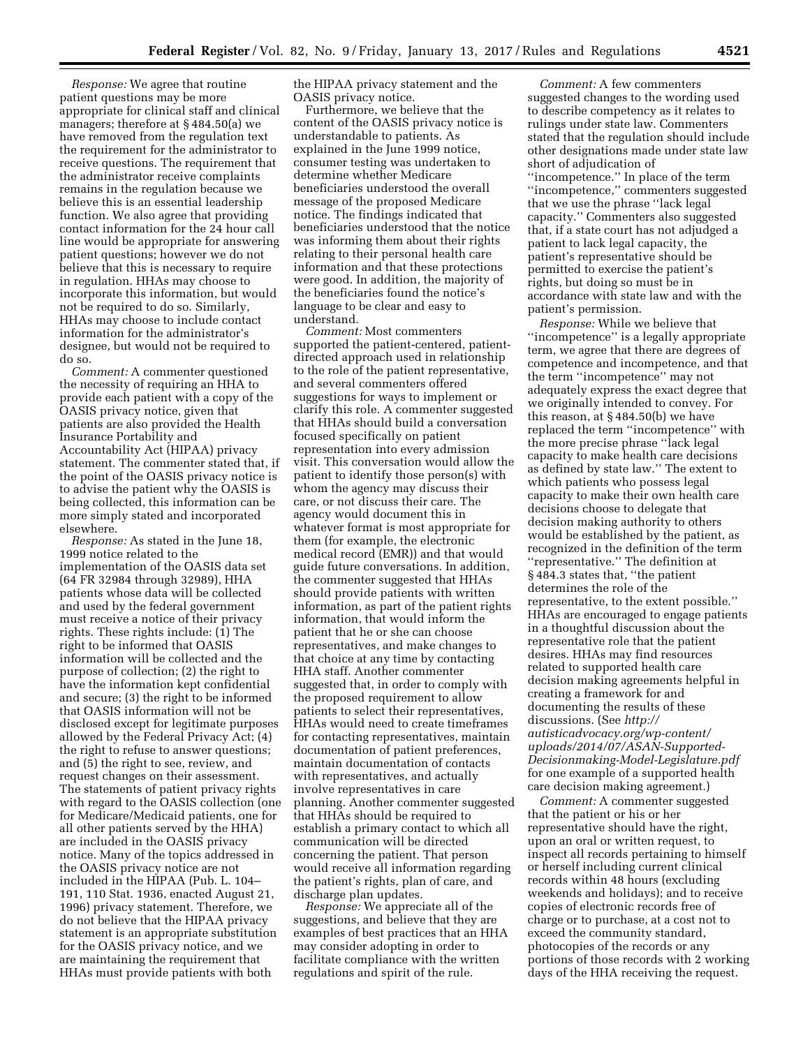*Response:* We agree that routine patient questions may be more appropriate for clinical staff and clinical managers; therefore at § 484.50(a) we have removed from the regulation text the requirement for the administrator to receive questions. The requirement that the administrator receive complaints remains in the regulation because we believe this is an essential leadership function. We also agree that providing contact information for the 24 hour call line would be appropriate for answering patient questions; however we do not believe that this is necessary to require in regulation. HHAs may choose to incorporate this information, but would not be required to do so. Similarly, HHAs may choose to include contact information for the administrator's designee, but would not be required to do so.

*Comment:* A commenter questioned the necessity of requiring an HHA to provide each patient with a copy of the OASIS privacy notice, given that patients are also provided the Health Insurance Portability and Accountability Act (HIPAA) privacy statement. The commenter stated that, if the point of the OASIS privacy notice is to advise the patient why the OASIS is being collected, this information can be more simply stated and incorporated elsewhere.

*Response:* As stated in the June 18, 1999 notice related to the implementation of the OASIS data set (64 FR 32984 through 32989), HHA patients whose data will be collected and used by the federal government must receive a notice of their privacy rights. These rights include: (1) The right to be informed that OASIS information will be collected and the purpose of collection; (2) the right to have the information kept confidential and secure; (3) the right to be informed that OASIS information will not be disclosed except for legitimate purposes allowed by the Federal Privacy Act; (4) the right to refuse to answer questions; and (5) the right to see, review, and request changes on their assessment. The statements of patient privacy rights with regard to the OASIS collection (one for Medicare/Medicaid patients, one for all other patients served by the HHA) are included in the OASIS privacy notice. Many of the topics addressed in the OASIS privacy notice are not included in the HIPAA (Pub. L. 104– 191, 110 Stat. 1936, enacted August 21, 1996) privacy statement. Therefore, we do not believe that the HIPAA privacy statement is an appropriate substitution for the OASIS privacy notice, and we are maintaining the requirement that HHAs must provide patients with both

the HIPAA privacy statement and the OASIS privacy notice.

Furthermore, we believe that the content of the OASIS privacy notice is understandable to patients. As explained in the June 1999 notice, consumer testing was undertaken to determine whether Medicare beneficiaries understood the overall message of the proposed Medicare notice. The findings indicated that beneficiaries understood that the notice was informing them about their rights relating to their personal health care information and that these protections were good. In addition, the majority of the beneficiaries found the notice's language to be clear and easy to understand.

*Comment:* Most commenters supported the patient-centered, patientdirected approach used in relationship to the role of the patient representative, and several commenters offered suggestions for ways to implement or clarify this role. A commenter suggested that HHAs should build a conversation focused specifically on patient representation into every admission visit. This conversation would allow the patient to identify those person(s) with whom the agency may discuss their care, or not discuss their care. The agency would document this in whatever format is most appropriate for them (for example, the electronic medical record (EMR)) and that would guide future conversations. In addition, the commenter suggested that HHAs should provide patients with written information, as part of the patient rights information, that would inform the patient that he or she can choose representatives, and make changes to that choice at any time by contacting HHA staff. Another commenter suggested that, in order to comply with the proposed requirement to allow patients to select their representatives, HHAs would need to create timeframes for contacting representatives, maintain documentation of patient preferences, maintain documentation of contacts with representatives, and actually involve representatives in care planning. Another commenter suggested that HHAs should be required to establish a primary contact to which all communication will be directed concerning the patient. That person would receive all information regarding the patient's rights, plan of care, and discharge plan updates.

*Response:* We appreciate all of the suggestions, and believe that they are examples of best practices that an HHA may consider adopting in order to facilitate compliance with the written regulations and spirit of the rule.

*Comment:* A few commenters suggested changes to the wording used to describe competency as it relates to rulings under state law. Commenters stated that the regulation should include other designations made under state law short of adjudication of ''incompetence.'' In place of the term ''incompetence,'' commenters suggested that we use the phrase ''lack legal capacity.'' Commenters also suggested that, if a state court has not adjudged a patient to lack legal capacity, the patient's representative should be permitted to exercise the patient's rights, but doing so must be in accordance with state law and with the patient's permission.

*Response:* While we believe that ''incompetence'' is a legally appropriate term, we agree that there are degrees of competence and incompetence, and that the term ''incompetence'' may not adequately express the exact degree that we originally intended to convey. For this reason, at § 484.50(b) we have replaced the term ''incompetence'' with the more precise phrase ''lack legal capacity to make health care decisions as defined by state law.'' The extent to which patients who possess legal capacity to make their own health care decisions choose to delegate that decision making authority to others would be established by the patient, as recognized in the definition of the term ''representative.'' The definition at § 484.3 states that, ''the patient determines the role of the representative, to the extent possible.'' HHAs are encouraged to engage patients in a thoughtful discussion about the representative role that the patient desires. HHAs may find resources related to supported health care decision making agreements helpful in creating a framework for and documenting the results of these discussions. (See *[http://](http://autisticadvocacy.org/wp-content/uploads/2014/07/ASAN-Supported-Decisionmaking-Model-Legislature.pdf) [autisticadvocacy.org/wp-content/](http://autisticadvocacy.org/wp-content/uploads/2014/07/ASAN-Supported-Decisionmaking-Model-Legislature.pdf) [uploads/2014/07/ASAN-Supported-](http://autisticadvocacy.org/wp-content/uploads/2014/07/ASAN-Supported-Decisionmaking-Model-Legislature.pdf)[Decisionmaking-Model-Legislature.pdf](http://autisticadvocacy.org/wp-content/uploads/2014/07/ASAN-Supported-Decisionmaking-Model-Legislature.pdf)*  for one example of a supported health care decision making agreement.)

*Comment:* A commenter suggested that the patient or his or her representative should have the right, upon an oral or written request, to inspect all records pertaining to himself or herself including current clinical records within 48 hours (excluding weekends and holidays); and to receive copies of electronic records free of charge or to purchase, at a cost not to exceed the community standard, photocopies of the records or any portions of those records with 2 working days of the HHA receiving the request.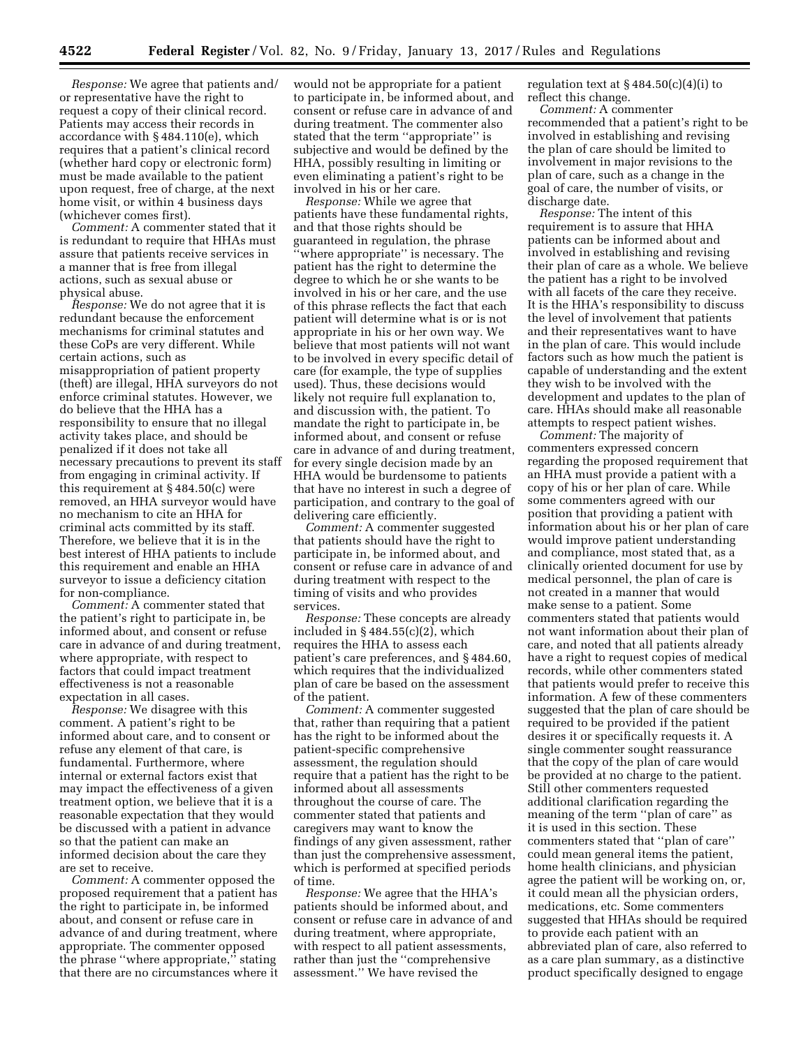*Response:* We agree that patients and/ or representative have the right to request a copy of their clinical record. Patients may access their records in accordance with § 484.110(e), which requires that a patient's clinical record (whether hard copy or electronic form) must be made available to the patient upon request, free of charge, at the next home visit, or within 4 business days (whichever comes first).

*Comment:* A commenter stated that it is redundant to require that HHAs must assure that patients receive services in a manner that is free from illegal actions, such as sexual abuse or physical abuse.

*Response:* We do not agree that it is redundant because the enforcement mechanisms for criminal statutes and these CoPs are very different. While certain actions, such as misappropriation of patient property (theft) are illegal, HHA surveyors do not enforce criminal statutes. However, we do believe that the HHA has a responsibility to ensure that no illegal activity takes place, and should be penalized if it does not take all necessary precautions to prevent its staff from engaging in criminal activity. If this requirement at § 484.50(c) were removed, an HHA surveyor would have no mechanism to cite an HHA for criminal acts committed by its staff. Therefore, we believe that it is in the best interest of HHA patients to include this requirement and enable an HHA surveyor to issue a deficiency citation for non-compliance.

*Comment:* A commenter stated that the patient's right to participate in, be informed about, and consent or refuse care in advance of and during treatment, where appropriate, with respect to factors that could impact treatment effectiveness is not a reasonable expectation in all cases.

*Response:* We disagree with this comment. A patient's right to be informed about care, and to consent or refuse any element of that care, is fundamental. Furthermore, where internal or external factors exist that may impact the effectiveness of a given treatment option, we believe that it is a reasonable expectation that they would be discussed with a patient in advance so that the patient can make an informed decision about the care they are set to receive.

*Comment:* A commenter opposed the proposed requirement that a patient has the right to participate in, be informed about, and consent or refuse care in advance of and during treatment, where appropriate. The commenter opposed the phrase ''where appropriate,'' stating that there are no circumstances where it would not be appropriate for a patient to participate in, be informed about, and consent or refuse care in advance of and during treatment. The commenter also stated that the term ''appropriate'' is subjective and would be defined by the HHA, possibly resulting in limiting or even eliminating a patient's right to be involved in his or her care.

*Response:* While we agree that patients have these fundamental rights, and that those rights should be guaranteed in regulation, the phrase ''where appropriate'' is necessary. The patient has the right to determine the degree to which he or she wants to be involved in his or her care, and the use of this phrase reflects the fact that each patient will determine what is or is not appropriate in his or her own way. We believe that most patients will not want to be involved in every specific detail of care (for example, the type of supplies used). Thus, these decisions would likely not require full explanation to, and discussion with, the patient. To mandate the right to participate in, be informed about, and consent or refuse care in advance of and during treatment, for every single decision made by an HHA would be burdensome to patients that have no interest in such a degree of participation, and contrary to the goal of delivering care efficiently.

*Comment:* A commenter suggested that patients should have the right to participate in, be informed about, and consent or refuse care in advance of and during treatment with respect to the timing of visits and who provides services.

*Response:* These concepts are already included in § 484.55(c)(2), which requires the HHA to assess each patient's care preferences, and § 484.60, which requires that the individualized plan of care be based on the assessment of the patient.

*Comment:* A commenter suggested that, rather than requiring that a patient has the right to be informed about the patient-specific comprehensive assessment, the regulation should require that a patient has the right to be informed about all assessments throughout the course of care. The commenter stated that patients and caregivers may want to know the findings of any given assessment, rather than just the comprehensive assessment, which is performed at specified periods of time.

*Response:* We agree that the HHA's patients should be informed about, and consent or refuse care in advance of and during treatment, where appropriate, with respect to all patient assessments, rather than just the ''comprehensive assessment.'' We have revised the

regulation text at  $\S 484.50(c)(4)(i)$  to reflect this change.

*Comment:* A commenter recommended that a patient's right to be involved in establishing and revising the plan of care should be limited to involvement in major revisions to the plan of care, such as a change in the goal of care, the number of visits, or discharge date.

*Response:* The intent of this requirement is to assure that HHA patients can be informed about and involved in establishing and revising their plan of care as a whole. We believe the patient has a right to be involved with all facets of the care they receive. It is the HHA's responsibility to discuss the level of involvement that patients and their representatives want to have in the plan of care. This would include factors such as how much the patient is capable of understanding and the extent they wish to be involved with the development and updates to the plan of care. HHAs should make all reasonable attempts to respect patient wishes.

*Comment:* The majority of commenters expressed concern regarding the proposed requirement that an HHA must provide a patient with a copy of his or her plan of care. While some commenters agreed with our position that providing a patient with information about his or her plan of care would improve patient understanding and compliance, most stated that, as a clinically oriented document for use by medical personnel, the plan of care is not created in a manner that would make sense to a patient. Some commenters stated that patients would not want information about their plan of care, and noted that all patients already have a right to request copies of medical records, while other commenters stated that patients would prefer to receive this information. A few of these commenters suggested that the plan of care should be required to be provided if the patient desires it or specifically requests it. A single commenter sought reassurance that the copy of the plan of care would be provided at no charge to the patient. Still other commenters requested additional clarification regarding the meaning of the term ''plan of care'' as it is used in this section. These commenters stated that ''plan of care'' could mean general items the patient, home health clinicians, and physician agree the patient will be working on, or, it could mean all the physician orders, medications, etc. Some commenters suggested that HHAs should be required to provide each patient with an abbreviated plan of care, also referred to as a care plan summary, as a distinctive product specifically designed to engage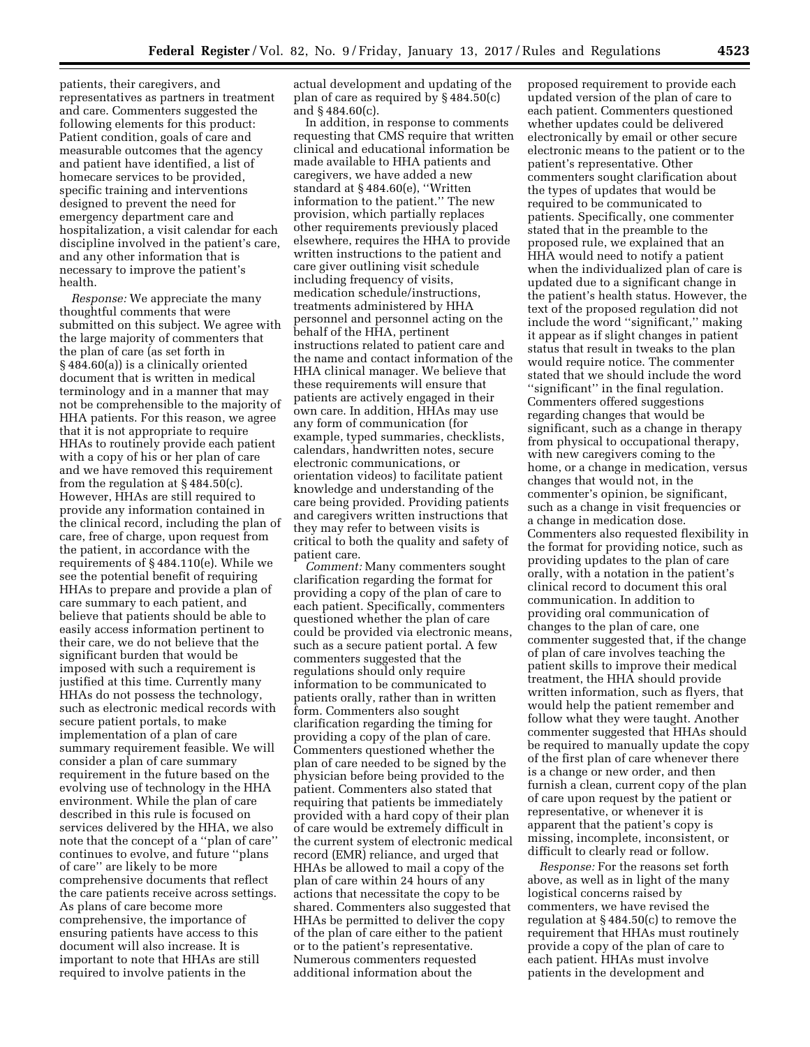patients, their caregivers, and representatives as partners in treatment and care. Commenters suggested the following elements for this product: Patient condition, goals of care and measurable outcomes that the agency and patient have identified, a list of homecare services to be provided, specific training and interventions designed to prevent the need for emergency department care and hospitalization, a visit calendar for each discipline involved in the patient's care, and any other information that is necessary to improve the patient's health.

*Response:* We appreciate the many thoughtful comments that were submitted on this subject. We agree with the large majority of commenters that the plan of care (as set forth in § 484.60(a)) is a clinically oriented document that is written in medical terminology and in a manner that may not be comprehensible to the majority of HHA patients. For this reason, we agree that it is not appropriate to require HHAs to routinely provide each patient with a copy of his or her plan of care and we have removed this requirement from the regulation at § 484.50(c). However, HHAs are still required to provide any information contained in the clinical record, including the plan of care, free of charge, upon request from the patient, in accordance with the requirements of § 484.110(e). While we see the potential benefit of requiring HHAs to prepare and provide a plan of care summary to each patient, and believe that patients should be able to easily access information pertinent to their care, we do not believe that the significant burden that would be imposed with such a requirement is justified at this time. Currently many HHAs do not possess the technology, such as electronic medical records with secure patient portals, to make implementation of a plan of care summary requirement feasible. We will consider a plan of care summary requirement in the future based on the evolving use of technology in the HHA environment. While the plan of care described in this rule is focused on services delivered by the HHA, we also note that the concept of a ''plan of care'' continues to evolve, and future ''plans of care'' are likely to be more comprehensive documents that reflect the care patients receive across settings. As plans of care become more comprehensive, the importance of ensuring patients have access to this document will also increase. It is important to note that HHAs are still required to involve patients in the

actual development and updating of the plan of care as required by § 484.50(c) and § 484.60(c).

In addition, in response to comments requesting that CMS require that written clinical and educational information be made available to HHA patients and caregivers, we have added a new standard at § 484.60(e), ''Written information to the patient.'' The new provision, which partially replaces other requirements previously placed elsewhere, requires the HHA to provide written instructions to the patient and care giver outlining visit schedule including frequency of visits, medication schedule/instructions, treatments administered by HHA personnel and personnel acting on the behalf of the HHA, pertinent instructions related to patient care and the name and contact information of the HHA clinical manager. We believe that these requirements will ensure that patients are actively engaged in their own care. In addition, HHAs may use any form of communication (for example, typed summaries, checklists, calendars, handwritten notes, secure electronic communications, or orientation videos) to facilitate patient knowledge and understanding of the care being provided. Providing patients and caregivers written instructions that they may refer to between visits is critical to both the quality and safety of patient care.

*Comment:* Many commenters sought clarification regarding the format for providing a copy of the plan of care to each patient. Specifically, commenters questioned whether the plan of care could be provided via electronic means, such as a secure patient portal. A few commenters suggested that the regulations should only require information to be communicated to patients orally, rather than in written form. Commenters also sought clarification regarding the timing for providing a copy of the plan of care. Commenters questioned whether the plan of care needed to be signed by the physician before being provided to the patient. Commenters also stated that requiring that patients be immediately provided with a hard copy of their plan of care would be extremely difficult in the current system of electronic medical record (EMR) reliance, and urged that HHAs be allowed to mail a copy of the plan of care within 24 hours of any actions that necessitate the copy to be shared. Commenters also suggested that HHAs be permitted to deliver the copy of the plan of care either to the patient or to the patient's representative. Numerous commenters requested additional information about the

proposed requirement to provide each updated version of the plan of care to each patient. Commenters questioned whether updates could be delivered electronically by email or other secure electronic means to the patient or to the patient's representative. Other commenters sought clarification about the types of updates that would be required to be communicated to patients. Specifically, one commenter stated that in the preamble to the proposed rule, we explained that an HHA would need to notify a patient when the individualized plan of care is updated due to a significant change in the patient's health status. However, the text of the proposed regulation did not include the word ''significant,'' making it appear as if slight changes in patient status that result in tweaks to the plan would require notice. The commenter stated that we should include the word "significant" in the final regulation. Commenters offered suggestions regarding changes that would be significant, such as a change in therapy from physical to occupational therapy, with new caregivers coming to the home, or a change in medication, versus changes that would not, in the commenter's opinion, be significant, such as a change in visit frequencies or a change in medication dose. Commenters also requested flexibility in the format for providing notice, such as providing updates to the plan of care orally, with a notation in the patient's clinical record to document this oral communication. In addition to providing oral communication of changes to the plan of care, one commenter suggested that, if the change of plan of care involves teaching the patient skills to improve their medical treatment, the HHA should provide written information, such as flyers, that would help the patient remember and follow what they were taught. Another commenter suggested that HHAs should be required to manually update the copy of the first plan of care whenever there is a change or new order, and then furnish a clean, current copy of the plan of care upon request by the patient or representative, or whenever it is apparent that the patient's copy is missing, incomplete, inconsistent, or difficult to clearly read or follow.

*Response:* For the reasons set forth above, as well as in light of the many logistical concerns raised by commenters, we have revised the regulation at § 484.50(c) to remove the requirement that HHAs must routinely provide a copy of the plan of care to each patient. HHAs must involve patients in the development and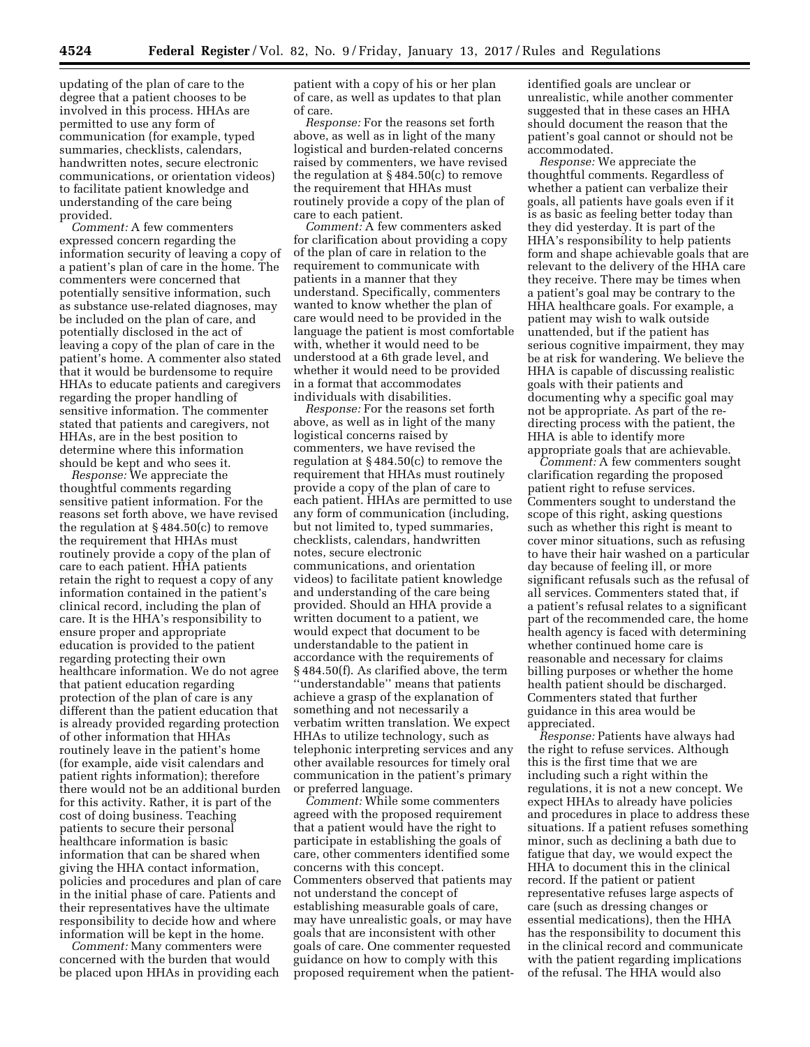updating of the plan of care to the degree that a patient chooses to be involved in this process. HHAs are permitted to use any form of communication (for example, typed summaries, checklists, calendars, handwritten notes, secure electronic communications, or orientation videos) to facilitate patient knowledge and understanding of the care being provided.

*Comment:* A few commenters expressed concern regarding the information security of leaving a copy of a patient's plan of care in the home. The commenters were concerned that potentially sensitive information, such as substance use-related diagnoses, may be included on the plan of care, and potentially disclosed in the act of leaving a copy of the plan of care in the patient's home. A commenter also stated that it would be burdensome to require HHAs to educate patients and caregivers regarding the proper handling of sensitive information. The commenter stated that patients and caregivers, not HHAs, are in the best position to determine where this information should be kept and who sees it.

*Response:* We appreciate the thoughtful comments regarding sensitive patient information. For the reasons set forth above, we have revised the regulation at § 484.50(c) to remove the requirement that HHAs must routinely provide a copy of the plan of care to each patient. HHA patients retain the right to request a copy of any information contained in the patient's clinical record, including the plan of care. It is the HHA's responsibility to ensure proper and appropriate education is provided to the patient regarding protecting their own healthcare information. We do not agree that patient education regarding protection of the plan of care is any different than the patient education that is already provided regarding protection of other information that HHAs routinely leave in the patient's home (for example, aide visit calendars and patient rights information); therefore there would not be an additional burden for this activity. Rather, it is part of the cost of doing business. Teaching patients to secure their personal healthcare information is basic information that can be shared when giving the HHA contact information, policies and procedures and plan of care in the initial phase of care. Patients and their representatives have the ultimate responsibility to decide how and where information will be kept in the home.

*Comment:* Many commenters were concerned with the burden that would be placed upon HHAs in providing each patient with a copy of his or her plan of care, as well as updates to that plan of care.

*Response:* For the reasons set forth above, as well as in light of the many logistical and burden-related concerns raised by commenters, we have revised the regulation at  $\S$  484.50(c) to remove the requirement that HHAs must routinely provide a copy of the plan of care to each patient.

*Comment:* A few commenters asked for clarification about providing a copy of the plan of care in relation to the requirement to communicate with patients in a manner that they understand. Specifically, commenters wanted to know whether the plan of care would need to be provided in the language the patient is most comfortable with, whether it would need to be understood at a 6th grade level, and whether it would need to be provided in a format that accommodates individuals with disabilities.

*Response:* For the reasons set forth above, as well as in light of the many logistical concerns raised by commenters, we have revised the regulation at § 484.50(c) to remove the requirement that HHAs must routinely provide a copy of the plan of care to each patient. HHAs are permitted to use any form of communication (including, but not limited to, typed summaries, checklists, calendars, handwritten notes, secure electronic communications, and orientation videos) to facilitate patient knowledge and understanding of the care being provided. Should an HHA provide a written document to a patient, we would expect that document to be understandable to the patient in accordance with the requirements of § 484.50(f). As clarified above, the term 'understandable'' means that patients achieve a grasp of the explanation of something and not necessarily a verbatim written translation. We expect HHAs to utilize technology, such as telephonic interpreting services and any other available resources for timely oral communication in the patient's primary or preferred language.

*Comment:* While some commenters agreed with the proposed requirement that a patient would have the right to participate in establishing the goals of care, other commenters identified some concerns with this concept. Commenters observed that patients may not understand the concept of establishing measurable goals of care, may have unrealistic goals, or may have goals that are inconsistent with other goals of care. One commenter requested guidance on how to comply with this proposed requirement when the patientidentified goals are unclear or unrealistic, while another commenter suggested that in these cases an HHA should document the reason that the patient's goal cannot or should not be accommodated.

*Response:* We appreciate the thoughtful comments. Regardless of whether a patient can verbalize their goals, all patients have goals even if it is as basic as feeling better today than they did yesterday. It is part of the HHA's responsibility to help patients form and shape achievable goals that are relevant to the delivery of the HHA care they receive. There may be times when a patient's goal may be contrary to the HHA healthcare goals. For example, a patient may wish to walk outside unattended, but if the patient has serious cognitive impairment, they may be at risk for wandering. We believe the HHA is capable of discussing realistic goals with their patients and documenting why a specific goal may not be appropriate. As part of the redirecting process with the patient, the HHA is able to identify more appropriate goals that are achievable.

*Comment:* A few commenters sought clarification regarding the proposed patient right to refuse services. Commenters sought to understand the scope of this right, asking questions such as whether this right is meant to cover minor situations, such as refusing to have their hair washed on a particular day because of feeling ill, or more significant refusals such as the refusal of all services. Commenters stated that, if a patient's refusal relates to a significant part of the recommended care, the home health agency is faced with determining whether continued home care is reasonable and necessary for claims billing purposes or whether the home health patient should be discharged. Commenters stated that further guidance in this area would be appreciated.

*Response:* Patients have always had the right to refuse services. Although this is the first time that we are including such a right within the regulations, it is not a new concept. We expect HHAs to already have policies and procedures in place to address these situations. If a patient refuses something minor, such as declining a bath due to fatigue that day, we would expect the HHA to document this in the clinical record. If the patient or patient representative refuses large aspects of care (such as dressing changes or essential medications), then the HHA has the responsibility to document this in the clinical record and communicate with the patient regarding implications of the refusal. The HHA would also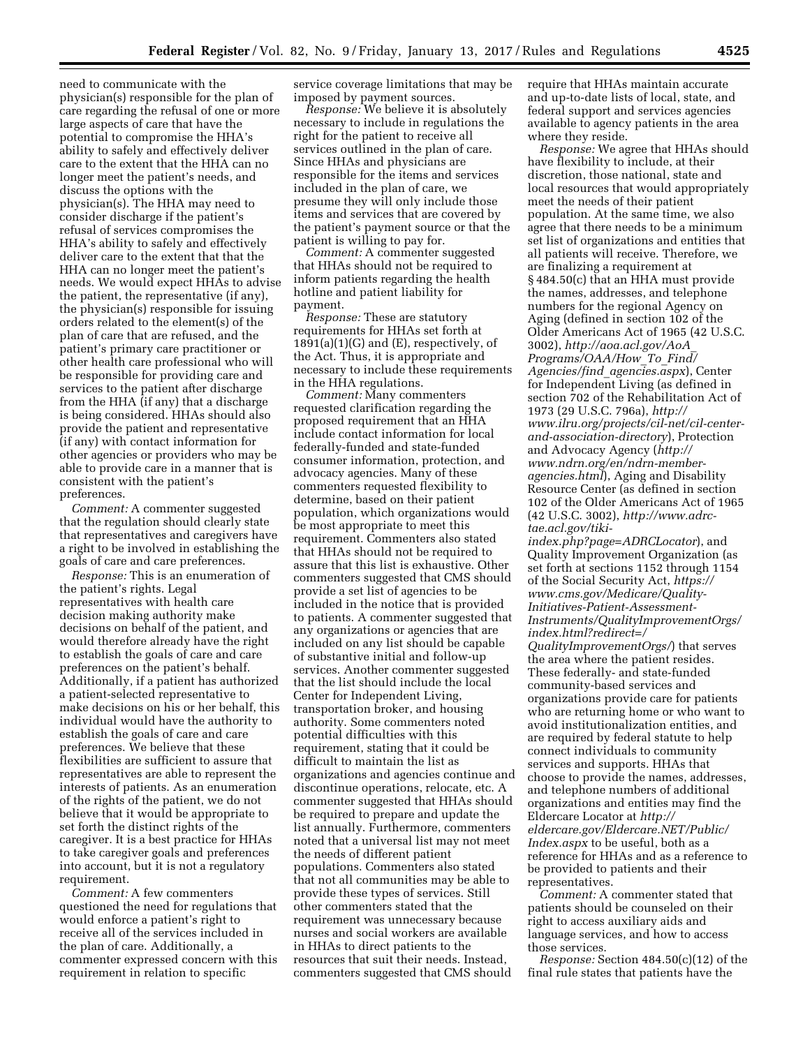need to communicate with the physician(s) responsible for the plan of care regarding the refusal of one or more large aspects of care that have the potential to compromise the HHA's ability to safely and effectively deliver care to the extent that the HHA can no longer meet the patient's needs, and discuss the options with the physician(s). The HHA may need to consider discharge if the patient's refusal of services compromises the HHA's ability to safely and effectively deliver care to the extent that that the HHA can no longer meet the patient's needs. We would expect HHAs to advise the patient, the representative (if any), the physician(s) responsible for issuing orders related to the element(s) of the plan of care that are refused, and the patient's primary care practitioner or other health care professional who will be responsible for providing care and services to the patient after discharge from the HHA (if any) that a discharge is being considered. HHAs should also provide the patient and representative (if any) with contact information for other agencies or providers who may be able to provide care in a manner that is consistent with the patient's preferences.

*Comment:* A commenter suggested that the regulation should clearly state that representatives and caregivers have a right to be involved in establishing the goals of care and care preferences.

*Response:* This is an enumeration of the patient's rights. Legal representatives with health care decision making authority make decisions on behalf of the patient, and would therefore already have the right to establish the goals of care and care preferences on the patient's behalf. Additionally, if a patient has authorized a patient-selected representative to make decisions on his or her behalf, this individual would have the authority to establish the goals of care and care preferences. We believe that these flexibilities are sufficient to assure that representatives are able to represent the interests of patients. As an enumeration of the rights of the patient, we do not believe that it would be appropriate to set forth the distinct rights of the caregiver. It is a best practice for HHAs to take caregiver goals and preferences into account, but it is not a regulatory requirement.

*Comment:* A few commenters questioned the need for regulations that would enforce a patient's right to receive all of the services included in the plan of care. Additionally, a commenter expressed concern with this requirement in relation to specific

service coverage limitations that may be imposed by payment sources.

*Response:* We believe it is absolutely necessary to include in regulations the right for the patient to receive all services outlined in the plan of care. Since HHAs and physicians are responsible for the items and services included in the plan of care, we presume they will only include those items and services that are covered by the patient's payment source or that the patient is willing to pay for.

*Comment:* A commenter suggested that HHAs should not be required to inform patients regarding the health hotline and patient liability for payment.

*Response:* These are statutory requirements for HHAs set forth at  $1891(a)(1)(G)$  and  $(E)$ , respectively, of the Act. Thus, it is appropriate and necessary to include these requirements in the HHA regulations.

*Comment:* Many commenters requested clarification regarding the proposed requirement that an HHA include contact information for local federally-funded and state-funded consumer information, protection, and advocacy agencies. Many of these commenters requested flexibility to determine, based on their patient population, which organizations would be most appropriate to meet this requirement. Commenters also stated that HHAs should not be required to assure that this list is exhaustive. Other commenters suggested that CMS should provide a set list of agencies to be included in the notice that is provided to patients. A commenter suggested that any organizations or agencies that are included on any list should be capable of substantive initial and follow-up services. Another commenter suggested that the list should include the local Center for Independent Living, transportation broker, and housing authority. Some commenters noted potential difficulties with this requirement, stating that it could be difficult to maintain the list as organizations and agencies continue and discontinue operations, relocate, etc. A commenter suggested that HHAs should be required to prepare and update the list annually. Furthermore, commenters noted that a universal list may not meet the needs of different patient populations. Commenters also stated that not all communities may be able to provide these types of services. Still other commenters stated that the requirement was unnecessary because nurses and social workers are available in HHAs to direct patients to the resources that suit their needs. Instead, commenters suggested that CMS should

require that HHAs maintain accurate and up-to-date lists of local, state, and federal support and services agencies available to agency patients in the area where they reside.

*Response:* We agree that HHAs should have flexibility to include, at their discretion, those national, state and local resources that would appropriately meet the needs of their patient population. At the same time, we also agree that there needs to be a minimum set list of organizations and entities that all patients will receive. Therefore, we are finalizing a requirement at § 484.50(c) that an HHA must provide the names, addresses, and telephone numbers for the regional Agency on Aging (defined in section 102 of the Older Americans Act of 1965 (42 U.S.C. 3002), *[http://aoa.acl.gov/AoA](http://aoa.acl.gov/AoA_Programs/OAA/How_To_Find/Agencies/find_agencies.aspx)*\_ *[Programs/OAA/How](http://aoa.acl.gov/AoA_Programs/OAA/How_To_Find/Agencies/find_agencies.aspx)*\_*To*\_*Find/ [Agencies/find](http://aoa.acl.gov/AoA_Programs/OAA/How_To_Find/Agencies/find_agencies.aspx)*\_*agencies.aspx*), Center for Independent Living (as defined in section 702 of the Rehabilitation Act of 1973 (29 U.S.C. 796a), *[http://](http://www.ilru.org/projects/cil-net/cil-center-and-association-directory) [www.ilru.org/projects/cil-net/cil-center](http://www.ilru.org/projects/cil-net/cil-center-and-association-directory)[and-association-directory](http://www.ilru.org/projects/cil-net/cil-center-and-association-directory)*), Protection and Advocacy Agency (*[http://](http://www.ndrn.org/en/ndrn-member-agencies.html) [www.ndrn.org/en/ndrn-member](http://www.ndrn.org/en/ndrn-member-agencies.html)[agencies.html](http://www.ndrn.org/en/ndrn-member-agencies.html)*), Aging and Disability Resource Center (as defined in section 102 of the Older Americans Act of 1965 (42 U.S.C. 3002), *[http://www.adrc](http://www.adrc-tae.acl.gov/tiki-index.php?page=ADRCLocator)[tae.acl.gov/tiki-](http://www.adrc-tae.acl.gov/tiki-index.php?page=ADRCLocator)*

*[index.php?page=ADRCLocator](http://www.adrc-tae.acl.gov/tiki-index.php?page=ADRCLocator)*), and Quality Improvement Organization (as set forth at sections 1152 through 1154 of the Social Security Act, *[https://](https://www.cms.gov/Medicare/Quality-Initiatives-Patient-Assessment-Instruments/QualityImprovementOrgs/index.html?redirect=/QualityImprovementOrgs/) [www.cms.gov/Medicare/Quality-](https://www.cms.gov/Medicare/Quality-Initiatives-Patient-Assessment-Instruments/QualityImprovementOrgs/index.html?redirect=/QualityImprovementOrgs/)[Initiatives-Patient-Assessment-](https://www.cms.gov/Medicare/Quality-Initiatives-Patient-Assessment-Instruments/QualityImprovementOrgs/index.html?redirect=/QualityImprovementOrgs/)[Instruments/QualityImprovementOrgs/](https://www.cms.gov/Medicare/Quality-Initiatives-Patient-Assessment-Instruments/QualityImprovementOrgs/index.html?redirect=/QualityImprovementOrgs/) [index.html?redirect=/](https://www.cms.gov/Medicare/Quality-Initiatives-Patient-Assessment-Instruments/QualityImprovementOrgs/index.html?redirect=/QualityImprovementOrgs/)* 

*[QualityImprovementOrgs/](https://www.cms.gov/Medicare/Quality-Initiatives-Patient-Assessment-Instruments/QualityImprovementOrgs/index.html?redirect=/QualityImprovementOrgs/)*) that serves the area where the patient resides. These federally- and state-funded community-based services and organizations provide care for patients who are returning home or who want to avoid institutionalization entities, and are required by federal statute to help connect individuals to community services and supports. HHAs that choose to provide the names, addresses, and telephone numbers of additional organizations and entities may find the Eldercare Locator at *[http://](http://eldercare.gov/Eldercare.NET/Public/Index.aspx) [eldercare.gov/Eldercare.NET/Public/](http://eldercare.gov/Eldercare.NET/Public/Index.aspx) [Index.aspx](http://eldercare.gov/Eldercare.NET/Public/Index.aspx)* to be useful, both as a reference for HHAs and as a reference to be provided to patients and their representatives.

*Comment:* A commenter stated that patients should be counseled on their right to access auxiliary aids and language services, and how to access those services.

*Response:* Section 484.50(c)(12) of the final rule states that patients have the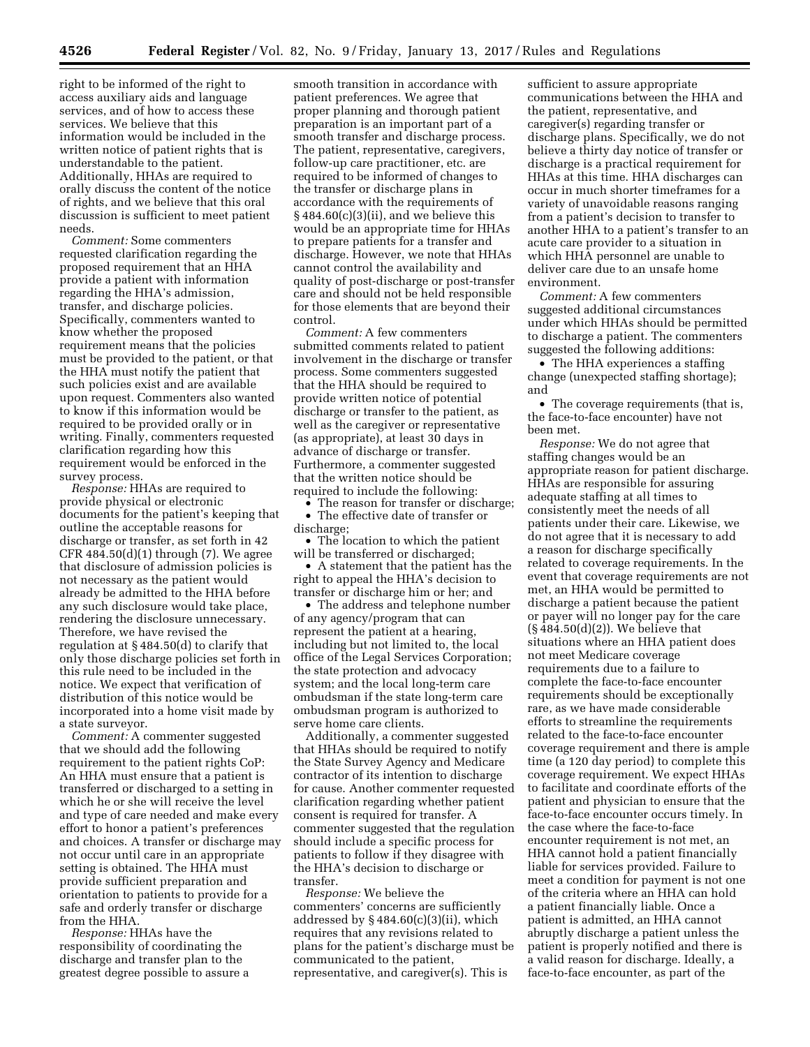right to be informed of the right to access auxiliary aids and language services, and of how to access these services. We believe that this information would be included in the written notice of patient rights that is understandable to the patient. Additionally, HHAs are required to orally discuss the content of the notice of rights, and we believe that this oral discussion is sufficient to meet patient needs.

*Comment:* Some commenters requested clarification regarding the proposed requirement that an HHA provide a patient with information regarding the HHA's admission, transfer, and discharge policies. Specifically, commenters wanted to know whether the proposed requirement means that the policies must be provided to the patient, or that the HHA must notify the patient that such policies exist and are available upon request. Commenters also wanted to know if this information would be required to be provided orally or in writing. Finally, commenters requested clarification regarding how this requirement would be enforced in the survey process.

*Response:* HHAs are required to provide physical or electronic documents for the patient's keeping that outline the acceptable reasons for discharge or transfer, as set forth in 42 CFR 484.50(d)(1) through (7). We agree that disclosure of admission policies is not necessary as the patient would already be admitted to the HHA before any such disclosure would take place, rendering the disclosure unnecessary. Therefore, we have revised the regulation at § 484.50(d) to clarify that only those discharge policies set forth in this rule need to be included in the notice. We expect that verification of distribution of this notice would be incorporated into a home visit made by a state surveyor.

*Comment:* A commenter suggested that we should add the following requirement to the patient rights CoP: An HHA must ensure that a patient is transferred or discharged to a setting in which he or she will receive the level and type of care needed and make every effort to honor a patient's preferences and choices. A transfer or discharge may not occur until care in an appropriate setting is obtained. The HHA must provide sufficient preparation and orientation to patients to provide for a safe and orderly transfer or discharge from the HHA.

*Response:* HHAs have the responsibility of coordinating the discharge and transfer plan to the greatest degree possible to assure a smooth transition in accordance with patient preferences. We agree that proper planning and thorough patient preparation is an important part of a smooth transfer and discharge process. The patient, representative, caregivers, follow-up care practitioner, etc. are required to be informed of changes to the transfer or discharge plans in accordance with the requirements of § 484.60(c)(3)(ii), and we believe this would be an appropriate time for HHAs to prepare patients for a transfer and discharge. However, we note that HHAs cannot control the availability and quality of post-discharge or post-transfer care and should not be held responsible for those elements that are beyond their control.

*Comment:* A few commenters submitted comments related to patient involvement in the discharge or transfer process. Some commenters suggested that the HHA should be required to provide written notice of potential discharge or transfer to the patient, as well as the caregiver or representative (as appropriate), at least 30 days in advance of discharge or transfer. Furthermore, a commenter suggested that the written notice should be required to include the following:

• The reason for transfer or discharge;

The effective date of transfer or discharge;

• The location to which the patient will be transferred or discharged;

• A statement that the patient has the right to appeal the HHA's decision to transfer or discharge him or her; and

• The address and telephone number of any agency/program that can represent the patient at a hearing, including but not limited to, the local office of the Legal Services Corporation; the state protection and advocacy system; and the local long-term care ombudsman if the state long-term care ombudsman program is authorized to serve home care clients.

Additionally, a commenter suggested that HHAs should be required to notify the State Survey Agency and Medicare contractor of its intention to discharge for cause. Another commenter requested clarification regarding whether patient consent is required for transfer. A commenter suggested that the regulation should include a specific process for patients to follow if they disagree with the HHA's decision to discharge or transfer.

*Response:* We believe the commenters' concerns are sufficiently addressed by § 484.60(c)(3)(ii), which requires that any revisions related to plans for the patient's discharge must be communicated to the patient, representative, and caregiver(s). This is

sufficient to assure appropriate communications between the HHA and the patient, representative, and caregiver(s) regarding transfer or discharge plans. Specifically, we do not believe a thirty day notice of transfer or discharge is a practical requirement for HHAs at this time. HHA discharges can occur in much shorter timeframes for a variety of unavoidable reasons ranging from a patient's decision to transfer to another HHA to a patient's transfer to an acute care provider to a situation in which HHA personnel are unable to deliver care due to an unsafe home environment.

*Comment:* A few commenters suggested additional circumstances under which HHAs should be permitted to discharge a patient. The commenters suggested the following additions:

• The HHA experiences a staffing change (unexpected staffing shortage); and

• The coverage requirements (that is, the face-to-face encounter) have not been met.

*Response:* We do not agree that staffing changes would be an appropriate reason for patient discharge. HHAs are responsible for assuring adequate staffing at all times to consistently meet the needs of all patients under their care. Likewise, we do not agree that it is necessary to add a reason for discharge specifically related to coverage requirements. In the event that coverage requirements are not met, an HHA would be permitted to discharge a patient because the patient or payer will no longer pay for the care (§ 484.50(d)(2)). We believe that situations where an HHA patient does not meet Medicare coverage requirements due to a failure to complete the face-to-face encounter requirements should be exceptionally rare, as we have made considerable efforts to streamline the requirements related to the face-to-face encounter coverage requirement and there is ample time (a 120 day period) to complete this coverage requirement. We expect HHAs to facilitate and coordinate efforts of the patient and physician to ensure that the face-to-face encounter occurs timely. In the case where the face-to-face encounter requirement is not met, an HHA cannot hold a patient financially liable for services provided. Failure to meet a condition for payment is not one of the criteria where an HHA can hold a patient financially liable. Once a patient is admitted, an HHA cannot abruptly discharge a patient unless the patient is properly notified and there is a valid reason for discharge. Ideally, a face-to-face encounter, as part of the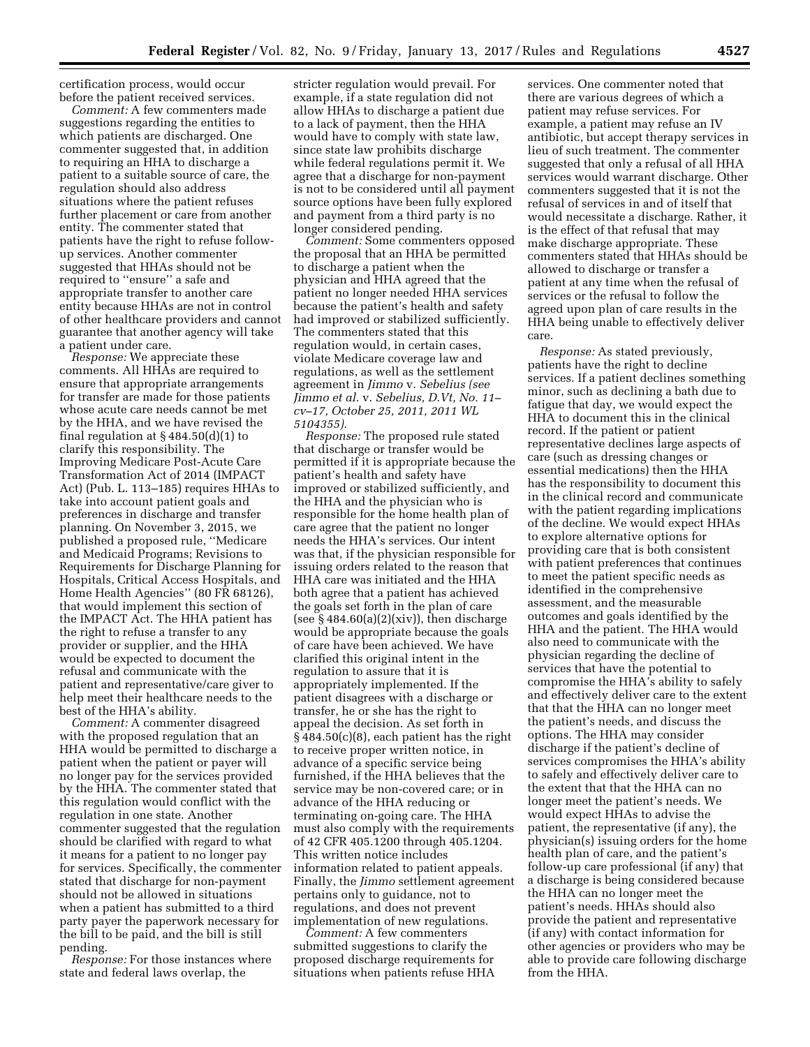certification process, would occur before the patient received services.

*Comment:* A few commenters made suggestions regarding the entities to which patients are discharged. One commenter suggested that, in addition to requiring an HHA to discharge a patient to a suitable source of care, the regulation should also address situations where the patient refuses further placement or care from another entity. The commenter stated that patients have the right to refuse followup services. Another commenter suggested that HHAs should not be required to ''ensure'' a safe and appropriate transfer to another care entity because HHAs are not in control of other healthcare providers and cannot guarantee that another agency will take a patient under care.

*Response:* We appreciate these comments. All HHAs are required to ensure that appropriate arrangements for transfer are made for those patients whose acute care needs cannot be met by the HHA, and we have revised the final regulation at  $\S$  484.50(d)(1) to clarify this responsibility. The Improving Medicare Post-Acute Care Transformation Act of 2014 (IMPACT Act) (Pub. L. 113–185) requires HHAs to take into account patient goals and preferences in discharge and transfer planning. On November 3, 2015, we published a proposed rule, ''Medicare and Medicaid Programs; Revisions to Requirements for Discharge Planning for Hospitals, Critical Access Hospitals, and Home Health Agencies'' (80 FR 68126), that would implement this section of the IMPACT Act. The HHA patient has the right to refuse a transfer to any provider or supplier, and the HHA would be expected to document the refusal and communicate with the patient and representative/care giver to help meet their healthcare needs to the best of the HHA's ability.

*Comment:* A commenter disagreed with the proposed regulation that an HHA would be permitted to discharge a patient when the patient or payer will no longer pay for the services provided by the HHA. The commenter stated that this regulation would conflict with the regulation in one state. Another commenter suggested that the regulation should be clarified with regard to what it means for a patient to no longer pay for services. Specifically, the commenter stated that discharge for non-payment should not be allowed in situations when a patient has submitted to a third party payer the paperwork necessary for the bill to be paid, and the bill is still pending.

*Response:* For those instances where state and federal laws overlap, the

stricter regulation would prevail. For example, if a state regulation did not allow HHAs to discharge a patient due to a lack of payment, then the HHA would have to comply with state law, since state law prohibits discharge while federal regulations permit it. We agree that a discharge for non-payment is not to be considered until all payment source options have been fully explored and payment from a third party is no longer considered pending.

*Comment:* Some commenters opposed the proposal that an HHA be permitted to discharge a patient when the physician and HHA agreed that the patient no longer needed HHA services because the patient's health and safety had improved or stabilized sufficiently. The commenters stated that this regulation would, in certain cases, violate Medicare coverage law and regulations, as well as the settlement agreement in *Jimmo* v. *Sebelius (see Jimmo et al.* v. *Sebelius, D.Vt, No. 11– cv–17, October 25, 2011, 2011 WL 5104355).* 

*Response:* The proposed rule stated that discharge or transfer would be permitted if it is appropriate because the patient's health and safety have improved or stabilized sufficiently, and the HHA and the physician who is responsible for the home health plan of care agree that the patient no longer needs the HHA's services. Our intent was that, if the physician responsible for issuing orders related to the reason that HHA care was initiated and the HHA both agree that a patient has achieved the goals set forth in the plan of care (see  $§ 484.60(a)(2)(xiv)$ ), then discharge would be appropriate because the goals of care have been achieved. We have clarified this original intent in the regulation to assure that it is appropriately implemented. If the patient disagrees with a discharge or transfer, he or she has the right to appeal the decision. As set forth in § 484.50(c)(8), each patient has the right to receive proper written notice, in advance of a specific service being furnished, if the HHA believes that the service may be non-covered care; or in advance of the HHA reducing or terminating on-going care. The HHA must also comply with the requirements of 42 CFR 405.1200 through 405.1204. This written notice includes information related to patient appeals. Finally, the *Jimmo* settlement agreement pertains only to guidance, not to regulations, and does not prevent implementation of new regulations.

*Comment:* A few commenters submitted suggestions to clarify the proposed discharge requirements for situations when patients refuse HHA

services. One commenter noted that there are various degrees of which a patient may refuse services. For example, a patient may refuse an IV antibiotic, but accept therapy services in lieu of such treatment. The commenter suggested that only a refusal of all HHA services would warrant discharge. Other commenters suggested that it is not the refusal of services in and of itself that would necessitate a discharge. Rather, it is the effect of that refusal that may make discharge appropriate. These commenters stated that HHAs should be allowed to discharge or transfer a patient at any time when the refusal of services or the refusal to follow the agreed upon plan of care results in the HHA being unable to effectively deliver care.

*Response:* As stated previously, patients have the right to decline services. If a patient declines something minor, such as declining a bath due to fatigue that day, we would expect the HHA to document this in the clinical record. If the patient or patient representative declines large aspects of care (such as dressing changes or essential medications) then the HHA has the responsibility to document this in the clinical record and communicate with the patient regarding implications of the decline. We would expect HHAs to explore alternative options for providing care that is both consistent with patient preferences that continues to meet the patient specific needs as identified in the comprehensive assessment, and the measurable outcomes and goals identified by the HHA and the patient. The HHA would also need to communicate with the physician regarding the decline of services that have the potential to compromise the HHA's ability to safely and effectively deliver care to the extent that that the HHA can no longer meet the patient's needs, and discuss the options. The HHA may consider discharge if the patient's decline of services compromises the HHA's ability to safely and effectively deliver care to the extent that that the HHA can no longer meet the patient's needs. We would expect HHAs to advise the patient, the representative (if any), the physician(s) issuing orders for the home health plan of care, and the patient's follow-up care professional (if any) that a discharge is being considered because the HHA can no longer meet the patient's needs. HHAs should also provide the patient and representative (if any) with contact information for other agencies or providers who may be able to provide care following discharge from the HHA.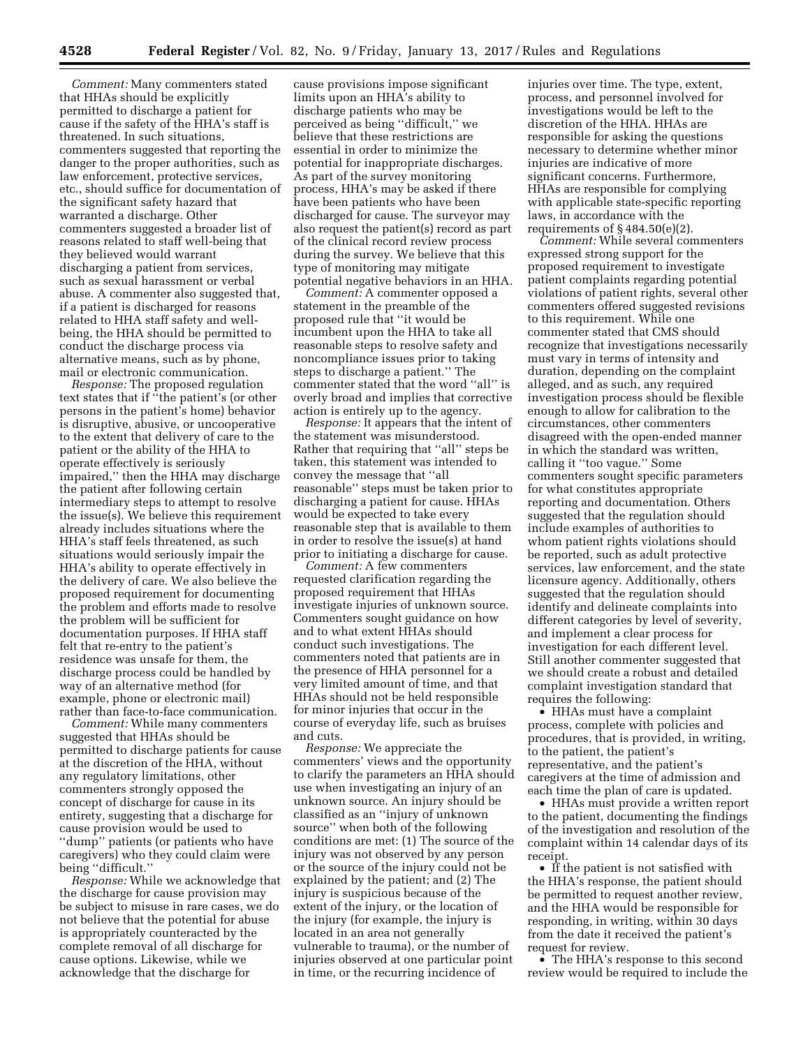*Comment:* Many commenters stated that HHAs should be explicitly permitted to discharge a patient for cause if the safety of the HHA's staff is threatened. In such situations, commenters suggested that reporting the danger to the proper authorities, such as law enforcement, protective services, etc., should suffice for documentation of the significant safety hazard that warranted a discharge. Other commenters suggested a broader list of reasons related to staff well-being that they believed would warrant discharging a patient from services, such as sexual harassment or verbal abuse. A commenter also suggested that, if a patient is discharged for reasons related to HHA staff safety and wellbeing, the HHA should be permitted to conduct the discharge process via alternative means, such as by phone, mail or electronic communication.

*Response:* The proposed regulation text states that if ''the patient's (or other persons in the patient's home) behavior is disruptive, abusive, or uncooperative to the extent that delivery of care to the patient or the ability of the HHA to operate effectively is seriously impaired,'' then the HHA may discharge the patient after following certain intermediary steps to attempt to resolve the issue(s). We believe this requirement already includes situations where the HHA's staff feels threatened, as such situations would seriously impair the HHA's ability to operate effectively in the delivery of care. We also believe the proposed requirement for documenting the problem and efforts made to resolve the problem will be sufficient for documentation purposes. If HHA staff felt that re-entry to the patient's residence was unsafe for them, the discharge process could be handled by way of an alternative method (for example, phone or electronic mail) rather than face-to-face communication.

*Comment:* While many commenters suggested that HHAs should be permitted to discharge patients for cause at the discretion of the HHA, without any regulatory limitations, other commenters strongly opposed the concept of discharge for cause in its entirety, suggesting that a discharge for cause provision would be used to ''dump'' patients (or patients who have caregivers) who they could claim were being ''difficult.''

*Response:* While we acknowledge that the discharge for cause provision may be subject to misuse in rare cases, we do not believe that the potential for abuse is appropriately counteracted by the complete removal of all discharge for cause options. Likewise, while we acknowledge that the discharge for

cause provisions impose significant limits upon an HHA's ability to discharge patients who may be perceived as being ''difficult,'' we believe that these restrictions are essential in order to minimize the potential for inappropriate discharges. As part of the survey monitoring process, HHA's may be asked if there have been patients who have been discharged for cause. The surveyor may also request the patient(s) record as part of the clinical record review process during the survey. We believe that this type of monitoring may mitigate potential negative behaviors in an HHA.

*Comment:* A commenter opposed a statement in the preamble of the proposed rule that ''it would be incumbent upon the HHA to take all reasonable steps to resolve safety and noncompliance issues prior to taking steps to discharge a patient.'' The commenter stated that the word ''all'' is overly broad and implies that corrective action is entirely up to the agency.

*Response:* It appears that the intent of the statement was misunderstood. Rather that requiring that ''all'' steps be taken, this statement was intended to convey the message that ''all reasonable'' steps must be taken prior to discharging a patient for cause. HHAs would be expected to take every reasonable step that is available to them in order to resolve the issue(s) at hand prior to initiating a discharge for cause.

*Comment:* A few commenters requested clarification regarding the proposed requirement that HHAs investigate injuries of unknown source. Commenters sought guidance on how and to what extent HHAs should conduct such investigations. The commenters noted that patients are in the presence of HHA personnel for a very limited amount of time, and that HHAs should not be held responsible for minor injuries that occur in the course of everyday life, such as bruises and cuts.

*Response:* We appreciate the commenters' views and the opportunity to clarify the parameters an HHA should use when investigating an injury of an unknown source. An injury should be classified as an ''injury of unknown source'' when both of the following conditions are met: (1) The source of the injury was not observed by any person or the source of the injury could not be explained by the patient; and (2) The injury is suspicious because of the extent of the injury, or the location of the injury (for example, the injury is located in an area not generally vulnerable to trauma), or the number of injuries observed at one particular point in time, or the recurring incidence of

injuries over time. The type, extent, process, and personnel involved for investigations would be left to the discretion of the HHA. HHAs are responsible for asking the questions necessary to determine whether minor injuries are indicative of more significant concerns. Furthermore, HHAs are responsible for complying with applicable state-specific reporting laws, in accordance with the requirements of  $\S 484.50(e)(2)$ .

*Comment:* While several commenters expressed strong support for the proposed requirement to investigate patient complaints regarding potential violations of patient rights, several other commenters offered suggested revisions to this requirement. While one commenter stated that CMS should recognize that investigations necessarily must vary in terms of intensity and duration, depending on the complaint alleged, and as such, any required investigation process should be flexible enough to allow for calibration to the circumstances, other commenters disagreed with the open-ended manner in which the standard was written, calling it ''too vague.'' Some commenters sought specific parameters for what constitutes appropriate reporting and documentation. Others suggested that the regulation should include examples of authorities to whom patient rights violations should be reported, such as adult protective services, law enforcement, and the state licensure agency. Additionally, others suggested that the regulation should identify and delineate complaints into different categories by level of severity, and implement a clear process for investigation for each different level. Still another commenter suggested that we should create a robust and detailed complaint investigation standard that requires the following:

• HHAs must have a complaint process, complete with policies and procedures, that is provided, in writing, to the patient, the patient's representative, and the patient's caregivers at the time of admission and each time the plan of care is updated.

• HHAs must provide a written report to the patient, documenting the findings of the investigation and resolution of the complaint within 14 calendar days of its receipt

• If the patient is not satisfied with the HHA's response, the patient should be permitted to request another review, and the HHA would be responsible for responding, in writing, within 30 days from the date it received the patient's request for review.

• The HHA's response to this second review would be required to include the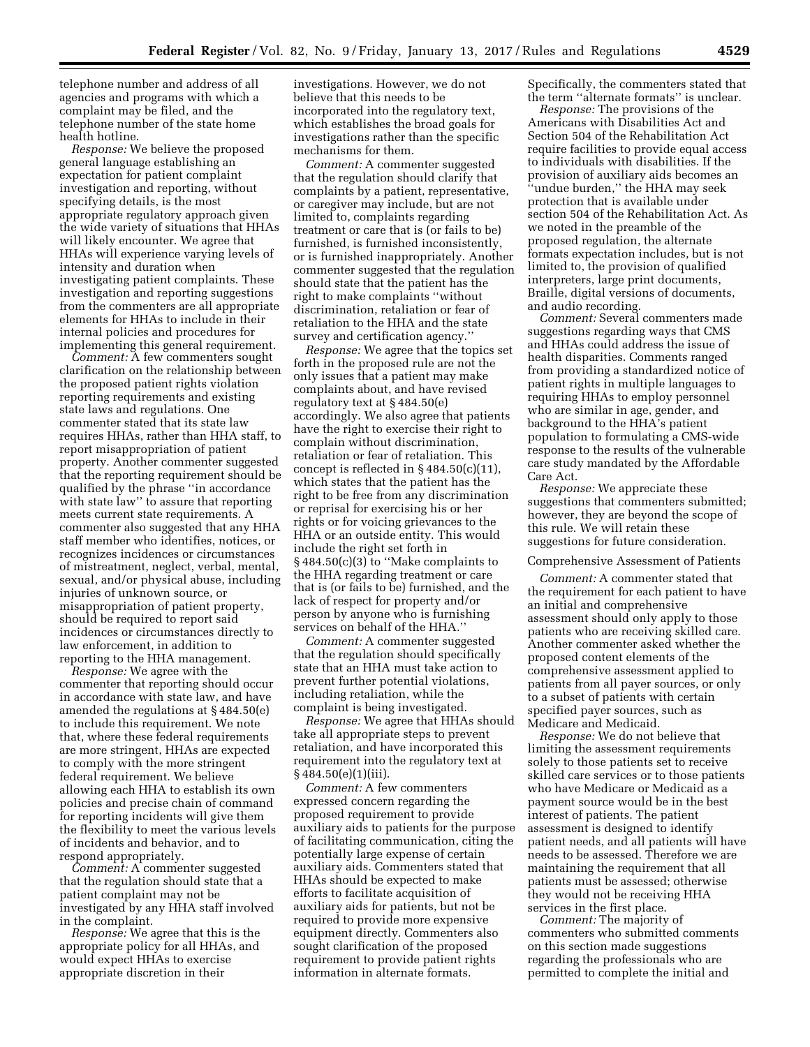telephone number and address of all agencies and programs with which a complaint may be filed, and the telephone number of the state home health hotline.

*Response:* We believe the proposed general language establishing an expectation for patient complaint investigation and reporting, without specifying details, is the most appropriate regulatory approach given the wide variety of situations that HHAs will likely encounter. We agree that HHAs will experience varying levels of intensity and duration when investigating patient complaints. These investigation and reporting suggestions from the commenters are all appropriate elements for HHAs to include in their internal policies and procedures for implementing this general requirement.

*Comment:* A few commenters sought clarification on the relationship between the proposed patient rights violation reporting requirements and existing state laws and regulations. One commenter stated that its state law requires HHAs, rather than HHA staff, to report misappropriation of patient property. Another commenter suggested that the reporting requirement should be qualified by the phrase ''in accordance with state law'' to assure that reporting meets current state requirements. A commenter also suggested that any HHA staff member who identifies, notices, or recognizes incidences or circumstances of mistreatment, neglect, verbal, mental, sexual, and/or physical abuse, including injuries of unknown source, or misappropriation of patient property, should be required to report said incidences or circumstances directly to law enforcement, in addition to reporting to the HHA management.

*Response:* We agree with the commenter that reporting should occur in accordance with state law, and have amended the regulations at § 484.50(e) to include this requirement. We note that, where these federal requirements are more stringent, HHAs are expected to comply with the more stringent federal requirement. We believe allowing each HHA to establish its own policies and precise chain of command for reporting incidents will give them the flexibility to meet the various levels of incidents and behavior, and to respond appropriately.

*Comment:* A commenter suggested that the regulation should state that a patient complaint may not be investigated by any HHA staff involved in the complaint.

*Response:* We agree that this is the appropriate policy for all HHAs, and would expect HHAs to exercise appropriate discretion in their

investigations. However, we do not believe that this needs to be incorporated into the regulatory text, which establishes the broad goals for investigations rather than the specific mechanisms for them.

*Comment:* A commenter suggested that the regulation should clarify that complaints by a patient, representative, or caregiver may include, but are not limited to, complaints regarding treatment or care that is (or fails to be) furnished, is furnished inconsistently, or is furnished inappropriately. Another commenter suggested that the regulation should state that the patient has the right to make complaints ''without discrimination, retaliation or fear of retaliation to the HHA and the state survey and certification agency.''

*Response:* We agree that the topics set forth in the proposed rule are not the only issues that a patient may make complaints about, and have revised regulatory text at § 484.50(e) accordingly. We also agree that patients have the right to exercise their right to complain without discrimination, retaliation or fear of retaliation. This concept is reflected in § 484.50(c)(11), which states that the patient has the right to be free from any discrimination or reprisal for exercising his or her rights or for voicing grievances to the HHA or an outside entity. This would include the right set forth in § 484.50(c)(3) to ''Make complaints to the HHA regarding treatment or care that is (or fails to be) furnished, and the lack of respect for property and/or person by anyone who is furnishing services on behalf of the HHA.''

*Comment:* A commenter suggested that the regulation should specifically state that an HHA must take action to prevent further potential violations, including retaliation, while the complaint is being investigated.

*Response:* We agree that HHAs should take all appropriate steps to prevent retaliation, and have incorporated this requirement into the regulatory text at  $§ 484.50(e)(1)(iii).$ 

*Comment:* A few commenters expressed concern regarding the proposed requirement to provide auxiliary aids to patients for the purpose of facilitating communication, citing the potentially large expense of certain auxiliary aids. Commenters stated that HHAs should be expected to make efforts to facilitate acquisition of auxiliary aids for patients, but not be required to provide more expensive equipment directly. Commenters also sought clarification of the proposed requirement to provide patient rights information in alternate formats.

Specifically, the commenters stated that the term ''alternate formats'' is unclear.

*Response:* The provisions of the Americans with Disabilities Act and Section 504 of the Rehabilitation Act require facilities to provide equal access to individuals with disabilities. If the provision of auxiliary aids becomes an ''undue burden,'' the HHA may seek protection that is available under section 504 of the Rehabilitation Act. As we noted in the preamble of the proposed regulation, the alternate formats expectation includes, but is not limited to, the provision of qualified interpreters, large print documents, Braille, digital versions of documents, and audio recording.

*Comment:* Several commenters made suggestions regarding ways that CMS and HHAs could address the issue of health disparities. Comments ranged from providing a standardized notice of patient rights in multiple languages to requiring HHAs to employ personnel who are similar in age, gender, and background to the HHA's patient population to formulating a CMS-wide response to the results of the vulnerable care study mandated by the Affordable Care Act.

*Response:* We appreciate these suggestions that commenters submitted; however, they are beyond the scope of this rule. We will retain these suggestions for future consideration.

#### Comprehensive Assessment of Patients

*Comment:* A commenter stated that the requirement for each patient to have an initial and comprehensive assessment should only apply to those patients who are receiving skilled care. Another commenter asked whether the proposed content elements of the comprehensive assessment applied to patients from all payer sources, or only to a subset of patients with certain specified payer sources, such as Medicare and Medicaid.

*Response:* We do not believe that limiting the assessment requirements solely to those patients set to receive skilled care services or to those patients who have Medicare or Medicaid as a payment source would be in the best interest of patients. The patient assessment is designed to identify patient needs, and all patients will have needs to be assessed. Therefore we are maintaining the requirement that all patients must be assessed; otherwise they would not be receiving HHA services in the first place.

*Comment:* The majority of commenters who submitted comments on this section made suggestions regarding the professionals who are permitted to complete the initial and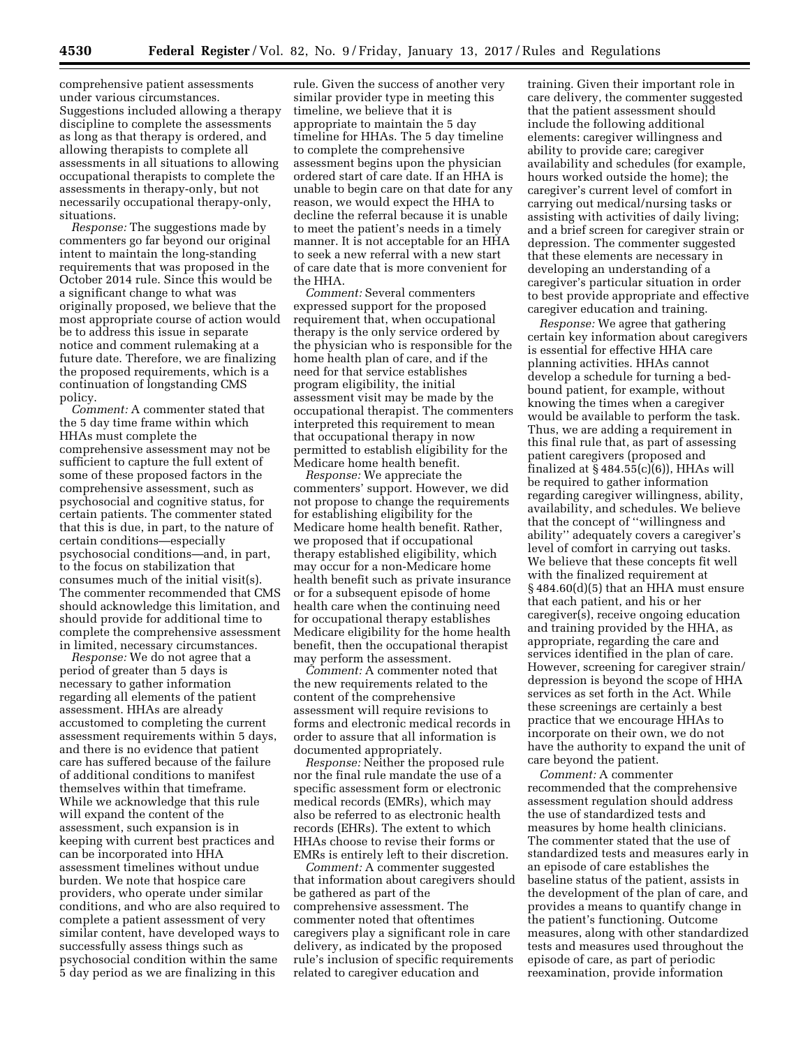comprehensive patient assessments under various circumstances. Suggestions included allowing a therapy discipline to complete the assessments as long as that therapy is ordered, and allowing therapists to complete all assessments in all situations to allowing occupational therapists to complete the assessments in therapy-only, but not necessarily occupational therapy-only, situations.

*Response:* The suggestions made by commenters go far beyond our original intent to maintain the long-standing requirements that was proposed in the October 2014 rule. Since this would be a significant change to what was originally proposed, we believe that the most appropriate course of action would be to address this issue in separate notice and comment rulemaking at a future date. Therefore, we are finalizing the proposed requirements, which is a continuation of longstanding CMS policy.

*Comment:* A commenter stated that the 5 day time frame within which HHAs must complete the comprehensive assessment may not be sufficient to capture the full extent of some of these proposed factors in the comprehensive assessment, such as psychosocial and cognitive status, for certain patients. The commenter stated that this is due, in part, to the nature of certain conditions—especially psychosocial conditions—and, in part, to the focus on stabilization that consumes much of the initial visit(s). The commenter recommended that CMS should acknowledge this limitation, and should provide for additional time to complete the comprehensive assessment in limited, necessary circumstances.

*Response:* We do not agree that a period of greater than 5 days is necessary to gather information regarding all elements of the patient assessment. HHAs are already accustomed to completing the current assessment requirements within 5 days, and there is no evidence that patient care has suffered because of the failure of additional conditions to manifest themselves within that timeframe. While we acknowledge that this rule will expand the content of the assessment, such expansion is in keeping with current best practices and can be incorporated into HHA assessment timelines without undue burden. We note that hospice care providers, who operate under similar conditions, and who are also required to complete a patient assessment of very similar content, have developed ways to successfully assess things such as psychosocial condition within the same 5 day period as we are finalizing in this

rule. Given the success of another very similar provider type in meeting this timeline, we believe that it is appropriate to maintain the 5 day timeline for HHAs. The 5 day timeline to complete the comprehensive assessment begins upon the physician ordered start of care date. If an HHA is unable to begin care on that date for any reason, we would expect the HHA to decline the referral because it is unable to meet the patient's needs in a timely manner. It is not acceptable for an HHA to seek a new referral with a new start of care date that is more convenient for the HHA.

*Comment:* Several commenters expressed support for the proposed requirement that, when occupational therapy is the only service ordered by the physician who is responsible for the home health plan of care, and if the need for that service establishes program eligibility, the initial assessment visit may be made by the occupational therapist. The commenters interpreted this requirement to mean that occupational therapy in now permitted to establish eligibility for the Medicare home health benefit.

*Response:* We appreciate the commenters' support. However, we did not propose to change the requirements for establishing eligibility for the Medicare home health benefit. Rather, we proposed that if occupational therapy established eligibility, which may occur for a non-Medicare home health benefit such as private insurance or for a subsequent episode of home health care when the continuing need for occupational therapy establishes Medicare eligibility for the home health benefit, then the occupational therapist may perform the assessment.

*Comment:* A commenter noted that the new requirements related to the content of the comprehensive assessment will require revisions to forms and electronic medical records in order to assure that all information is documented appropriately.

*Response:* Neither the proposed rule nor the final rule mandate the use of a specific assessment form or electronic medical records (EMRs), which may also be referred to as electronic health records (EHRs). The extent to which HHAs choose to revise their forms or EMRs is entirely left to their discretion.

*Comment:* A commenter suggested that information about caregivers should be gathered as part of the comprehensive assessment. The commenter noted that oftentimes caregivers play a significant role in care delivery, as indicated by the proposed rule's inclusion of specific requirements related to caregiver education and

training. Given their important role in care delivery, the commenter suggested that the patient assessment should include the following additional elements: caregiver willingness and ability to provide care; caregiver availability and schedules (for example, hours worked outside the home); the caregiver's current level of comfort in carrying out medical/nursing tasks or assisting with activities of daily living; and a brief screen for caregiver strain or depression. The commenter suggested that these elements are necessary in developing an understanding of a caregiver's particular situation in order to best provide appropriate and effective caregiver education and training.

*Response:* We agree that gathering certain key information about caregivers is essential for effective HHA care planning activities. HHAs cannot develop a schedule for turning a bedbound patient, for example, without knowing the times when a caregiver would be available to perform the task. Thus, we are adding a requirement in this final rule that, as part of assessing patient caregivers (proposed and finalized at  $\S 484.55(c)(6)$ ), HHAs will be required to gather information regarding caregiver willingness, ability, availability, and schedules. We believe that the concept of ''willingness and ability'' adequately covers a caregiver's level of comfort in carrying out tasks. We believe that these concepts fit well with the finalized requirement at § 484.60(d)(5) that an HHA must ensure that each patient, and his or her caregiver(s), receive ongoing education and training provided by the HHA, as appropriate, regarding the care and services identified in the plan of care. However, screening for caregiver strain/ depression is beyond the scope of HHA services as set forth in the Act. While these screenings are certainly a best practice that we encourage HHAs to incorporate on their own, we do not have the authority to expand the unit of care beyond the patient.

*Comment:* A commenter recommended that the comprehensive assessment regulation should address the use of standardized tests and measures by home health clinicians. The commenter stated that the use of standardized tests and measures early in an episode of care establishes the baseline status of the patient, assists in the development of the plan of care, and provides a means to quantify change in the patient's functioning. Outcome measures, along with other standardized tests and measures used throughout the episode of care, as part of periodic reexamination, provide information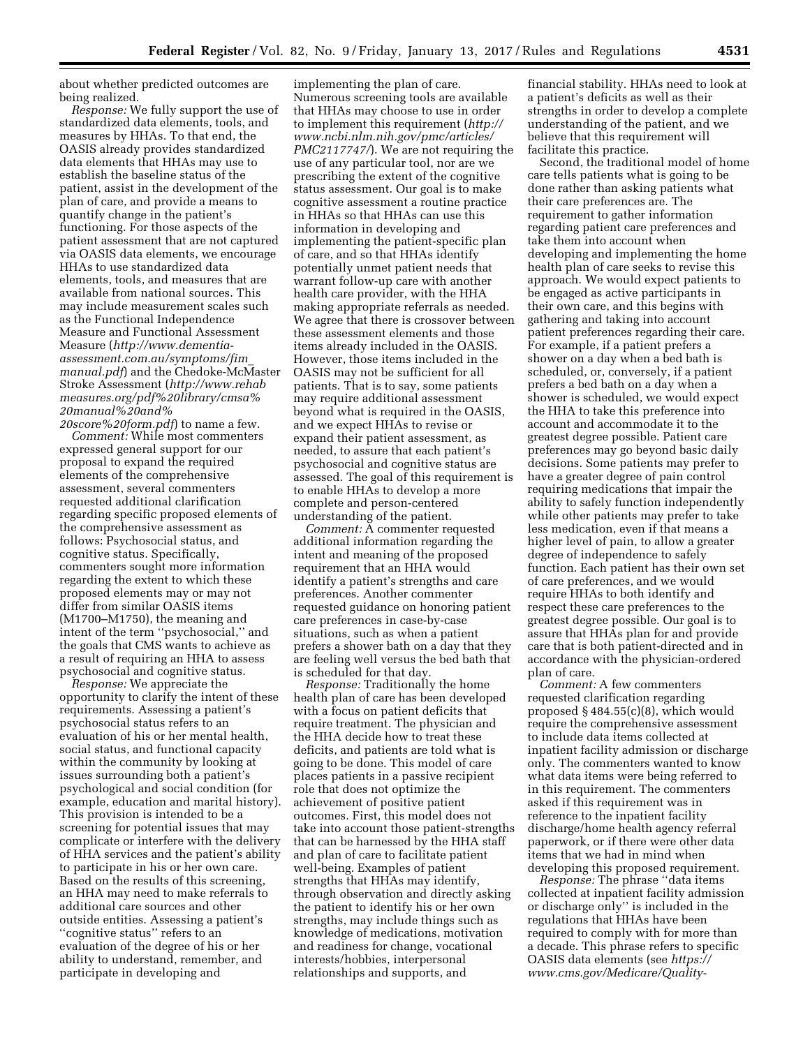about whether predicted outcomes are being realized.

*Response:* We fully support the use of standardized data elements, tools, and measures by HHAs. To that end, the OASIS already provides standardized data elements that HHAs may use to establish the baseline status of the patient, assist in the development of the plan of care, and provide a means to quantify change in the patient's functioning. For those aspects of the patient assessment that are not captured via OASIS data elements, we encourage HHAs to use standardized data elements, tools, and measures that are available from national sources. This may include measurement scales such as the Functional Independence Measure and Functional Assessment Measure (*[http://www.dementia](http://www.dementia-assessment.com.au/symptoms/fim_manual.pdf)[assessment.com.au/symptoms/fim](http://www.dementia-assessment.com.au/symptoms/fim_manual.pdf)*\_ *[manual.pdf](http://www.dementia-assessment.com.au/symptoms/fim_manual.pdf)*) and the Chedoke-McMaster Stroke Assessment (*[http://www.rehab](http://www.rehabmeasures.org/pdf%20library/cmsa%20manual%20and%20score%20form.pdf) [measures.org/pdf%20library/cmsa%](http://www.rehabmeasures.org/pdf%20library/cmsa%20manual%20and%20score%20form.pdf) [20manual%20and%](http://www.rehabmeasures.org/pdf%20library/cmsa%20manual%20and%20score%20form.pdf)*

*[20score%20form.pdf](http://www.rehabmeasures.org/pdf%20library/cmsa%20manual%20and%20score%20form.pdf)*) to name a few. *Comment:* While most commenters

expressed general support for our proposal to expand the required elements of the comprehensive assessment, several commenters requested additional clarification regarding specific proposed elements of the comprehensive assessment as follows: Psychosocial status, and cognitive status. Specifically, commenters sought more information regarding the extent to which these proposed elements may or may not differ from similar OASIS items (M1700–M1750), the meaning and intent of the term ''psychosocial,'' and the goals that CMS wants to achieve as a result of requiring an HHA to assess psychosocial and cognitive status.

*Response:* We appreciate the opportunity to clarify the intent of these requirements. Assessing a patient's psychosocial status refers to an evaluation of his or her mental health, social status, and functional capacity within the community by looking at issues surrounding both a patient's psychological and social condition (for example, education and marital history). This provision is intended to be a screening for potential issues that may complicate or interfere with the delivery of HHA services and the patient's ability to participate in his or her own care. Based on the results of this screening, an HHA may need to make referrals to additional care sources and other outside entities. Assessing a patient's ''cognitive status'' refers to an evaluation of the degree of his or her ability to understand, remember, and participate in developing and

implementing the plan of care. Numerous screening tools are available that HHAs may choose to use in order to implement this requirement (*[http://](http://www.ncbi.nlm.nih.gov/pmc/articles/PMC2117747/) [www.ncbi.nlm.nih.gov/pmc/articles/](http://www.ncbi.nlm.nih.gov/pmc/articles/PMC2117747/) [PMC2117747/](http://www.ncbi.nlm.nih.gov/pmc/articles/PMC2117747/)*). We are not requiring the use of any particular tool, nor are we prescribing the extent of the cognitive status assessment. Our goal is to make cognitive assessment a routine practice in HHAs so that HHAs can use this information in developing and implementing the patient-specific plan of care, and so that HHAs identify potentially unmet patient needs that warrant follow-up care with another health care provider, with the HHA making appropriate referrals as needed. We agree that there is crossover between these assessment elements and those items already included in the OASIS. However, those items included in the OASIS may not be sufficient for all patients. That is to say, some patients may require additional assessment beyond what is required in the OASIS, and we expect HHAs to revise or expand their patient assessment, as needed, to assure that each patient's psychosocial and cognitive status are assessed. The goal of this requirement is to enable HHAs to develop a more complete and person-centered understanding of the patient.

*Comment:* A commenter requested additional information regarding the intent and meaning of the proposed requirement that an HHA would identify a patient's strengths and care preferences. Another commenter requested guidance on honoring patient care preferences in case-by-case situations, such as when a patient prefers a shower bath on a day that they are feeling well versus the bed bath that is scheduled for that day.

*Response:* Traditionally the home health plan of care has been developed with a focus on patient deficits that require treatment. The physician and the HHA decide how to treat these deficits, and patients are told what is going to be done. This model of care places patients in a passive recipient role that does not optimize the achievement of positive patient outcomes. First, this model does not take into account those patient-strengths that can be harnessed by the HHA staff and plan of care to facilitate patient well-being. Examples of patient strengths that HHAs may identify, through observation and directly asking the patient to identify his or her own strengths, may include things such as knowledge of medications, motivation and readiness for change, vocational interests/hobbies, interpersonal relationships and supports, and

financial stability. HHAs need to look at a patient's deficits as well as their strengths in order to develop a complete understanding of the patient, and we believe that this requirement will facilitate this practice.

Second, the traditional model of home care tells patients what is going to be done rather than asking patients what their care preferences are. The requirement to gather information regarding patient care preferences and take them into account when developing and implementing the home health plan of care seeks to revise this approach. We would expect patients to be engaged as active participants in their own care, and this begins with gathering and taking into account patient preferences regarding their care. For example, if a patient prefers a shower on a day when a bed bath is scheduled, or, conversely, if a patient prefers a bed bath on a day when a shower is scheduled, we would expect the HHA to take this preference into account and accommodate it to the greatest degree possible. Patient care preferences may go beyond basic daily decisions. Some patients may prefer to have a greater degree of pain control requiring medications that impair the ability to safely function independently while other patients may prefer to take less medication, even if that means a higher level of pain, to allow a greater degree of independence to safely function. Each patient has their own set of care preferences, and we would require HHAs to both identify and respect these care preferences to the greatest degree possible. Our goal is to assure that HHAs plan for and provide care that is both patient-directed and in accordance with the physician-ordered plan of care.

*Comment:* A few commenters requested clarification regarding proposed § 484.55(c)(8), which would require the comprehensive assessment to include data items collected at inpatient facility admission or discharge only. The commenters wanted to know what data items were being referred to in this requirement. The commenters asked if this requirement was in reference to the inpatient facility discharge/home health agency referral paperwork, or if there were other data items that we had in mind when developing this proposed requirement.

*Response:* The phrase ''data items collected at inpatient facility admission or discharge only'' is included in the regulations that HHAs have been required to comply with for more than a decade. This phrase refers to specific OASIS data elements (see *[https://](https://www.cms.gov/Medicare/Quality-Initiatives-Patient-Assessment-Instruments/HomeHealthQualityInits/OASIS-C1-DataSets.html) [www.cms.gov/Medicare/Quality-](https://www.cms.gov/Medicare/Quality-Initiatives-Patient-Assessment-Instruments/HomeHealthQualityInits/OASIS-C1-DataSets.html)*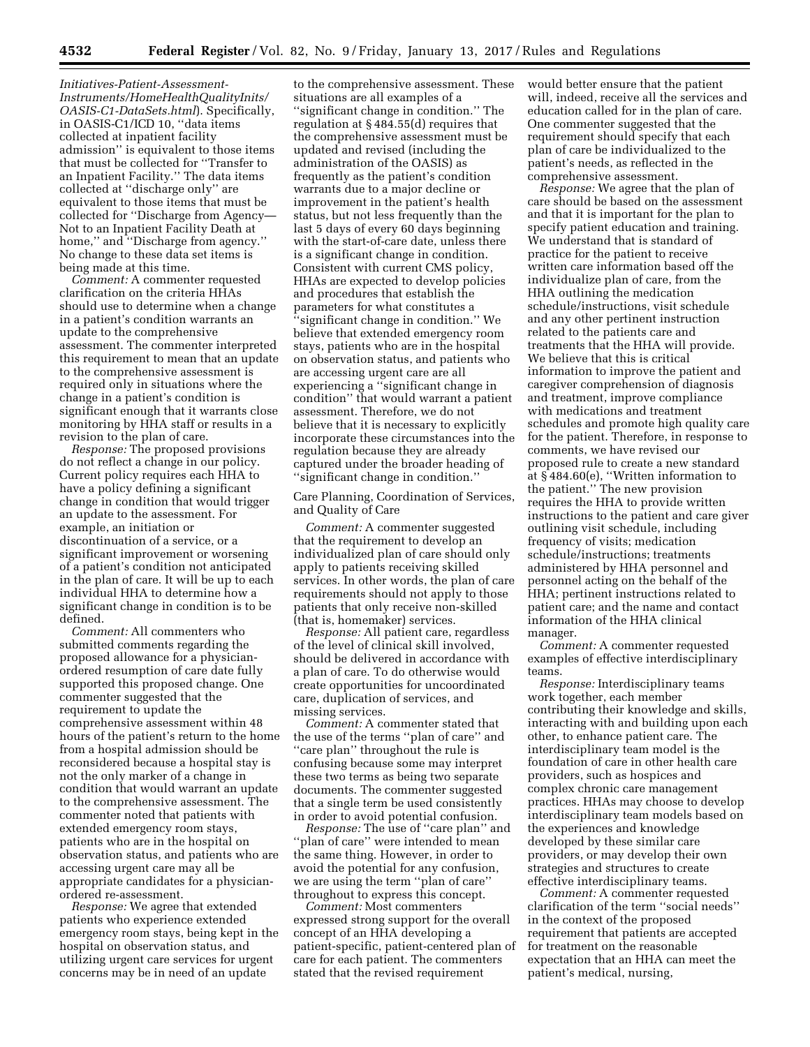*[Initiatives-Patient-Assessment-](https://www.cms.gov/Medicare/Quality-Initiatives-Patient-Assessment-Instruments/HomeHealthQualityInits/OASIS-C1-DataSets.html)[Instruments/HomeHealthQualityInits/](https://www.cms.gov/Medicare/Quality-Initiatives-Patient-Assessment-Instruments/HomeHealthQualityInits/OASIS-C1-DataSets.html)  [OASIS-C1-DataSets.html](https://www.cms.gov/Medicare/Quality-Initiatives-Patient-Assessment-Instruments/HomeHealthQualityInits/OASIS-C1-DataSets.html)*). Specifically, in OASIS-C1/ICD 10, ''data items collected at inpatient facility admission'' is equivalent to those items that must be collected for ''Transfer to an Inpatient Facility.'' The data items collected at ''discharge only'' are equivalent to those items that must be collected for ''Discharge from Agency— Not to an Inpatient Facility Death at home,'' and ''Discharge from agency.'' No change to these data set items is being made at this time.

*Comment:* A commenter requested clarification on the criteria HHAs should use to determine when a change in a patient's condition warrants an update to the comprehensive assessment. The commenter interpreted this requirement to mean that an update to the comprehensive assessment is required only in situations where the change in a patient's condition is significant enough that it warrants close monitoring by HHA staff or results in a revision to the plan of care.

*Response:* The proposed provisions do not reflect a change in our policy. Current policy requires each HHA to have a policy defining a significant change in condition that would trigger an update to the assessment. For example, an initiation or discontinuation of a service, or a significant improvement or worsening of a patient's condition not anticipated in the plan of care. It will be up to each individual HHA to determine how a significant change in condition is to be defined.

*Comment:* All commenters who submitted comments regarding the proposed allowance for a physicianordered resumption of care date fully supported this proposed change. One commenter suggested that the requirement to update the comprehensive assessment within 48 hours of the patient's return to the home from a hospital admission should be reconsidered because a hospital stay is not the only marker of a change in condition that would warrant an update to the comprehensive assessment. The commenter noted that patients with extended emergency room stays, patients who are in the hospital on observation status, and patients who are accessing urgent care may all be appropriate candidates for a physicianordered re-assessment.

*Response:* We agree that extended patients who experience extended emergency room stays, being kept in the hospital on observation status, and utilizing urgent care services for urgent concerns may be in need of an update

to the comprehensive assessment. These situations are all examples of a ''significant change in condition.'' The regulation at § 484.55(d) requires that the comprehensive assessment must be updated and revised (including the administration of the OASIS) as frequently as the patient's condition warrants due to a major decline or improvement in the patient's health status, but not less frequently than the last 5 days of every 60 days beginning with the start-of-care date, unless there is a significant change in condition. Consistent with current CMS policy, HHAs are expected to develop policies and procedures that establish the parameters for what constitutes a ''significant change in condition.'' We believe that extended emergency room stays, patients who are in the hospital on observation status, and patients who are accessing urgent care are all experiencing a ''significant change in condition'' that would warrant a patient assessment. Therefore, we do not believe that it is necessary to explicitly incorporate these circumstances into the regulation because they are already captured under the broader heading of ''significant change in condition.''

Care Planning, Coordination of Services, and Quality of Care

*Comment:* A commenter suggested that the requirement to develop an individualized plan of care should only apply to patients receiving skilled services. In other words, the plan of care requirements should not apply to those patients that only receive non-skilled (that is, homemaker) services.

*Response:* All patient care, regardless of the level of clinical skill involved, should be delivered in accordance with a plan of care. To do otherwise would create opportunities for uncoordinated care, duplication of services, and missing services.

*Comment:* A commenter stated that the use of the terms ''plan of care'' and ''care plan'' throughout the rule is confusing because some may interpret these two terms as being two separate documents. The commenter suggested that a single term be used consistently in order to avoid potential confusion.

*Response:* The use of ''care plan'' and ''plan of care'' were intended to mean the same thing. However, in order to avoid the potential for any confusion, we are using the term ''plan of care'' throughout to express this concept.

*Comment:* Most commenters expressed strong support for the overall concept of an HHA developing a patient-specific, patient-centered plan of care for each patient. The commenters stated that the revised requirement

would better ensure that the patient will, indeed, receive all the services and education called for in the plan of care. One commenter suggested that the requirement should specify that each plan of care be individualized to the patient's needs, as reflected in the comprehensive assessment.

*Response:* We agree that the plan of care should be based on the assessment and that it is important for the plan to specify patient education and training. We understand that is standard of practice for the patient to receive written care information based off the individualize plan of care, from the HHA outlining the medication schedule/instructions, visit schedule and any other pertinent instruction related to the patients care and treatments that the HHA will provide. We believe that this is critical information to improve the patient and caregiver comprehension of diagnosis and treatment, improve compliance with medications and treatment schedules and promote high quality care for the patient. Therefore, in response to comments, we have revised our proposed rule to create a new standard at § 484.60(e), ''Written information to the patient.'' The new provision requires the HHA to provide written instructions to the patient and care giver outlining visit schedule, including frequency of visits; medication schedule/instructions; treatments administered by HHA personnel and personnel acting on the behalf of the HHA; pertinent instructions related to patient care; and the name and contact information of the HHA clinical manager.

*Comment:* A commenter requested examples of effective interdisciplinary teams.

*Response:* Interdisciplinary teams work together, each member contributing their knowledge and skills, interacting with and building upon each other, to enhance patient care. The interdisciplinary team model is the foundation of care in other health care providers, such as hospices and complex chronic care management practices. HHAs may choose to develop interdisciplinary team models based on the experiences and knowledge developed by these similar care providers, or may develop their own strategies and structures to create effective interdisciplinary teams.

*Comment:* A commenter requested clarification of the term ''social needs'' in the context of the proposed requirement that patients are accepted for treatment on the reasonable expectation that an HHA can meet the patient's medical, nursing,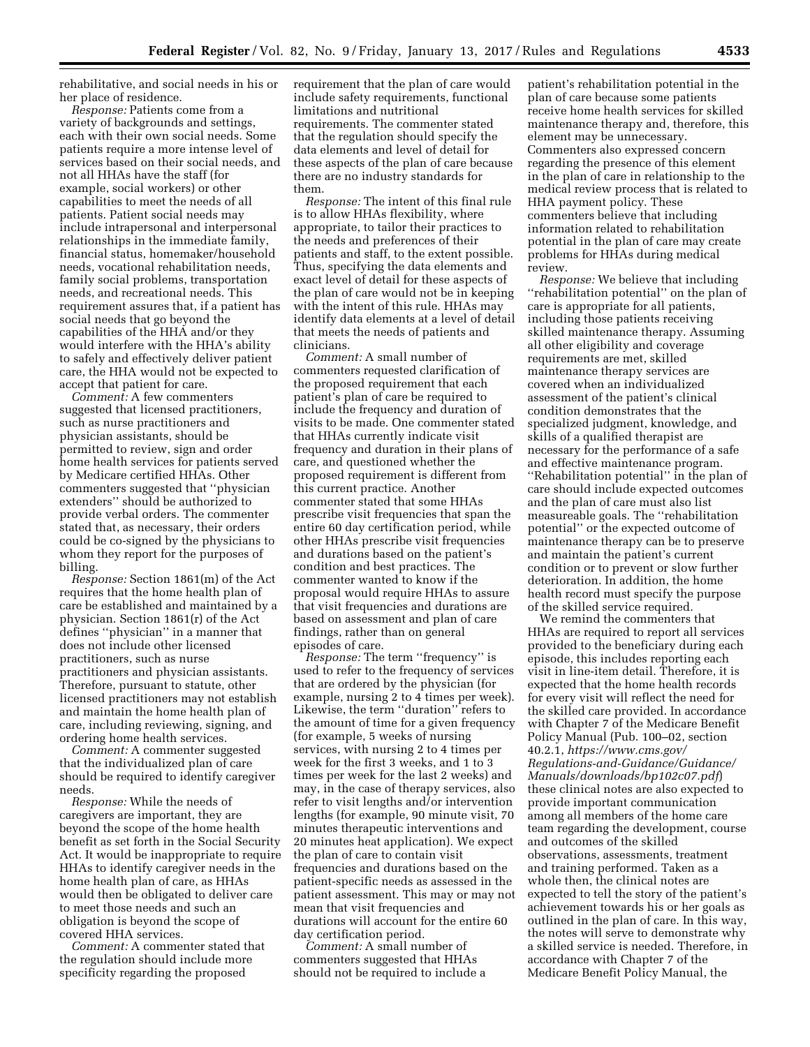rehabilitative, and social needs in his or her place of residence.

*Response:* Patients come from a variety of backgrounds and settings, each with their own social needs. Some patients require a more intense level of services based on their social needs, and not all HHAs have the staff (for example, social workers) or other capabilities to meet the needs of all patients. Patient social needs may include intrapersonal and interpersonal relationships in the immediate family, financial status, homemaker/household needs, vocational rehabilitation needs, family social problems, transportation needs, and recreational needs. This requirement assures that, if a patient has social needs that go beyond the capabilities of the HHA and/or they would interfere with the HHA's ability to safely and effectively deliver patient care, the HHA would not be expected to accept that patient for care.

*Comment:* A few commenters suggested that licensed practitioners, such as nurse practitioners and physician assistants, should be permitted to review, sign and order home health services for patients served by Medicare certified HHAs. Other commenters suggested that ''physician extenders'' should be authorized to provide verbal orders. The commenter stated that, as necessary, their orders could be co-signed by the physicians to whom they report for the purposes of billing.

*Response:* Section 1861(m) of the Act requires that the home health plan of care be established and maintained by a physician. Section 1861(r) of the Act defines ''physician'' in a manner that does not include other licensed practitioners, such as nurse practitioners and physician assistants. Therefore, pursuant to statute, other licensed practitioners may not establish and maintain the home health plan of care, including reviewing, signing, and ordering home health services.

*Comment:* A commenter suggested that the individualized plan of care should be required to identify caregiver needs.

*Response:* While the needs of caregivers are important, they are beyond the scope of the home health benefit as set forth in the Social Security Act. It would be inappropriate to require HHAs to identify caregiver needs in the home health plan of care, as HHAs would then be obligated to deliver care to meet those needs and such an obligation is beyond the scope of covered HHA services.

*Comment:* A commenter stated that the regulation should include more specificity regarding the proposed

requirement that the plan of care would include safety requirements, functional limitations and nutritional requirements. The commenter stated that the regulation should specify the data elements and level of detail for these aspects of the plan of care because there are no industry standards for them.

*Response:* The intent of this final rule is to allow HHAs flexibility, where appropriate, to tailor their practices to the needs and preferences of their patients and staff, to the extent possible. Thus, specifying the data elements and exact level of detail for these aspects of the plan of care would not be in keeping with the intent of this rule. HHAs may identify data elements at a level of detail that meets the needs of patients and clinicians.

*Comment:* A small number of commenters requested clarification of the proposed requirement that each patient's plan of care be required to include the frequency and duration of visits to be made. One commenter stated that HHAs currently indicate visit frequency and duration in their plans of care, and questioned whether the proposed requirement is different from this current practice. Another commenter stated that some HHAs prescribe visit frequencies that span the entire 60 day certification period, while other HHAs prescribe visit frequencies and durations based on the patient's condition and best practices. The commenter wanted to know if the proposal would require HHAs to assure that visit frequencies and durations are based on assessment and plan of care findings, rather than on general episodes of care.

*Response:* The term ''frequency'' is used to refer to the frequency of services that are ordered by the physician (for example, nursing 2 to 4 times per week). Likewise, the term ''duration'' refers to the amount of time for a given frequency (for example, 5 weeks of nursing services, with nursing 2 to 4 times per week for the first 3 weeks, and 1 to 3 times per week for the last 2 weeks) and may, in the case of therapy services, also refer to visit lengths and/or intervention lengths (for example, 90 minute visit, 70 minutes therapeutic interventions and 20 minutes heat application). We expect the plan of care to contain visit frequencies and durations based on the patient-specific needs as assessed in the patient assessment. This may or may not mean that visit frequencies and durations will account for the entire 60 day certification period.

*Comment:* A small number of commenters suggested that HHAs should not be required to include a patient's rehabilitation potential in the plan of care because some patients receive home health services for skilled maintenance therapy and, therefore, this element may be unnecessary. Commenters also expressed concern regarding the presence of this element in the plan of care in relationship to the medical review process that is related to HHA payment policy. These commenters believe that including information related to rehabilitation potential in the plan of care may create problems for HHAs during medical review.

*Response:* We believe that including ''rehabilitation potential'' on the plan of care is appropriate for all patients, including those patients receiving skilled maintenance therapy. Assuming all other eligibility and coverage requirements are met, skilled maintenance therapy services are covered when an individualized assessment of the patient's clinical condition demonstrates that the specialized judgment, knowledge, and skills of a qualified therapist are necessary for the performance of a safe and effective maintenance program. ''Rehabilitation potential'' in the plan of care should include expected outcomes and the plan of care must also list measureable goals. The ''rehabilitation potential'' or the expected outcome of maintenance therapy can be to preserve and maintain the patient's current condition or to prevent or slow further deterioration. In addition, the home health record must specify the purpose of the skilled service required.

We remind the commenters that HHAs are required to report all services provided to the beneficiary during each episode, this includes reporting each visit in line-item detail. Therefore, it is expected that the home health records for every visit will reflect the need for the skilled care provided. In accordance with Chapter 7 of the Medicare Benefit Policy Manual (Pub. 100–02, section 40.2.1, *[https://www.cms.gov/](https://www.cms.gov/Regulations-and-Guidance/Guidance/Manuals/downloads/bp102c07.pdf) [Regulations-and-Guidance/Guidance/](https://www.cms.gov/Regulations-and-Guidance/Guidance/Manuals/downloads/bp102c07.pdf) [Manuals/downloads/bp102c07.pdf](https://www.cms.gov/Regulations-and-Guidance/Guidance/Manuals/downloads/bp102c07.pdf)*) these clinical notes are also expected to provide important communication among all members of the home care team regarding the development, course and outcomes of the skilled observations, assessments, treatment and training performed. Taken as a whole then, the clinical notes are expected to tell the story of the patient's achievement towards his or her goals as outlined in the plan of care. In this way, the notes will serve to demonstrate why a skilled service is needed. Therefore, in accordance with Chapter 7 of the Medicare Benefit Policy Manual, the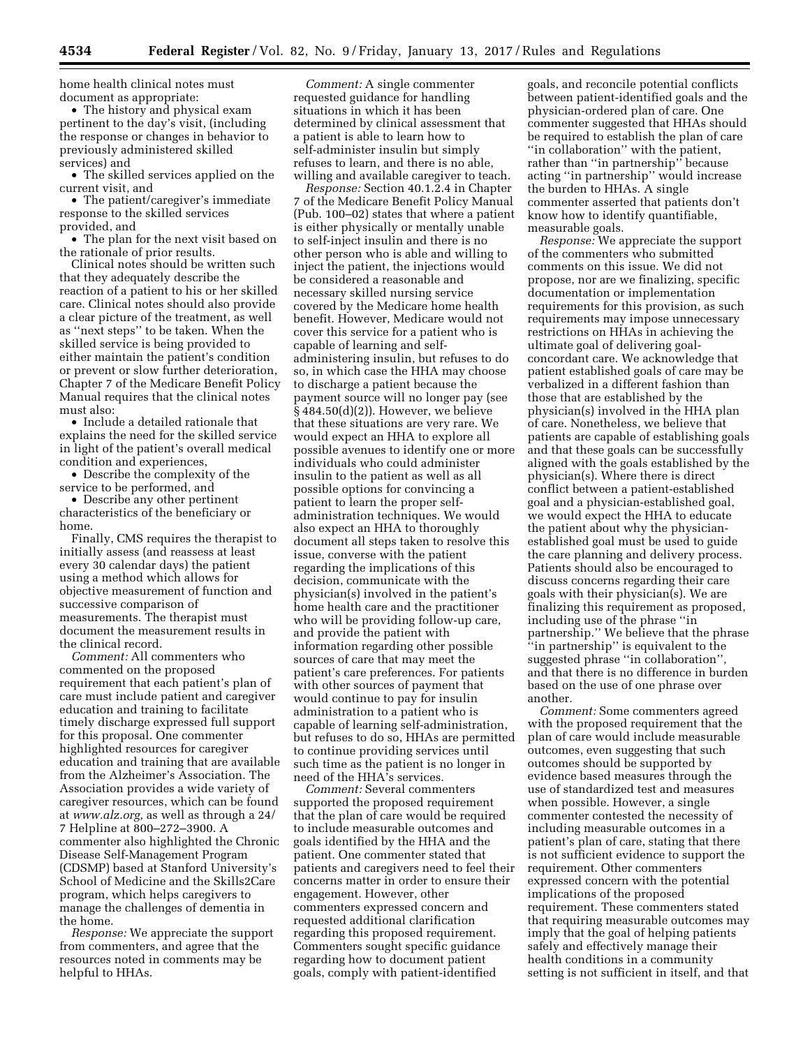home health clinical notes must document as appropriate:

• The history and physical exam pertinent to the day's visit, (including the response or changes in behavior to previously administered skilled services) and

• The skilled services applied on the current visit, and

• The patient/caregiver's immediate response to the skilled services provided, and

• The plan for the next visit based on the rationale of prior results.

Clinical notes should be written such that they adequately describe the reaction of a patient to his or her skilled care. Clinical notes should also provide a clear picture of the treatment, as well as ''next steps'' to be taken. When the skilled service is being provided to either maintain the patient's condition or prevent or slow further deterioration, Chapter 7 of the Medicare Benefit Policy Manual requires that the clinical notes must also:

• Include a detailed rationale that explains the need for the skilled service in light of the patient's overall medical condition and experiences,

• Describe the complexity of the service to be performed, and

• Describe any other pertinent characteristics of the beneficiary or home.

Finally, CMS requires the therapist to initially assess (and reassess at least every 30 calendar days) the patient using a method which allows for objective measurement of function and successive comparison of measurements. The therapist must document the measurement results in the clinical record.

*Comment:* All commenters who commented on the proposed requirement that each patient's plan of care must include patient and caregiver education and training to facilitate timely discharge expressed full support for this proposal. One commenter highlighted resources for caregiver education and training that are available from the Alzheimer's Association. The Association provides a wide variety of caregiver resources, which can be found at *[www.alz.org,](http://www.alz.org)* as well as through a 24/ 7 Helpline at 800–272–3900. A commenter also highlighted the Chronic Disease Self-Management Program (CDSMP) based at Stanford University's School of Medicine and the Skills2Care program, which helps caregivers to manage the challenges of dementia in the home.

*Response:* We appreciate the support from commenters, and agree that the resources noted in comments may be helpful to HHAs.

*Comment:* A single commenter requested guidance for handling situations in which it has been determined by clinical assessment that a patient is able to learn how to self-administer insulin but simply refuses to learn, and there is no able, willing and available caregiver to teach.

*Response:* Section 40.1.2.4 in Chapter 7 of the Medicare Benefit Policy Manual (Pub. 100–02) states that where a patient is either physically or mentally unable to self-inject insulin and there is no other person who is able and willing to inject the patient, the injections would be considered a reasonable and necessary skilled nursing service covered by the Medicare home health benefit. However, Medicare would not cover this service for a patient who is capable of learning and selfadministering insulin, but refuses to do so, in which case the HHA may choose to discharge a patient because the payment source will no longer pay (see § 484.50(d)(2)). However, we believe that these situations are very rare. We would expect an HHA to explore all possible avenues to identify one or more individuals who could administer insulin to the patient as well as all possible options for convincing a patient to learn the proper selfadministration techniques. We would also expect an HHA to thoroughly document all steps taken to resolve this issue, converse with the patient regarding the implications of this decision, communicate with the physician(s) involved in the patient's home health care and the practitioner who will be providing follow-up care, and provide the patient with information regarding other possible sources of care that may meet the patient's care preferences. For patients with other sources of payment that would continue to pay for insulin administration to a patient who is capable of learning self-administration, but refuses to do so, HHAs are permitted to continue providing services until such time as the patient is no longer in need of the HHA's services.

*Comment:* Several commenters supported the proposed requirement that the plan of care would be required to include measurable outcomes and goals identified by the HHA and the patient. One commenter stated that patients and caregivers need to feel their concerns matter in order to ensure their engagement. However, other commenters expressed concern and requested additional clarification regarding this proposed requirement. Commenters sought specific guidance regarding how to document patient goals, comply with patient-identified

goals, and reconcile potential conflicts between patient-identified goals and the physician-ordered plan of care. One commenter suggested that HHAs should be required to establish the plan of care ''in collaboration'' with the patient, rather than ''in partnership'' because acting ''in partnership'' would increase the burden to HHAs. A single commenter asserted that patients don't know how to identify quantifiable, measurable goals.

*Response:* We appreciate the support of the commenters who submitted comments on this issue. We did not propose, nor are we finalizing, specific documentation or implementation requirements for this provision, as such requirements may impose unnecessary restrictions on HHAs in achieving the ultimate goal of delivering goalconcordant care. We acknowledge that patient established goals of care may be verbalized in a different fashion than those that are established by the physician(s) involved in the HHA plan of care. Nonetheless, we believe that patients are capable of establishing goals and that these goals can be successfully aligned with the goals established by the physician(s). Where there is direct conflict between a patient-established goal and a physician-established goal, we would expect the HHA to educate the patient about why the physicianestablished goal must be used to guide the care planning and delivery process. Patients should also be encouraged to discuss concerns regarding their care goals with their physician(s). We are finalizing this requirement as proposed, including use of the phrase ''in partnership.'' We believe that the phrase ''in partnership'' is equivalent to the suggested phrase ''in collaboration'', and that there is no difference in burden based on the use of one phrase over another.

*Comment:* Some commenters agreed with the proposed requirement that the plan of care would include measurable outcomes, even suggesting that such outcomes should be supported by evidence based measures through the use of standardized test and measures when possible. However, a single commenter contested the necessity of including measurable outcomes in a patient's plan of care, stating that there is not sufficient evidence to support the requirement. Other commenters expressed concern with the potential implications of the proposed requirement. These commenters stated that requiring measurable outcomes may imply that the goal of helping patients safely and effectively manage their health conditions in a community setting is not sufficient in itself, and that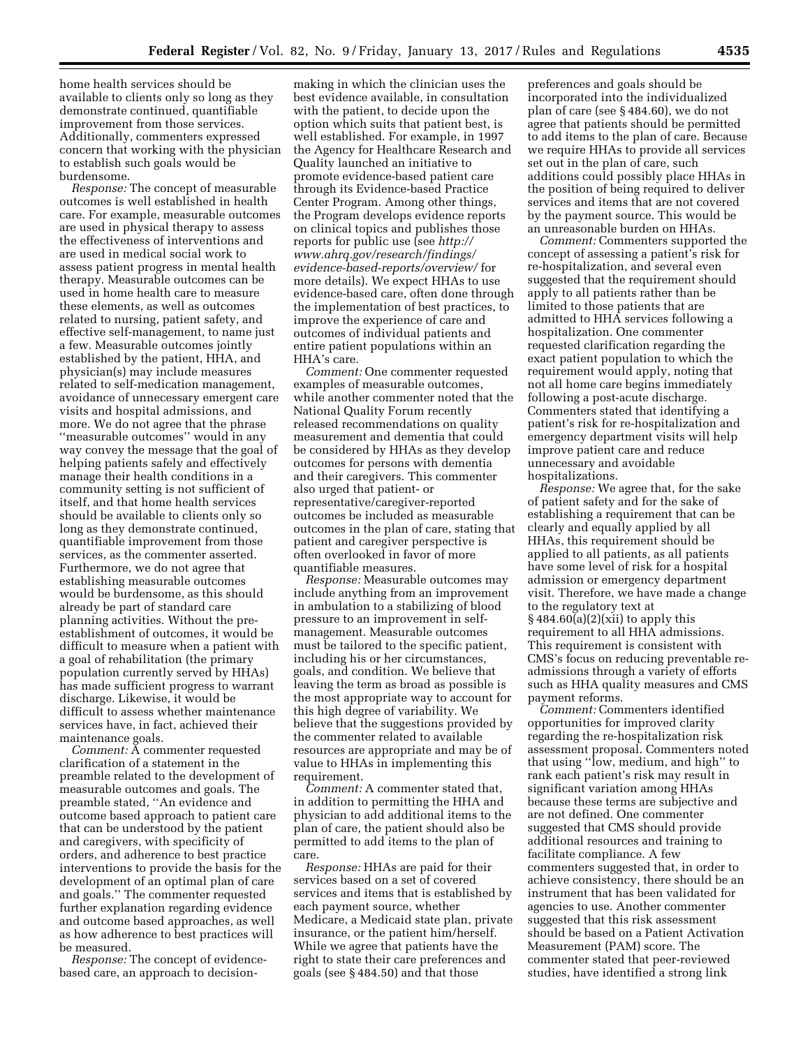home health services should be available to clients only so long as they demonstrate continued, quantifiable improvement from those services. Additionally, commenters expressed concern that working with the physician to establish such goals would be burdensome.

*Response:* The concept of measurable outcomes is well established in health care. For example, measurable outcomes are used in physical therapy to assess the effectiveness of interventions and are used in medical social work to assess patient progress in mental health therapy. Measurable outcomes can be used in home health care to measure these elements, as well as outcomes related to nursing, patient safety, and effective self-management, to name just a few. Measurable outcomes jointly established by the patient, HHA, and physician(s) may include measures related to self-medication management, avoidance of unnecessary emergent care visits and hospital admissions, and more. We do not agree that the phrase ''measurable outcomes'' would in any way convey the message that the goal of helping patients safely and effectively manage their health conditions in a community setting is not sufficient of itself, and that home health services should be available to clients only so long as they demonstrate continued, quantifiable improvement from those services, as the commenter asserted. Furthermore, we do not agree that establishing measurable outcomes would be burdensome, as this should already be part of standard care planning activities. Without the preestablishment of outcomes, it would be difficult to measure when a patient with a goal of rehabilitation (the primary population currently served by HHAs) has made sufficient progress to warrant discharge. Likewise, it would be difficult to assess whether maintenance services have, in fact, achieved their maintenance goals.

*Comment:* A commenter requested clarification of a statement in the preamble related to the development of measurable outcomes and goals. The preamble stated, ''An evidence and outcome based approach to patient care that can be understood by the patient and caregivers, with specificity of orders, and adherence to best practice interventions to provide the basis for the development of an optimal plan of care and goals.'' The commenter requested further explanation regarding evidence and outcome based approaches, as well as how adherence to best practices will be measured.

*Response:* The concept of evidencebased care, an approach to decision-

making in which the clinician uses the best evidence available, in consultation with the patient, to decide upon the option which suits that patient best, is well established. For example, in 1997 the Agency for Healthcare Research and Quality launched an initiative to promote evidence-based patient care through its Evidence-based Practice Center Program. Among other things, the Program develops evidence reports on clinical topics and publishes those reports for public use (see *[http://](http://www.ahrq.gov/research/findings/evidence-based-reports/overview/) [www.ahrq.gov/research/findings/](http://www.ahrq.gov/research/findings/evidence-based-reports/overview/)  [evidence-based-reports/overview/](http://www.ahrq.gov/research/findings/evidence-based-reports/overview/)* for more details). We expect HHAs to use evidence-based care, often done through the implementation of best practices, to improve the experience of care and outcomes of individual patients and entire patient populations within an HHA's care.

*Comment:* One commenter requested examples of measurable outcomes, while another commenter noted that the National Quality Forum recently released recommendations on quality measurement and dementia that could be considered by HHAs as they develop outcomes for persons with dementia and their caregivers. This commenter also urged that patient- or representative/caregiver-reported outcomes be included as measurable outcomes in the plan of care, stating that patient and caregiver perspective is often overlooked in favor of more quantifiable measures.

*Response:* Measurable outcomes may include anything from an improvement in ambulation to a stabilizing of blood pressure to an improvement in selfmanagement. Measurable outcomes must be tailored to the specific patient, including his or her circumstances, goals, and condition. We believe that leaving the term as broad as possible is the most appropriate way to account for this high degree of variability. We believe that the suggestions provided by the commenter related to available resources are appropriate and may be of value to HHAs in implementing this requirement.

*Comment:* A commenter stated that, in addition to permitting the HHA and physician to add additional items to the plan of care, the patient should also be permitted to add items to the plan of care.

*Response:* HHAs are paid for their services based on a set of covered services and items that is established by each payment source, whether Medicare, a Medicaid state plan, private insurance, or the patient him/herself. While we agree that patients have the right to state their care preferences and goals (see § 484.50) and that those

preferences and goals should be incorporated into the individualized plan of care (see § 484.60), we do not agree that patients should be permitted to add items to the plan of care. Because we require HHAs to provide all services set out in the plan of care, such additions could possibly place HHAs in the position of being required to deliver services and items that are not covered by the payment source. This would be an unreasonable burden on HHAs.

*Comment:* Commenters supported the concept of assessing a patient's risk for re-hospitalization, and several even suggested that the requirement should apply to all patients rather than be limited to those patients that are admitted to HHA services following a hospitalization. One commenter requested clarification regarding the exact patient population to which the requirement would apply, noting that not all home care begins immediately following a post-acute discharge. Commenters stated that identifying a patient's risk for re-hospitalization and emergency department visits will help improve patient care and reduce unnecessary and avoidable hospitalizations.

*Response:* We agree that, for the sake of patient safety and for the sake of establishing a requirement that can be clearly and equally applied by all HHAs, this requirement should be applied to all patients, as all patients have some level of risk for a hospital admission or emergency department visit. Therefore, we have made a change to the regulatory text at  $\S 484.60(a)(2)(xii)$  to apply this requirement to all HHA admissions. This requirement is consistent with CMS's focus on reducing preventable readmissions through a variety of efforts such as HHA quality measures and CMS payment reforms.

*Comment:* Commenters identified opportunities for improved clarity regarding the re-hospitalization risk assessment proposal. Commenters noted that using ''low, medium, and high'' to rank each patient's risk may result in significant variation among HHAs because these terms are subjective and are not defined. One commenter suggested that CMS should provide additional resources and training to facilitate compliance. A few commenters suggested that, in order to achieve consistency, there should be an instrument that has been validated for agencies to use. Another commenter suggested that this risk assessment should be based on a Patient Activation Measurement (PAM) score. The commenter stated that peer-reviewed studies, have identified a strong link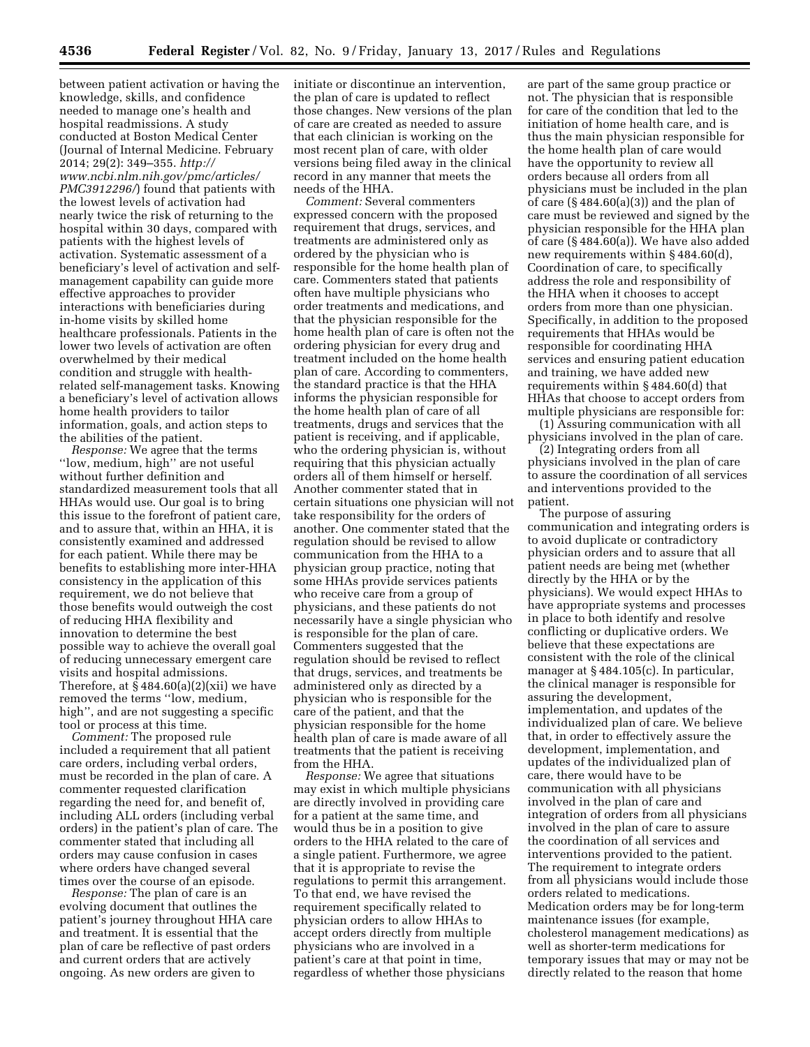between patient activation or having the knowledge, skills, and confidence needed to manage one's health and hospital readmissions. A study conducted at Boston Medical Center (Journal of Internal Medicine. February 2014; 29(2): 349–355. *[http://](http://www.ncbi.nlm.nih.gov/pmc/articles/PMC3912296/) [www.ncbi.nlm.nih.gov/pmc/articles/](http://www.ncbi.nlm.nih.gov/pmc/articles/PMC3912296/) [PMC3912296/](http://www.ncbi.nlm.nih.gov/pmc/articles/PMC3912296/)*) found that patients with the lowest levels of activation had nearly twice the risk of returning to the hospital within 30 days, compared with patients with the highest levels of activation. Systematic assessment of a beneficiary's level of activation and selfmanagement capability can guide more effective approaches to provider interactions with beneficiaries during in-home visits by skilled home healthcare professionals. Patients in the lower two levels of activation are often overwhelmed by their medical condition and struggle with healthrelated self-management tasks. Knowing a beneficiary's level of activation allows home health providers to tailor information, goals, and action steps to the abilities of the patient.

*Response:* We agree that the terms ''low, medium, high'' are not useful without further definition and standardized measurement tools that all HHAs would use. Our goal is to bring this issue to the forefront of patient care, and to assure that, within an HHA, it is consistently examined and addressed for each patient. While there may be benefits to establishing more inter-HHA consistency in the application of this requirement, we do not believe that those benefits would outweigh the cost of reducing HHA flexibility and innovation to determine the best possible way to achieve the overall goal of reducing unnecessary emergent care visits and hospital admissions. Therefore, at § 484.60(a)(2)(xii) we have removed the terms ''low, medium, high'', and are not suggesting a specific tool or process at this time.

*Comment:* The proposed rule included a requirement that all patient care orders, including verbal orders, must be recorded in the plan of care. A commenter requested clarification regarding the need for, and benefit of, including ALL orders (including verbal orders) in the patient's plan of care. The commenter stated that including all orders may cause confusion in cases where orders have changed several times over the course of an episode.

*Response:* The plan of care is an evolving document that outlines the patient's journey throughout HHA care and treatment. It is essential that the plan of care be reflective of past orders and current orders that are actively ongoing. As new orders are given to

initiate or discontinue an intervention, the plan of care is updated to reflect those changes. New versions of the plan of care are created as needed to assure that each clinician is working on the most recent plan of care, with older versions being filed away in the clinical record in any manner that meets the needs of the HHA.

*Comment:* Several commenters expressed concern with the proposed requirement that drugs, services, and treatments are administered only as ordered by the physician who is responsible for the home health plan of care. Commenters stated that patients often have multiple physicians who order treatments and medications, and that the physician responsible for the home health plan of care is often not the ordering physician for every drug and treatment included on the home health plan of care. According to commenters, the standard practice is that the HHA informs the physician responsible for the home health plan of care of all treatments, drugs and services that the patient is receiving, and if applicable, who the ordering physician is, without requiring that this physician actually orders all of them himself or herself. Another commenter stated that in certain situations one physician will not take responsibility for the orders of another. One commenter stated that the regulation should be revised to allow communication from the HHA to a physician group practice, noting that some HHAs provide services patients who receive care from a group of physicians, and these patients do not necessarily have a single physician who is responsible for the plan of care. Commenters suggested that the regulation should be revised to reflect that drugs, services, and treatments be administered only as directed by a physician who is responsible for the care of the patient, and that the physician responsible for the home health plan of care is made aware of all treatments that the patient is receiving from the HHA.

*Response:* We agree that situations may exist in which multiple physicians are directly involved in providing care for a patient at the same time, and would thus be in a position to give orders to the HHA related to the care of a single patient. Furthermore, we agree that it is appropriate to revise the regulations to permit this arrangement. To that end, we have revised the requirement specifically related to physician orders to allow HHAs to accept orders directly from multiple physicians who are involved in a patient's care at that point in time, regardless of whether those physicians

are part of the same group practice or not. The physician that is responsible for care of the condition that led to the initiation of home health care, and is thus the main physician responsible for the home health plan of care would have the opportunity to review all orders because all orders from all physicians must be included in the plan of care  $(\S 484.60(a)(3))$  and the plan of care must be reviewed and signed by the physician responsible for the HHA plan of care (§ 484.60(a)). We have also added new requirements within § 484.60(d), Coordination of care, to specifically address the role and responsibility of the HHA when it chooses to accept orders from more than one physician. Specifically, in addition to the proposed requirements that HHAs would be responsible for coordinating HHA services and ensuring patient education and training, we have added new requirements within § 484.60(d) that HHAs that choose to accept orders from multiple physicians are responsible for:

(1) Assuring communication with all physicians involved in the plan of care.

(2) Integrating orders from all physicians involved in the plan of care to assure the coordination of all services and interventions provided to the patient.

The purpose of assuring communication and integrating orders is to avoid duplicate or contradictory physician orders and to assure that all patient needs are being met (whether directly by the HHA or by the physicians). We would expect HHAs to have appropriate systems and processes in place to both identify and resolve conflicting or duplicative orders. We believe that these expectations are consistent with the role of the clinical manager at § 484.105(c). In particular, the clinical manager is responsible for assuring the development, implementation, and updates of the individualized plan of care. We believe that, in order to effectively assure the development, implementation, and updates of the individualized plan of care, there would have to be communication with all physicians involved in the plan of care and integration of orders from all physicians involved in the plan of care to assure the coordination of all services and interventions provided to the patient. The requirement to integrate orders from all physicians would include those orders related to medications. Medication orders may be for long-term maintenance issues (for example, cholesterol management medications) as well as shorter-term medications for temporary issues that may or may not be directly related to the reason that home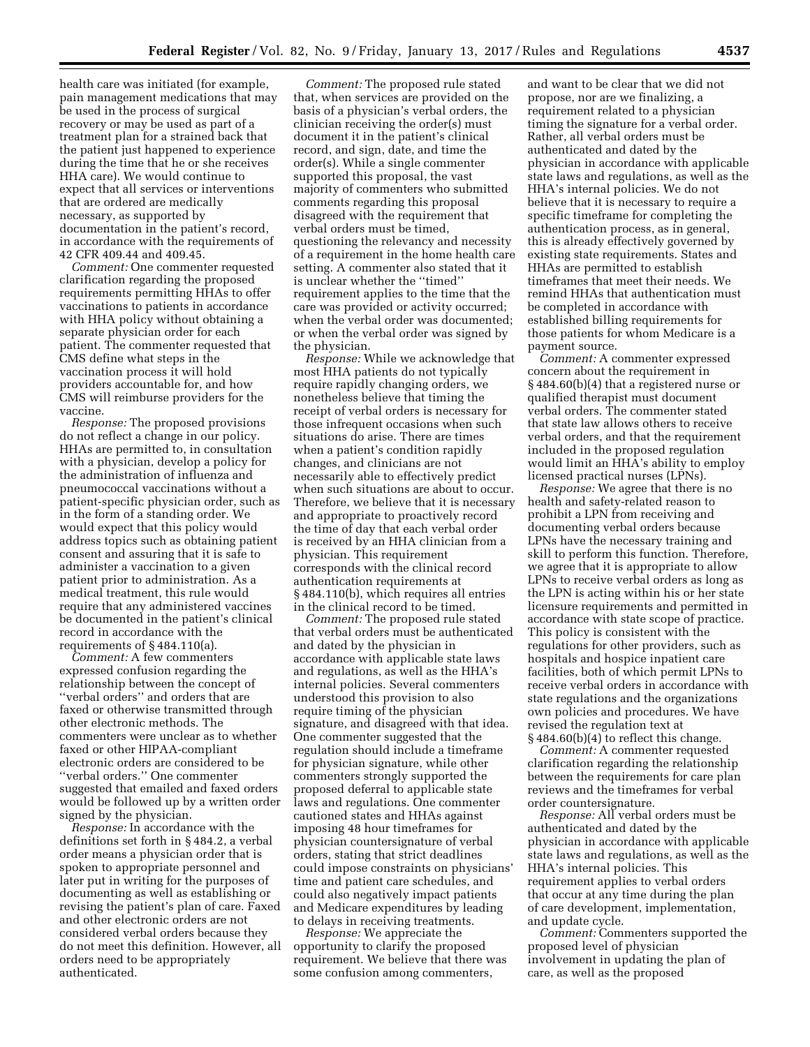health care was initiated (for example, pain management medications that may be used in the process of surgical recovery or may be used as part of a treatment plan for a strained back that the patient just happened to experience during the time that he or she receives HHA care). We would continue to expect that all services or interventions that are ordered are medically necessary, as supported by documentation in the patient's record, in accordance with the requirements of 42 CFR 409.44 and 409.45.

*Comment:* One commenter requested clarification regarding the proposed requirements permitting HHAs to offer vaccinations to patients in accordance with HHA policy without obtaining a separate physician order for each patient. The commenter requested that CMS define what steps in the vaccination process it will hold providers accountable for, and how CMS will reimburse providers for the vaccine.

*Response:* The proposed provisions do not reflect a change in our policy. HHAs are permitted to, in consultation with a physician, develop a policy for the administration of influenza and pneumococcal vaccinations without a patient-specific physician order, such as in the form of a standing order. We would expect that this policy would address topics such as obtaining patient consent and assuring that it is safe to administer a vaccination to a given patient prior to administration. As a medical treatment, this rule would require that any administered vaccines be documented in the patient's clinical record in accordance with the requirements of § 484.110(a).

*Comment:* A few commenters expressed confusion regarding the relationship between the concept of ''verbal orders'' and orders that are faxed or otherwise transmitted through other electronic methods. The commenters were unclear as to whether faxed or other HIPAA-compliant electronic orders are considered to be ''verbal orders.'' One commenter suggested that emailed and faxed orders would be followed up by a written order signed by the physician.

*Response:* In accordance with the definitions set forth in § 484.2, a verbal order means a physician order that is spoken to appropriate personnel and later put in writing for the purposes of documenting as well as establishing or revising the patient's plan of care. Faxed and other electronic orders are not considered verbal orders because they do not meet this definition. However, all orders need to be appropriately authenticated.

*Comment:* The proposed rule stated that, when services are provided on the basis of a physician's verbal orders, the clinician receiving the order(s) must document it in the patient's clinical record, and sign, date, and time the order(s). While a single commenter supported this proposal, the vast majority of commenters who submitted comments regarding this proposal disagreed with the requirement that verbal orders must be timed, questioning the relevancy and necessity of a requirement in the home health care setting. A commenter also stated that it is unclear whether the ''timed'' requirement applies to the time that the care was provided or activity occurred; when the verbal order was documented; or when the verbal order was signed by the physician.

*Response:* While we acknowledge that most HHA patients do not typically require rapidly changing orders, we nonetheless believe that timing the receipt of verbal orders is necessary for those infrequent occasions when such situations do arise. There are times when a patient's condition rapidly changes, and clinicians are not necessarily able to effectively predict when such situations are about to occur. Therefore, we believe that it is necessary and appropriate to proactively record the time of day that each verbal order is received by an HHA clinician from a physician. This requirement corresponds with the clinical record authentication requirements at § 484.110(b), which requires all entries in the clinical record to be timed.

*Comment:* The proposed rule stated that verbal orders must be authenticated and dated by the physician in accordance with applicable state laws and regulations, as well as the HHA's internal policies. Several commenters understood this provision to also require timing of the physician signature, and disagreed with that idea. One commenter suggested that the regulation should include a timeframe for physician signature, while other commenters strongly supported the proposed deferral to applicable state laws and regulations. One commenter cautioned states and HHAs against imposing 48 hour timeframes for physician countersignature of verbal orders, stating that strict deadlines could impose constraints on physicians' time and patient care schedules, and could also negatively impact patients and Medicare expenditures by leading to delays in receiving treatments.

*Response:* We appreciate the opportunity to clarify the proposed requirement. We believe that there was some confusion among commenters,

and want to be clear that we did not propose, nor are we finalizing, a requirement related to a physician timing the signature for a verbal order. Rather, all verbal orders must be authenticated and dated by the physician in accordance with applicable state laws and regulations, as well as the HHA's internal policies. We do not believe that it is necessary to require a specific timeframe for completing the authentication process, as in general, this is already effectively governed by existing state requirements. States and HHAs are permitted to establish timeframes that meet their needs. We remind HHAs that authentication must be completed in accordance with established billing requirements for those patients for whom Medicare is a payment source.

*Comment:* A commenter expressed concern about the requirement in § 484.60(b)(4) that a registered nurse or qualified therapist must document verbal orders. The commenter stated that state law allows others to receive verbal orders, and that the requirement included in the proposed regulation would limit an HHA's ability to employ licensed practical nurses (LPNs).

*Response:* We agree that there is no health and safety-related reason to prohibit a LPN from receiving and documenting verbal orders because LPNs have the necessary training and skill to perform this function. Therefore, we agree that it is appropriate to allow LPNs to receive verbal orders as long as the LPN is acting within his or her state licensure requirements and permitted in accordance with state scope of practice. This policy is consistent with the regulations for other providers, such as hospitals and hospice inpatient care facilities, both of which permit LPNs to receive verbal orders in accordance with state regulations and the organizations own policies and procedures. We have revised the regulation text at § 484.60(b)(4) to reflect this change.

*Comment:* A commenter requested clarification regarding the relationship between the requirements for care plan reviews and the timeframes for verbal order countersignature.

*Response:* All verbal orders must be authenticated and dated by the physician in accordance with applicable state laws and regulations, as well as the HHA's internal policies. This requirement applies to verbal orders that occur at any time during the plan of care development, implementation, and update cycle.

*Comment:* Commenters supported the proposed level of physician involvement in updating the plan of care, as well as the proposed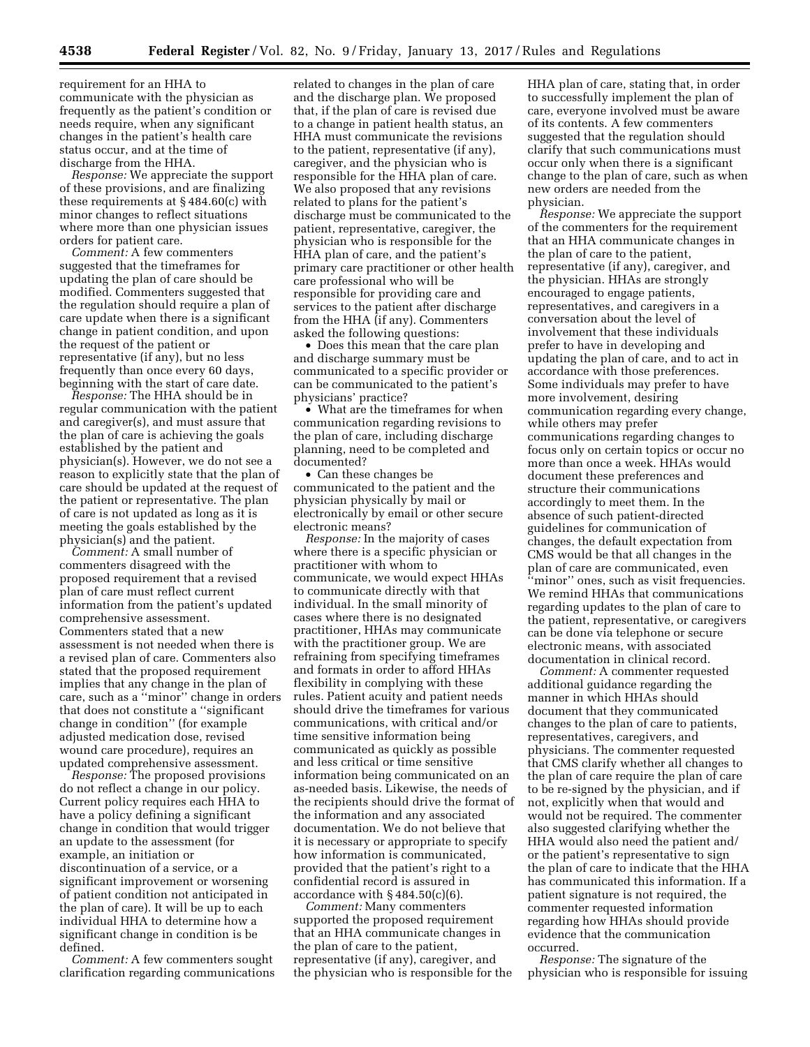requirement for an HHA to communicate with the physician as frequently as the patient's condition or needs require, when any significant changes in the patient's health care status occur, and at the time of discharge from the HHA.

*Response:* We appreciate the support of these provisions, and are finalizing these requirements at § 484.60(c) with minor changes to reflect situations where more than one physician issues orders for patient care.

*Comment:* A few commenters suggested that the timeframes for updating the plan of care should be modified. Commenters suggested that the regulation should require a plan of care update when there is a significant change in patient condition, and upon the request of the patient or representative (if any), but no less frequently than once every 60 days, beginning with the start of care date.

*Response:* The HHA should be in regular communication with the patient and caregiver(s), and must assure that the plan of care is achieving the goals established by the patient and physician(s). However, we do not see a reason to explicitly state that the plan of care should be updated at the request of the patient or representative. The plan of care is not updated as long as it is meeting the goals established by the physician(s) and the patient.

*Comment:* A small number of commenters disagreed with the proposed requirement that a revised plan of care must reflect current information from the patient's updated comprehensive assessment. Commenters stated that a new assessment is not needed when there is a revised plan of care. Commenters also stated that the proposed requirement implies that any change in the plan of care, such as a ''minor'' change in orders that does not constitute a ''significant change in condition'' (for example adjusted medication dose, revised wound care procedure), requires an updated comprehensive assessment.

*Response:* The proposed provisions do not reflect a change in our policy. Current policy requires each HHA to have a policy defining a significant change in condition that would trigger an update to the assessment (for example, an initiation or discontinuation of a service, or a significant improvement or worsening of patient condition not anticipated in the plan of care). It will be up to each individual HHA to determine how a significant change in condition is be defined.

*Comment:* A few commenters sought clarification regarding communications related to changes in the plan of care and the discharge plan. We proposed that, if the plan of care is revised due to a change in patient health status, an HHA must communicate the revisions to the patient, representative (if any), caregiver, and the physician who is responsible for the HHA plan of care. We also proposed that any revisions related to plans for the patient's discharge must be communicated to the patient, representative, caregiver, the physician who is responsible for the HHA plan of care, and the patient's primary care practitioner or other health care professional who will be responsible for providing care and services to the patient after discharge from the HHA (if any). Commenters asked the following questions:

• Does this mean that the care plan and discharge summary must be communicated to a specific provider or can be communicated to the patient's physicians' practice?

• What are the timeframes for when communication regarding revisions to the plan of care, including discharge planning, need to be completed and documented?

• Can these changes be communicated to the patient and the physician physically by mail or electronically by email or other secure electronic means?

*Response:* In the majority of cases where there is a specific physician or practitioner with whom to communicate, we would expect HHAs to communicate directly with that individual. In the small minority of cases where there is no designated practitioner, HHAs may communicate with the practitioner group. We are refraining from specifying timeframes and formats in order to afford HHAs flexibility in complying with these rules. Patient acuity and patient needs should drive the timeframes for various communications, with critical and/or time sensitive information being communicated as quickly as possible and less critical or time sensitive information being communicated on an as-needed basis. Likewise, the needs of the recipients should drive the format of the information and any associated documentation. We do not believe that it is necessary or appropriate to specify how information is communicated, provided that the patient's right to a confidential record is assured in accordance with  $\S 484.50(c)(6)$ .

*Comment:* Many commenters supported the proposed requirement that an HHA communicate changes in the plan of care to the patient, representative (if any), caregiver, and the physician who is responsible for the HHA plan of care, stating that, in order to successfully implement the plan of care, everyone involved must be aware of its contents. A few commenters suggested that the regulation should clarify that such communications must occur only when there is a significant change to the plan of care, such as when new orders are needed from the physician.

*Response:* We appreciate the support of the commenters for the requirement that an HHA communicate changes in the plan of care to the patient, representative (if any), caregiver, and the physician. HHAs are strongly encouraged to engage patients, representatives, and caregivers in a conversation about the level of involvement that these individuals prefer to have in developing and updating the plan of care, and to act in accordance with those preferences. Some individuals may prefer to have more involvement, desiring communication regarding every change, while others may prefer communications regarding changes to focus only on certain topics or occur no more than once a week. HHAs would document these preferences and structure their communications accordingly to meet them. In the absence of such patient-directed guidelines for communication of changes, the default expectation from CMS would be that all changes in the plan of care are communicated, even ''minor'' ones, such as visit frequencies. We remind HHAs that communications regarding updates to the plan of care to the patient, representative, or caregivers can be done via telephone or secure electronic means, with associated documentation in clinical record.

*Comment:* A commenter requested additional guidance regarding the manner in which HHAs should document that they communicated changes to the plan of care to patients, representatives, caregivers, and physicians. The commenter requested that CMS clarify whether all changes to the plan of care require the plan of care to be re-signed by the physician, and if not, explicitly when that would and would not be required. The commenter also suggested clarifying whether the HHA would also need the patient and/ or the patient's representative to sign the plan of care to indicate that the HHA has communicated this information. If a patient signature is not required, the commenter requested information regarding how HHAs should provide evidence that the communication occurred.

*Response:* The signature of the physician who is responsible for issuing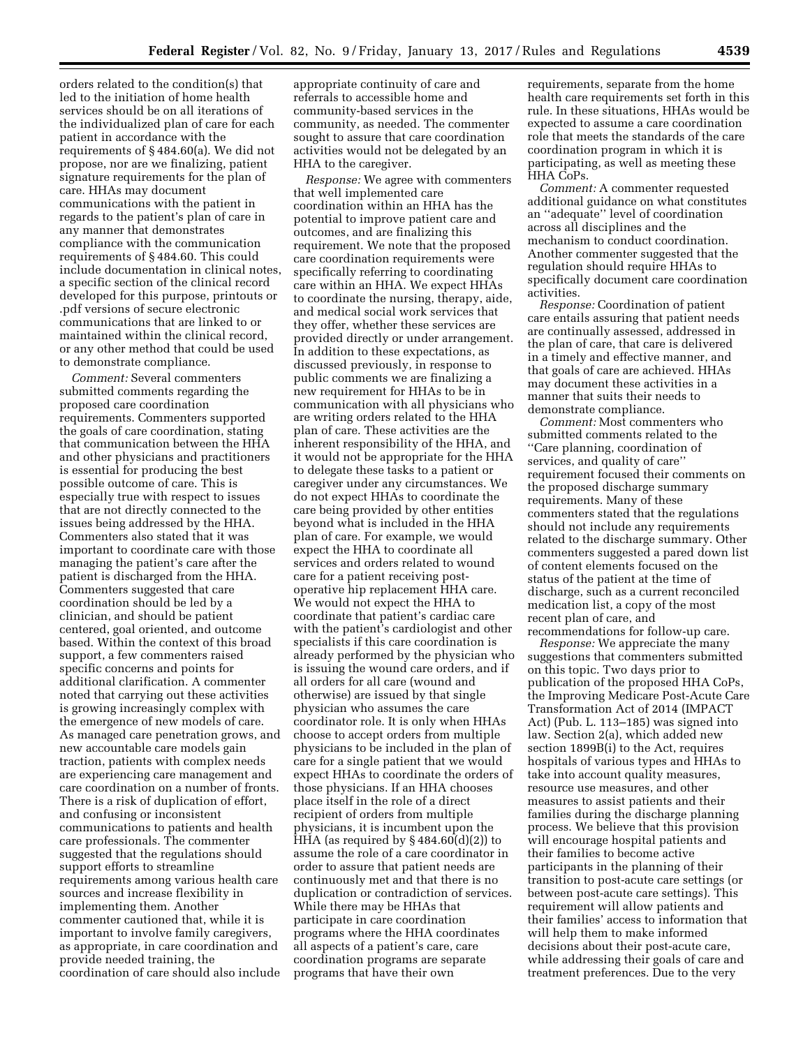orders related to the condition(s) that led to the initiation of home health services should be on all iterations of the individualized plan of care for each patient in accordance with the requirements of § 484.60(a). We did not propose, nor are we finalizing, patient signature requirements for the plan of care. HHAs may document communications with the patient in regards to the patient's plan of care in any manner that demonstrates compliance with the communication requirements of § 484.60. This could include documentation in clinical notes, a specific section of the clinical record developed for this purpose, printouts or .pdf versions of secure electronic communications that are linked to or maintained within the clinical record, or any other method that could be used to demonstrate compliance.

*Comment:* Several commenters submitted comments regarding the proposed care coordination requirements. Commenters supported the goals of care coordination, stating that communication between the HHA and other physicians and practitioners is essential for producing the best possible outcome of care. This is especially true with respect to issues that are not directly connected to the issues being addressed by the HHA. Commenters also stated that it was important to coordinate care with those managing the patient's care after the patient is discharged from the HHA. Commenters suggested that care coordination should be led by a clinician, and should be patient centered, goal oriented, and outcome based. Within the context of this broad support, a few commenters raised specific concerns and points for additional clarification. A commenter noted that carrying out these activities is growing increasingly complex with the emergence of new models of care. As managed care penetration grows, and new accountable care models gain traction, patients with complex needs are experiencing care management and care coordination on a number of fronts. There is a risk of duplication of effort, and confusing or inconsistent communications to patients and health care professionals. The commenter suggested that the regulations should support efforts to streamline requirements among various health care sources and increase flexibility in implementing them. Another commenter cautioned that, while it is important to involve family caregivers, as appropriate, in care coordination and provide needed training, the coordination of care should also include

appropriate continuity of care and referrals to accessible home and community-based services in the community, as needed. The commenter sought to assure that care coordination activities would not be delegated by an HHA to the caregiver.

*Response:* We agree with commenters that well implemented care coordination within an HHA has the potential to improve patient care and outcomes, and are finalizing this requirement. We note that the proposed care coordination requirements were specifically referring to coordinating care within an HHA. We expect HHAs to coordinate the nursing, therapy, aide, and medical social work services that they offer, whether these services are provided directly or under arrangement. In addition to these expectations, as discussed previously, in response to public comments we are finalizing a new requirement for HHAs to be in communication with all physicians who are writing orders related to the HHA plan of care. These activities are the inherent responsibility of the HHA, and it would not be appropriate for the HHA to delegate these tasks to a patient or caregiver under any circumstances. We do not expect HHAs to coordinate the care being provided by other entities beyond what is included in the HHA plan of care. For example, we would expect the HHA to coordinate all services and orders related to wound care for a patient receiving postoperative hip replacement HHA care. We would not expect the HHA to coordinate that patient's cardiac care with the patient's cardiologist and other specialists if this care coordination is already performed by the physician who is issuing the wound care orders, and if all orders for all care (wound and otherwise) are issued by that single physician who assumes the care coordinator role. It is only when HHAs choose to accept orders from multiple physicians to be included in the plan of care for a single patient that we would expect HHAs to coordinate the orders of those physicians. If an HHA chooses place itself in the role of a direct recipient of orders from multiple physicians, it is incumbent upon the HHA (as required by  $\S 484.60(d)(2)$ ) to assume the role of a care coordinator in order to assure that patient needs are continuously met and that there is no duplication or contradiction of services. While there may be HHAs that participate in care coordination programs where the HHA coordinates all aspects of a patient's care, care coordination programs are separate programs that have their own

requirements, separate from the home health care requirements set forth in this rule. In these situations, HHAs would be expected to assume a care coordination role that meets the standards of the care coordination program in which it is participating, as well as meeting these HHA CoPs.

*Comment:* A commenter requested additional guidance on what constitutes an ''adequate'' level of coordination across all disciplines and the mechanism to conduct coordination. Another commenter suggested that the regulation should require HHAs to specifically document care coordination activities.

*Response:* Coordination of patient care entails assuring that patient needs are continually assessed, addressed in the plan of care, that care is delivered in a timely and effective manner, and that goals of care are achieved. HHAs may document these activities in a manner that suits their needs to demonstrate compliance.

*Comment:* Most commenters who submitted comments related to the ''Care planning, coordination of services, and quality of care'' requirement focused their comments on the proposed discharge summary requirements. Many of these commenters stated that the regulations should not include any requirements related to the discharge summary. Other commenters suggested a pared down list of content elements focused on the status of the patient at the time of discharge, such as a current reconciled medication list, a copy of the most recent plan of care, and recommendations for follow-up care.

*Response:* We appreciate the many suggestions that commenters submitted on this topic. Two days prior to publication of the proposed HHA CoPs, the Improving Medicare Post-Acute Care Transformation Act of 2014 (IMPACT Act) (Pub. L. 113–185) was signed into law. Section 2(a), which added new section 1899B(i) to the Act, requires hospitals of various types and HHAs to take into account quality measures, resource use measures, and other measures to assist patients and their families during the discharge planning process. We believe that this provision will encourage hospital patients and their families to become active participants in the planning of their transition to post-acute care settings (or between post-acute care settings). This requirement will allow patients and their families' access to information that will help them to make informed decisions about their post-acute care, while addressing their goals of care and treatment preferences. Due to the very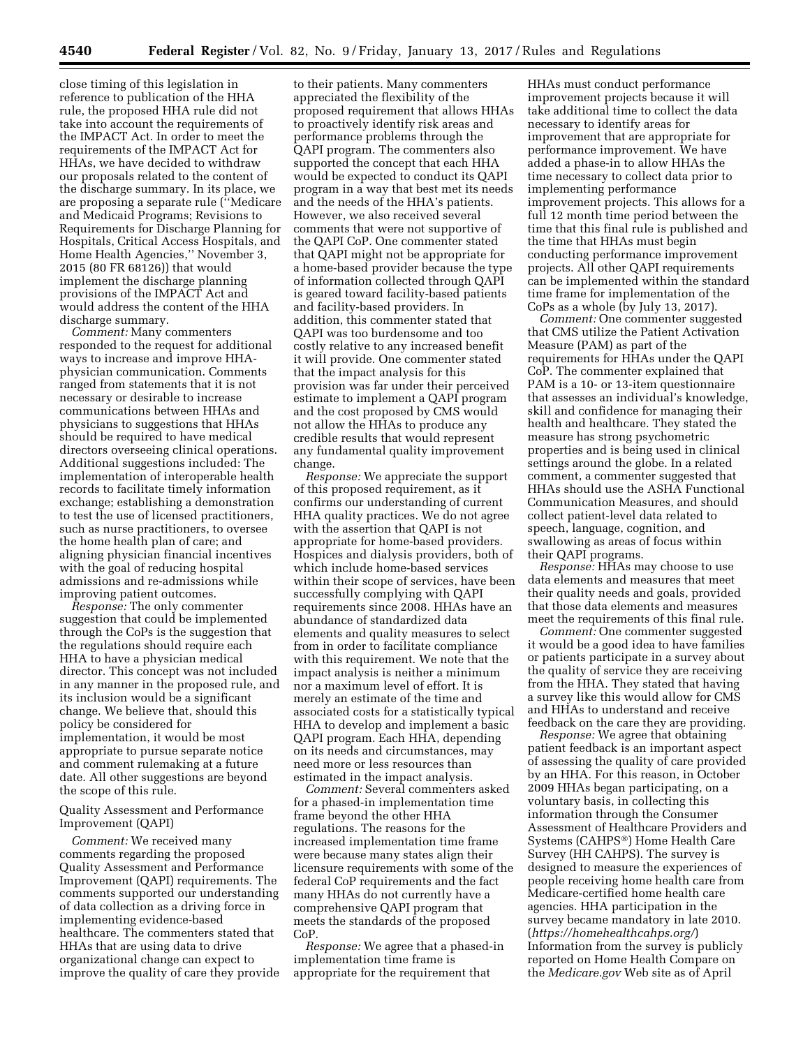close timing of this legislation in reference to publication of the HHA rule, the proposed HHA rule did not take into account the requirements of the IMPACT Act. In order to meet the requirements of the IMPACT Act for HHAs, we have decided to withdraw our proposals related to the content of the discharge summary. In its place, we are proposing a separate rule (''Medicare and Medicaid Programs; Revisions to Requirements for Discharge Planning for Hospitals, Critical Access Hospitals, and Home Health Agencies,'' November 3, 2015 (80 FR 68126)) that would implement the discharge planning provisions of the IMPACT Act and would address the content of the HHA discharge summary.

*Comment:* Many commenters responded to the request for additional ways to increase and improve HHAphysician communication. Comments ranged from statements that it is not necessary or desirable to increase communications between HHAs and physicians to suggestions that HHAs should be required to have medical directors overseeing clinical operations. Additional suggestions included: The implementation of interoperable health records to facilitate timely information exchange; establishing a demonstration to test the use of licensed practitioners, such as nurse practitioners, to oversee the home health plan of care; and aligning physician financial incentives with the goal of reducing hospital admissions and re-admissions while improving patient outcomes.

*Response:* The only commenter suggestion that could be implemented through the CoPs is the suggestion that the regulations should require each HHA to have a physician medical director. This concept was not included in any manner in the proposed rule, and its inclusion would be a significant change. We believe that, should this policy be considered for implementation, it would be most appropriate to pursue separate notice and comment rulemaking at a future date. All other suggestions are beyond the scope of this rule.

### Quality Assessment and Performance Improvement (QAPI)

*Comment:* We received many comments regarding the proposed Quality Assessment and Performance Improvement (QAPI) requirements. The comments supported our understanding of data collection as a driving force in implementing evidence-based healthcare. The commenters stated that HHAs that are using data to drive organizational change can expect to improve the quality of care they provide

to their patients. Many commenters appreciated the flexibility of the proposed requirement that allows HHAs to proactively identify risk areas and performance problems through the QAPI program. The commenters also supported the concept that each HHA would be expected to conduct its QAPI program in a way that best met its needs and the needs of the HHA's patients. However, we also received several comments that were not supportive of the QAPI CoP. One commenter stated that QAPI might not be appropriate for a home-based provider because the type of information collected through QAPI is geared toward facility-based patients and facility-based providers. In addition, this commenter stated that QAPI was too burdensome and too costly relative to any increased benefit it will provide. One commenter stated that the impact analysis for this provision was far under their perceived estimate to implement a QAPI program and the cost proposed by CMS would not allow the HHAs to produce any credible results that would represent any fundamental quality improvement change.

*Response:* We appreciate the support of this proposed requirement, as it confirms our understanding of current HHA quality practices. We do not agree with the assertion that QAPI is not appropriate for home-based providers. Hospices and dialysis providers, both of which include home-based services within their scope of services, have been successfully complying with QAPI requirements since 2008. HHAs have an abundance of standardized data elements and quality measures to select from in order to facilitate compliance with this requirement. We note that the impact analysis is neither a minimum nor a maximum level of effort. It is merely an estimate of the time and associated costs for a statistically typical HHA to develop and implement a basic QAPI program. Each HHA, depending on its needs and circumstances, may need more or less resources than estimated in the impact analysis.

*Comment:* Several commenters asked for a phased-in implementation time frame beyond the other HHA regulations. The reasons for the increased implementation time frame were because many states align their licensure requirements with some of the federal CoP requirements and the fact many HHAs do not currently have a comprehensive QAPI program that meets the standards of the proposed CoP.

*Response:* We agree that a phased-in implementation time frame is appropriate for the requirement that

HHAs must conduct performance improvement projects because it will take additional time to collect the data necessary to identify areas for improvement that are appropriate for performance improvement. We have added a phase-in to allow HHAs the time necessary to collect data prior to implementing performance improvement projects. This allows for a full 12 month time period between the time that this final rule is published and the time that HHAs must begin conducting performance improvement projects. All other QAPI requirements can be implemented within the standard time frame for implementation of the CoPs as a whole (by July 13, 2017).

*Comment:* One commenter suggested that CMS utilize the Patient Activation Measure (PAM) as part of the requirements for HHAs under the QAPI CoP. The commenter explained that PAM is a 10- or 13-item questionnaire that assesses an individual's knowledge, skill and confidence for managing their health and healthcare. They stated the measure has strong psychometric properties and is being used in clinical settings around the globe. In a related comment, a commenter suggested that HHAs should use the ASHA Functional Communication Measures, and should collect patient-level data related to speech, language, cognition, and swallowing as areas of focus within their QAPI programs.

*Response:* HHAs may choose to use data elements and measures that meet their quality needs and goals, provided that those data elements and measures meet the requirements of this final rule.

*Comment:* One commenter suggested it would be a good idea to have families or patients participate in a survey about the quality of service they are receiving from the HHA. They stated that having a survey like this would allow for CMS and HHAs to understand and receive feedback on the care they are providing.

*Response:* We agree that obtaining patient feedback is an important aspect of assessing the quality of care provided by an HHA. For this reason, in October 2009 HHAs began participating, on a voluntary basis, in collecting this information through the Consumer Assessment of Healthcare Providers and Systems (CAHPS®) Home Health Care Survey (HH CAHPS). The survey is designed to measure the experiences of people receiving home health care from Medicare-certified home health care agencies. HHA participation in the survey became mandatory in late 2010. (*<https://homehealthcahps.org/>*) Information from the survey is publicly reported on Home Health Compare on the *Medicare.gov* Web site as of April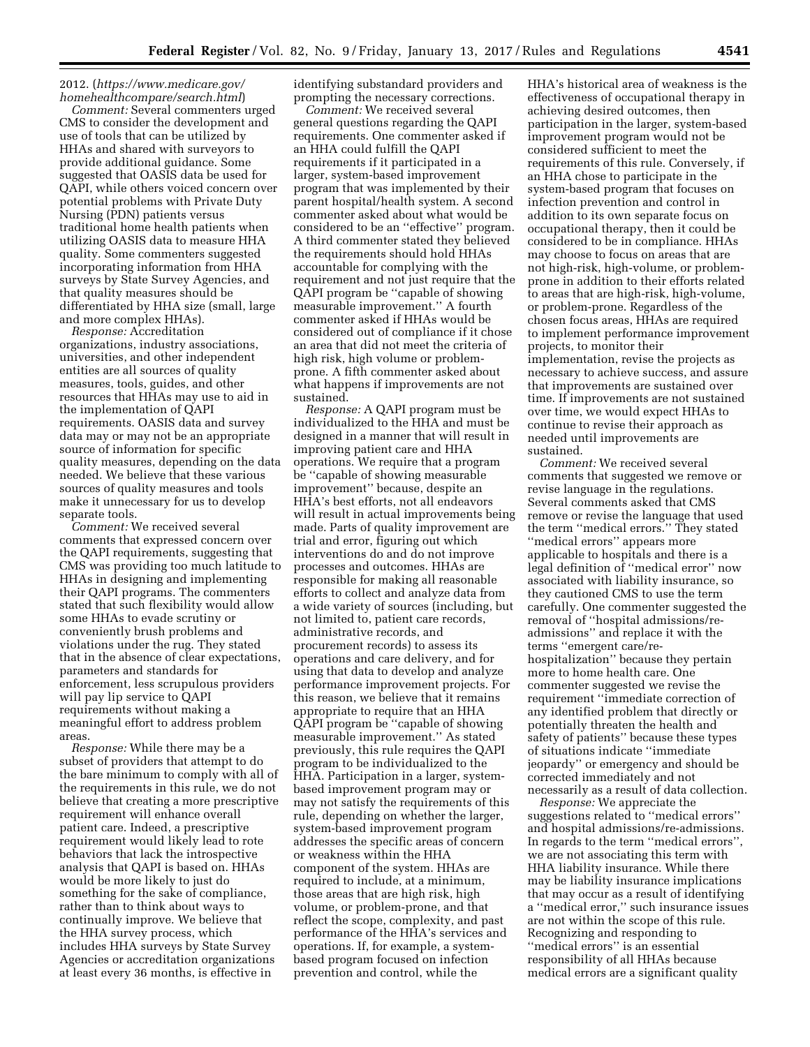## 2012. (*[https://www.medicare.gov/](https://www.medicare.gov/homehealthcompare/search.html) [homehealthcompare/search.html](https://www.medicare.gov/homehealthcompare/search.html)*)

*Comment:* Several commenters urged CMS to consider the development and use of tools that can be utilized by HHAs and shared with surveyors to provide additional guidance. Some suggested that OASIS data be used for QAPI, while others voiced concern over potential problems with Private Duty Nursing (PDN) patients versus traditional home health patients when utilizing OASIS data to measure HHA quality. Some commenters suggested incorporating information from HHA surveys by State Survey Agencies, and that quality measures should be differentiated by HHA size (small, large and more complex HHAs).

*Response:* Accreditation organizations, industry associations, universities, and other independent entities are all sources of quality measures, tools, guides, and other resources that HHAs may use to aid in the implementation of QAPI requirements. OASIS data and survey data may or may not be an appropriate source of information for specific quality measures, depending on the data needed. We believe that these various sources of quality measures and tools make it unnecessary for us to develop separate tools.

*Comment:* We received several comments that expressed concern over the QAPI requirements, suggesting that CMS was providing too much latitude to HHAs in designing and implementing their QAPI programs. The commenters stated that such flexibility would allow some HHAs to evade scrutiny or conveniently brush problems and violations under the rug. They stated that in the absence of clear expectations, parameters and standards for enforcement, less scrupulous providers will pay lip service to QAPI requirements without making a meaningful effort to address problem areas.

*Response:* While there may be a subset of providers that attempt to do the bare minimum to comply with all of the requirements in this rule, we do not believe that creating a more prescriptive requirement will enhance overall patient care. Indeed, a prescriptive requirement would likely lead to rote behaviors that lack the introspective analysis that QAPI is based on. HHAs would be more likely to just do something for the sake of compliance, rather than to think about ways to continually improve. We believe that the HHA survey process, which includes HHA surveys by State Survey Agencies or accreditation organizations at least every 36 months, is effective in

identifying substandard providers and prompting the necessary corrections.

*Comment:* We received several general questions regarding the QAPI requirements. One commenter asked if an HHA could fulfill the QAPI requirements if it participated in a larger, system-based improvement program that was implemented by their parent hospital/health system. A second commenter asked about what would be considered to be an ''effective'' program. A third commenter stated they believed the requirements should hold HHAs accountable for complying with the requirement and not just require that the QAPI program be ''capable of showing measurable improvement.'' A fourth commenter asked if HHAs would be considered out of compliance if it chose an area that did not meet the criteria of high risk, high volume or problemprone. A fifth commenter asked about what happens if improvements are not sustained.

*Response:* A QAPI program must be individualized to the HHA and must be designed in a manner that will result in improving patient care and HHA operations. We require that a program be ''capable of showing measurable improvement'' because, despite an HHA's best efforts, not all endeavors will result in actual improvements being made. Parts of quality improvement are trial and error, figuring out which interventions do and do not improve processes and outcomes. HHAs are responsible for making all reasonable efforts to collect and analyze data from a wide variety of sources (including, but not limited to, patient care records, administrative records, and procurement records) to assess its operations and care delivery, and for using that data to develop and analyze performance improvement projects. For this reason, we believe that it remains appropriate to require that an HHA QAPI program be ''capable of showing measurable improvement.'' As stated previously, this rule requires the QAPI program to be individualized to the HHA. Participation in a larger, systembased improvement program may or may not satisfy the requirements of this rule, depending on whether the larger, system-based improvement program addresses the specific areas of concern or weakness within the HHA component of the system. HHAs are required to include, at a minimum, those areas that are high risk, high volume, or problem-prone, and that reflect the scope, complexity, and past performance of the HHA's services and operations. If, for example, a systembased program focused on infection prevention and control, while the

HHA's historical area of weakness is the effectiveness of occupational therapy in achieving desired outcomes, then participation in the larger, system-based improvement program would not be considered sufficient to meet the requirements of this rule. Conversely, if an HHA chose to participate in the system-based program that focuses on infection prevention and control in addition to its own separate focus on occupational therapy, then it could be considered to be in compliance. HHAs may choose to focus on areas that are not high-risk, high-volume, or problemprone in addition to their efforts related to areas that are high-risk, high-volume, or problem-prone. Regardless of the chosen focus areas, HHAs are required to implement performance improvement projects, to monitor their implementation, revise the projects as necessary to achieve success, and assure that improvements are sustained over time. If improvements are not sustained over time, we would expect HHAs to continue to revise their approach as needed until improvements are sustained.

*Comment:* We received several comments that suggested we remove or revise language in the regulations. Several comments asked that CMS remove or revise the language that used the term ''medical errors.'' They stated ''medical errors'' appears more applicable to hospitals and there is a legal definition of ''medical error'' now associated with liability insurance, so they cautioned CMS to use the term carefully. One commenter suggested the removal of ''hospital admissions/readmissions'' and replace it with the terms ''emergent care/rehospitalization'' because they pertain more to home health care. One commenter suggested we revise the requirement ''immediate correction of any identified problem that directly or potentially threaten the health and safety of patients'' because these types of situations indicate ''immediate jeopardy'' or emergency and should be corrected immediately and not necessarily as a result of data collection.

*Response:* We appreciate the suggestions related to ''medical errors'' and hospital admissions/re-admissions. In regards to the term ''medical errors'', we are not associating this term with HHA liability insurance. While there may be liability insurance implications that may occur as a result of identifying a ''medical error,'' such insurance issues are not within the scope of this rule. Recognizing and responding to ''medical errors'' is an essential responsibility of all HHAs because medical errors are a significant quality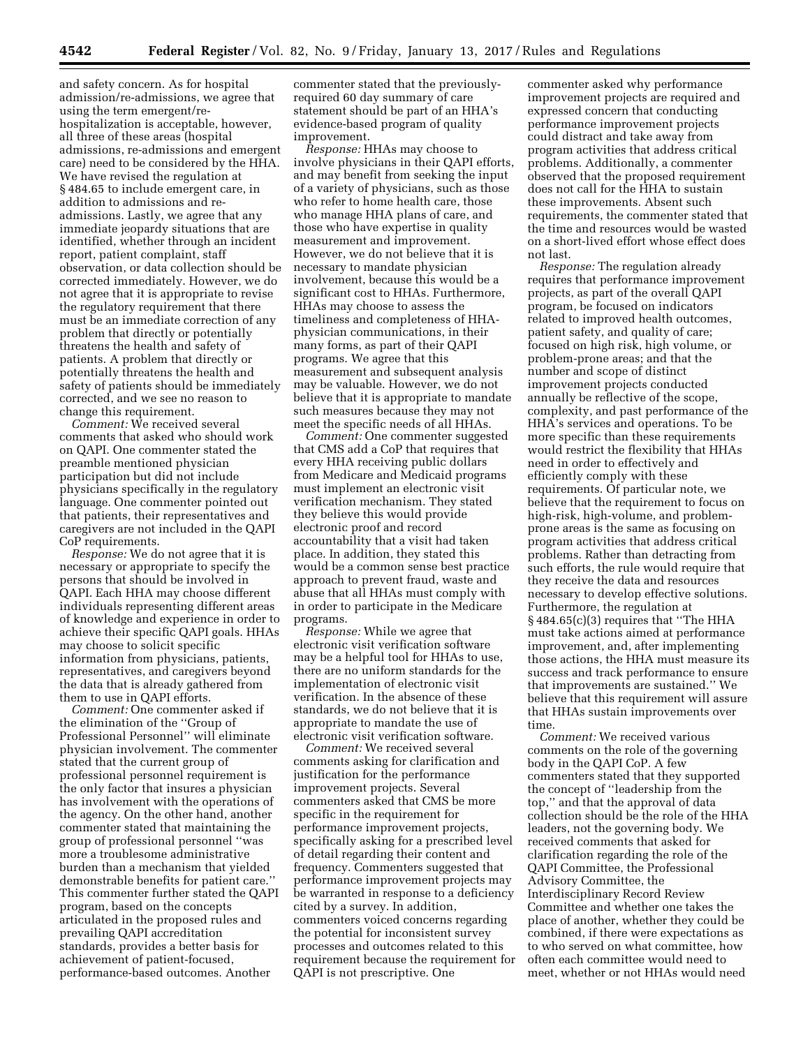and safety concern. As for hospital admission/re-admissions, we agree that using the term emergent/rehospitalization is acceptable, however, all three of these areas (hospital admissions, re-admissions and emergent care) need to be considered by the HHA. We have revised the regulation at § 484.65 to include emergent care, in addition to admissions and readmissions. Lastly, we agree that any immediate jeopardy situations that are identified, whether through an incident report, patient complaint, staff observation, or data collection should be corrected immediately. However, we do not agree that it is appropriate to revise the regulatory requirement that there must be an immediate correction of any problem that directly or potentially threatens the health and safety of patients. A problem that directly or potentially threatens the health and safety of patients should be immediately corrected, and we see no reason to change this requirement.

*Comment:* We received several comments that asked who should work on QAPI. One commenter stated the preamble mentioned physician participation but did not include physicians specifically in the regulatory language. One commenter pointed out that patients, their representatives and caregivers are not included in the QAPI CoP requirements.

*Response:* We do not agree that it is necessary or appropriate to specify the persons that should be involved in QAPI. Each HHA may choose different individuals representing different areas of knowledge and experience in order to achieve their specific QAPI goals. HHAs may choose to solicit specific information from physicians, patients, representatives, and caregivers beyond the data that is already gathered from them to use in QAPI efforts.

*Comment:* One commenter asked if the elimination of the ''Group of Professional Personnel'' will eliminate physician involvement. The commenter stated that the current group of professional personnel requirement is the only factor that insures a physician has involvement with the operations of the agency. On the other hand, another commenter stated that maintaining the group of professional personnel ''was more a troublesome administrative burden than a mechanism that yielded demonstrable benefits for patient care.'' This commenter further stated the QAPI program, based on the concepts articulated in the proposed rules and prevailing QAPI accreditation standards, provides a better basis for achievement of patient-focused, performance-based outcomes. Another

commenter stated that the previouslyrequired 60 day summary of care statement should be part of an HHA's evidence-based program of quality improvement.

*Response:* HHAs may choose to involve physicians in their QAPI efforts, and may benefit from seeking the input of a variety of physicians, such as those who refer to home health care, those who manage HHA plans of care, and those who have expertise in quality measurement and improvement. However, we do not believe that it is necessary to mandate physician involvement, because this would be a significant cost to HHAs. Furthermore, HHAs may choose to assess the timeliness and completeness of HHAphysician communications, in their many forms, as part of their QAPI programs. We agree that this measurement and subsequent analysis may be valuable. However, we do not believe that it is appropriate to mandate such measures because they may not meet the specific needs of all HHAs.

*Comment:* One commenter suggested that CMS add a CoP that requires that every HHA receiving public dollars from Medicare and Medicaid programs must implement an electronic visit verification mechanism. They stated they believe this would provide electronic proof and record accountability that a visit had taken place. In addition, they stated this would be a common sense best practice approach to prevent fraud, waste and abuse that all HHAs must comply with in order to participate in the Medicare programs.

*Response:* While we agree that electronic visit verification software may be a helpful tool for HHAs to use, there are no uniform standards for the implementation of electronic visit verification. In the absence of these standards, we do not believe that it is appropriate to mandate the use of electronic visit verification software.

*Comment:* We received several comments asking for clarification and justification for the performance improvement projects. Several commenters asked that CMS be more specific in the requirement for performance improvement projects, specifically asking for a prescribed level of detail regarding their content and frequency. Commenters suggested that performance improvement projects may be warranted in response to a deficiency cited by a survey. In addition, commenters voiced concerns regarding the potential for inconsistent survey processes and outcomes related to this requirement because the requirement for QAPI is not prescriptive. One

commenter asked why performance improvement projects are required and expressed concern that conducting performance improvement projects could distract and take away from program activities that address critical problems. Additionally, a commenter observed that the proposed requirement does not call for the HHA to sustain these improvements. Absent such requirements, the commenter stated that the time and resources would be wasted on a short-lived effort whose effect does not last.

*Response:* The regulation already requires that performance improvement projects, as part of the overall QAPI program, be focused on indicators related to improved health outcomes, patient safety, and quality of care; focused on high risk, high volume, or problem-prone areas; and that the number and scope of distinct improvement projects conducted annually be reflective of the scope, complexity, and past performance of the HHA's services and operations. To be more specific than these requirements would restrict the flexibility that HHAs need in order to effectively and efficiently comply with these requirements. Of particular note, we believe that the requirement to focus on high-risk, high-volume, and problemprone areas is the same as focusing on program activities that address critical problems. Rather than detracting from such efforts, the rule would require that they receive the data and resources necessary to develop effective solutions. Furthermore, the regulation at § 484.65(c)(3) requires that ''The HHA must take actions aimed at performance improvement, and, after implementing those actions, the HHA must measure its success and track performance to ensure that improvements are sustained.'' We believe that this requirement will assure that HHAs sustain improvements over time.

*Comment:* We received various comments on the role of the governing body in the QAPI CoP. A few commenters stated that they supported the concept of ''leadership from the top,'' and that the approval of data collection should be the role of the HHA leaders, not the governing body. We received comments that asked for clarification regarding the role of the QAPI Committee, the Professional Advisory Committee, the Interdisciplinary Record Review Committee and whether one takes the place of another, whether they could be combined, if there were expectations as to who served on what committee, how often each committee would need to meet, whether or not HHAs would need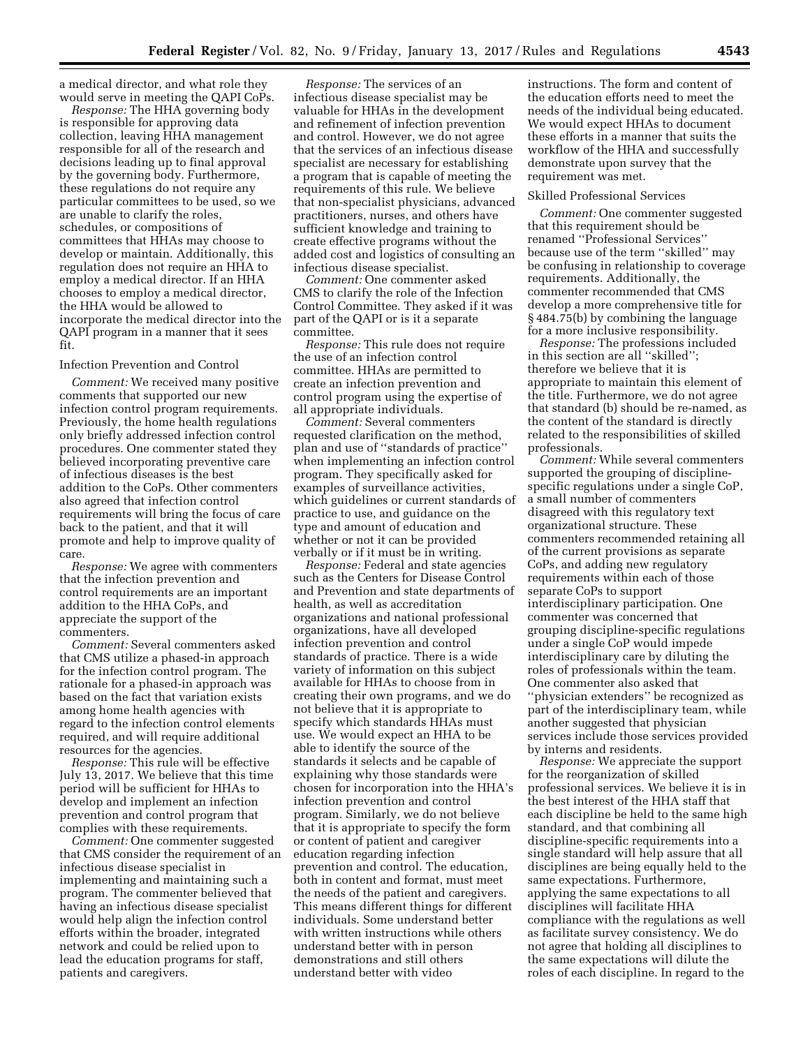a medical director, and what role they would serve in meeting the QAPI CoPs.

*Response:* The HHA governing body is responsible for approving data collection, leaving HHA management responsible for all of the research and decisions leading up to final approval by the governing body. Furthermore, these regulations do not require any particular committees to be used, so we are unable to clarify the roles, schedules, or compositions of committees that HHAs may choose to develop or maintain. Additionally, this regulation does not require an HHA to employ a medical director. If an HHA chooses to employ a medical director, the HHA would be allowed to incorporate the medical director into the QAPI program in a manner that it sees fit.

#### Infection Prevention and Control

*Comment:* We received many positive comments that supported our new infection control program requirements. Previously, the home health regulations only briefly addressed infection control procedures. One commenter stated they believed incorporating preventive care of infectious diseases is the best addition to the CoPs. Other commenters also agreed that infection control requirements will bring the focus of care back to the patient, and that it will promote and help to improve quality of care.

*Response:* We agree with commenters that the infection prevention and control requirements are an important addition to the HHA CoPs, and appreciate the support of the commenters.

*Comment:* Several commenters asked that CMS utilize a phased-in approach for the infection control program. The rationale for a phased-in approach was based on the fact that variation exists among home health agencies with regard to the infection control elements required, and will require additional resources for the agencies.

*Response:* This rule will be effective July 13, 2017. We believe that this time period will be sufficient for HHAs to develop and implement an infection prevention and control program that complies with these requirements.

*Comment:* One commenter suggested that CMS consider the requirement of an infectious disease specialist in implementing and maintaining such a program. The commenter believed that having an infectious disease specialist would help align the infection control efforts within the broader, integrated network and could be relied upon to lead the education programs for staff, patients and caregivers.

*Response:* The services of an infectious disease specialist may be valuable for HHAs in the development and refinement of infection prevention and control. However, we do not agree that the services of an infectious disease specialist are necessary for establishing a program that is capable of meeting the requirements of this rule. We believe that non-specialist physicians, advanced practitioners, nurses, and others have sufficient knowledge and training to create effective programs without the added cost and logistics of consulting an infectious disease specialist.

*Comment:* One commenter asked CMS to clarify the role of the Infection Control Committee. They asked if it was part of the QAPI or is it a separate committee.

*Response:* This rule does not require the use of an infection control committee. HHAs are permitted to create an infection prevention and control program using the expertise of all appropriate individuals.

*Comment:* Several commenters requested clarification on the method, plan and use of ''standards of practice'' when implementing an infection control program. They specifically asked for examples of surveillance activities, which guidelines or current standards of practice to use, and guidance on the type and amount of education and whether or not it can be provided verbally or if it must be in writing.

*Response:* Federal and state agencies such as the Centers for Disease Control and Prevention and state departments of health, as well as accreditation organizations and national professional organizations, have all developed infection prevention and control standards of practice. There is a wide variety of information on this subject available for HHAs to choose from in creating their own programs, and we do not believe that it is appropriate to specify which standards HHAs must use. We would expect an HHA to be able to identify the source of the standards it selects and be capable of explaining why those standards were chosen for incorporation into the HHA's infection prevention and control program. Similarly, we do not believe that it is appropriate to specify the form or content of patient and caregiver education regarding infection prevention and control. The education, both in content and format, must meet the needs of the patient and caregivers. This means different things for different individuals. Some understand better with written instructions while others understand better with in person demonstrations and still others understand better with video

instructions. The form and content of the education efforts need to meet the needs of the individual being educated. We would expect HHAs to document these efforts in a manner that suits the workflow of the HHA and successfully demonstrate upon survey that the requirement was met.

#### Skilled Professional Services

*Comment:* One commenter suggested that this requirement should be renamed ''Professional Services'' because use of the term ''skilled'' may be confusing in relationship to coverage requirements. Additionally, the commenter recommended that CMS develop a more comprehensive title for § 484.75(b) by combining the language for a more inclusive responsibility.

*Response:* The professions included in this section are all ''skilled''; therefore we believe that it is appropriate to maintain this element of the title. Furthermore, we do not agree that standard (b) should be re-named, as the content of the standard is directly related to the responsibilities of skilled professionals.

*Comment:* While several commenters supported the grouping of disciplinespecific regulations under a single CoP, a small number of commenters disagreed with this regulatory text organizational structure. These commenters recommended retaining all of the current provisions as separate CoPs, and adding new regulatory requirements within each of those separate CoPs to support interdisciplinary participation. One commenter was concerned that grouping discipline-specific regulations under a single CoP would impede interdisciplinary care by diluting the roles of professionals within the team. One commenter also asked that ''physician extenders'' be recognized as part of the interdisciplinary team, while another suggested that physician services include those services provided by interns and residents.

*Response:* We appreciate the support for the reorganization of skilled professional services. We believe it is in the best interest of the HHA staff that each discipline be held to the same high standard, and that combining all discipline-specific requirements into a single standard will help assure that all disciplines are being equally held to the same expectations. Furthermore, applying the same expectations to all disciplines will facilitate HHA compliance with the regulations as well as facilitate survey consistency. We do not agree that holding all disciplines to the same expectations will dilute the roles of each discipline. In regard to the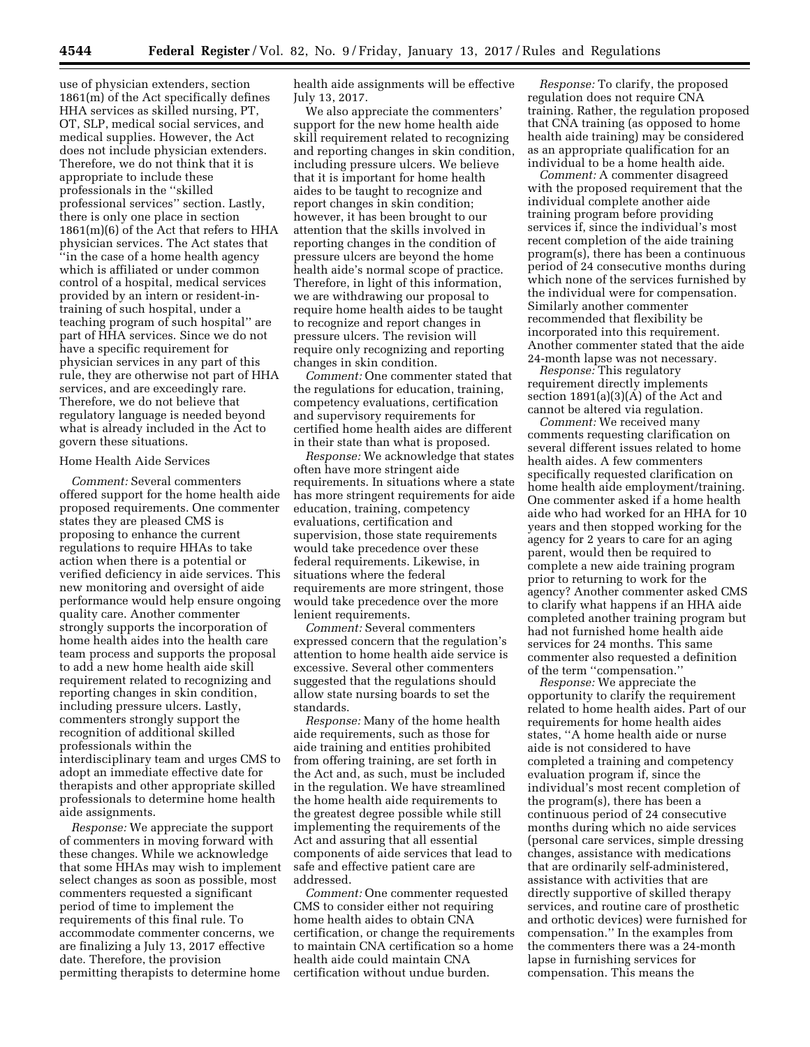use of physician extenders, section 1861(m) of the Act specifically defines HHA services as skilled nursing, PT, OT, SLP, medical social services, and medical supplies. However, the Act does not include physician extenders. Therefore, we do not think that it is appropriate to include these professionals in the ''skilled professional services'' section. Lastly, there is only one place in section 1861(m)(6) of the Act that refers to HHA physician services. The Act states that ''in the case of a home health agency which is affiliated or under common control of a hospital, medical services provided by an intern or resident-intraining of such hospital, under a teaching program of such hospital'' are part of HHA services. Since we do not have a specific requirement for physician services in any part of this rule, they are otherwise not part of HHA services, and are exceedingly rare. Therefore, we do not believe that regulatory language is needed beyond what is already included in the Act to govern these situations.

#### Home Health Aide Services

*Comment:* Several commenters offered support for the home health aide proposed requirements. One commenter states they are pleased CMS is proposing to enhance the current regulations to require HHAs to take action when there is a potential or verified deficiency in aide services. This new monitoring and oversight of aide performance would help ensure ongoing quality care. Another commenter strongly supports the incorporation of home health aides into the health care team process and supports the proposal to add a new home health aide skill requirement related to recognizing and reporting changes in skin condition, including pressure ulcers. Lastly, commenters strongly support the recognition of additional skilled professionals within the interdisciplinary team and urges CMS to adopt an immediate effective date for therapists and other appropriate skilled professionals to determine home health aide assignments.

*Response:* We appreciate the support of commenters in moving forward with these changes. While we acknowledge that some HHAs may wish to implement select changes as soon as possible, most commenters requested a significant period of time to implement the requirements of this final rule. To accommodate commenter concerns, we are finalizing a July 13, 2017 effective date. Therefore, the provision permitting therapists to determine home

health aide assignments will be effective July 13, 2017.

We also appreciate the commenters' support for the new home health aide skill requirement related to recognizing and reporting changes in skin condition, including pressure ulcers. We believe that it is important for home health aides to be taught to recognize and report changes in skin condition; however, it has been brought to our attention that the skills involved in reporting changes in the condition of pressure ulcers are beyond the home health aide's normal scope of practice. Therefore, in light of this information, we are withdrawing our proposal to require home health aides to be taught to recognize and report changes in pressure ulcers. The revision will require only recognizing and reporting changes in skin condition.

*Comment:* One commenter stated that the regulations for education, training, competency evaluations, certification and supervisory requirements for certified home health aides are different in their state than what is proposed.

*Response:* We acknowledge that states often have more stringent aide requirements. In situations where a state has more stringent requirements for aide education, training, competency evaluations, certification and supervision, those state requirements would take precedence over these federal requirements. Likewise, in situations where the federal requirements are more stringent, those would take precedence over the more lenient requirements.

*Comment:* Several commenters expressed concern that the regulation's attention to home health aide service is excessive. Several other commenters suggested that the regulations should allow state nursing boards to set the standards.

*Response:* Many of the home health aide requirements, such as those for aide training and entities prohibited from offering training, are set forth in the Act and, as such, must be included in the regulation. We have streamlined the home health aide requirements to the greatest degree possible while still implementing the requirements of the Act and assuring that all essential components of aide services that lead to safe and effective patient care are addressed.

*Comment:* One commenter requested CMS to consider either not requiring home health aides to obtain CNA certification, or change the requirements to maintain CNA certification so a home health aide could maintain CNA certification without undue burden.

*Response:* To clarify, the proposed regulation does not require CNA training. Rather, the regulation proposed that CNA training (as opposed to home health aide training) may be considered as an appropriate qualification for an individual to be a home health aide.

*Comment:* A commenter disagreed with the proposed requirement that the individual complete another aide training program before providing services if, since the individual's most recent completion of the aide training program(s), there has been a continuous period of 24 consecutive months during which none of the services furnished by the individual were for compensation. Similarly another commenter recommended that flexibility be incorporated into this requirement. Another commenter stated that the aide 24-month lapse was not necessary.

*Response:* This regulatory requirement directly implements section 1891(a)(3)(A) of the Act and cannot be altered via regulation.

*Comment:* We received many comments requesting clarification on several different issues related to home health aides. A few commenters specifically requested clarification on home health aide employment/training. One commenter asked if a home health aide who had worked for an HHA for 10 years and then stopped working for the agency for 2 years to care for an aging parent, would then be required to complete a new aide training program prior to returning to work for the agency? Another commenter asked CMS to clarify what happens if an HHA aide completed another training program but had not furnished home health aide services for 24 months. This same commenter also requested a definition of the term ''compensation.''

*Response:* We appreciate the opportunity to clarify the requirement related to home health aides. Part of our requirements for home health aides states, ''A home health aide or nurse aide is not considered to have completed a training and competency evaluation program if, since the individual's most recent completion of the program(s), there has been a continuous period of 24 consecutive months during which no aide services (personal care services, simple dressing changes, assistance with medications that are ordinarily self-administered, assistance with activities that are directly supportive of skilled therapy services, and routine care of prosthetic and orthotic devices) were furnished for compensation.'' In the examples from the commenters there was a 24-month lapse in furnishing services for compensation. This means the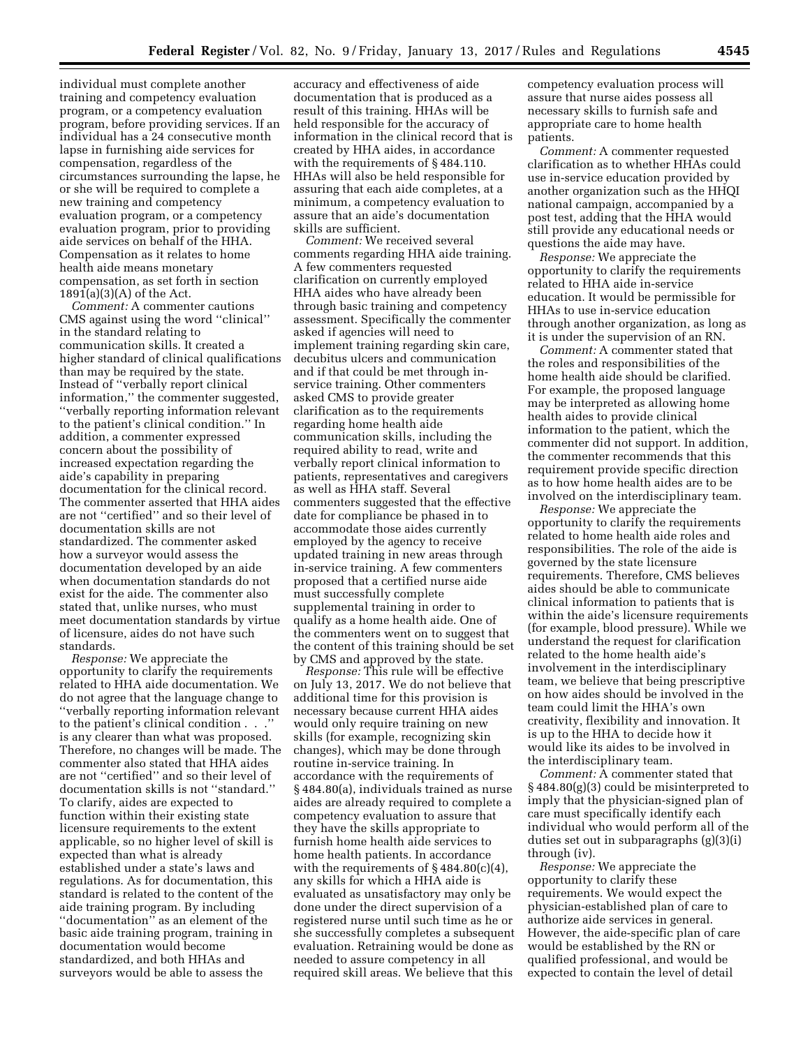individual must complete another training and competency evaluation program, or a competency evaluation program, before providing services. If an individual has a 24 consecutive month lapse in furnishing aide services for compensation, regardless of the circumstances surrounding the lapse, he or she will be required to complete a new training and competency evaluation program, or a competency evaluation program, prior to providing aide services on behalf of the HHA. Compensation as it relates to home health aide means monetary compensation, as set forth in section 1891(a)(3)(A) of the Act.

*Comment:* A commenter cautions CMS against using the word ''clinical'' in the standard relating to communication skills. It created a higher standard of clinical qualifications than may be required by the state. Instead of ''verbally report clinical information,'' the commenter suggested, ''verbally reporting information relevant to the patient's clinical condition.'' In addition, a commenter expressed concern about the possibility of increased expectation regarding the aide's capability in preparing documentation for the clinical record. The commenter asserted that HHA aides are not ''certified'' and so their level of documentation skills are not standardized. The commenter asked how a surveyor would assess the documentation developed by an aide when documentation standards do not exist for the aide. The commenter also stated that, unlike nurses, who must meet documentation standards by virtue of licensure, aides do not have such standards.

*Response:* We appreciate the opportunity to clarify the requirements related to HHA aide documentation. We do not agree that the language change to ''verbally reporting information relevant to the patient's clinical condition . . .'' is any clearer than what was proposed. Therefore, no changes will be made. The commenter also stated that HHA aides are not ''certified'' and so their level of documentation skills is not ''standard.'' To clarify, aides are expected to function within their existing state licensure requirements to the extent applicable, so no higher level of skill is expected than what is already established under a state's laws and regulations. As for documentation, this standard is related to the content of the aide training program. By including ''documentation'' as an element of the basic aide training program, training in documentation would become standardized, and both HHAs and surveyors would be able to assess the

accuracy and effectiveness of aide documentation that is produced as a result of this training. HHAs will be held responsible for the accuracy of information in the clinical record that is created by HHA aides, in accordance with the requirements of § 484.110. HHAs will also be held responsible for assuring that each aide completes, at a minimum, a competency evaluation to assure that an aide's documentation skills are sufficient.

*Comment:* We received several comments regarding HHA aide training. A few commenters requested clarification on currently employed HHA aides who have already been through basic training and competency assessment. Specifically the commenter asked if agencies will need to implement training regarding skin care, decubitus ulcers and communication and if that could be met through inservice training. Other commenters asked CMS to provide greater clarification as to the requirements regarding home health aide communication skills, including the required ability to read, write and verbally report clinical information to patients, representatives and caregivers as well as HHA staff. Several commenters suggested that the effective date for compliance be phased in to accommodate those aides currently employed by the agency to receive updated training in new areas through in-service training. A few commenters proposed that a certified nurse aide must successfully complete supplemental training in order to qualify as a home health aide. One of the commenters went on to suggest that the content of this training should be set by CMS and approved by the state.

*Response:* This rule will be effective on July 13, 2017. We do not believe that additional time for this provision is necessary because current HHA aides would only require training on new skills (for example, recognizing skin changes), which may be done through routine in-service training. In accordance with the requirements of § 484.80(a), individuals trained as nurse aides are already required to complete a competency evaluation to assure that they have the skills appropriate to furnish home health aide services to home health patients. In accordance with the requirements of  $\S 484.80(c)(4)$ , any skills for which a HHA aide is evaluated as unsatisfactory may only be done under the direct supervision of a registered nurse until such time as he or she successfully completes a subsequent evaluation. Retraining would be done as needed to assure competency in all required skill areas. We believe that this

competency evaluation process will assure that nurse aides possess all necessary skills to furnish safe and appropriate care to home health patients.

*Comment:* A commenter requested clarification as to whether HHAs could use in-service education provided by another organization such as the HHQI national campaign, accompanied by a post test, adding that the HHA would still provide any educational needs or questions the aide may have.

*Response:* We appreciate the opportunity to clarify the requirements related to HHA aide in-service education. It would be permissible for HHAs to use in-service education through another organization, as long as it is under the supervision of an RN.

*Comment:* A commenter stated that the roles and responsibilities of the home health aide should be clarified. For example, the proposed language may be interpreted as allowing home health aides to provide clinical information to the patient, which the commenter did not support. In addition, the commenter recommends that this requirement provide specific direction as to how home health aides are to be involved on the interdisciplinary team.

*Response:* We appreciate the opportunity to clarify the requirements related to home health aide roles and responsibilities. The role of the aide is governed by the state licensure requirements. Therefore, CMS believes aides should be able to communicate clinical information to patients that is within the aide's licensure requirements (for example, blood pressure). While we understand the request for clarification related to the home health aide's involvement in the interdisciplinary team, we believe that being prescriptive on how aides should be involved in the team could limit the HHA's own creativity, flexibility and innovation. It is up to the HHA to decide how it would like its aides to be involved in the interdisciplinary team.

*Comment:* A commenter stated that § 484.80(g)(3) could be misinterpreted to imply that the physician-signed plan of care must specifically identify each individual who would perform all of the duties set out in subparagraphs (g)(3)(i) through (iv).

*Response:* We appreciate the opportunity to clarify these requirements. We would expect the physician-established plan of care to authorize aide services in general. However, the aide-specific plan of care would be established by the RN or qualified professional, and would be expected to contain the level of detail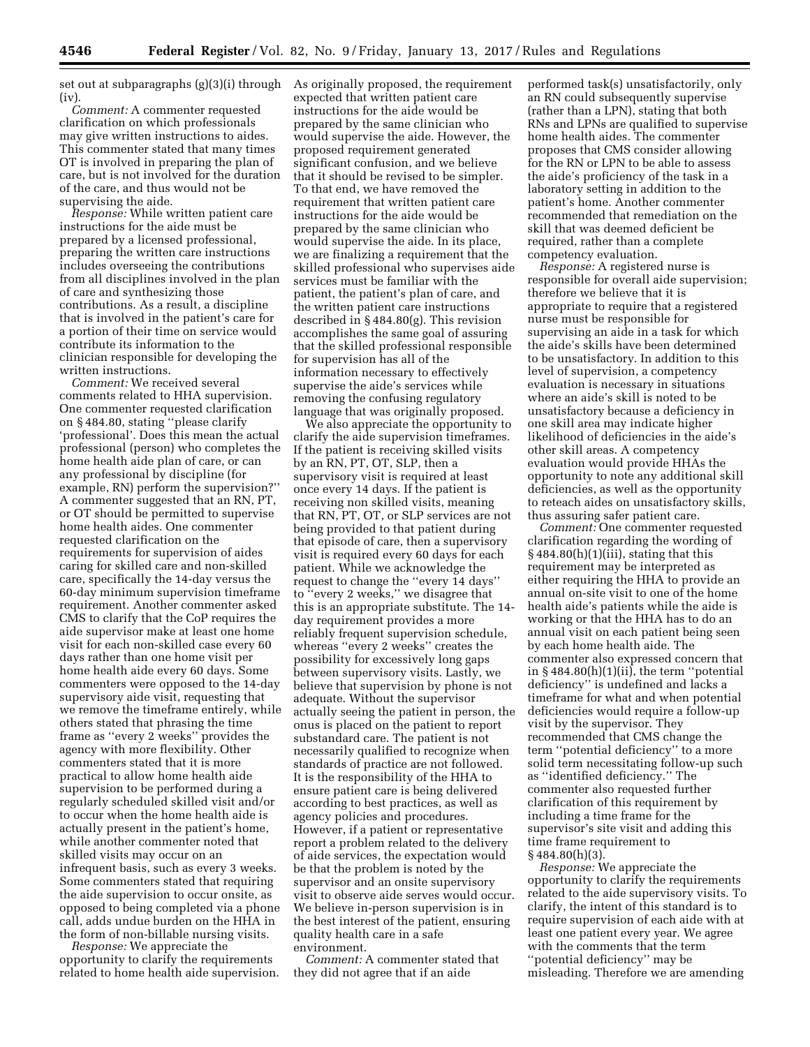set out at subparagraphs (g)(3)(i) through  $(iv)$ 

*Comment:* A commenter requested clarification on which professionals may give written instructions to aides. This commenter stated that many times OT is involved in preparing the plan of care, but is not involved for the duration of the care, and thus would not be supervising the aide.

*Response:* While written patient care instructions for the aide must be prepared by a licensed professional, preparing the written care instructions includes overseeing the contributions from all disciplines involved in the plan of care and synthesizing those contributions. As a result, a discipline that is involved in the patient's care for a portion of their time on service would contribute its information to the clinician responsible for developing the written instructions.

*Comment:* We received several comments related to HHA supervision. One commenter requested clarification on § 484.80, stating ''please clarify 'professional'. Does this mean the actual professional (person) who completes the home health aide plan of care, or can any professional by discipline (for example, RN) perform the supervision?'' A commenter suggested that an RN, PT, or OT should be permitted to supervise home health aides. One commenter requested clarification on the requirements for supervision of aides caring for skilled care and non-skilled care, specifically the 14-day versus the 60-day minimum supervision timeframe requirement. Another commenter asked CMS to clarify that the CoP requires the aide supervisor make at least one home visit for each non-skilled case every 60 days rather than one home visit per home health aide every 60 days. Some commenters were opposed to the 14-day supervisory aide visit, requesting that we remove the timeframe entirely, while others stated that phrasing the time frame as ''every 2 weeks'' provides the agency with more flexibility. Other commenters stated that it is more practical to allow home health aide supervision to be performed during a regularly scheduled skilled visit and/or to occur when the home health aide is actually present in the patient's home, while another commenter noted that skilled visits may occur on an infrequent basis, such as every 3 weeks. Some commenters stated that requiring the aide supervision to occur onsite, as opposed to being completed via a phone call, adds undue burden on the HHA in the form of non-billable nursing visits.

*Response:* We appreciate the opportunity to clarify the requirements related to home health aide supervision. As originally proposed, the requirement expected that written patient care instructions for the aide would be prepared by the same clinician who would supervise the aide. However, the proposed requirement generated significant confusion, and we believe that it should be revised to be simpler. To that end, we have removed the requirement that written patient care instructions for the aide would be prepared by the same clinician who would supervise the aide. In its place, we are finalizing a requirement that the skilled professional who supervises aide services must be familiar with the patient, the patient's plan of care, and the written patient care instructions described in § 484.80(g). This revision accomplishes the same goal of assuring that the skilled professional responsible for supervision has all of the information necessary to effectively supervise the aide's services while removing the confusing regulatory language that was originally proposed.

We also appreciate the opportunity to clarify the aide supervision timeframes. If the patient is receiving skilled visits by an RN, PT, OT, SLP, then a supervisory visit is required at least once every 14 days. If the patient is receiving non skilled visits, meaning that RN, PT, OT, or SLP services are not being provided to that patient during that episode of care, then a supervisory visit is required every 60 days for each patient. While we acknowledge the request to change the ''every 14 days'' to ''every 2 weeks,'' we disagree that this is an appropriate substitute. The 14 day requirement provides a more reliably frequent supervision schedule, whereas ''every 2 weeks'' creates the possibility for excessively long gaps between supervisory visits. Lastly, we believe that supervision by phone is not adequate. Without the supervisor actually seeing the patient in person, the onus is placed on the patient to report substandard care. The patient is not necessarily qualified to recognize when standards of practice are not followed. It is the responsibility of the HHA to ensure patient care is being delivered according to best practices, as well as agency policies and procedures. However, if a patient or representative report a problem related to the delivery of aide services, the expectation would be that the problem is noted by the supervisor and an onsite supervisory visit to observe aide serves would occur. We believe in-person supervision is in the best interest of the patient, ensuring quality health care in a safe environment.

*Comment:* A commenter stated that they did not agree that if an aide

performed task(s) unsatisfactorily, only an RN could subsequently supervise (rather than a LPN), stating that both RNs and LPNs are qualified to supervise home health aides. The commenter proposes that CMS consider allowing for the RN or LPN to be able to assess the aide's proficiency of the task in a laboratory setting in addition to the patient's home. Another commenter recommended that remediation on the skill that was deemed deficient be required, rather than a complete competency evaluation.

*Response:* A registered nurse is responsible for overall aide supervision; therefore we believe that it is appropriate to require that a registered nurse must be responsible for supervising an aide in a task for which the aide's skills have been determined to be unsatisfactory. In addition to this level of supervision, a competency evaluation is necessary in situations where an aide's skill is noted to be unsatisfactory because a deficiency in one skill area may indicate higher likelihood of deficiencies in the aide's other skill areas. A competency evaluation would provide HHAs the opportunity to note any additional skill deficiencies, as well as the opportunity to reteach aides on unsatisfactory skills, thus assuring safer patient care.

*Comment:* One commenter requested clarification regarding the wording of  $\S$  484.80(h)(1)(iii), stating that this requirement may be interpreted as either requiring the HHA to provide an annual on-site visit to one of the home health aide's patients while the aide is working or that the HHA has to do an annual visit on each patient being seen by each home health aide. The commenter also expressed concern that in § 484.80(h)(1)(ii), the term ''potential deficiency'' is undefined and lacks a timeframe for what and when potential deficiencies would require a follow-up visit by the supervisor. They recommended that CMS change the term ''potential deficiency'' to a more solid term necessitating follow-up such as ''identified deficiency.'' The commenter also requested further clarification of this requirement by including a time frame for the supervisor's site visit and adding this time frame requirement to  $§$  484.80(h)(3).

*Response:* We appreciate the opportunity to clarify the requirements related to the aide supervisory visits. To clarify, the intent of this standard is to require supervision of each aide with at least one patient every year. We agree with the comments that the term ''potential deficiency'' may be misleading. Therefore we are amending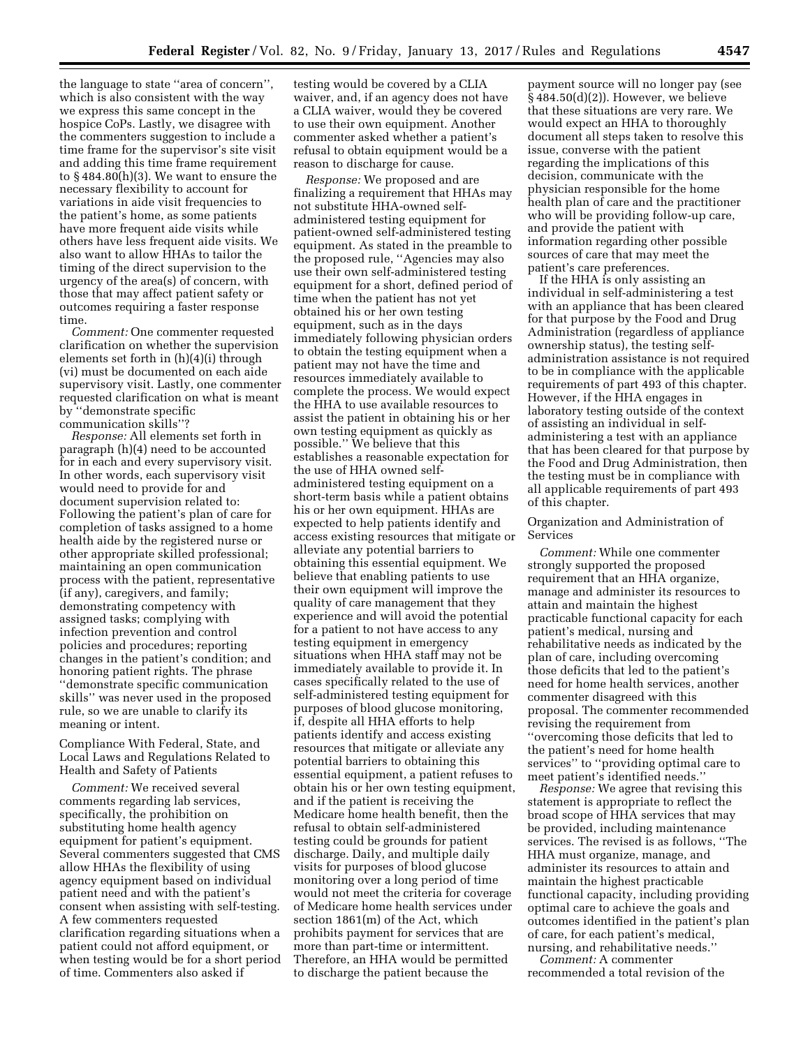the language to state ''area of concern'', which is also consistent with the way we express this same concept in the hospice CoPs. Lastly, we disagree with the commenters suggestion to include a time frame for the supervisor's site visit and adding this time frame requirement to § 484.80(h)(3). We want to ensure the necessary flexibility to account for variations in aide visit frequencies to the patient's home, as some patients have more frequent aide visits while others have less frequent aide visits. We also want to allow HHAs to tailor the timing of the direct supervision to the urgency of the area(s) of concern, with those that may affect patient safety or outcomes requiring a faster response time.

*Comment:* One commenter requested clarification on whether the supervision elements set forth in (h)(4)(i) through (vi) must be documented on each aide supervisory visit. Lastly, one commenter requested clarification on what is meant by ''demonstrate specific communication skills''?

*Response:* All elements set forth in paragraph (h)(4) need to be accounted for in each and every supervisory visit. In other words, each supervisory visit would need to provide for and document supervision related to: Following the patient's plan of care for completion of tasks assigned to a home health aide by the registered nurse or other appropriate skilled professional; maintaining an open communication process with the patient, representative (if any), caregivers, and family; demonstrating competency with assigned tasks; complying with infection prevention and control policies and procedures; reporting changes in the patient's condition; and honoring patient rights. The phrase ''demonstrate specific communication skills'' was never used in the proposed rule, so we are unable to clarify its meaning or intent.

Compliance With Federal, State, and Local Laws and Regulations Related to Health and Safety of Patients

*Comment:* We received several comments regarding lab services, specifically, the prohibition on substituting home health agency equipment for patient's equipment. Several commenters suggested that CMS allow HHAs the flexibility of using agency equipment based on individual patient need and with the patient's consent when assisting with self-testing. A few commenters requested clarification regarding situations when a patient could not afford equipment, or when testing would be for a short period of time. Commenters also asked if

testing would be covered by a CLIA waiver, and, if an agency does not have a CLIA waiver, would they be covered to use their own equipment. Another commenter asked whether a patient's refusal to obtain equipment would be a reason to discharge for cause.

*Response:* We proposed and are finalizing a requirement that HHAs may not substitute HHA-owned selfadministered testing equipment for patient-owned self-administered testing equipment. As stated in the preamble to the proposed rule, ''Agencies may also use their own self-administered testing equipment for a short, defined period of time when the patient has not yet obtained his or her own testing equipment, such as in the days immediately following physician orders to obtain the testing equipment when a patient may not have the time and resources immediately available to complete the process. We would expect the HHA to use available resources to assist the patient in obtaining his or her own testing equipment as quickly as possible.'' We believe that this establishes a reasonable expectation for the use of HHA owned selfadministered testing equipment on a short-term basis while a patient obtains his or her own equipment. HHAs are expected to help patients identify and access existing resources that mitigate or alleviate any potential barriers to obtaining this essential equipment. We believe that enabling patients to use their own equipment will improve the quality of care management that they experience and will avoid the potential for a patient to not have access to any testing equipment in emergency situations when HHA staff may not be immediately available to provide it. In cases specifically related to the use of self-administered testing equipment for purposes of blood glucose monitoring, if, despite all HHA efforts to help patients identify and access existing resources that mitigate or alleviate any potential barriers to obtaining this essential equipment, a patient refuses to obtain his or her own testing equipment, and if the patient is receiving the Medicare home health benefit, then the refusal to obtain self-administered testing could be grounds for patient discharge. Daily, and multiple daily visits for purposes of blood glucose monitoring over a long period of time would not meet the criteria for coverage of Medicare home health services under section 1861(m) of the Act, which prohibits payment for services that are more than part-time or intermittent. Therefore, an HHA would be permitted to discharge the patient because the

payment source will no longer pay (see § 484.50(d)(2)). However, we believe that these situations are very rare. We would expect an HHA to thoroughly document all steps taken to resolve this issue, converse with the patient regarding the implications of this decision, communicate with the physician responsible for the home health plan of care and the practitioner who will be providing follow-up care, and provide the patient with information regarding other possible sources of care that may meet the patient's care preferences.

If the HHA is only assisting an individual in self-administering a test with an appliance that has been cleared for that purpose by the Food and Drug Administration (regardless of appliance ownership status), the testing selfadministration assistance is not required to be in compliance with the applicable requirements of part 493 of this chapter. However, if the HHA engages in laboratory testing outside of the context of assisting an individual in selfadministering a test with an appliance that has been cleared for that purpose by the Food and Drug Administration, then the testing must be in compliance with all applicable requirements of part 493 of this chapter.

# Organization and Administration of Services

*Comment:* While one commenter strongly supported the proposed requirement that an HHA organize, manage and administer its resources to attain and maintain the highest practicable functional capacity for each patient's medical, nursing and rehabilitative needs as indicated by the plan of care, including overcoming those deficits that led to the patient's need for home health services, another commenter disagreed with this proposal. The commenter recommended revising the requirement from ''overcoming those deficits that led to the patient's need for home health services'' to ''providing optimal care to meet patient's identified needs.''

*Response:* We agree that revising this statement is appropriate to reflect the broad scope of HHA services that may be provided, including maintenance services. The revised is as follows, ''The HHA must organize, manage, and administer its resources to attain and maintain the highest practicable functional capacity, including providing optimal care to achieve the goals and outcomes identified in the patient's plan of care, for each patient's medical, nursing, and rehabilitative needs.''

*Comment:* A commenter recommended a total revision of the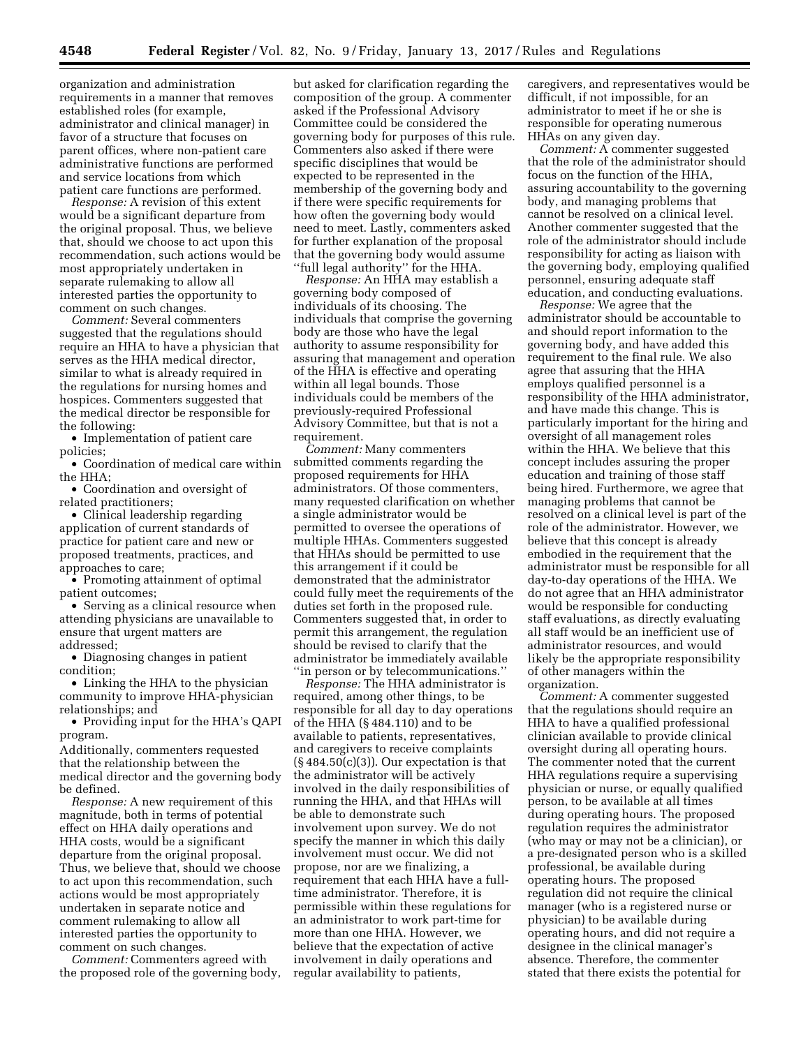organization and administration requirements in a manner that removes established roles (for example, administrator and clinical manager) in favor of a structure that focuses on parent offices, where non-patient care administrative functions are performed and service locations from which patient care functions are performed.

*Response:* A revision of this extent would be a significant departure from the original proposal. Thus, we believe that, should we choose to act upon this recommendation, such actions would be most appropriately undertaken in separate rulemaking to allow all interested parties the opportunity to comment on such changes.

*Comment:* Several commenters suggested that the regulations should require an HHA to have a physician that serves as the HHA medical director, similar to what is already required in the regulations for nursing homes and hospices. Commenters suggested that the medical director be responsible for the following:

• Implementation of patient care policies;

• Coordination of medical care within the HHA;

• Coordination and oversight of related practitioners;

• Clinical leadership regarding application of current standards of practice for patient care and new or proposed treatments, practices, and approaches to care;

• Promoting attainment of optimal patient outcomes;

• Serving as a clinical resource when attending physicians are unavailable to ensure that urgent matters are addressed;

• Diagnosing changes in patient condition;

• Linking the HHA to the physician community to improve HHA-physician relationships; and

• Providing input for the HHA's QAPI program.

Additionally, commenters requested that the relationship between the medical director and the governing body be defined.

*Response:* A new requirement of this magnitude, both in terms of potential effect on HHA daily operations and HHA costs, would be a significant departure from the original proposal. Thus, we believe that, should we choose to act upon this recommendation, such actions would be most appropriately undertaken in separate notice and comment rulemaking to allow all interested parties the opportunity to comment on such changes.

*Comment:* Commenters agreed with the proposed role of the governing body,

but asked for clarification regarding the composition of the group. A commenter asked if the Professional Advisory Committee could be considered the governing body for purposes of this rule. Commenters also asked if there were specific disciplines that would be expected to be represented in the membership of the governing body and if there were specific requirements for how often the governing body would need to meet. Lastly, commenters asked for further explanation of the proposal that the governing body would assume ''full legal authority'' for the HHA.

*Response:* An HHA may establish a governing body composed of individuals of its choosing. The individuals that comprise the governing body are those who have the legal authority to assume responsibility for assuring that management and operation of the HHA is effective and operating within all legal bounds. Those individuals could be members of the previously-required Professional Advisory Committee, but that is not a requirement.

*Comment:* Many commenters submitted comments regarding the proposed requirements for HHA administrators. Of those commenters, many requested clarification on whether a single administrator would be permitted to oversee the operations of multiple HHAs. Commenters suggested that HHAs should be permitted to use this arrangement if it could be demonstrated that the administrator could fully meet the requirements of the duties set forth in the proposed rule. Commenters suggested that, in order to permit this arrangement, the regulation should be revised to clarify that the administrator be immediately available ''in person or by telecommunications.''

*Response:* The HHA administrator is required, among other things, to be responsible for all day to day operations of the HHA (§ 484.110) and to be available to patients, representatives, and caregivers to receive complaints  $(\S 484.50(c)(3))$ . Our expectation is that the administrator will be actively involved in the daily responsibilities of running the HHA, and that HHAs will be able to demonstrate such involvement upon survey. We do not specify the manner in which this daily involvement must occur. We did not propose, nor are we finalizing, a requirement that each HHA have a fulltime administrator. Therefore, it is permissible within these regulations for an administrator to work part-time for more than one HHA. However, we believe that the expectation of active involvement in daily operations and regular availability to patients,

caregivers, and representatives would be difficult, if not impossible, for an administrator to meet if he or she is responsible for operating numerous HHAs on any given day.

*Comment:* A commenter suggested that the role of the administrator should focus on the function of the HHA, assuring accountability to the governing body, and managing problems that cannot be resolved on a clinical level. Another commenter suggested that the role of the administrator should include responsibility for acting as liaison with the governing body, employing qualified personnel, ensuring adequate staff education, and conducting evaluations.

*Response:* We agree that the administrator should be accountable to and should report information to the governing body, and have added this requirement to the final rule. We also agree that assuring that the HHA employs qualified personnel is a responsibility of the HHA administrator, and have made this change. This is particularly important for the hiring and oversight of all management roles within the HHA. We believe that this concept includes assuring the proper education and training of those staff being hired. Furthermore, we agree that managing problems that cannot be resolved on a clinical level is part of the role of the administrator. However, we believe that this concept is already embodied in the requirement that the administrator must be responsible for all day-to-day operations of the HHA. We do not agree that an HHA administrator would be responsible for conducting staff evaluations, as directly evaluating all staff would be an inefficient use of administrator resources, and would likely be the appropriate responsibility of other managers within the organization.

*Comment:* A commenter suggested that the regulations should require an HHA to have a qualified professional clinician available to provide clinical oversight during all operating hours. The commenter noted that the current HHA regulations require a supervising physician or nurse, or equally qualified person, to be available at all times during operating hours. The proposed regulation requires the administrator (who may or may not be a clinician), or a pre-designated person who is a skilled professional, be available during operating hours. The proposed regulation did not require the clinical manager (who is a registered nurse or physician) to be available during operating hours, and did not require a designee in the clinical manager's absence. Therefore, the commenter stated that there exists the potential for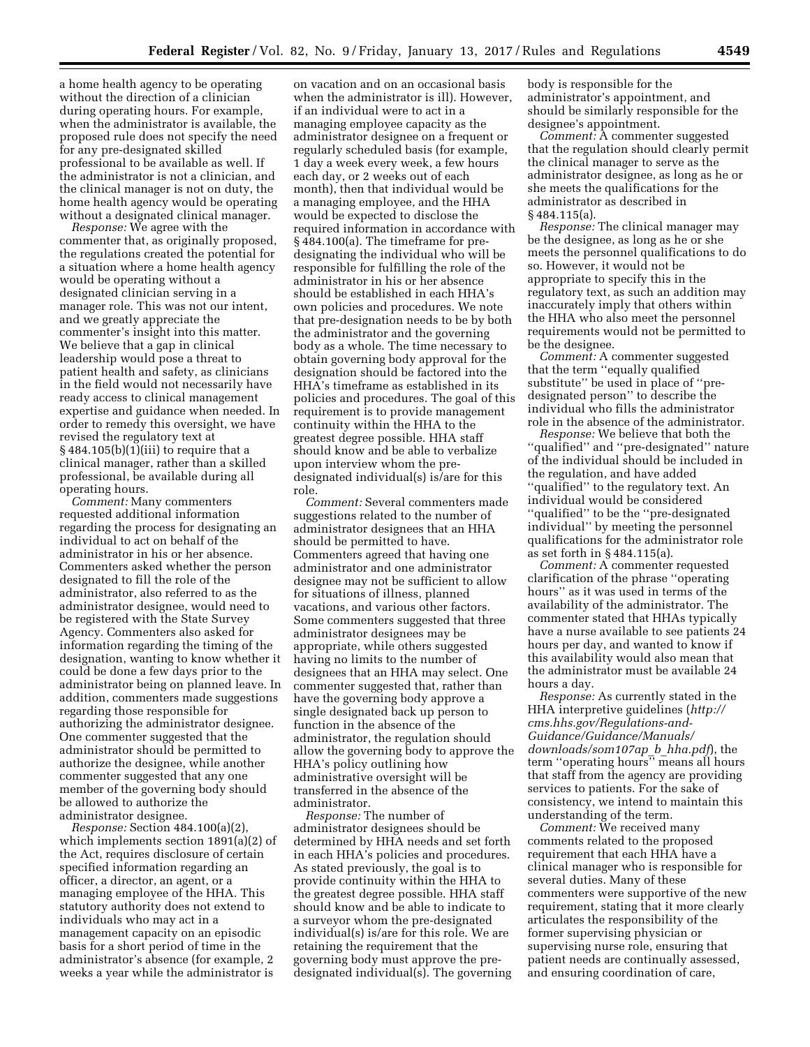a home health agency to be operating without the direction of a clinician during operating hours. For example, when the administrator is available, the proposed rule does not specify the need for any pre-designated skilled professional to be available as well. If the administrator is not a clinician, and the clinical manager is not on duty, the home health agency would be operating without a designated clinical manager.

*Response:* We agree with the commenter that, as originally proposed, the regulations created the potential for a situation where a home health agency would be operating without a designated clinician serving in a manager role. This was not our intent, and we greatly appreciate the commenter's insight into this matter. We believe that a gap in clinical leadership would pose a threat to patient health and safety, as clinicians in the field would not necessarily have ready access to clinical management expertise and guidance when needed. In order to remedy this oversight, we have revised the regulatory text at  $§$  484.105(b)(1)(iii) to require that a clinical manager, rather than a skilled professional, be available during all operating hours.

*Comment:* Many commenters requested additional information regarding the process for designating an individual to act on behalf of the administrator in his or her absence. Commenters asked whether the person designated to fill the role of the administrator, also referred to as the administrator designee, would need to be registered with the State Survey Agency. Commenters also asked for information regarding the timing of the designation, wanting to know whether it could be done a few days prior to the administrator being on planned leave. In addition, commenters made suggestions regarding those responsible for authorizing the administrator designee. One commenter suggested that the administrator should be permitted to authorize the designee, while another commenter suggested that any one member of the governing body should be allowed to authorize the administrator designee.

*Response:* Section 484.100(a)(2), which implements section 1891(a)(2) of the Act, requires disclosure of certain specified information regarding an officer, a director, an agent, or a managing employee of the HHA. This statutory authority does not extend to individuals who may act in a management capacity on an episodic basis for a short period of time in the administrator's absence (for example, 2 weeks a year while the administrator is

on vacation and on an occasional basis when the administrator is ill). However, if an individual were to act in a managing employee capacity as the administrator designee on a frequent or regularly scheduled basis (for example, 1 day a week every week, a few hours each day, or 2 weeks out of each month), then that individual would be a managing employee, and the HHA would be expected to disclose the required information in accordance with § 484.100(a). The timeframe for predesignating the individual who will be responsible for fulfilling the role of the administrator in his or her absence should be established in each HHA's own policies and procedures. We note that pre-designation needs to be by both the administrator and the governing body as a whole. The time necessary to obtain governing body approval for the designation should be factored into the HHA's timeframe as established in its policies and procedures. The goal of this requirement is to provide management continuity within the HHA to the greatest degree possible. HHA staff should know and be able to verbalize upon interview whom the predesignated individual(s) is/are for this role.

*Comment:* Several commenters made suggestions related to the number of administrator designees that an HHA should be permitted to have. Commenters agreed that having one administrator and one administrator designee may not be sufficient to allow for situations of illness, planned vacations, and various other factors. Some commenters suggested that three administrator designees may be appropriate, while others suggested having no limits to the number of designees that an HHA may select. One commenter suggested that, rather than have the governing body approve a single designated back up person to function in the absence of the administrator, the regulation should allow the governing body to approve the HHA's policy outlining how administrative oversight will be transferred in the absence of the administrator.

*Response:* The number of administrator designees should be determined by HHA needs and set forth in each HHA's policies and procedures. As stated previously, the goal is to provide continuity within the HHA to the greatest degree possible. HHA staff should know and be able to indicate to a surveyor whom the pre-designated individual(s) is/are for this role. We are retaining the requirement that the governing body must approve the predesignated individual(s). The governing body is responsible for the administrator's appointment, and should be similarly responsible for the designee's appointment.

*Comment:* A commenter suggested that the regulation should clearly permit the clinical manager to serve as the administrator designee, as long as he or she meets the qualifications for the administrator as described in § 484.115(a).

*Response:* The clinical manager may be the designee, as long as he or she meets the personnel qualifications to do so. However, it would not be appropriate to specify this in the regulatory text, as such an addition may inaccurately imply that others within the HHA who also meet the personnel requirements would not be permitted to be the designee.

*Comment:* A commenter suggested that the term ''equally qualified substitute'' be used in place of ''predesignated person'' to describe the individual who fills the administrator role in the absence of the administrator.

*Response:* We believe that both the ''qualified'' and ''pre-designated'' nature of the individual should be included in the regulation, and have added ''qualified'' to the regulatory text. An individual would be considered ''qualified'' to be the ''pre-designated individual'' by meeting the personnel qualifications for the administrator role as set forth in § 484.115(a).

*Comment:* A commenter requested clarification of the phrase ''operating hours'' as it was used in terms of the availability of the administrator. The commenter stated that HHAs typically have a nurse available to see patients 24 hours per day, and wanted to know if this availability would also mean that the administrator must be available 24 hours a day.

*Response:* As currently stated in the HHA interpretive guidelines (*[http://](http://cms.hhs.gov/Regulations-and-Guidance/Guidance/Manuals/downloads/som107ap_b_hha.pdf) [cms.hhs.gov/Regulations-and-](http://cms.hhs.gov/Regulations-and-Guidance/Guidance/Manuals/downloads/som107ap_b_hha.pdf)[Guidance/Guidance/Manuals/](http://cms.hhs.gov/Regulations-and-Guidance/Guidance/Manuals/downloads/som107ap_b_hha.pdf) [downloads/som107ap](http://cms.hhs.gov/Regulations-and-Guidance/Guidance/Manuals/downloads/som107ap_b_hha.pdf)*\_*b*\_*hha.pdf*), the term ''operating hours'' means all hours that staff from the agency are providing services to patients. For the sake of consistency, we intend to maintain this understanding of the term.

*Comment:* We received many comments related to the proposed requirement that each HHA have a clinical manager who is responsible for several duties. Many of these commenters were supportive of the new requirement, stating that it more clearly articulates the responsibility of the former supervising physician or supervising nurse role, ensuring that patient needs are continually assessed, and ensuring coordination of care,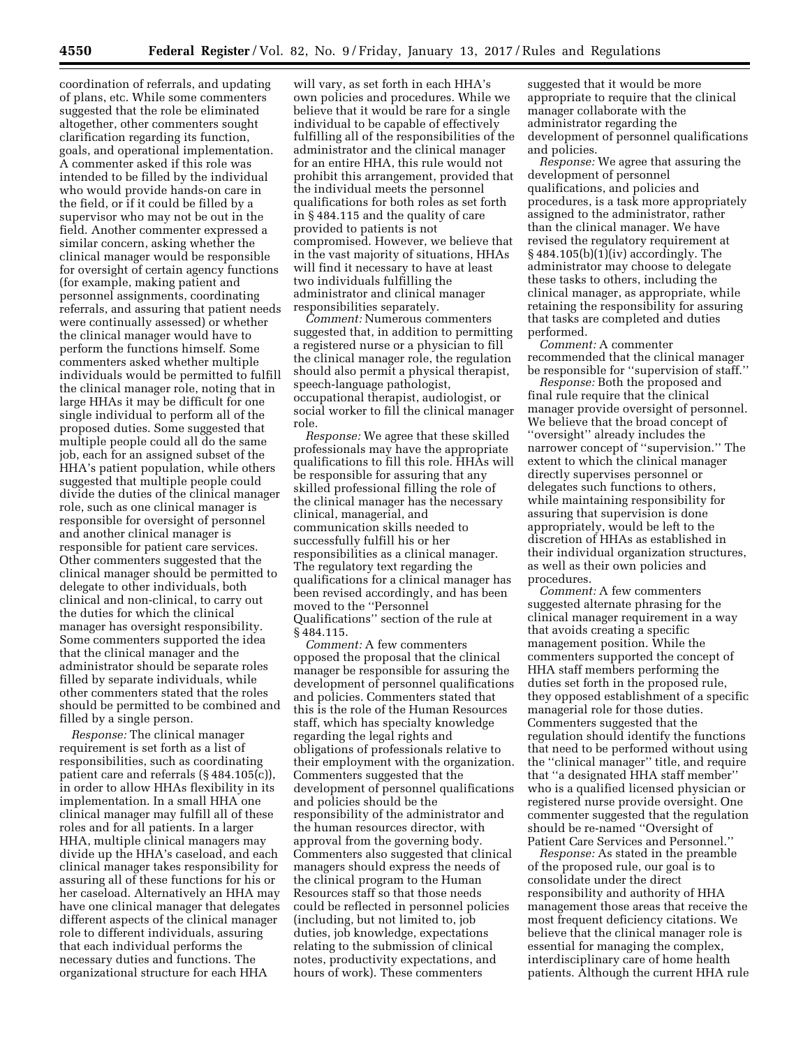coordination of referrals, and updating of plans, etc. While some commenters suggested that the role be eliminated altogether, other commenters sought clarification regarding its function, goals, and operational implementation. A commenter asked if this role was intended to be filled by the individual who would provide hands-on care in the field, or if it could be filled by a supervisor who may not be out in the field. Another commenter expressed a similar concern, asking whether the clinical manager would be responsible for oversight of certain agency functions (for example, making patient and personnel assignments, coordinating referrals, and assuring that patient needs were continually assessed) or whether the clinical manager would have to perform the functions himself. Some commenters asked whether multiple individuals would be permitted to fulfill the clinical manager role, noting that in large HHAs it may be difficult for one single individual to perform all of the proposed duties. Some suggested that multiple people could all do the same job, each for an assigned subset of the HHA's patient population, while others suggested that multiple people could divide the duties of the clinical manager role, such as one clinical manager is responsible for oversight of personnel and another clinical manager is responsible for patient care services. Other commenters suggested that the clinical manager should be permitted to delegate to other individuals, both clinical and non-clinical, to carry out the duties for which the clinical manager has oversight responsibility. Some commenters supported the idea that the clinical manager and the administrator should be separate roles filled by separate individuals, while other commenters stated that the roles should be permitted to be combined and filled by a single person.

*Response:* The clinical manager requirement is set forth as a list of responsibilities, such as coordinating patient care and referrals (§ 484.105(c)), in order to allow HHAs flexibility in its implementation. In a small HHA one clinical manager may fulfill all of these roles and for all patients. In a larger HHA, multiple clinical managers may divide up the HHA's caseload, and each clinical manager takes responsibility for assuring all of these functions for his or her caseload. Alternatively an HHA may have one clinical manager that delegates different aspects of the clinical manager role to different individuals, assuring that each individual performs the necessary duties and functions. The organizational structure for each HHA

will vary, as set forth in each HHA's own policies and procedures. While we believe that it would be rare for a single individual to be capable of effectively fulfilling all of the responsibilities of the administrator and the clinical manager for an entire HHA, this rule would not prohibit this arrangement, provided that the individual meets the personnel qualifications for both roles as set forth in § 484.115 and the quality of care provided to patients is not compromised. However, we believe that in the vast majority of situations, HHAs will find it necessary to have at least two individuals fulfilling the administrator and clinical manager responsibilities separately.

*Comment:* Numerous commenters suggested that, in addition to permitting a registered nurse or a physician to fill the clinical manager role, the regulation should also permit a physical therapist, speech-language pathologist, occupational therapist, audiologist, or social worker to fill the clinical manager role.

*Response:* We agree that these skilled professionals may have the appropriate qualifications to fill this role. HHAs will be responsible for assuring that any skilled professional filling the role of the clinical manager has the necessary clinical, managerial, and communication skills needed to successfully fulfill his or her responsibilities as a clinical manager. The regulatory text regarding the qualifications for a clinical manager has been revised accordingly, and has been moved to the ''Personnel Qualifications'' section of the rule at § 484.115.

*Comment:* A few commenters opposed the proposal that the clinical manager be responsible for assuring the development of personnel qualifications and policies. Commenters stated that this is the role of the Human Resources staff, which has specialty knowledge regarding the legal rights and obligations of professionals relative to their employment with the organization. Commenters suggested that the development of personnel qualifications and policies should be the responsibility of the administrator and the human resources director, with approval from the governing body. Commenters also suggested that clinical managers should express the needs of the clinical program to the Human Resources staff so that those needs could be reflected in personnel policies (including, but not limited to, job duties, job knowledge, expectations relating to the submission of clinical notes, productivity expectations, and hours of work). These commenters

suggested that it would be more appropriate to require that the clinical manager collaborate with the administrator regarding the development of personnel qualifications and policies.

*Response:* We agree that assuring the development of personnel qualifications, and policies and procedures, is a task more appropriately assigned to the administrator, rather than the clinical manager. We have revised the regulatory requirement at § 484.105(b)(1)(iv) accordingly. The administrator may choose to delegate these tasks to others, including the clinical manager, as appropriate, while retaining the responsibility for assuring that tasks are completed and duties performed.

*Comment:* A commenter recommended that the clinical manager be responsible for ''supervision of staff.''

*Response:* Both the proposed and final rule require that the clinical manager provide oversight of personnel. We believe that the broad concept of ''oversight'' already includes the narrower concept of ''supervision.'' The extent to which the clinical manager directly supervises personnel or delegates such functions to others, while maintaining responsibility for assuring that supervision is done appropriately, would be left to the discretion of HHAs as established in their individual organization structures, as well as their own policies and procedures.

*Comment:* A few commenters suggested alternate phrasing for the clinical manager requirement in a way that avoids creating a specific management position. While the commenters supported the concept of HHA staff members performing the duties set forth in the proposed rule, they opposed establishment of a specific managerial role for those duties. Commenters suggested that the regulation should identify the functions that need to be performed without using the ''clinical manager'' title, and require that ''a designated HHA staff member'' who is a qualified licensed physician or registered nurse provide oversight. One commenter suggested that the regulation should be re-named ''Oversight of Patient Care Services and Personnel.''

*Response:* As stated in the preamble of the proposed rule, our goal is to consolidate under the direct responsibility and authority of HHA management those areas that receive the most frequent deficiency citations. We believe that the clinical manager role is essential for managing the complex, interdisciplinary care of home health patients. Although the current HHA rule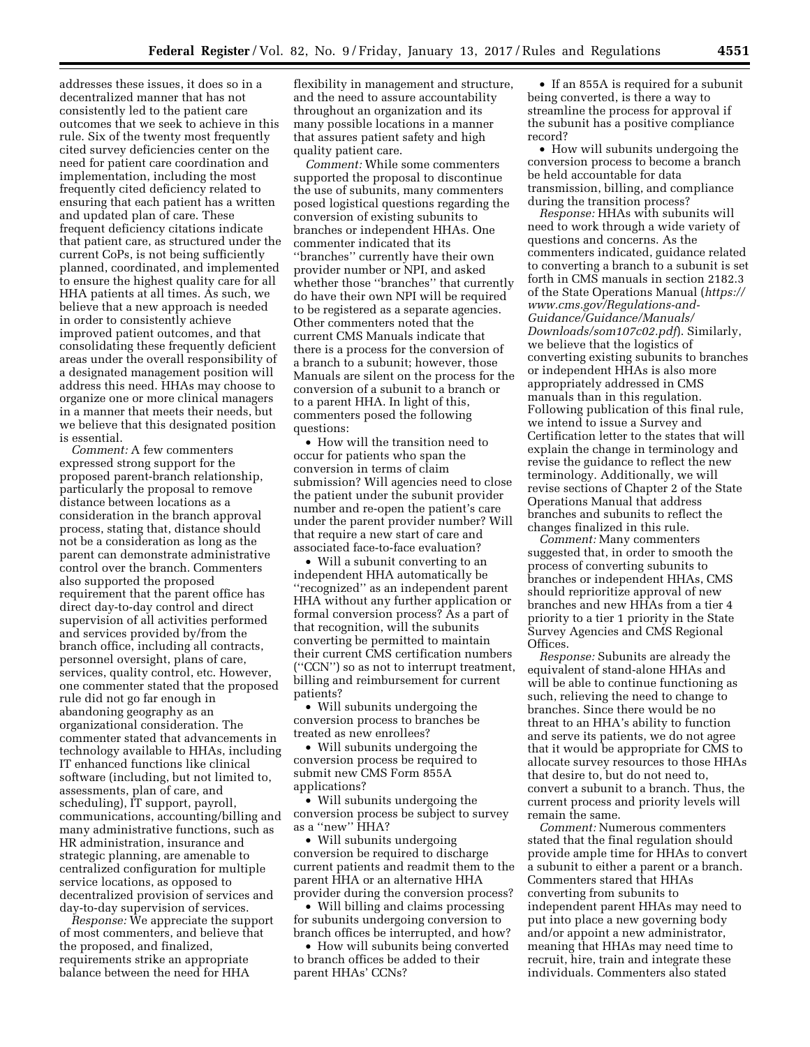addresses these issues, it does so in a decentralized manner that has not consistently led to the patient care outcomes that we seek to achieve in this rule. Six of the twenty most frequently cited survey deficiencies center on the need for patient care coordination and implementation, including the most frequently cited deficiency related to ensuring that each patient has a written and updated plan of care. These frequent deficiency citations indicate that patient care, as structured under the current CoPs, is not being sufficiently planned, coordinated, and implemented to ensure the highest quality care for all HHA patients at all times. As such, we believe that a new approach is needed in order to consistently achieve improved patient outcomes, and that consolidating these frequently deficient areas under the overall responsibility of a designated management position will address this need. HHAs may choose to organize one or more clinical managers in a manner that meets their needs, but we believe that this designated position is essential.

*Comment:* A few commenters expressed strong support for the proposed parent-branch relationship, particularly the proposal to remove distance between locations as a consideration in the branch approval process, stating that, distance should not be a consideration as long as the parent can demonstrate administrative control over the branch. Commenters also supported the proposed requirement that the parent office has direct day-to-day control and direct supervision of all activities performed and services provided by/from the branch office, including all contracts, personnel oversight, plans of care, services, quality control, etc. However, one commenter stated that the proposed rule did not go far enough in abandoning geography as an organizational consideration. The commenter stated that advancements in technology available to HHAs, including IT enhanced functions like clinical software (including, but not limited to, assessments, plan of care, and scheduling), IT support, payroll, communications, accounting/billing and many administrative functions, such as HR administration, insurance and strategic planning, are amenable to centralized configuration for multiple service locations, as opposed to decentralized provision of services and day-to-day supervision of services.

*Response:* We appreciate the support of most commenters, and believe that the proposed, and finalized, requirements strike an appropriate balance between the need for HHA

flexibility in management and structure, and the need to assure accountability throughout an organization and its many possible locations in a manner that assures patient safety and high quality patient care.

*Comment:* While some commenters supported the proposal to discontinue the use of subunits, many commenters posed logistical questions regarding the conversion of existing subunits to branches or independent HHAs. One commenter indicated that its ''branches'' currently have their own provider number or NPI, and asked whether those ''branches'' that currently do have their own NPI will be required to be registered as a separate agencies. Other commenters noted that the current CMS Manuals indicate that there is a process for the conversion of a branch to a subunit; however, those Manuals are silent on the process for the conversion of a subunit to a branch or to a parent HHA. In light of this, commenters posed the following questions:

• How will the transition need to occur for patients who span the conversion in terms of claim submission? Will agencies need to close the patient under the subunit provider number and re-open the patient's care under the parent provider number? Will that require a new start of care and associated face-to-face evaluation?

• Will a subunit converting to an independent HHA automatically be ''recognized'' as an independent parent HHA without any further application or formal conversion process? As a part of that recognition, will the subunits converting be permitted to maintain their current CMS certification numbers (''CCN'') so as not to interrupt treatment, billing and reimbursement for current patients?

• Will subunits undergoing the conversion process to branches be treated as new enrollees?

• Will subunits undergoing the conversion process be required to submit new CMS Form 855A applications?

• Will subunits undergoing the conversion process be subject to survey as a ''new'' HHA?

• Will subunits undergoing conversion be required to discharge current patients and readmit them to the parent HHA or an alternative HHA provider during the conversion process?

• Will billing and claims processing for subunits undergoing conversion to branch offices be interrupted, and how?

• How will subunits being converted to branch offices be added to their parent HHAs' CCNs?

• If an 855A is required for a subunit being converted, is there a way to streamline the process for approval if the subunit has a positive compliance record?

• How will subunits undergoing the conversion process to become a branch be held accountable for data transmission, billing, and compliance during the transition process?

*Response:* HHAs with subunits will need to work through a wide variety of questions and concerns. As the commenters indicated, guidance related to converting a branch to a subunit is set forth in CMS manuals in section 2182.3 of the State Operations Manual (*[https://](https://www.cms.gov/Regulations-and-Guidance/Guidance/Manuals/Downloads/som107c02.pdf) [www.cms.gov/Regulations-and-](https://www.cms.gov/Regulations-and-Guidance/Guidance/Manuals/Downloads/som107c02.pdf)[Guidance/Guidance/Manuals/](https://www.cms.gov/Regulations-and-Guidance/Guidance/Manuals/Downloads/som107c02.pdf) [Downloads/som107c02.pdf](https://www.cms.gov/Regulations-and-Guidance/Guidance/Manuals/Downloads/som107c02.pdf)*). Similarly, we believe that the logistics of converting existing subunits to branches or independent HHAs is also more appropriately addressed in CMS manuals than in this regulation. Following publication of this final rule, we intend to issue a Survey and Certification letter to the states that will explain the change in terminology and revise the guidance to reflect the new terminology. Additionally, we will revise sections of Chapter 2 of the State Operations Manual that address branches and subunits to reflect the changes finalized in this rule.

*Comment:* Many commenters suggested that, in order to smooth the process of converting subunits to branches or independent HHAs, CMS should reprioritize approval of new branches and new HHAs from a tier 4 priority to a tier 1 priority in the State Survey Agencies and CMS Regional Offices.

*Response:* Subunits are already the equivalent of stand-alone HHAs and will be able to continue functioning as such, relieving the need to change to branches. Since there would be no threat to an HHA's ability to function and serve its patients, we do not agree that it would be appropriate for CMS to allocate survey resources to those HHAs that desire to, but do not need to, convert a subunit to a branch. Thus, the current process and priority levels will remain the same.

*Comment:* Numerous commenters stated that the final regulation should provide ample time for HHAs to convert a subunit to either a parent or a branch. Commenters stared that HHAs converting from subunits to independent parent HHAs may need to put into place a new governing body and/or appoint a new administrator, meaning that HHAs may need time to recruit, hire, train and integrate these individuals. Commenters also stated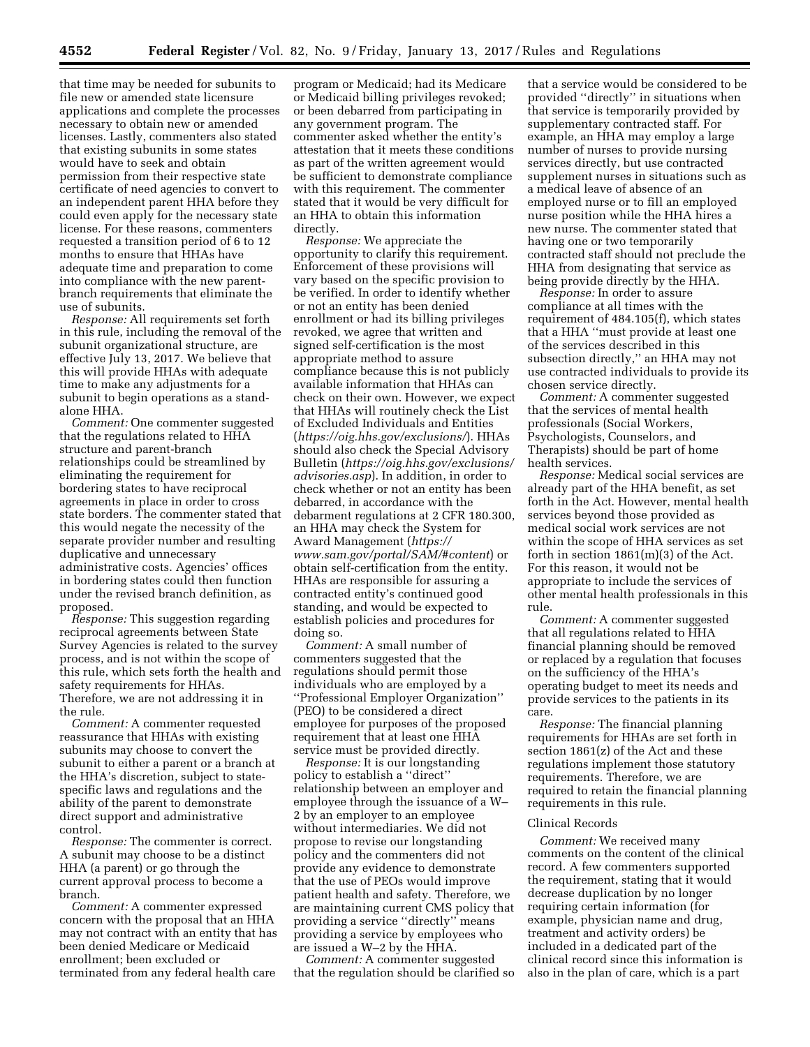that time may be needed for subunits to file new or amended state licensure applications and complete the processes necessary to obtain new or amended licenses. Lastly, commenters also stated that existing subunits in some states would have to seek and obtain permission from their respective state certificate of need agencies to convert to an independent parent HHA before they could even apply for the necessary state license. For these reasons, commenters requested a transition period of 6 to 12 months to ensure that HHAs have adequate time and preparation to come into compliance with the new parentbranch requirements that eliminate the use of subunits.

*Response:* All requirements set forth in this rule, including the removal of the subunit organizational structure, are effective July 13, 2017. We believe that this will provide HHAs with adequate time to make any adjustments for a subunit to begin operations as a standalone HHA.

*Comment:* One commenter suggested that the regulations related to HHA structure and parent-branch relationships could be streamlined by eliminating the requirement for bordering states to have reciprocal agreements in place in order to cross state borders. The commenter stated that this would negate the necessity of the separate provider number and resulting duplicative and unnecessary administrative costs. Agencies' offices in bordering states could then function under the revised branch definition, as proposed.

*Response:* This suggestion regarding reciprocal agreements between State Survey Agencies is related to the survey process, and is not within the scope of this rule, which sets forth the health and safety requirements for HHAs. Therefore, we are not addressing it in the rule.

*Comment:* A commenter requested reassurance that HHAs with existing subunits may choose to convert the subunit to either a parent or a branch at the HHA's discretion, subject to statespecific laws and regulations and the ability of the parent to demonstrate direct support and administrative control.

*Response:* The commenter is correct. A subunit may choose to be a distinct HHA (a parent) or go through the current approval process to become a branch.

*Comment:* A commenter expressed concern with the proposal that an HHA may not contract with an entity that has been denied Medicare or Medicaid enrollment; been excluded or terminated from any federal health care

program or Medicaid; had its Medicare or Medicaid billing privileges revoked; or been debarred from participating in any government program. The commenter asked whether the entity's attestation that it meets these conditions as part of the written agreement would be sufficient to demonstrate compliance with this requirement. The commenter stated that it would be very difficult for an HHA to obtain this information directly.

*Response:* We appreciate the opportunity to clarify this requirement. Enforcement of these provisions will vary based on the specific provision to be verified. In order to identify whether or not an entity has been denied enrollment or had its billing privileges revoked, we agree that written and signed self-certification is the most appropriate method to assure compliance because this is not publicly available information that HHAs can check on their own. However, we expect that HHAs will routinely check the List of Excluded Individuals and Entities (*<https://oig.hhs.gov/exclusions/>*). HHAs should also check the Special Advisory Bulletin (*[https://oig.hhs.gov/exclusions/](https://oig.hhs.gov/exclusions/advisories.asp)  [advisories.asp](https://oig.hhs.gov/exclusions/advisories.asp)*). In addition, in order to check whether or not an entity has been debarred, in accordance with the debarment regulations at 2 CFR 180.300, an HHA may check the System for Award Management (*[https://](https://www.sam.gov/portal/SAM/#content) [www.sam.gov/portal/SAM/#content](https://www.sam.gov/portal/SAM/#content)*) or obtain self-certification from the entity. HHAs are responsible for assuring a contracted entity's continued good standing, and would be expected to establish policies and procedures for doing so.

*Comment:* A small number of commenters suggested that the regulations should permit those individuals who are employed by a ''Professional Employer Organization'' (PEO) to be considered a direct employee for purposes of the proposed requirement that at least one HHA service must be provided directly.

*Response:* It is our longstanding policy to establish a ''direct'' relationship between an employer and employee through the issuance of a W– 2 by an employer to an employee without intermediaries. We did not propose to revise our longstanding policy and the commenters did not provide any evidence to demonstrate that the use of PEOs would improve patient health and safety. Therefore, we are maintaining current CMS policy that providing a service ''directly'' means providing a service by employees who are issued a W–2 by the HHA.

*Comment:* A commenter suggested that the regulation should be clarified so

that a service would be considered to be provided ''directly'' in situations when that service is temporarily provided by supplementary contracted staff. For example, an HHA may employ a large number of nurses to provide nursing services directly, but use contracted supplement nurses in situations such as a medical leave of absence of an employed nurse or to fill an employed nurse position while the HHA hires a new nurse. The commenter stated that having one or two temporarily contracted staff should not preclude the HHA from designating that service as being provide directly by the HHA.

*Response:* In order to assure compliance at all times with the requirement of 484.105(f), which states that a HHA ''must provide at least one of the services described in this subsection directly,'' an HHA may not use contracted individuals to provide its chosen service directly.

*Comment:* A commenter suggested that the services of mental health professionals (Social Workers, Psychologists, Counselors, and Therapists) should be part of home health services.

*Response:* Medical social services are already part of the HHA benefit, as set forth in the Act. However, mental health services beyond those provided as medical social work services are not within the scope of HHA services as set forth in section 1861(m)(3) of the Act. For this reason, it would not be appropriate to include the services of other mental health professionals in this rule.

*Comment:* A commenter suggested that all regulations related to HHA financial planning should be removed or replaced by a regulation that focuses on the sufficiency of the HHA's operating budget to meet its needs and provide services to the patients in its care.

*Response:* The financial planning requirements for HHAs are set forth in section 1861(z) of the Act and these regulations implement those statutory requirements. Therefore, we are required to retain the financial planning requirements in this rule.

### Clinical Records

*Comment:* We received many comments on the content of the clinical record. A few commenters supported the requirement, stating that it would decrease duplication by no longer requiring certain information (for example, physician name and drug, treatment and activity orders) be included in a dedicated part of the clinical record since this information is also in the plan of care, which is a part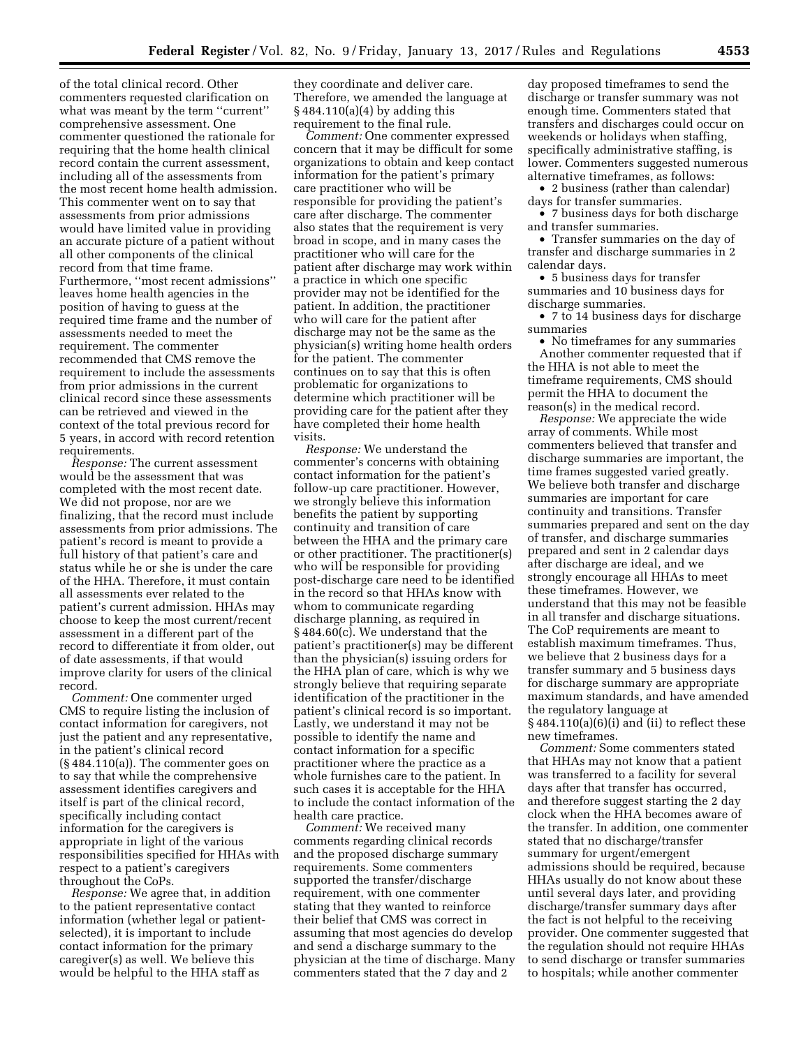of the total clinical record. Other commenters requested clarification on what was meant by the term ''current'' comprehensive assessment. One commenter questioned the rationale for requiring that the home health clinical record contain the current assessment, including all of the assessments from the most recent home health admission. This commenter went on to say that assessments from prior admissions would have limited value in providing an accurate picture of a patient without all other components of the clinical record from that time frame. Furthermore, ''most recent admissions'' leaves home health agencies in the position of having to guess at the required time frame and the number of assessments needed to meet the requirement. The commenter recommended that CMS remove the requirement to include the assessments from prior admissions in the current clinical record since these assessments can be retrieved and viewed in the context of the total previous record for 5 years, in accord with record retention requirements.

*Response:* The current assessment would be the assessment that was completed with the most recent date. We did not propose, nor are we finalizing, that the record must include assessments from prior admissions. The patient's record is meant to provide a full history of that patient's care and status while he or she is under the care of the HHA. Therefore, it must contain all assessments ever related to the patient's current admission. HHAs may choose to keep the most current/recent assessment in a different part of the record to differentiate it from older, out of date assessments, if that would improve clarity for users of the clinical record.

*Comment:* One commenter urged CMS to require listing the inclusion of contact information for caregivers, not just the patient and any representative, in the patient's clinical record (§ 484.110(a)). The commenter goes on to say that while the comprehensive assessment identifies caregivers and itself is part of the clinical record, specifically including contact information for the caregivers is appropriate in light of the various responsibilities specified for HHAs with respect to a patient's caregivers throughout the CoPs.

*Response:* We agree that, in addition to the patient representative contact information (whether legal or patientselected), it is important to include contact information for the primary caregiver(s) as well. We believe this would be helpful to the HHA staff as

they coordinate and deliver care. Therefore, we amended the language at § 484.110(a)(4) by adding this requirement to the final rule.

*Comment:* One commenter expressed concern that it may be difficult for some organizations to obtain and keep contact information for the patient's primary care practitioner who will be responsible for providing the patient's care after discharge. The commenter also states that the requirement is very broad in scope, and in many cases the practitioner who will care for the patient after discharge may work within a practice in which one specific provider may not be identified for the patient. In addition, the practitioner who will care for the patient after discharge may not be the same as the physician(s) writing home health orders for the patient. The commenter continues on to say that this is often problematic for organizations to determine which practitioner will be providing care for the patient after they have completed their home health visits.

*Response:* We understand the commenter's concerns with obtaining contact information for the patient's follow-up care practitioner. However, we strongly believe this information benefits the patient by supporting continuity and transition of care between the HHA and the primary care or other practitioner. The practitioner(s) who will be responsible for providing post-discharge care need to be identified in the record so that HHAs know with whom to communicate regarding discharge planning, as required in § 484.60(c). We understand that the patient's practitioner(s) may be different than the physician(s) issuing orders for the HHA plan of care, which is why we strongly believe that requiring separate identification of the practitioner in the patient's clinical record is so important. Lastly, we understand it may not be possible to identify the name and contact information for a specific practitioner where the practice as a whole furnishes care to the patient. In such cases it is acceptable for the HHA to include the contact information of the health care practice.

*Comment:* We received many comments regarding clinical records and the proposed discharge summary requirements. Some commenters supported the transfer/discharge requirement, with one commenter stating that they wanted to reinforce their belief that CMS was correct in assuming that most agencies do develop and send a discharge summary to the physician at the time of discharge. Many commenters stated that the 7 day and 2

day proposed timeframes to send the discharge or transfer summary was not enough time. Commenters stated that transfers and discharges could occur on weekends or holidays when staffing, specifically administrative staffing, is lower. Commenters suggested numerous alternative timeframes, as follows:

• 2 business (rather than calendar) days for transfer summaries.

• 7 business days for both discharge and transfer summaries.

• Transfer summaries on the day of transfer and discharge summaries in 2 calendar days.

• 5 business days for transfer summaries and 10 business days for discharge summaries.

• 7 to 14 business days for discharge summaries

• No timeframes for any summaries Another commenter requested that if the HHA is not able to meet the timeframe requirements, CMS should permit the HHA to document the reason(s) in the medical record.

*Response:* We appreciate the wide array of comments. While most commenters believed that transfer and discharge summaries are important, the time frames suggested varied greatly. We believe both transfer and discharge summaries are important for care continuity and transitions. Transfer summaries prepared and sent on the day of transfer, and discharge summaries prepared and sent in 2 calendar days after discharge are ideal, and we strongly encourage all HHAs to meet these timeframes. However, we understand that this may not be feasible in all transfer and discharge situations. The CoP requirements are meant to establish maximum timeframes. Thus, we believe that 2 business days for a transfer summary and 5 business days for discharge summary are appropriate maximum standards, and have amended the regulatory language at  $§$  484.110(a)(6)(i) and (ii) to reflect these new timeframes.

*Comment:* Some commenters stated that HHAs may not know that a patient was transferred to a facility for several days after that transfer has occurred, and therefore suggest starting the 2 day clock when the HHA becomes aware of the transfer. In addition, one commenter stated that no discharge/transfer summary for urgent/emergent admissions should be required, because HHAs usually do not know about these until several days later, and providing discharge/transfer summary days after the fact is not helpful to the receiving provider. One commenter suggested that the regulation should not require HHAs to send discharge or transfer summaries to hospitals; while another commenter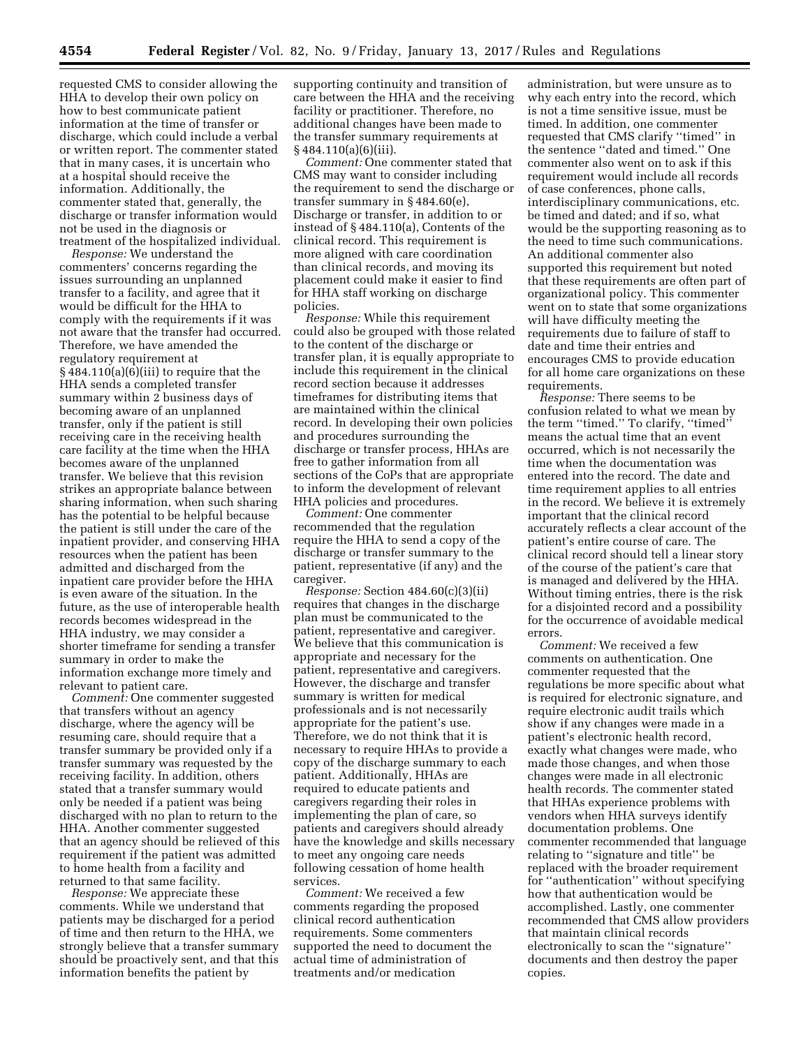requested CMS to consider allowing the HHA to develop their own policy on how to best communicate patient information at the time of transfer or discharge, which could include a verbal or written report. The commenter stated that in many cases, it is uncertain who at a hospital should receive the information. Additionally, the commenter stated that, generally, the discharge or transfer information would not be used in the diagnosis or treatment of the hospitalized individual.

*Response:* We understand the commenters' concerns regarding the issues surrounding an unplanned transfer to a facility, and agree that it would be difficult for the HHA to comply with the requirements if it was not aware that the transfer had occurred. Therefore, we have amended the regulatory requirement at § 484.110(a)(6)(iii) to require that the HHA sends a completed transfer summary within 2 business days of becoming aware of an unplanned transfer, only if the patient is still receiving care in the receiving health care facility at the time when the HHA becomes aware of the unplanned transfer. We believe that this revision strikes an appropriate balance between sharing information, when such sharing has the potential to be helpful because the patient is still under the care of the inpatient provider, and conserving HHA resources when the patient has been admitted and discharged from the inpatient care provider before the HHA is even aware of the situation. In the future, as the use of interoperable health records becomes widespread in the HHA industry, we may consider a shorter timeframe for sending a transfer summary in order to make the information exchange more timely and relevant to patient care.

*Comment:* One commenter suggested that transfers without an agency discharge, where the agency will be resuming care, should require that a transfer summary be provided only if a transfer summary was requested by the receiving facility. In addition, others stated that a transfer summary would only be needed if a patient was being discharged with no plan to return to the HHA. Another commenter suggested that an agency should be relieved of this requirement if the patient was admitted to home health from a facility and returned to that same facility.

*Response:* We appreciate these comments. While we understand that patients may be discharged for a period of time and then return to the HHA, we strongly believe that a transfer summary should be proactively sent, and that this information benefits the patient by

supporting continuity and transition of care between the HHA and the receiving facility or practitioner. Therefore, no additional changes have been made to the transfer summary requirements at § 484.110(a)(6)(iii).

*Comment:* One commenter stated that CMS may want to consider including the requirement to send the discharge or transfer summary in § 484.60(e), Discharge or transfer, in addition to or instead of § 484.110(a), Contents of the clinical record. This requirement is more aligned with care coordination than clinical records, and moving its placement could make it easier to find for HHA staff working on discharge policies.

*Response:* While this requirement could also be grouped with those related to the content of the discharge or transfer plan, it is equally appropriate to include this requirement in the clinical record section because it addresses timeframes for distributing items that are maintained within the clinical record. In developing their own policies and procedures surrounding the discharge or transfer process, HHAs are free to gather information from all sections of the CoPs that are appropriate to inform the development of relevant HHA policies and procedures.

*Comment:* One commenter recommended that the regulation require the HHA to send a copy of the discharge or transfer summary to the patient, representative (if any) and the caregiver.

*Response:* Section 484.60(c)(3)(ii) requires that changes in the discharge plan must be communicated to the patient, representative and caregiver. We believe that this communication is appropriate and necessary for the patient, representative and caregivers. However, the discharge and transfer summary is written for medical professionals and is not necessarily appropriate for the patient's use. Therefore, we do not think that it is necessary to require HHAs to provide a copy of the discharge summary to each patient. Additionally, HHAs are required to educate patients and caregivers regarding their roles in implementing the plan of care, so patients and caregivers should already have the knowledge and skills necessary to meet any ongoing care needs following cessation of home health services.

*Comment:* We received a few comments regarding the proposed clinical record authentication requirements. Some commenters supported the need to document the actual time of administration of treatments and/or medication

administration, but were unsure as to why each entry into the record, which is not a time sensitive issue, must be timed. In addition, one commenter requested that CMS clarify ''timed'' in the sentence ''dated and timed.'' One commenter also went on to ask if this requirement would include all records of case conferences, phone calls, interdisciplinary communications, etc. be timed and dated; and if so, what would be the supporting reasoning as to the need to time such communications. An additional commenter also supported this requirement but noted that these requirements are often part of organizational policy. This commenter went on to state that some organizations will have difficulty meeting the requirements due to failure of staff to date and time their entries and encourages CMS to provide education for all home care organizations on these requirements.

*Response:* There seems to be confusion related to what we mean by the term ''timed.'' To clarify, ''timed'' means the actual time that an event occurred, which is not necessarily the time when the documentation was entered into the record. The date and time requirement applies to all entries in the record. We believe it is extremely important that the clinical record accurately reflects a clear account of the patient's entire course of care. The clinical record should tell a linear story of the course of the patient's care that is managed and delivered by the HHA. Without timing entries, there is the risk for a disjointed record and a possibility for the occurrence of avoidable medical errors.

*Comment:* We received a few comments on authentication. One commenter requested that the regulations be more specific about what is required for electronic signature, and require electronic audit trails which show if any changes were made in a patient's electronic health record, exactly what changes were made, who made those changes, and when those changes were made in all electronic health records. The commenter stated that HHAs experience problems with vendors when HHA surveys identify documentation problems. One commenter recommended that language relating to ''signature and title'' be replaced with the broader requirement for ''authentication'' without specifying how that authentication would be accomplished. Lastly, one commenter recommended that CMS allow providers that maintain clinical records electronically to scan the ''signature'' documents and then destroy the paper copies.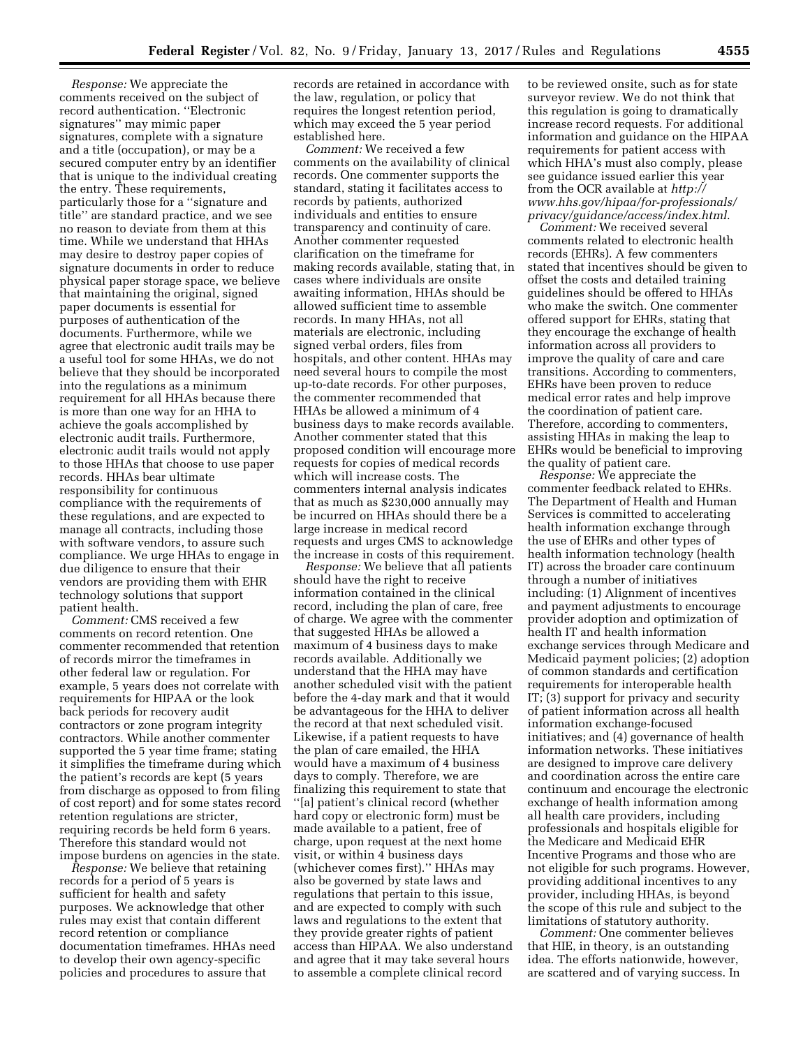*Response:* We appreciate the comments received on the subject of record authentication. ''Electronic signatures'' may mimic paper signatures, complete with a signature and a title (occupation), or may be a secured computer entry by an identifier that is unique to the individual creating the entry. These requirements, particularly those for a ''signature and title'' are standard practice, and we see no reason to deviate from them at this time. While we understand that HHAs may desire to destroy paper copies of signature documents in order to reduce physical paper storage space, we believe that maintaining the original, signed paper documents is essential for purposes of authentication of the documents. Furthermore, while we agree that electronic audit trails may be a useful tool for some HHAs, we do not believe that they should be incorporated into the regulations as a minimum requirement for all HHAs because there is more than one way for an HHA to achieve the goals accomplished by electronic audit trails. Furthermore, electronic audit trails would not apply to those HHAs that choose to use paper records. HHAs bear ultimate responsibility for continuous compliance with the requirements of these regulations, and are expected to manage all contracts, including those with software vendors, to assure such compliance. We urge HHAs to engage in due diligence to ensure that their vendors are providing them with EHR technology solutions that support patient health.

*Comment:* CMS received a few comments on record retention. One commenter recommended that retention of records mirror the timeframes in other federal law or regulation. For example, 5 years does not correlate with requirements for HIPAA or the look back periods for recovery audit contractors or zone program integrity contractors. While another commenter supported the 5 year time frame; stating it simplifies the timeframe during which the patient's records are kept (5 years from discharge as opposed to from filing of cost report) and for some states record retention regulations are stricter, requiring records be held form 6 years. Therefore this standard would not impose burdens on agencies in the state.

*Response:* We believe that retaining records for a period of 5 years is sufficient for health and safety purposes. We acknowledge that other rules may exist that contain different record retention or compliance documentation timeframes. HHAs need to develop their own agency-specific policies and procedures to assure that

records are retained in accordance with the law, regulation, or policy that requires the longest retention period, which may exceed the 5 year period established here.

*Comment:* We received a few comments on the availability of clinical records. One commenter supports the standard, stating it facilitates access to records by patients, authorized individuals and entities to ensure transparency and continuity of care. Another commenter requested clarification on the timeframe for making records available, stating that, in cases where individuals are onsite awaiting information, HHAs should be allowed sufficient time to assemble records. In many HHAs, not all materials are electronic, including signed verbal orders, files from hospitals, and other content. HHAs may need several hours to compile the most up-to-date records. For other purposes, the commenter recommended that HHAs be allowed a minimum of 4 business days to make records available. Another commenter stated that this proposed condition will encourage more requests for copies of medical records which will increase costs. The commenters internal analysis indicates that as much as \$230,000 annually may be incurred on HHAs should there be a large increase in medical record requests and urges CMS to acknowledge the increase in costs of this requirement.

*Response:* We believe that all patients should have the right to receive information contained in the clinical record, including the plan of care, free of charge. We agree with the commenter that suggested HHAs be allowed a maximum of 4 business days to make records available. Additionally we understand that the HHA may have another scheduled visit with the patient before the 4-day mark and that it would be advantageous for the HHA to deliver the record at that next scheduled visit. Likewise, if a patient requests to have the plan of care emailed, the HHA would have a maximum of 4 business days to comply. Therefore, we are finalizing this requirement to state that ''[a] patient's clinical record (whether hard copy or electronic form) must be made available to a patient, free of charge, upon request at the next home visit, or within 4 business days (whichever comes first).'' HHAs may also be governed by state laws and regulations that pertain to this issue, and are expected to comply with such laws and regulations to the extent that they provide greater rights of patient access than HIPAA. We also understand and agree that it may take several hours to assemble a complete clinical record

to be reviewed onsite, such as for state surveyor review. We do not think that this regulation is going to dramatically increase record requests. For additional information and guidance on the HIPAA requirements for patient access with which HHA's must also comply, please see guidance issued earlier this year from the OCR available at *[http://](http://www.hhs.gov/hipaa/for-professionals/privacy/guidance/access/index.html) [www.hhs.gov/hipaa/for-professionals/](http://www.hhs.gov/hipaa/for-professionals/privacy/guidance/access/index.html) [privacy/guidance/access/index.html](http://www.hhs.gov/hipaa/for-professionals/privacy/guidance/access/index.html)*.

*Comment:* We received several comments related to electronic health records (EHRs). A few commenters stated that incentives should be given to offset the costs and detailed training guidelines should be offered to HHAs who make the switch. One commenter offered support for EHRs, stating that they encourage the exchange of health information across all providers to improve the quality of care and care transitions. According to commenters, EHRs have been proven to reduce medical error rates and help improve the coordination of patient care. Therefore, according to commenters, assisting HHAs in making the leap to EHRs would be beneficial to improving the quality of patient care.

*Response:* We appreciate the commenter feedback related to EHRs. The Department of Health and Human Services is committed to accelerating health information exchange through the use of EHRs and other types of health information technology (health IT) across the broader care continuum through a number of initiatives including: (1) Alignment of incentives and payment adjustments to encourage provider adoption and optimization of health IT and health information exchange services through Medicare and Medicaid payment policies; (2) adoption of common standards and certification requirements for interoperable health IT; (3) support for privacy and security of patient information across all health information exchange-focused initiatives; and (4) governance of health information networks. These initiatives are designed to improve care delivery and coordination across the entire care continuum and encourage the electronic exchange of health information among all health care providers, including professionals and hospitals eligible for the Medicare and Medicaid EHR Incentive Programs and those who are not eligible for such programs. However, providing additional incentives to any provider, including HHAs, is beyond the scope of this rule and subject to the limitations of statutory authority.

*Comment:* One commenter believes that HIE, in theory, is an outstanding idea. The efforts nationwide, however, are scattered and of varying success. In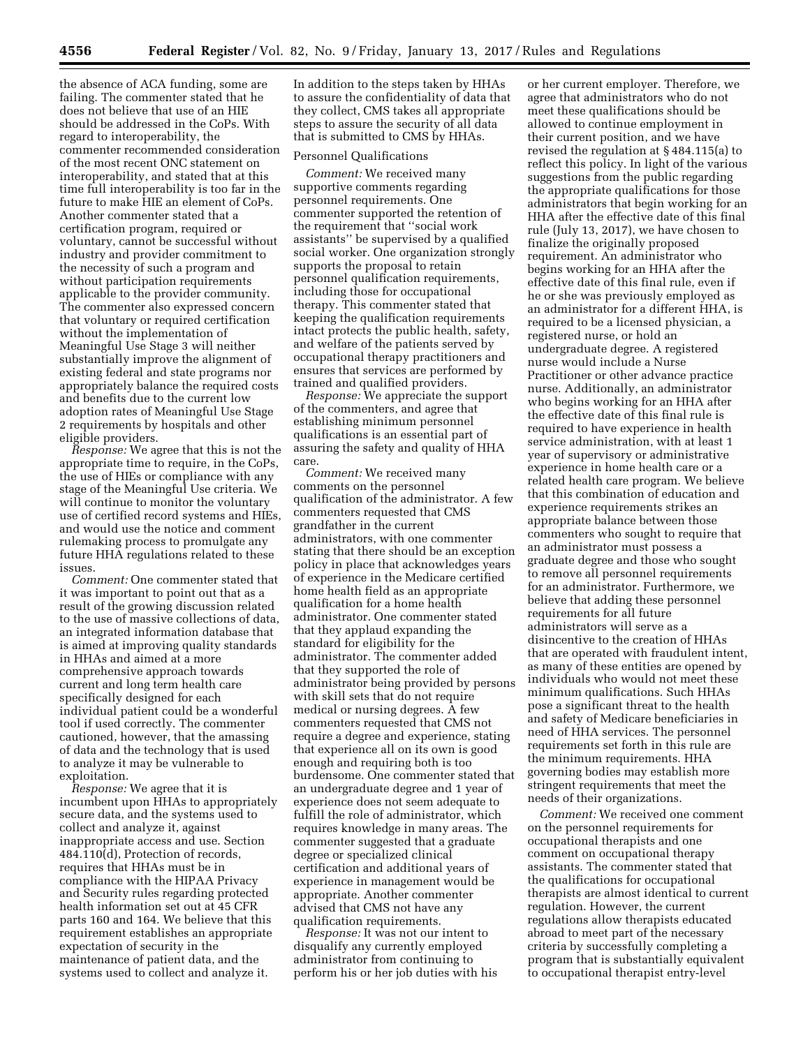the absence of ACA funding, some are failing. The commenter stated that he does not believe that use of an HIE should be addressed in the CoPs. With regard to interoperability, the commenter recommended consideration of the most recent ONC statement on interoperability, and stated that at this time full interoperability is too far in the future to make HIE an element of CoPs. Another commenter stated that a certification program, required or voluntary, cannot be successful without industry and provider commitment to the necessity of such a program and without participation requirements applicable to the provider community. The commenter also expressed concern that voluntary or required certification without the implementation of Meaningful Use Stage 3 will neither substantially improve the alignment of existing federal and state programs nor appropriately balance the required costs and benefits due to the current low adoption rates of Meaningful Use Stage 2 requirements by hospitals and other eligible providers.

*Response:* We agree that this is not the appropriate time to require, in the CoPs, the use of HIEs or compliance with any stage of the Meaningful Use criteria. We will continue to monitor the voluntary use of certified record systems and HIEs, and would use the notice and comment rulemaking process to promulgate any future HHA regulations related to these issues.

*Comment:* One commenter stated that it was important to point out that as a result of the growing discussion related to the use of massive collections of data, an integrated information database that is aimed at improving quality standards in HHAs and aimed at a more comprehensive approach towards current and long term health care specifically designed for each individual patient could be a wonderful tool if used correctly. The commenter cautioned, however, that the amassing of data and the technology that is used to analyze it may be vulnerable to exploitation.

*Response:* We agree that it is incumbent upon HHAs to appropriately secure data, and the systems used to collect and analyze it, against inappropriate access and use. Section 484.110(d), Protection of records, requires that HHAs must be in compliance with the HIPAA Privacy and Security rules regarding protected health information set out at 45 CFR parts 160 and 164. We believe that this requirement establishes an appropriate expectation of security in the maintenance of patient data, and the systems used to collect and analyze it.

In addition to the steps taken by HHAs to assure the confidentiality of data that they collect, CMS takes all appropriate steps to assure the security of all data that is submitted to CMS by HHAs.

## Personnel Qualifications

*Comment:* We received many supportive comments regarding personnel requirements. One commenter supported the retention of the requirement that ''social work assistants'' be supervised by a qualified social worker. One organization strongly supports the proposal to retain personnel qualification requirements, including those for occupational therapy. This commenter stated that keeping the qualification requirements intact protects the public health, safety, and welfare of the patients served by occupational therapy practitioners and ensures that services are performed by trained and qualified providers.

*Response:* We appreciate the support of the commenters, and agree that establishing minimum personnel qualifications is an essential part of assuring the safety and quality of HHA care.

*Comment:* We received many comments on the personnel qualification of the administrator. A few commenters requested that CMS grandfather in the current administrators, with one commenter stating that there should be an exception policy in place that acknowledges years of experience in the Medicare certified home health field as an appropriate qualification for a home health administrator. One commenter stated that they applaud expanding the standard for eligibility for the administrator. The commenter added that they supported the role of administrator being provided by persons with skill sets that do not require medical or nursing degrees. A few commenters requested that CMS not require a degree and experience, stating that experience all on its own is good enough and requiring both is too burdensome. One commenter stated that an undergraduate degree and 1 year of experience does not seem adequate to fulfill the role of administrator, which requires knowledge in many areas. The commenter suggested that a graduate degree or specialized clinical certification and additional years of experience in management would be appropriate. Another commenter advised that CMS not have any qualification requirements.

*Response:* It was not our intent to disqualify any currently employed administrator from continuing to perform his or her job duties with his

or her current employer. Therefore, we agree that administrators who do not meet these qualifications should be allowed to continue employment in their current position, and we have revised the regulation at § 484.115(a) to reflect this policy. In light of the various suggestions from the public regarding the appropriate qualifications for those administrators that begin working for an HHA after the effective date of this final rule (July 13, 2017), we have chosen to finalize the originally proposed requirement. An administrator who begins working for an HHA after the effective date of this final rule, even if he or she was previously employed as an administrator for a different HHA, is required to be a licensed physician, a registered nurse, or hold an undergraduate degree. A registered nurse would include a Nurse Practitioner or other advance practice nurse. Additionally, an administrator who begins working for an HHA after the effective date of this final rule is required to have experience in health service administration, with at least 1 year of supervisory or administrative experience in home health care or a related health care program. We believe that this combination of education and experience requirements strikes an appropriate balance between those commenters who sought to require that an administrator must possess a graduate degree and those who sought to remove all personnel requirements for an administrator. Furthermore, we believe that adding these personnel requirements for all future administrators will serve as a disincentive to the creation of HHAs that are operated with fraudulent intent, as many of these entities are opened by individuals who would not meet these minimum qualifications. Such HHAs pose a significant threat to the health and safety of Medicare beneficiaries in need of HHA services. The personnel requirements set forth in this rule are the minimum requirements. HHA governing bodies may establish more stringent requirements that meet the needs of their organizations.

*Comment:* We received one comment on the personnel requirements for occupational therapists and one comment on occupational therapy assistants. The commenter stated that the qualifications for occupational therapists are almost identical to current regulation. However, the current regulations allow therapists educated abroad to meet part of the necessary criteria by successfully completing a program that is substantially equivalent to occupational therapist entry-level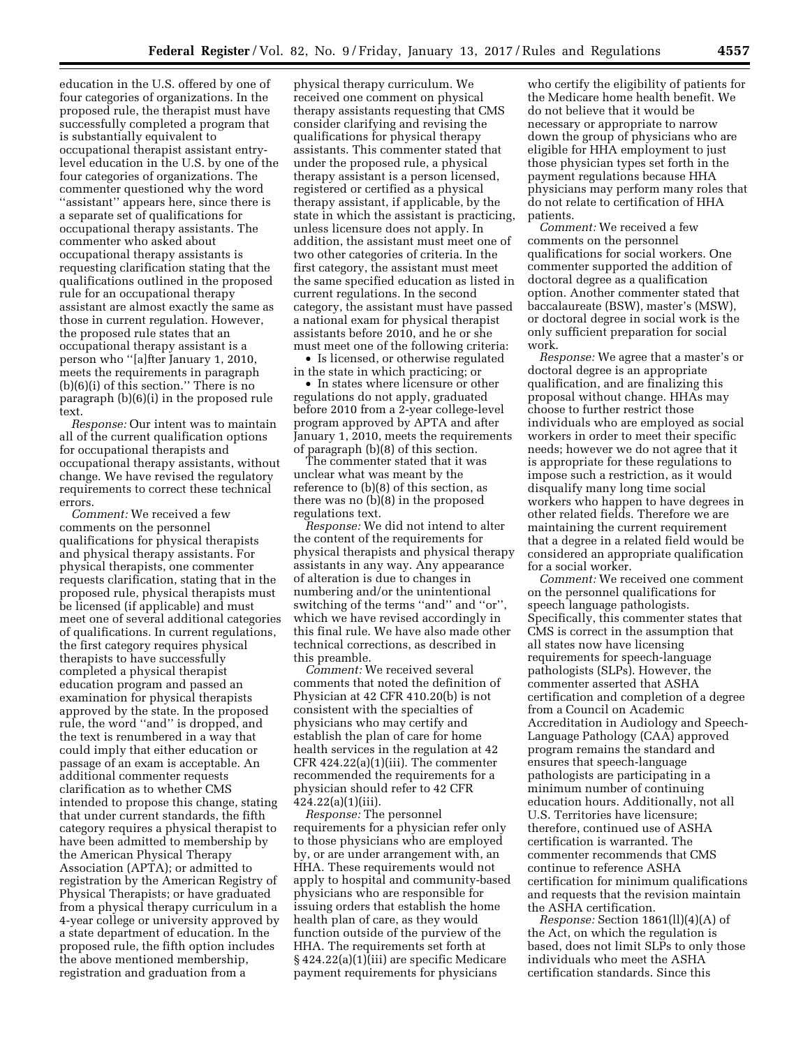education in the U.S. offered by one of four categories of organizations. In the proposed rule, the therapist must have successfully completed a program that is substantially equivalent to occupational therapist assistant entrylevel education in the U.S. by one of the four categories of organizations. The commenter questioned why the word ''assistant'' appears here, since there is a separate set of qualifications for occupational therapy assistants. The commenter who asked about occupational therapy assistants is requesting clarification stating that the qualifications outlined in the proposed rule for an occupational therapy assistant are almost exactly the same as those in current regulation. However, the proposed rule states that an occupational therapy assistant is a person who ''[a]fter January 1, 2010, meets the requirements in paragraph (b)(6)(i) of this section.'' There is no paragraph (b)(6)(i) in the proposed rule text.

*Response:* Our intent was to maintain all of the current qualification options for occupational therapists and occupational therapy assistants, without change. We have revised the regulatory requirements to correct these technical errors.

*Comment:* We received a few comments on the personnel qualifications for physical therapists and physical therapy assistants. For physical therapists, one commenter requests clarification, stating that in the proposed rule, physical therapists must be licensed (if applicable) and must meet one of several additional categories of qualifications. In current regulations, the first category requires physical therapists to have successfully completed a physical therapist education program and passed an examination for physical therapists approved by the state. In the proposed rule, the word ''and'' is dropped, and the text is renumbered in a way that could imply that either education or passage of an exam is acceptable. An additional commenter requests clarification as to whether CMS intended to propose this change, stating that under current standards, the fifth category requires a physical therapist to have been admitted to membership by the American Physical Therapy Association (APTA); or admitted to registration by the American Registry of Physical Therapists; or have graduated from a physical therapy curriculum in a 4-year college or university approved by a state department of education. In the proposed rule, the fifth option includes the above mentioned membership, registration and graduation from a

physical therapy curriculum. We received one comment on physical therapy assistants requesting that CMS consider clarifying and revising the qualifications for physical therapy assistants. This commenter stated that under the proposed rule, a physical therapy assistant is a person licensed, registered or certified as a physical therapy assistant, if applicable, by the state in which the assistant is practicing, unless licensure does not apply. In addition, the assistant must meet one of two other categories of criteria. In the first category, the assistant must meet the same specified education as listed in current regulations. In the second category, the assistant must have passed a national exam for physical therapist assistants before 2010, and he or she must meet one of the following criteria:

• Is licensed, or otherwise regulated in the state in which practicing; or

• In states where licensure or other regulations do not apply, graduated before 2010 from a 2-year college-level program approved by APTA and after January 1, 2010, meets the requirements of paragraph (b)(8) of this section.

The commenter stated that it was unclear what was meant by the reference to (b)(8) of this section, as there was no (b)(8) in the proposed regulations text.

*Response:* We did not intend to alter the content of the requirements for physical therapists and physical therapy assistants in any way. Any appearance of alteration is due to changes in numbering and/or the unintentional switching of the terms ''and'' and ''or'', which we have revised accordingly in this final rule. We have also made other technical corrections, as described in this preamble.

*Comment:* We received several comments that noted the definition of Physician at 42 CFR 410.20(b) is not consistent with the specialties of physicians who may certify and establish the plan of care for home health services in the regulation at 42 CFR 424.22(a)(1)(iii). The commenter recommended the requirements for a physician should refer to 42 CFR 424.22(a)(1)(iii).

*Response:* The personnel requirements for a physician refer only to those physicians who are employed by, or are under arrangement with, an HHA. These requirements would not apply to hospital and community-based physicians who are responsible for issuing orders that establish the home health plan of care, as they would function outside of the purview of the HHA. The requirements set forth at § 424.22(a)(1)(iii) are specific Medicare payment requirements for physicians

who certify the eligibility of patients for the Medicare home health benefit. We do not believe that it would be necessary or appropriate to narrow down the group of physicians who are eligible for HHA employment to just those physician types set forth in the payment regulations because HHA physicians may perform many roles that do not relate to certification of HHA patients.

*Comment:* We received a few comments on the personnel qualifications for social workers. One commenter supported the addition of doctoral degree as a qualification option. Another commenter stated that baccalaureate (BSW), master's (MSW), or doctoral degree in social work is the only sufficient preparation for social work.

*Response:* We agree that a master's or doctoral degree is an appropriate qualification, and are finalizing this proposal without change. HHAs may choose to further restrict those individuals who are employed as social workers in order to meet their specific needs; however we do not agree that it is appropriate for these regulations to impose such a restriction, as it would disqualify many long time social workers who happen to have degrees in other related fields. Therefore we are maintaining the current requirement that a degree in a related field would be considered an appropriate qualification for a social worker.

*Comment:* We received one comment on the personnel qualifications for speech language pathologists. Specifically, this commenter states that CMS is correct in the assumption that all states now have licensing requirements for speech-language pathologists (SLPs). However, the commenter asserted that ASHA certification and completion of a degree from a Council on Academic Accreditation in Audiology and Speech-Language Pathology (CAA) approved program remains the standard and ensures that speech-language pathologists are participating in a minimum number of continuing education hours. Additionally, not all U.S. Territories have licensure; therefore, continued use of ASHA certification is warranted. The commenter recommends that CMS continue to reference ASHA certification for minimum qualifications and requests that the revision maintain the ASHA certification.

*Response:* Section 1861(ll)(4)(A) of the Act, on which the regulation is based, does not limit SLPs to only those individuals who meet the ASHA certification standards. Since this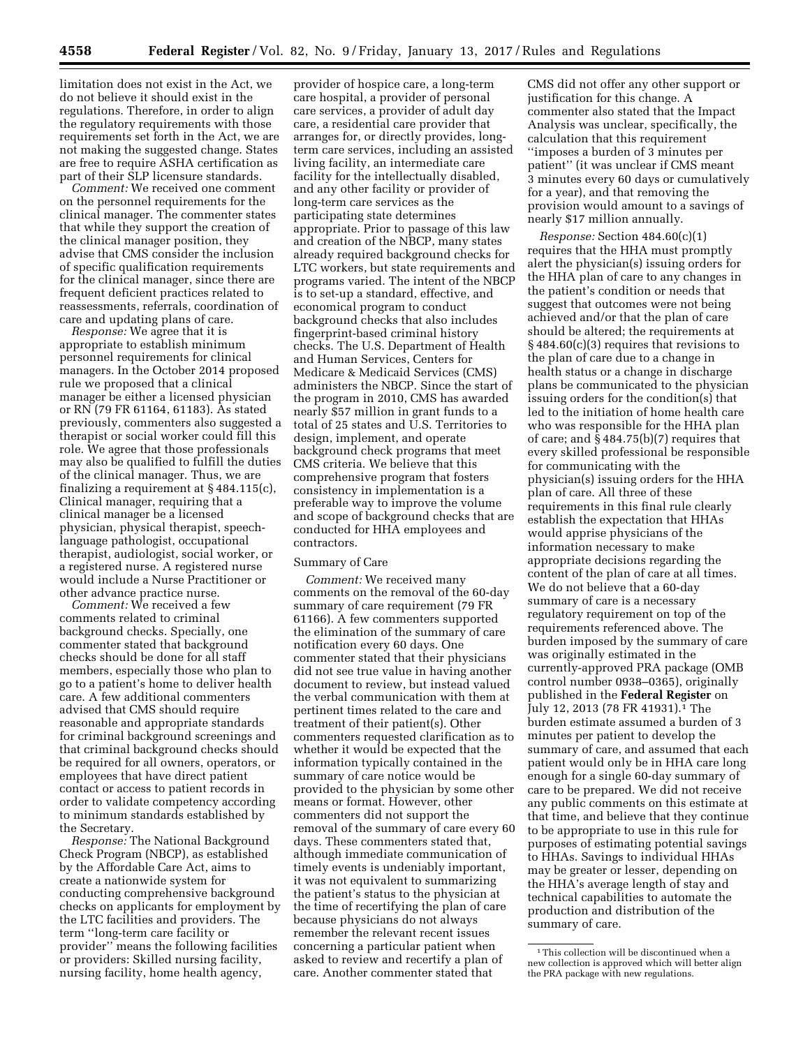limitation does not exist in the Act, we do not believe it should exist in the regulations. Therefore, in order to align the regulatory requirements with those requirements set forth in the Act, we are not making the suggested change. States are free to require ASHA certification as part of their SLP licensure standards.

*Comment:* We received one comment on the personnel requirements for the clinical manager. The commenter states that while they support the creation of the clinical manager position, they advise that CMS consider the inclusion of specific qualification requirements for the clinical manager, since there are frequent deficient practices related to reassessments, referrals, coordination of care and updating plans of care.

*Response:* We agree that it is appropriate to establish minimum personnel requirements for clinical managers. In the October 2014 proposed rule we proposed that a clinical manager be either a licensed physician or RN (79 FR 61164, 61183). As stated previously, commenters also suggested a therapist or social worker could fill this role. We agree that those professionals may also be qualified to fulfill the duties of the clinical manager. Thus, we are finalizing a requirement at § 484.115(c), Clinical manager, requiring that a clinical manager be a licensed physician, physical therapist, speechlanguage pathologist, occupational therapist, audiologist, social worker, or a registered nurse. A registered nurse would include a Nurse Practitioner or other advance practice nurse.

*Comment:* We received a few comments related to criminal background checks. Specially, one commenter stated that background checks should be done for all staff members, especially those who plan to go to a patient's home to deliver health care. A few additional commenters advised that CMS should require reasonable and appropriate standards for criminal background screenings and that criminal background checks should be required for all owners, operators, or employees that have direct patient contact or access to patient records in order to validate competency according to minimum standards established by the Secretary.

*Response:* The National Background Check Program (NBCP), as established by the Affordable Care Act, aims to create a nationwide system for conducting comprehensive background checks on applicants for employment by the LTC facilities and providers. The term ''long-term care facility or provider'' means the following facilities or providers: Skilled nursing facility, nursing facility, home health agency,

provider of hospice care, a long-term care hospital, a provider of personal care services, a provider of adult day care, a residential care provider that arranges for, or directly provides, longterm care services, including an assisted living facility, an intermediate care facility for the intellectually disabled, and any other facility or provider of long-term care services as the participating state determines appropriate. Prior to passage of this law and creation of the NBCP, many states already required background checks for LTC workers, but state requirements and programs varied. The intent of the NBCP is to set-up a standard, effective, and economical program to conduct background checks that also includes fingerprint-based criminal history checks. The U.S. Department of Health and Human Services, Centers for Medicare & Medicaid Services (CMS) administers the NBCP. Since the start of the program in 2010, CMS has awarded nearly \$57 million in grant funds to a total of 25 states and U.S. Territories to design, implement, and operate background check programs that meet CMS criteria. We believe that this comprehensive program that fosters consistency in implementation is a preferable way to improve the volume and scope of background checks that are conducted for HHA employees and contractors.

#### Summary of Care

*Comment:* We received many comments on the removal of the 60-day summary of care requirement (79 FR 61166). A few commenters supported the elimination of the summary of care notification every 60 days. One commenter stated that their physicians did not see true value in having another document to review, but instead valued the verbal communication with them at pertinent times related to the care and treatment of their patient(s). Other commenters requested clarification as to whether it would be expected that the information typically contained in the summary of care notice would be provided to the physician by some other means or format. However, other commenters did not support the removal of the summary of care every 60 days. These commenters stated that, although immediate communication of timely events is undeniably important, it was not equivalent to summarizing the patient's status to the physician at the time of recertifying the plan of care because physicians do not always remember the relevant recent issues concerning a particular patient when asked to review and recertify a plan of care. Another commenter stated that

CMS did not offer any other support or justification for this change. A commenter also stated that the Impact Analysis was unclear, specifically, the calculation that this requirement ''imposes a burden of 3 minutes per patient'' (it was unclear if CMS meant 3 minutes every 60 days or cumulatively for a year), and that removing the provision would amount to a savings of nearly \$17 million annually.

*Response:* Section 484.60(c)(1) requires that the HHA must promptly alert the physician(s) issuing orders for the HHA plan of care to any changes in the patient's condition or needs that suggest that outcomes were not being achieved and/or that the plan of care should be altered; the requirements at § 484.60(c)(3) requires that revisions to the plan of care due to a change in health status or a change in discharge plans be communicated to the physician issuing orders for the condition(s) that led to the initiation of home health care who was responsible for the HHA plan of care; and § 484.75(b)(7) requires that every skilled professional be responsible for communicating with the physician(s) issuing orders for the HHA plan of care. All three of these requirements in this final rule clearly establish the expectation that HHAs would apprise physicians of the information necessary to make appropriate decisions regarding the content of the plan of care at all times. We do not believe that a 60-day summary of care is a necessary regulatory requirement on top of the requirements referenced above. The burden imposed by the summary of care was originally estimated in the currently-approved PRA package (OMB control number 0938–0365), originally published in the **Federal Register** on July 12, 2013 (78 FR 41931).1 The burden estimate assumed a burden of 3 minutes per patient to develop the summary of care, and assumed that each patient would only be in HHA care long enough for a single 60-day summary of care to be prepared. We did not receive any public comments on this estimate at that time, and believe that they continue to be appropriate to use in this rule for purposes of estimating potential savings to HHAs. Savings to individual HHAs may be greater or lesser, depending on the HHA's average length of stay and technical capabilities to automate the production and distribution of the summary of care.

<sup>&</sup>lt;sup>1</sup>This collection will be discontinued when a new collection is approved which will better align the PRA package with new regulations.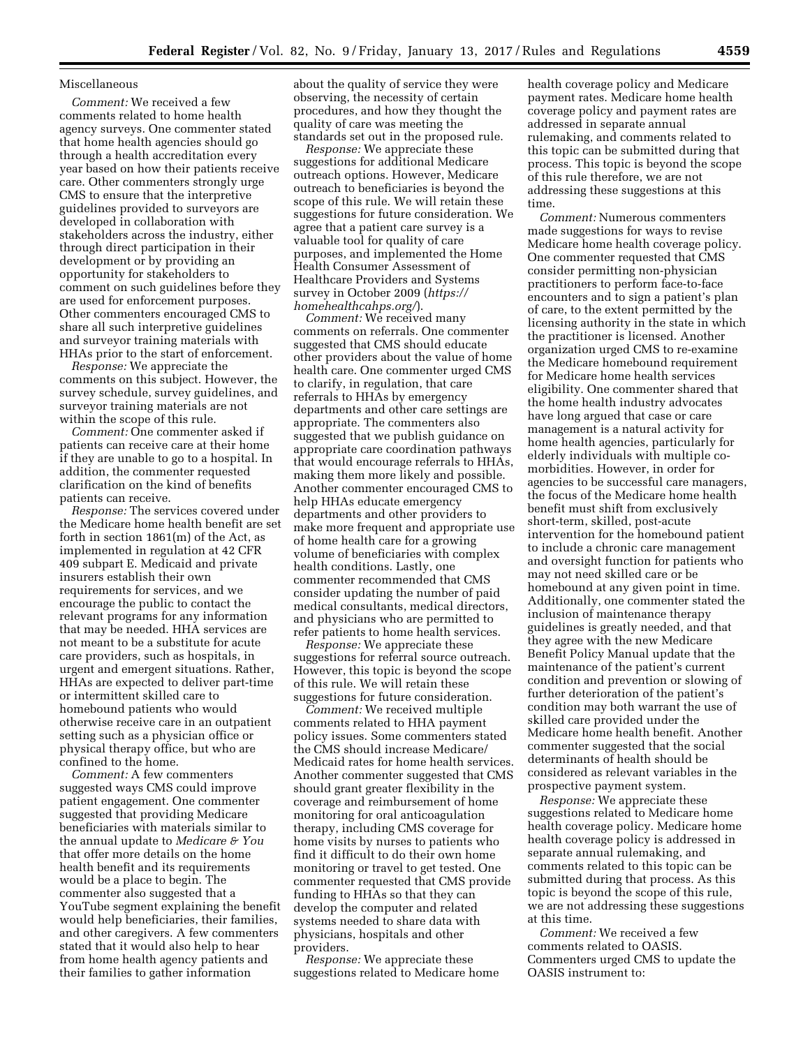### Miscellaneous

*Comment:* We received a few comments related to home health agency surveys. One commenter stated that home health agencies should go through a health accreditation every year based on how their patients receive care. Other commenters strongly urge CMS to ensure that the interpretive guidelines provided to surveyors are developed in collaboration with stakeholders across the industry, either through direct participation in their development or by providing an opportunity for stakeholders to comment on such guidelines before they are used for enforcement purposes. Other commenters encouraged CMS to share all such interpretive guidelines and surveyor training materials with HHAs prior to the start of enforcement.

*Response:* We appreciate the comments on this subject. However, the survey schedule, survey guidelines, and surveyor training materials are not within the scope of this rule.

*Comment:* One commenter asked if patients can receive care at their home if they are unable to go to a hospital. In addition, the commenter requested clarification on the kind of benefits patients can receive.

*Response:* The services covered under the Medicare home health benefit are set forth in section 1861(m) of the Act, as implemented in regulation at 42 CFR 409 subpart E. Medicaid and private insurers establish their own requirements for services, and we encourage the public to contact the relevant programs for any information that may be needed. HHA services are not meant to be a substitute for acute care providers, such as hospitals, in urgent and emergent situations. Rather, HHAs are expected to deliver part-time or intermittent skilled care to homebound patients who would otherwise receive care in an outpatient setting such as a physician office or physical therapy office, but who are confined to the home.

*Comment:* A few commenters suggested ways CMS could improve patient engagement. One commenter suggested that providing Medicare beneficiaries with materials similar to the annual update to *Medicare & You*  that offer more details on the home health benefit and its requirements would be a place to begin. The commenter also suggested that a YouTube segment explaining the benefit would help beneficiaries, their families, and other caregivers. A few commenters stated that it would also help to hear from home health agency patients and their families to gather information

about the quality of service they were observing, the necessity of certain procedures, and how they thought the quality of care was meeting the standards set out in the proposed rule.

*Response:* We appreciate these suggestions for additional Medicare outreach options. However, Medicare outreach to beneficiaries is beyond the scope of this rule. We will retain these suggestions for future consideration. We agree that a patient care survey is a valuable tool for quality of care purposes, and implemented the Home Health Consumer Assessment of Healthcare Providers and Systems survey in October 2009 (*[https://](https://homehealthcahps.org/) [homehealthcahps.org/](https://homehealthcahps.org/)*).

*Comment:* We received many comments on referrals. One commenter suggested that CMS should educate other providers about the value of home health care. One commenter urged CMS to clarify, in regulation, that care referrals to HHAs by emergency departments and other care settings are appropriate. The commenters also suggested that we publish guidance on appropriate care coordination pathways that would encourage referrals to HHAs, making them more likely and possible. Another commenter encouraged CMS to help HHAs educate emergency departments and other providers to make more frequent and appropriate use of home health care for a growing volume of beneficiaries with complex health conditions. Lastly, one commenter recommended that CMS consider updating the number of paid medical consultants, medical directors, and physicians who are permitted to refer patients to home health services.

*Response:* We appreciate these suggestions for referral source outreach. However, this topic is beyond the scope of this rule. We will retain these suggestions for future consideration.

*Comment:* We received multiple comments related to HHA payment policy issues. Some commenters stated the CMS should increase Medicare/ Medicaid rates for home health services. Another commenter suggested that CMS should grant greater flexibility in the coverage and reimbursement of home monitoring for oral anticoagulation therapy, including CMS coverage for home visits by nurses to patients who find it difficult to do their own home monitoring or travel to get tested. One commenter requested that CMS provide funding to HHAs so that they can develop the computer and related systems needed to share data with physicians, hospitals and other providers.

*Response:* We appreciate these suggestions related to Medicare home health coverage policy and Medicare payment rates. Medicare home health coverage policy and payment rates are addressed in separate annual rulemaking, and comments related to this topic can be submitted during that process. This topic is beyond the scope of this rule therefore, we are not addressing these suggestions at this time.

*Comment:* Numerous commenters made suggestions for ways to revise Medicare home health coverage policy. One commenter requested that CMS consider permitting non-physician practitioners to perform face-to-face encounters and to sign a patient's plan of care, to the extent permitted by the licensing authority in the state in which the practitioner is licensed. Another organization urged CMS to re-examine the Medicare homebound requirement for Medicare home health services eligibility. One commenter shared that the home health industry advocates have long argued that case or care management is a natural activity for home health agencies, particularly for elderly individuals with multiple comorbidities. However, in order for agencies to be successful care managers, the focus of the Medicare home health benefit must shift from exclusively short-term, skilled, post-acute intervention for the homebound patient to include a chronic care management and oversight function for patients who may not need skilled care or be homebound at any given point in time. Additionally, one commenter stated the inclusion of maintenance therapy guidelines is greatly needed, and that they agree with the new Medicare Benefit Policy Manual update that the maintenance of the patient's current condition and prevention or slowing of further deterioration of the patient's condition may both warrant the use of skilled care provided under the Medicare home health benefit. Another commenter suggested that the social determinants of health should be considered as relevant variables in the prospective payment system.

*Response:* We appreciate these suggestions related to Medicare home health coverage policy. Medicare home health coverage policy is addressed in separate annual rulemaking, and comments related to this topic can be submitted during that process. As this topic is beyond the scope of this rule, we are not addressing these suggestions at this time.

*Comment:* We received a few comments related to OASIS. Commenters urged CMS to update the OASIS instrument to: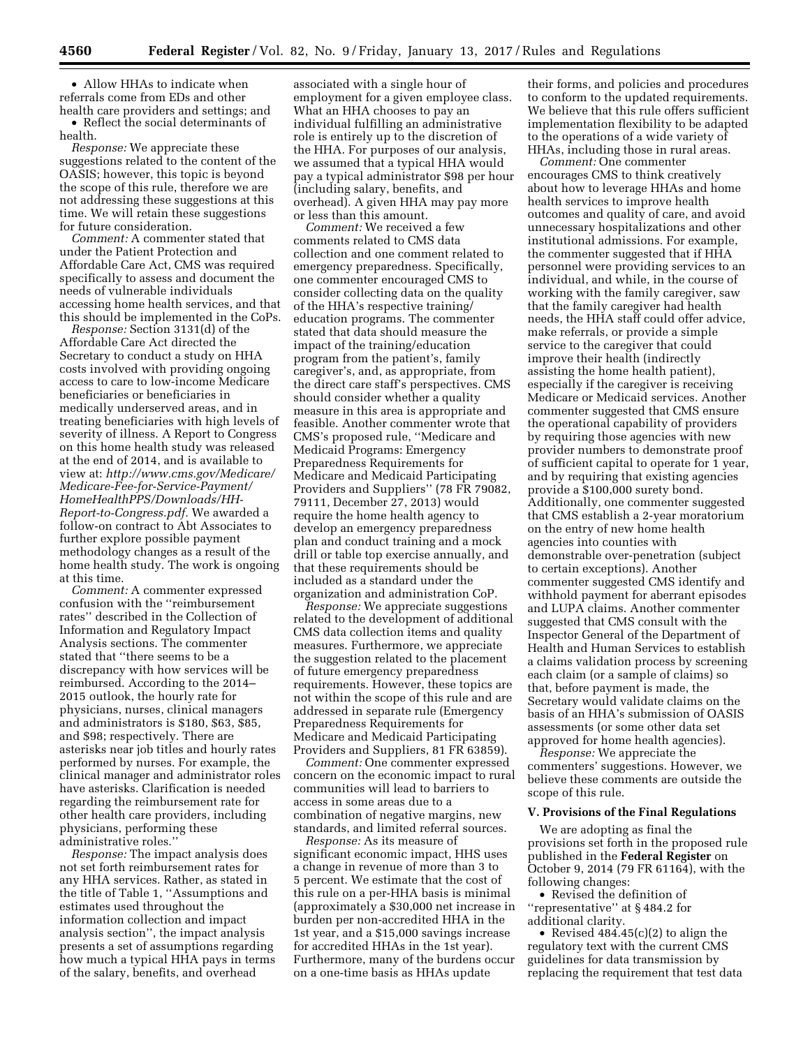• Allow HHAs to indicate when referrals come from EDs and other health care providers and settings; and

• Reflect the social determinants of health.

*Response:* We appreciate these suggestions related to the content of the OASIS; however, this topic is beyond the scope of this rule, therefore we are not addressing these suggestions at this time. We will retain these suggestions for future consideration.

*Comment:* A commenter stated that under the Patient Protection and Affordable Care Act, CMS was required specifically to assess and document the needs of vulnerable individuals accessing home health services, and that this should be implemented in the CoPs.

*Response:* Section 3131(d) of the Affordable Care Act directed the Secretary to conduct a study on HHA costs involved with providing ongoing access to care to low-income Medicare beneficiaries or beneficiaries in medically underserved areas, and in treating beneficiaries with high levels of severity of illness. A Report to Congress on this home health study was released at the end of 2014, and is available to view at: *[http://www.cms.gov/Medicare/](http://www.cms.gov/Medicare/Medicare-Fee-for-Service-Payment/HomeHealthPPS/Downloads/HH-Report-to-Congress.pdf)  [Medicare-Fee-for-Service-Payment/](http://www.cms.gov/Medicare/Medicare-Fee-for-Service-Payment/HomeHealthPPS/Downloads/HH-Report-to-Congress.pdf)  [HomeHealthPPS/Downloads/HH-](http://www.cms.gov/Medicare/Medicare-Fee-for-Service-Payment/HomeHealthPPS/Downloads/HH-Report-to-Congress.pdf)[Report-to-Congress.pdf.](http://www.cms.gov/Medicare/Medicare-Fee-for-Service-Payment/HomeHealthPPS/Downloads/HH-Report-to-Congress.pdf)* We awarded a follow-on contract to Abt Associates to further explore possible payment methodology changes as a result of the home health study. The work is ongoing at this time.

*Comment:* A commenter expressed confusion with the ''reimbursement rates'' described in the Collection of Information and Regulatory Impact Analysis sections. The commenter stated that ''there seems to be a discrepancy with how services will be reimbursed. According to the 2014– 2015 outlook, the hourly rate for physicians, nurses, clinical managers and administrators is \$180, \$63, \$85, and \$98; respectively. There are asterisks near job titles and hourly rates performed by nurses. For example, the clinical manager and administrator roles have asterisks. Clarification is needed regarding the reimbursement rate for other health care providers, including physicians, performing these administrative roles.''

*Response:* The impact analysis does not set forth reimbursement rates for any HHA services. Rather, as stated in the title of Table 1, ''Assumptions and estimates used throughout the information collection and impact analysis section'', the impact analysis presents a set of assumptions regarding how much a typical HHA pays in terms of the salary, benefits, and overhead

associated with a single hour of employment for a given employee class. What an HHA chooses to pay an individual fulfilling an administrative role is entirely up to the discretion of the HHA. For purposes of our analysis, we assumed that a typical HHA would pay a typical administrator \$98 per hour (including salary, benefits, and overhead). A given HHA may pay more or less than this amount.

*Comment:* We received a few comments related to CMS data collection and one comment related to emergency preparedness. Specifically, one commenter encouraged CMS to consider collecting data on the quality of the HHA's respective training/ education programs. The commenter stated that data should measure the impact of the training/education program from the patient's, family caregiver's, and, as appropriate, from the direct care staff's perspectives. CMS should consider whether a quality measure in this area is appropriate and feasible. Another commenter wrote that CMS's proposed rule, ''Medicare and Medicaid Programs: Emergency Preparedness Requirements for Medicare and Medicaid Participating Providers and Suppliers'' (78 FR 79082, 79111, December 27, 2013) would require the home health agency to develop an emergency preparedness plan and conduct training and a mock drill or table top exercise annually, and that these requirements should be included as a standard under the organization and administration CoP.

*Response:* We appreciate suggestions related to the development of additional CMS data collection items and quality measures. Furthermore, we appreciate the suggestion related to the placement of future emergency preparedness requirements. However, these topics are not within the scope of this rule and are addressed in separate rule (Emergency Preparedness Requirements for Medicare and Medicaid Participating Providers and Suppliers, 81 FR 63859).

*Comment:* One commenter expressed concern on the economic impact to rural communities will lead to barriers to access in some areas due to a combination of negative margins, new standards, and limited referral sources.

*Response:* As its measure of significant economic impact, HHS uses a change in revenue of more than 3 to 5 percent. We estimate that the cost of this rule on a per-HHA basis is minimal (approximately a \$30,000 net increase in burden per non-accredited HHA in the 1st year, and a \$15,000 savings increase for accredited HHAs in the 1st year). Furthermore, many of the burdens occur on a one-time basis as HHAs update

their forms, and policies and procedures to conform to the updated requirements. We believe that this rule offers sufficient implementation flexibility to be adapted to the operations of a wide variety of HHAs, including those in rural areas.

*Comment:* One commenter encourages CMS to think creatively about how to leverage HHAs and home health services to improve health outcomes and quality of care, and avoid unnecessary hospitalizations and other institutional admissions. For example, the commenter suggested that if HHA personnel were providing services to an individual, and while, in the course of working with the family caregiver, saw that the family caregiver had health needs, the HHA staff could offer advice, make referrals, or provide a simple service to the caregiver that could improve their health (indirectly assisting the home health patient), especially if the caregiver is receiving Medicare or Medicaid services. Another commenter suggested that CMS ensure the operational capability of providers by requiring those agencies with new provider numbers to demonstrate proof of sufficient capital to operate for 1 year, and by requiring that existing agencies provide a \$100,000 surety bond. Additionally, one commenter suggested that CMS establish a 2-year moratorium on the entry of new home health agencies into counties with demonstrable over-penetration (subject to certain exceptions). Another commenter suggested CMS identify and withhold payment for aberrant episodes and LUPA claims. Another commenter suggested that CMS consult with the Inspector General of the Department of Health and Human Services to establish a claims validation process by screening each claim (or a sample of claims) so that, before payment is made, the Secretary would validate claims on the basis of an HHA's submission of OASIS assessments (or some other data set approved for home health agencies).

*Response:* We appreciate the commenters' suggestions. However, we believe these comments are outside the scope of this rule.

## **V. Provisions of the Final Regulations**

We are adopting as final the provisions set forth in the proposed rule published in the **Federal Register** on October 9, 2014 (79 FR 61164), with the following changes:

• Revised the definition of ''representative'' at § 484.2 for additional clarity.

• Revised  $484.45(c)(2)$  to align the regulatory text with the current CMS guidelines for data transmission by replacing the requirement that test data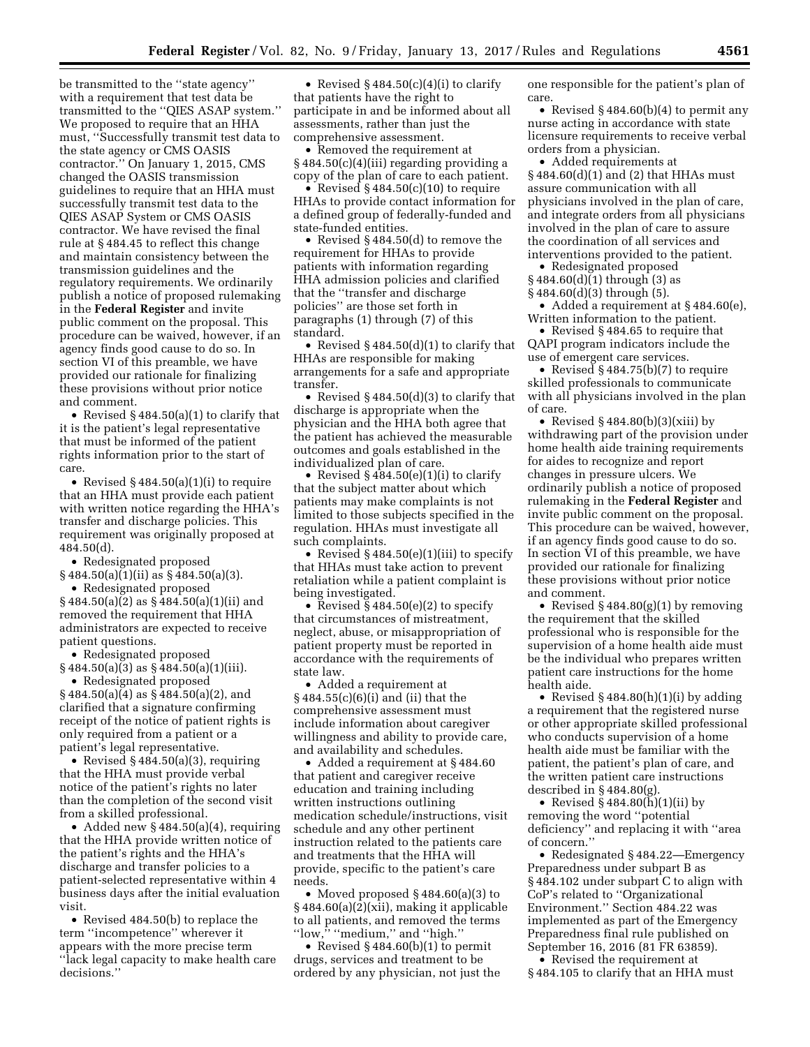be transmitted to the ''state agency'' with a requirement that test data be transmitted to the ''QIES ASAP system.'' We proposed to require that an HHA must, ''Successfully transmit test data to the state agency or CMS OASIS contractor.'' On January 1, 2015, CMS changed the OASIS transmission guidelines to require that an HHA must successfully transmit test data to the QIES ASAP System or CMS OASIS contractor. We have revised the final rule at § 484.45 to reflect this change and maintain consistency between the transmission guidelines and the regulatory requirements. We ordinarily publish a notice of proposed rulemaking in the **Federal Register** and invite public comment on the proposal. This procedure can be waived, however, if an agency finds good cause to do so. In section VI of this preamble, we have provided our rationale for finalizing these provisions without prior notice and comment.

• Revised § 484.50(a)(1) to clarify that it is the patient's legal representative that must be informed of the patient rights information prior to the start of care.

• Revised §484.50(a)(1)(i) to require that an HHA must provide each patient with written notice regarding the HHA's transfer and discharge policies. This requirement was originally proposed at 484.50(d).

• Redesignated proposed

 $§ 484.50(a)(1)(ii)$  as  $§ 484.50(a)(3)$ . • Redesignated proposed

 $§$  484.50(a)(2) as  $§$  484.50(a)(1)(ii) and removed the requirement that HHA administrators are expected to receive patient questions.

• Redesignated proposed

 $\S 484.50(a)(3)$  as  $\S 484.50(a)(1)(iii)$ . • Redesignated proposed

§ 484.50(a)(4) as § 484.50(a)(2), and clarified that a signature confirming receipt of the notice of patient rights is only required from a patient or a patient's legal representative.

• Revised § 484.50(a)(3), requiring that the HHA must provide verbal notice of the patient's rights no later than the completion of the second visit from a skilled professional.

• Added new §484.50(a)(4), requiring that the HHA provide written notice of the patient's rights and the HHA's discharge and transfer policies to a patient-selected representative within 4 business days after the initial evaluation visit.

• Revised 484.50(b) to replace the term ''incompetence'' wherever it appears with the more precise term ''lack legal capacity to make health care decisions.''

• Revised  $\S 484.50(c)(4)(i)$  to clarify that patients have the right to participate in and be informed about all assessments, rather than just the comprehensive assessment.

• Removed the requirement at § 484.50(c)(4)(iii) regarding providing a copy of the plan of care to each patient.

• Revised §484.50(c)(10) to require HHAs to provide contact information for a defined group of federally-funded and state-funded entities.

• Revised § 484.50(d) to remove the requirement for HHAs to provide patients with information regarding HHA admission policies and clarified that the ''transfer and discharge policies'' are those set forth in paragraphs (1) through (7) of this standard.

• Revised §484.50(d)(1) to clarify that HHAs are responsible for making arrangements for a safe and appropriate transfer.

• Revised § 484.50(d)(3) to clarify that discharge is appropriate when the physician and the HHA both agree that the patient has achieved the measurable outcomes and goals established in the individualized plan of care.

• Revised  $\S 484.50(e)(1)(i)$  to clarify that the subject matter about which patients may make complaints is not limited to those subjects specified in the regulation. HHAs must investigate all such complaints.

• Revised §484.50(e)(1)(iii) to specify that HHAs must take action to prevent retaliation while a patient complaint is being investigated.

• Revised § 484.50(e)(2) to specify that circumstances of mistreatment, neglect, abuse, or misappropriation of patient property must be reported in accordance with the requirements of state law.

• Added a requirement at § 484.55(c)(6)(i) and (ii) that the comprehensive assessment must include information about caregiver willingness and ability to provide care, and availability and schedules.

• Added a requirement at § 484.60 that patient and caregiver receive education and training including written instructions outlining medication schedule/instructions, visit schedule and any other pertinent instruction related to the patients care and treatments that the HHA will provide, specific to the patient's care needs.

• Moved proposed § 484.60(a)(3) to § 484.60(a)(2)(xii), making it applicable to all patients, and removed the terms ''low,'' ''medium,'' and ''high.''

• Revised  $§$  484.60(b)(1) to permit drugs, services and treatment to be ordered by any physician, not just the one responsible for the patient's plan of care.

• Revised § 484.60(b)(4) to permit any nurse acting in accordance with state licensure requirements to receive verbal orders from a physician.

• Added requirements at § 484.60(d)(1) and (2) that HHAs must assure communication with all physicians involved in the plan of care, and integrate orders from all physicians involved in the plan of care to assure the coordination of all services and interventions provided to the patient.

• Redesignated proposed § 484.60(d)(1) through (3) as § 484.60(d)(3) through (5).

• Added a requirement at § 484.60(e), Written information to the patient.

• Revised § 484.65 to require that QAPI program indicators include the use of emergent care services.

• Revised §484.75(b)(7) to require skilled professionals to communicate with all physicians involved in the plan of care.

• Revised  $§$  484.80(b)(3)(xiii) by withdrawing part of the provision under home health aide training requirements for aides to recognize and report changes in pressure ulcers. We ordinarily publish a notice of proposed rulemaking in the **Federal Register** and invite public comment on the proposal. This procedure can be waived, however, if an agency finds good cause to do so. In section VI of this preamble, we have provided our rationale for finalizing these provisions without prior notice and comment.

• Revised §484.80(g)(1) by removing the requirement that the skilled professional who is responsible for the supervision of a home health aide must be the individual who prepares written patient care instructions for the home health aide.

• Revised  $§$  484.80(h)(1)(i) by adding a requirement that the registered nurse or other appropriate skilled professional who conducts supervision of a home health aide must be familiar with the patient, the patient's plan of care, and the written patient care instructions described in § 484.80(g).

• Revised  $\S 484.80(h)(1)(ii)$  by removing the word ''potential deficiency'' and replacing it with ''area of concern.''

• Redesignated § 484.22—Emergency Preparedness under subpart B as § 484.102 under subpart C to align with CoP's related to ''Organizational Environment.'' Section 484.22 was implemented as part of the Emergency Preparedness final rule published on September 16, 2016 (81 FR 63859).

• Revised the requirement at § 484.105 to clarify that an HHA must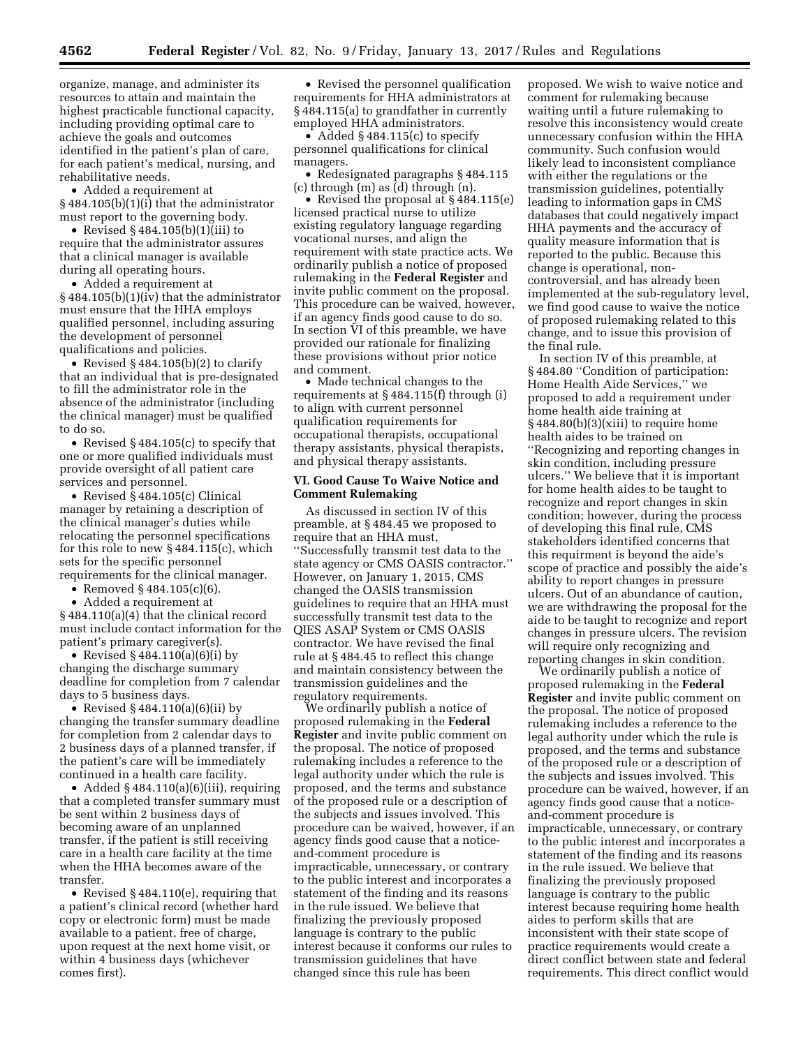organize, manage, and administer its resources to attain and maintain the highest practicable functional capacity, including providing optimal care to achieve the goals and outcomes identified in the patient's plan of care, for each patient's medical, nursing, and rehabilitative needs.

• Added a requirement at § 484.105(b)(1)(i) that the administrator must report to the governing body.

• Revised § 484.105(b)(1)(iii) to require that the administrator assures that a clinical manager is available during all operating hours.

• Added a requirement at § 484.105(b)(1)(iv) that the administrator must ensure that the HHA employs qualified personnel, including assuring the development of personnel qualifications and policies.

• Revised § 484.105(b)(2) to clarify that an individual that is pre-designated to fill the administrator role in the absence of the administrator (including the clinical manager) must be qualified to do so.

• Revised § 484.105(c) to specify that one or more qualified individuals must provide oversight of all patient care services and personnel.

• Revised § 484.105(c) Clinical manager by retaining a description of the clinical manager's duties while relocating the personnel specifications for this role to new § 484.115(c), which sets for the specific personnel requirements for the clinical manager.

• Removed § 484.105(c)(6).

• Added a requirement at

§ 484.110(a)(4) that the clinical record must include contact information for the patient's primary caregiver(s).

• Revised § 484.110(a)(6)(i) by changing the discharge summary deadline for completion from 7 calendar days to 5 business days.

• Revised  $§$  484.110(a)(6)(ii) by changing the transfer summary deadline for completion from 2 calendar days to 2 business days of a planned transfer, if the patient's care will be immediately continued in a health care facility.

• Added §484.110(a)(6)(iii), requiring that a completed transfer summary must be sent within 2 business days of becoming aware of an unplanned transfer, if the patient is still receiving care in a health care facility at the time when the HHA becomes aware of the transfer.

• Revised § 484.110(e), requiring that a patient's clinical record (whether hard copy or electronic form) must be made available to a patient, free of charge, upon request at the next home visit, or within 4 business days (whichever comes first).

• Revised the personnel qualification requirements for HHA administrators at § 484.115(a) to grandfather in currently employed HHA administrators.

• Added  $§$  484.115(c) to specify personnel qualifications for clinical managers.

• Redesignated paragraphs §484.115 (c) through (m) as (d) through (n).

• Revised the proposal at § 484.115(e) licensed practical nurse to utilize existing regulatory language regarding vocational nurses, and align the requirement with state practice acts. We ordinarily publish a notice of proposed rulemaking in the **Federal Register** and invite public comment on the proposal. This procedure can be waived, however, if an agency finds good cause to do so. In section VI of this preamble, we have provided our rationale for finalizing these provisions without prior notice and comment.

• Made technical changes to the requirements at § 484.115(f) through (i) to align with current personnel qualification requirements for occupational therapists, occupational therapy assistants, physical therapists, and physical therapy assistants.

## **VI. Good Cause To Waive Notice and Comment Rulemaking**

As discussed in section IV of this preamble, at § 484.45 we proposed to require that an HHA must, ''Successfully transmit test data to the state agency or CMS OASIS contractor.'' However, on January 1, 2015, CMS changed the OASIS transmission guidelines to require that an HHA must successfully transmit test data to the QIES ASAP System or CMS OASIS contractor. We have revised the final rule at § 484.45 to reflect this change and maintain consistency between the transmission guidelines and the regulatory requirements.

We ordinarily publish a notice of proposed rulemaking in the **Federal Register** and invite public comment on the proposal. The notice of proposed rulemaking includes a reference to the legal authority under which the rule is proposed, and the terms and substance of the proposed rule or a description of the subjects and issues involved. This procedure can be waived, however, if an agency finds good cause that a noticeand-comment procedure is impracticable, unnecessary, or contrary to the public interest and incorporates a statement of the finding and its reasons in the rule issued. We believe that finalizing the previously proposed language is contrary to the public interest because it conforms our rules to transmission guidelines that have changed since this rule has been

proposed. We wish to waive notice and comment for rulemaking because waiting until a future rulemaking to resolve this inconsistency would create unnecessary confusion within the HHA community. Such confusion would likely lead to inconsistent compliance with either the regulations or the transmission guidelines, potentially leading to information gaps in CMS databases that could negatively impact HHA payments and the accuracy of quality measure information that is reported to the public. Because this change is operational, noncontroversial, and has already been implemented at the sub-regulatory level, we find good cause to waive the notice of proposed rulemaking related to this change, and to issue this provision of the final rule.

In section IV of this preamble, at § 484.80 ''Condition of participation: Home Health Aide Services,'' we proposed to add a requirement under home health aide training at  $§484.80(b)(3)(xiii)$  to require home health aides to be trained on ''Recognizing and reporting changes in skin condition, including pressure ulcers.'' We believe that it is important for home health aides to be taught to recognize and report changes in skin condition; however, during the process of developing this final rule, CMS stakeholders identified concerns that this requirment is beyond the aide's scope of practice and possibly the aide's ability to report changes in pressure ulcers. Out of an abundance of caution, we are withdrawing the proposal for the aide to be taught to recognize and report changes in pressure ulcers. The revision will require only recognizing and reporting changes in skin condition.

We ordinarily publish a notice of proposed rulemaking in the **Federal Register** and invite public comment on the proposal. The notice of proposed rulemaking includes a reference to the legal authority under which the rule is proposed, and the terms and substance of the proposed rule or a description of the subjects and issues involved. This procedure can be waived, however, if an agency finds good cause that a noticeand-comment procedure is impracticable, unnecessary, or contrary to the public interest and incorporates a statement of the finding and its reasons in the rule issued. We believe that finalizing the previously proposed language is contrary to the public interest because requiring home health aides to perform skills that are inconsistent with their state scope of practice requirements would create a direct conflict between state and federal requirements. This direct conflict would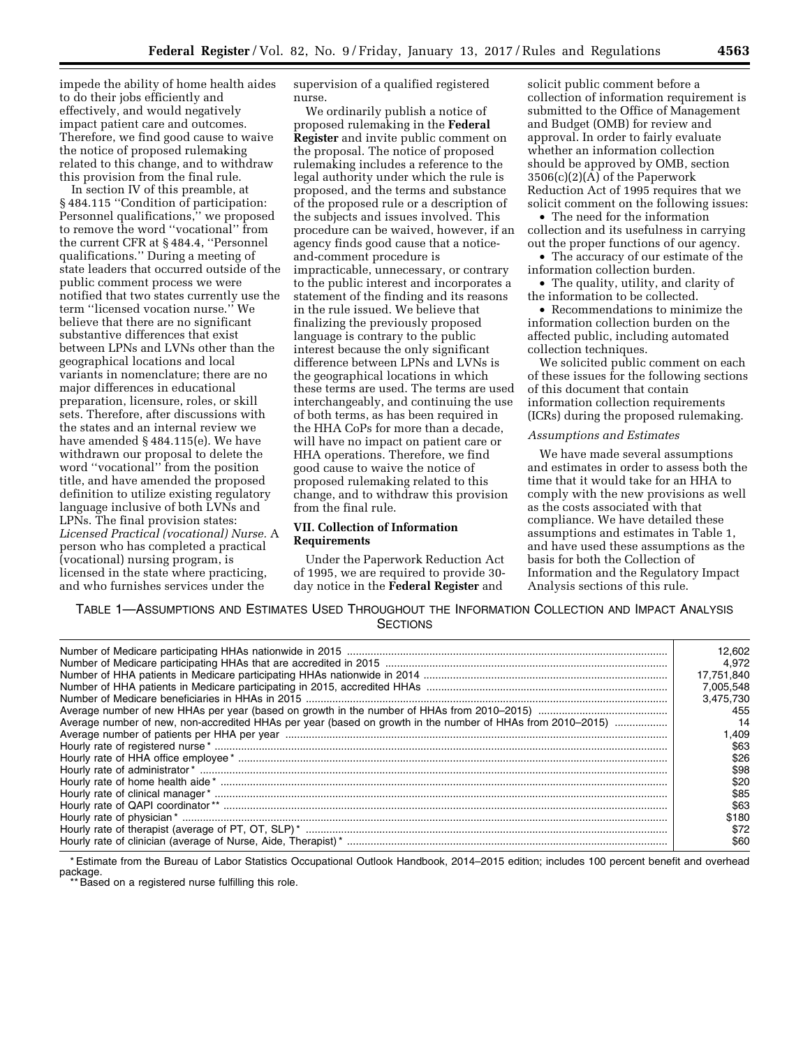impede the ability of home health aides to do their jobs efficiently and effectively, and would negatively impact patient care and outcomes. Therefore, we find good cause to waive the notice of proposed rulemaking related to this change, and to withdraw this provision from the final rule.

In section IV of this preamble, at § 484.115 "Condition of participation: Personnel qualifications,'' we proposed to remove the word ''vocational'' from the current CFR at § 484.4, ''Personnel qualifications.'' During a meeting of state leaders that occurred outside of the public comment process we were notified that two states currently use the term ''licensed vocation nurse.'' We believe that there are no significant substantive differences that exist between LPNs and LVNs other than the geographical locations and local variants in nomenclature; there are no major differences in educational preparation, licensure, roles, or skill sets. Therefore, after discussions with the states and an internal review we have amended § 484.115(e). We have withdrawn our proposal to delete the word ''vocational'' from the position title, and have amended the proposed definition to utilize existing regulatory language inclusive of both LVNs and LPNs. The final provision states: *Licensed Practical (vocational) Nurse.* A person who has completed a practical (vocational) nursing program, is licensed in the state where practicing, and who furnishes services under the

supervision of a qualified registered nurse.

We ordinarily publish a notice of proposed rulemaking in the **Federal Register** and invite public comment on the proposal. The notice of proposed rulemaking includes a reference to the legal authority under which the rule is proposed, and the terms and substance of the proposed rule or a description of the subjects and issues involved. This procedure can be waived, however, if an agency finds good cause that a noticeand-comment procedure is impracticable, unnecessary, or contrary to the public interest and incorporates a statement of the finding and its reasons in the rule issued. We believe that finalizing the previously proposed language is contrary to the public interest because the only significant difference between LPNs and LVNs is the geographical locations in which these terms are used. The terms are used interchangeably, and continuing the use of both terms, as has been required in the HHA CoPs for more than a decade, will have no impact on patient care or HHA operations. Therefore, we find good cause to waive the notice of proposed rulemaking related to this change, and to withdraw this provision from the final rule.

## **VII. Collection of Information Requirements**

Under the Paperwork Reduction Act of 1995, we are required to provide 30 day notice in the **Federal Register** and

solicit public comment before a collection of information requirement is submitted to the Office of Management and Budget (OMB) for review and approval. In order to fairly evaluate whether an information collection should be approved by OMB, section 3506(c)(2)(A) of the Paperwork Reduction Act of 1995 requires that we solicit comment on the following issues:

• The need for the information collection and its usefulness in carrying out the proper functions of our agency.

• The accuracy of our estimate of the information collection burden.

• The quality, utility, and clarity of the information to be collected.

• Recommendations to minimize the information collection burden on the affected public, including automated collection techniques.

We solicited public comment on each of these issues for the following sections of this document that contain information collection requirements (ICRs) during the proposed rulemaking.

## *Assumptions and Estimates*

We have made several assumptions and estimates in order to assess both the time that it would take for an HHA to comply with the new provisions as well as the costs associated with that compliance. We have detailed these assumptions and estimates in Table 1, and have used these assumptions as the basis for both the Collection of Information and the Regulatory Impact Analysis sections of this rule.

TABLE 1—ASSUMPTIONS AND ESTIMATES USED THROUGHOUT THE INFORMATION COLLECTION AND IMPACT ANALYSIS **SECTIONS** 

| Average number of new, non-accredited HHAs per year (based on growth in the number of HHAs from 2010–2015) | 12.602<br>4.972<br>17.751.840<br>7.005.548<br>3.475.730<br>455<br>.409<br>\$63<br>\$26<br>\$98<br>\$20<br>\$85<br>\$63<br>\$180<br>\$72 |
|------------------------------------------------------------------------------------------------------------|-----------------------------------------------------------------------------------------------------------------------------------------|
|                                                                                                            | \$60                                                                                                                                    |

\* Estimate from the Bureau of Labor Statistics Occupational Outlook Handbook, 2014–2015 edition; includes 100 percent benefit and overhead package.

\*\* Based on a registered nurse fulfilling this role.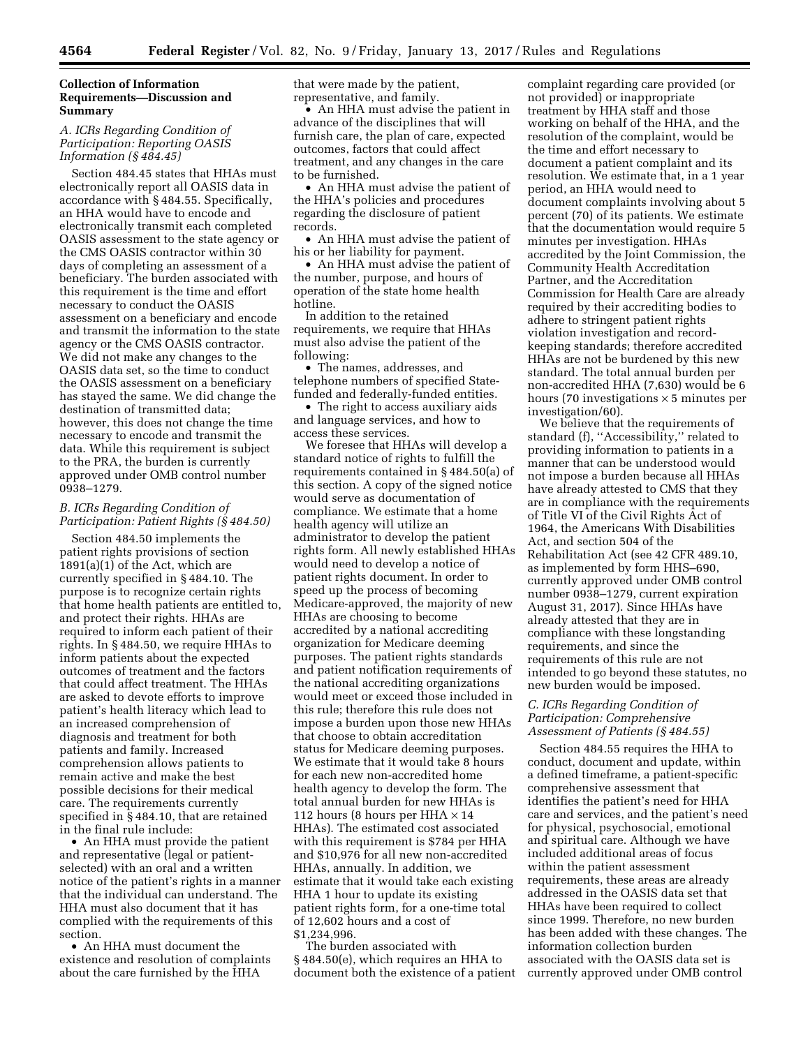# **Collection of Information Requirements—Discussion and Summary**

# *A. ICRs Regarding Condition of Participation: Reporting OASIS Information (§ 484.45)*

Section 484.45 states that HHAs must electronically report all OASIS data in accordance with § 484.55. Specifically, an HHA would have to encode and electronically transmit each completed OASIS assessment to the state agency or the CMS OASIS contractor within 30 days of completing an assessment of a beneficiary. The burden associated with this requirement is the time and effort necessary to conduct the OASIS assessment on a beneficiary and encode and transmit the information to the state agency or the CMS OASIS contractor. We did not make any changes to the OASIS data set, so the time to conduct the OASIS assessment on a beneficiary has stayed the same. We did change the destination of transmitted data; however, this does not change the time necessary to encode and transmit the data. While this requirement is subject to the PRA, the burden is currently approved under OMB control number 0938–1279.

## *B. ICRs Regarding Condition of Participation: Patient Rights (§ 484.50)*

Section 484.50 implements the patient rights provisions of section 1891(a)(1) of the Act, which are currently specified in § 484.10. The purpose is to recognize certain rights that home health patients are entitled to, and protect their rights. HHAs are required to inform each patient of their rights. In § 484.50, we require HHAs to inform patients about the expected outcomes of treatment and the factors that could affect treatment. The HHAs are asked to devote efforts to improve patient's health literacy which lead to an increased comprehension of diagnosis and treatment for both patients and family. Increased comprehension allows patients to remain active and make the best possible decisions for their medical care. The requirements currently specified in § 484.10, that are retained in the final rule include:

• An HHA must provide the patient and representative (legal or patientselected) with an oral and a written notice of the patient's rights in a manner that the individual can understand. The HHA must also document that it has complied with the requirements of this section.

• An HHA must document the existence and resolution of complaints about the care furnished by the HHA

that were made by the patient, representative, and family.

• An HHA must advise the patient in advance of the disciplines that will furnish care, the plan of care, expected outcomes, factors that could affect treatment, and any changes in the care to be furnished.

• An HHA must advise the patient of the HHA's policies and procedures regarding the disclosure of patient records.

• An HHA must advise the patient of his or her liability for payment.

• An HHA must advise the patient of the number, purpose, and hours of operation of the state home health hotline.

In addition to the retained requirements, we require that HHAs must also advise the patient of the following:

• The names, addresses, and telephone numbers of specified Statefunded and federally-funded entities.

• The right to access auxiliary aids and language services, and how to access these services.

We foresee that HHAs will develop a standard notice of rights to fulfill the requirements contained in § 484.50(a) of this section. A copy of the signed notice would serve as documentation of compliance. We estimate that a home health agency will utilize an administrator to develop the patient rights form. All newly established HHAs would need to develop a notice of patient rights document. In order to speed up the process of becoming Medicare-approved, the majority of new HHAs are choosing to become accredited by a national accrediting organization for Medicare deeming purposes. The patient rights standards and patient notification requirements of the national accrediting organizations would meet or exceed those included in this rule; therefore this rule does not impose a burden upon those new HHAs that choose to obtain accreditation status for Medicare deeming purposes. We estimate that it would take 8 hours for each new non-accredited home health agency to develop the form. The total annual burden for new HHAs is 112 hours (8 hours per HHA  $\times$  14 HHAs). The estimated cost associated with this requirement is \$784 per HHA and \$10,976 for all new non-accredited HHAs, annually. In addition, we estimate that it would take each existing HHA 1 hour to update its existing patient rights form, for a one-time total of 12,602 hours and a cost of \$1,234,996.

The burden associated with § 484.50(e), which requires an HHA to document both the existence of a patient complaint regarding care provided (or not provided) or inappropriate treatment by HHA staff and those working on behalf of the HHA, and the resolution of the complaint, would be the time and effort necessary to document a patient complaint and its resolution. We estimate that, in a 1 year period, an HHA would need to document complaints involving about 5 percent (70) of its patients. We estimate that the documentation would require 5 minutes per investigation. HHAs accredited by the Joint Commission, the Community Health Accreditation Partner, and the Accreditation Commission for Health Care are already required by their accrediting bodies to adhere to stringent patient rights violation investigation and recordkeeping standards; therefore accredited HHAs are not be burdened by this new standard. The total annual burden per non-accredited HHA (7,630) would be 6 hours (70 investigations × 5 minutes per investigation/60).

We believe that the requirements of standard (f), ''Accessibility,'' related to providing information to patients in a manner that can be understood would not impose a burden because all HHAs have already attested to CMS that they are in compliance with the requirements of Title VI of the Civil Rights Act of 1964, the Americans With Disabilities Act, and section 504 of the Rehabilitation Act (see 42 CFR 489.10, as implemented by form HHS–690, currently approved under OMB control number 0938–1279, current expiration August 31, 2017). Since HHAs have already attested that they are in compliance with these longstanding requirements, and since the requirements of this rule are not intended to go beyond these statutes, no new burden would be imposed.

## *C. ICRs Regarding Condition of Participation: Comprehensive Assessment of Patients (§ 484.55)*

Section 484.55 requires the HHA to conduct, document and update, within a defined timeframe, a patient-specific comprehensive assessment that identifies the patient's need for HHA care and services, and the patient's need for physical, psychosocial, emotional and spiritual care. Although we have included additional areas of focus within the patient assessment requirements, these areas are already addressed in the OASIS data set that HHAs have been required to collect since 1999. Therefore, no new burden has been added with these changes. The information collection burden associated with the OASIS data set is currently approved under OMB control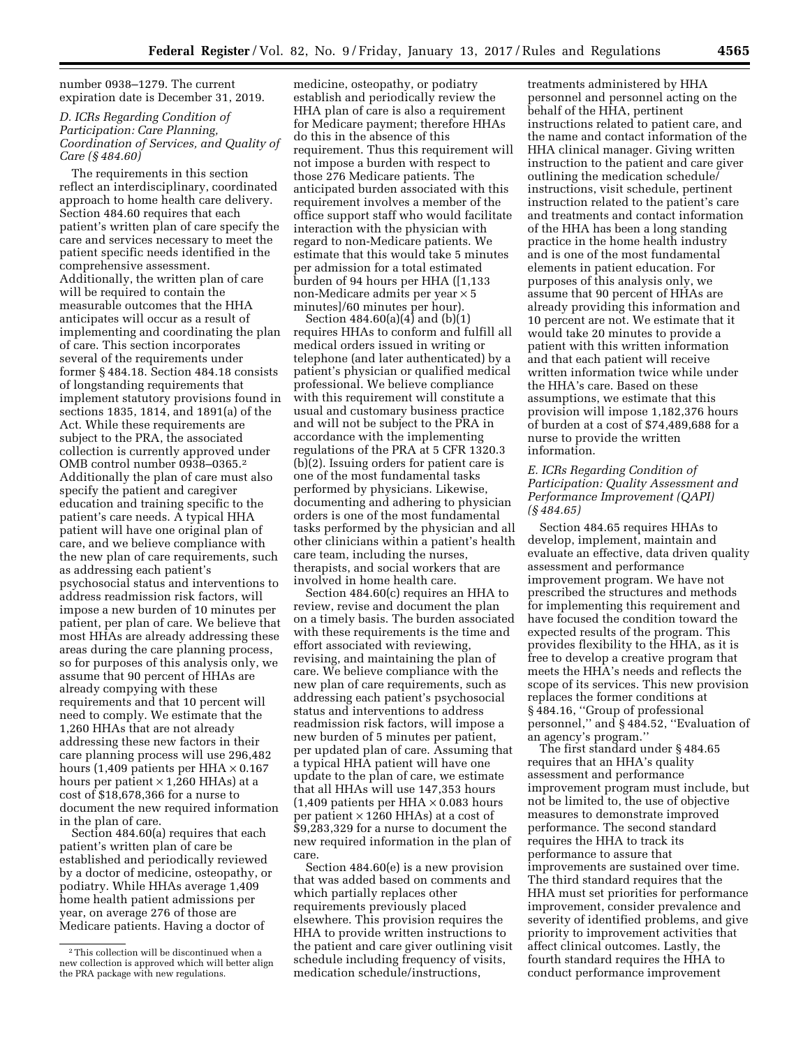number 0938–1279. The current expiration date is December 31, 2019.

## *D. ICRs Regarding Condition of Participation: Care Planning, Coordination of Services, and Quality of Care (§ 484.60)*

The requirements in this section reflect an interdisciplinary, coordinated approach to home health care delivery. Section 484.60 requires that each patient's written plan of care specify the care and services necessary to meet the patient specific needs identified in the comprehensive assessment. Additionally, the written plan of care will be required to contain the measurable outcomes that the HHA anticipates will occur as a result of implementing and coordinating the plan of care. This section incorporates several of the requirements under former § 484.18. Section 484.18 consists of longstanding requirements that implement statutory provisions found in sections 1835, 1814, and 1891(a) of the Act. While these requirements are subject to the PRA, the associated collection is currently approved under OMB control number 0938–0365.2 Additionally the plan of care must also specify the patient and caregiver education and training specific to the patient's care needs. A typical HHA patient will have one original plan of care, and we believe compliance with the new plan of care requirements, such as addressing each patient's psychosocial status and interventions to address readmission risk factors, will impose a new burden of 10 minutes per patient, per plan of care. We believe that most HHAs are already addressing these areas during the care planning process, so for purposes of this analysis only, we assume that 90 percent of HHAs are already compying with these requirements and that 10 percent will need to comply. We estimate that the 1,260 HHAs that are not already addressing these new factors in their care planning process will use 296,482 hours (1,409 patients per HHA  $\times$  0.167 hours per patient  $\times$  1,260 HHAs) at a cost of \$18,678,366 for a nurse to document the new required information in the plan of care.

Section 484.60(a) requires that each patient's written plan of care be established and periodically reviewed by a doctor of medicine, osteopathy, or podiatry. While HHAs average 1,409 home health patient admissions per year, on average 276 of those are Medicare patients. Having a doctor of

medicine, osteopathy, or podiatry establish and periodically review the HHA plan of care is also a requirement for Medicare payment; therefore HHAs do this in the absence of this requirement. Thus this requirement will not impose a burden with respect to those 276 Medicare patients. The anticipated burden associated with this requirement involves a member of the office support staff who would facilitate interaction with the physician with regard to non-Medicare patients. We estimate that this would take 5 minutes per admission for a total estimated burden of 94 hours per HHA ([1,133 non-Medicare admits per year × 5 minutes]/60 minutes per hour).

Section  $484.60(a)(4)$  and  $(b)(1)$ requires HHAs to conform and fulfill all medical orders issued in writing or telephone (and later authenticated) by a patient's physician or qualified medical professional. We believe compliance with this requirement will constitute a usual and customary business practice and will not be subject to the PRA in accordance with the implementing regulations of the PRA at 5 CFR 1320.3 (b)(2). Issuing orders for patient care is one of the most fundamental tasks performed by physicians. Likewise, documenting and adhering to physician orders is one of the most fundamental tasks performed by the physician and all other clinicians within a patient's health care team, including the nurses, therapists, and social workers that are involved in home health care.

Section 484.60(c) requires an HHA to review, revise and document the plan on a timely basis. The burden associated with these requirements is the time and effort associated with reviewing, revising, and maintaining the plan of care. We believe compliance with the new plan of care requirements, such as addressing each patient's psychosocial status and interventions to address readmission risk factors, will impose a new burden of 5 minutes per patient, per updated plan of care. Assuming that a typical HHA patient will have one update to the plan of care, we estimate that all HHAs will use 147,353 hours  $(1,409$  patients per HHA  $\times$  0.083 hours per patient  $\times$  1260 HHAs) at a cost of \$9,283,329 for a nurse to document the new required information in the plan of care.

Section 484.60(e) is a new provision that was added based on comments and which partially replaces other requirements previously placed elsewhere. This provision requires the HHA to provide written instructions to the patient and care giver outlining visit schedule including frequency of visits, medication schedule/instructions,

treatments administered by HHA personnel and personnel acting on the behalf of the HHA, pertinent instructions related to patient care, and the name and contact information of the HHA clinical manager. Giving written instruction to the patient and care giver outlining the medication schedule/ instructions, visit schedule, pertinent instruction related to the patient's care and treatments and contact information of the HHA has been a long standing practice in the home health industry and is one of the most fundamental elements in patient education. For purposes of this analysis only, we assume that 90 percent of HHAs are already providing this information and 10 percent are not. We estimate that it would take 20 minutes to provide a patient with this written information and that each patient will receive written information twice while under the HHA's care. Based on these assumptions, we estimate that this provision will impose 1,182,376 hours of burden at a cost of \$74,489,688 for a nurse to provide the written information.

## *E. ICRs Regarding Condition of Participation: Quality Assessment and Performance Improvement (QAPI) (§ 484.65)*

Section 484.65 requires HHAs to develop, implement, maintain and evaluate an effective, data driven quality assessment and performance improvement program. We have not prescribed the structures and methods for implementing this requirement and have focused the condition toward the expected results of the program. This provides flexibility to the HHA, as it is free to develop a creative program that meets the HHA's needs and reflects the scope of its services. This new provision replaces the former conditions at §484.16, "Group of professional personnel,'' and § 484.52, ''Evaluation of an agency's program.''

The first standard under § 484.65 requires that an HHA's quality assessment and performance improvement program must include, but not be limited to, the use of objective measures to demonstrate improved performance. The second standard requires the HHA to track its performance to assure that improvements are sustained over time. The third standard requires that the HHA must set priorities for performance improvement, consider prevalence and severity of identified problems, and give priority to improvement activities that affect clinical outcomes. Lastly, the fourth standard requires the HHA to conduct performance improvement

<sup>2</sup>This collection will be discontinued when a new collection is approved which will better align the PRA package with new regulations.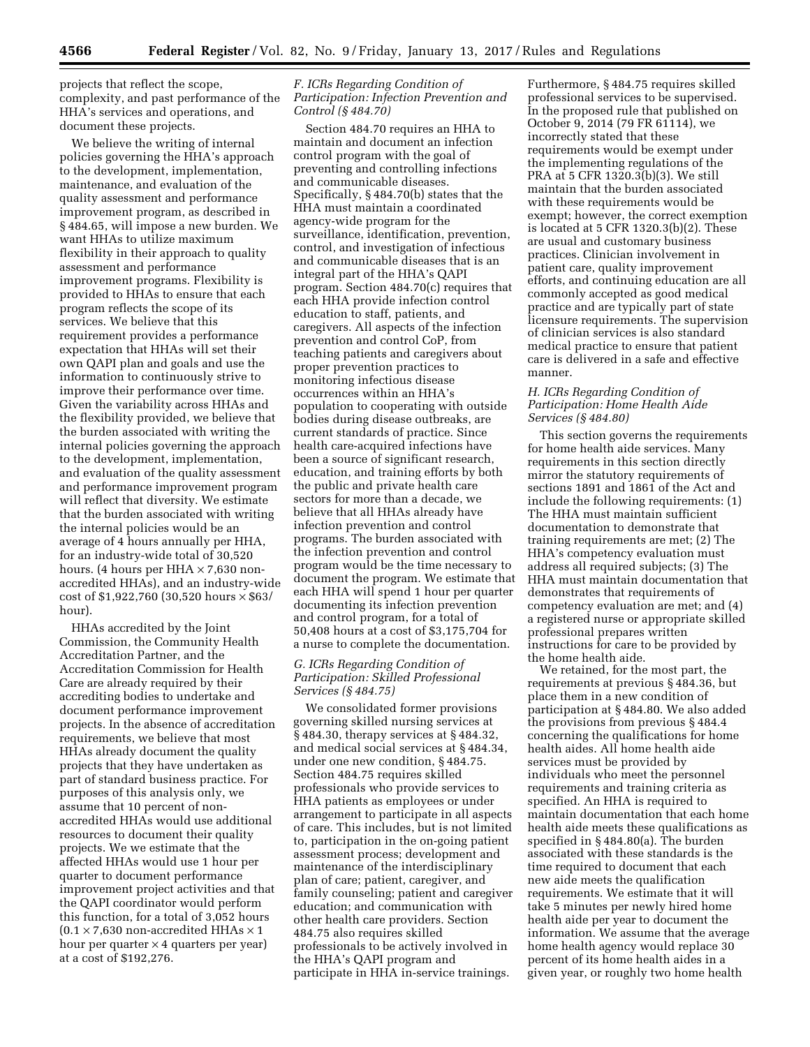projects that reflect the scope, complexity, and past performance of the HHA's services and operations, and document these projects.

We believe the writing of internal policies governing the HHA's approach to the development, implementation, maintenance, and evaluation of the quality assessment and performance improvement program, as described in § 484.65, will impose a new burden. We want HHAs to utilize maximum flexibility in their approach to quality assessment and performance improvement programs. Flexibility is provided to HHAs to ensure that each program reflects the scope of its services. We believe that this requirement provides a performance expectation that HHAs will set their own QAPI plan and goals and use the information to continuously strive to improve their performance over time. Given the variability across HHAs and the flexibility provided, we believe that the burden associated with writing the internal policies governing the approach to the development, implementation, and evaluation of the quality assessment and performance improvement program will reflect that diversity. We estimate that the burden associated with writing the internal policies would be an average of 4 hours annually per HHA, for an industry-wide total of 30,520 hours. (4 hours per HHA  $\times$  7,630 nonaccredited HHAs), and an industry-wide cost of \$1,922,760 (30,520 hours × \$63/ hour).

HHAs accredited by the Joint Commission, the Community Health Accreditation Partner, and the Accreditation Commission for Health Care are already required by their accrediting bodies to undertake and document performance improvement projects. In the absence of accreditation requirements, we believe that most HHAs already document the quality projects that they have undertaken as part of standard business practice. For purposes of this analysis only, we assume that 10 percent of nonaccredited HHAs would use additional resources to document their quality projects. We we estimate that the affected HHAs would use 1 hour per quarter to document performance improvement project activities and that the QAPI coordinator would perform this function, for a total of 3,052 hours  $(0.1 \times 7,630 \text{ non-accredited HHAs} \times 1)$ hour per quarter  $\times$  4 quarters per year) at a cost of \$192,276.

# *F. ICRs Regarding Condition of Participation: Infection Prevention and Control (§ 484.70)*

Section 484.70 requires an HHA to maintain and document an infection control program with the goal of preventing and controlling infections and communicable diseases. Specifically, § 484.70(b) states that the HHA must maintain a coordinated agency-wide program for the surveillance, identification, prevention, control, and investigation of infectious and communicable diseases that is an integral part of the HHA's QAPI program. Section 484.70(c) requires that each HHA provide infection control education to staff, patients, and caregivers. All aspects of the infection prevention and control CoP, from teaching patients and caregivers about proper prevention practices to monitoring infectious disease occurrences within an HHA's population to cooperating with outside bodies during disease outbreaks, are current standards of practice. Since health care-acquired infections have been a source of significant research, education, and training efforts by both the public and private health care sectors for more than a decade, we believe that all HHAs already have infection prevention and control programs. The burden associated with the infection prevention and control program would be the time necessary to document the program. We estimate that each HHA will spend 1 hour per quarter documenting its infection prevention and control program, for a total of 50,408 hours at a cost of \$3,175,704 for a nurse to complete the documentation.

## *G. ICRs Regarding Condition of Participation: Skilled Professional Services (§ 484.75)*

We consolidated former provisions governing skilled nursing services at § 484.30, therapy services at § 484.32, and medical social services at § 484.34, under one new condition, § 484.75. Section 484.75 requires skilled professionals who provide services to HHA patients as employees or under arrangement to participate in all aspects of care. This includes, but is not limited to, participation in the on-going patient assessment process; development and maintenance of the interdisciplinary plan of care; patient, caregiver, and family counseling; patient and caregiver education; and communication with other health care providers. Section 484.75 also requires skilled professionals to be actively involved in the HHA's QAPI program and participate in HHA in-service trainings.

Furthermore, § 484.75 requires skilled professional services to be supervised. In the proposed rule that published on October 9, 2014 (79 FR 61114), we incorrectly stated that these requirements would be exempt under the implementing regulations of the PRA at 5 CFR 1320.3(b)(3). We still maintain that the burden associated with these requirements would be exempt; however, the correct exemption is located at 5 CFR 1320.3(b)(2). These are usual and customary business practices. Clinician involvement in patient care, quality improvement efforts, and continuing education are all commonly accepted as good medical practice and are typically part of state licensure requirements. The supervision of clinician services is also standard medical practice to ensure that patient care is delivered in a safe and effective manner.

## *H. ICRs Regarding Condition of Participation: Home Health Aide Services (§ 484.80)*

This section governs the requirements for home health aide services. Many requirements in this section directly mirror the statutory requirements of sections 1891 and 1861 of the Act and include the following requirements: (1) The HHA must maintain sufficient documentation to demonstrate that training requirements are met; (2) The HHA's competency evaluation must address all required subjects; (3) The HHA must maintain documentation that demonstrates that requirements of competency evaluation are met; and (4) a registered nurse or appropriate skilled professional prepares written instructions for care to be provided by the home health aide.

We retained, for the most part, the requirements at previous § 484.36, but place them in a new condition of participation at § 484.80. We also added the provisions from previous § 484.4 concerning the qualifications for home health aides. All home health aide services must be provided by individuals who meet the personnel requirements and training criteria as specified. An HHA is required to maintain documentation that each home health aide meets these qualifications as specified in § 484.80(a). The burden associated with these standards is the time required to document that each new aide meets the qualification requirements. We estimate that it will take 5 minutes per newly hired home health aide per year to document the information. We assume that the average home health agency would replace 30 percent of its home health aides in a given year, or roughly two home health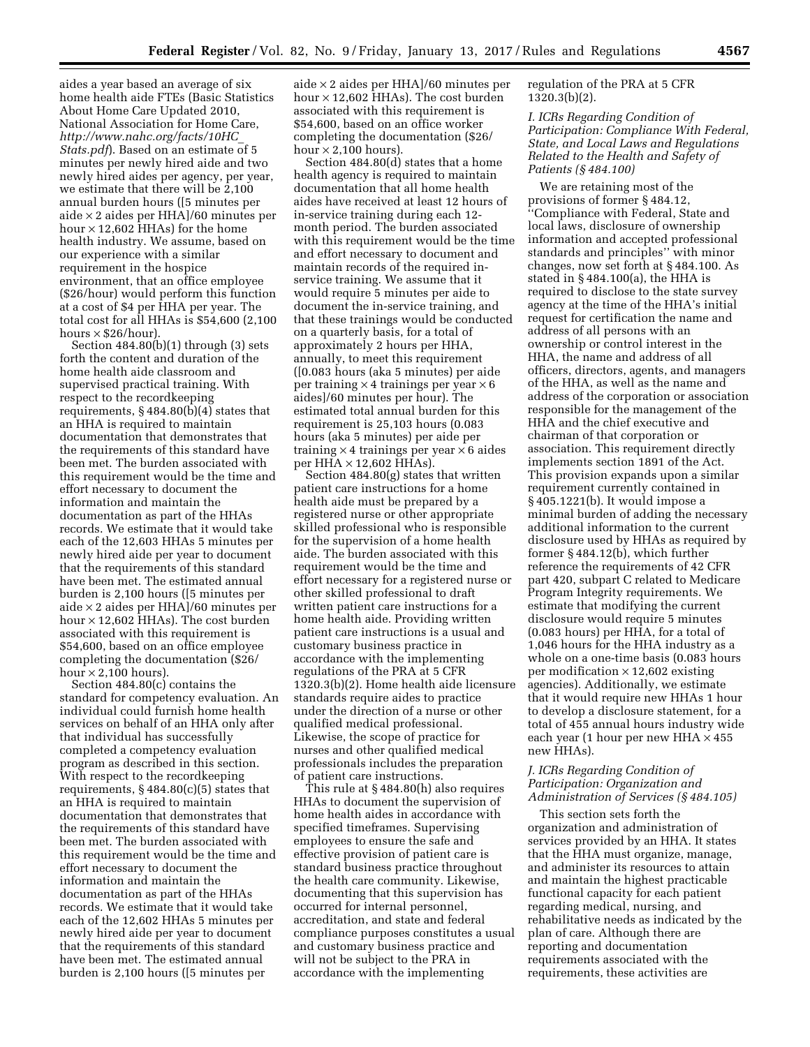aides a year based an average of six home health aide FTEs (Basic Statistics About Home Care Updated 2010, National Association for Home Care, *[http://www.nahc.org/facts/10HC](http://www.nahc.org/facts/10HC_Stats.pdf)*\_ *[Stats.pdf](http://www.nahc.org/facts/10HC_Stats.pdf)*). Based on an estimate of 5 minutes per newly hired aide and two newly hired aides per agency, per year, we estimate that there will be 2,100 annual burden hours ([5 minutes per aide × 2 aides per HHA]/60 minutes per hour  $\times$  12,602 HHAs) for the home health industry. We assume, based on our experience with a similar requirement in the hospice environment, that an office employee (\$26/hour) would perform this function at a cost of \$4 per HHA per year. The total cost for all HHAs is \$54,600 (2,100 hours  $\times$  \$26/hour).

Section 484.80(b)(1) through (3) sets forth the content and duration of the home health aide classroom and supervised practical training. With respect to the recordkeeping requirements, § 484.80(b)(4) states that an HHA is required to maintain documentation that demonstrates that the requirements of this standard have been met. The burden associated with this requirement would be the time and effort necessary to document the information and maintain the documentation as part of the HHAs records. We estimate that it would take each of the 12,603 HHAs 5 minutes per newly hired aide per year to document that the requirements of this standard have been met. The estimated annual burden is 2,100 hours ([5 minutes per aide  $\times$  2 aides per HHA]/60 minutes per hour  $\times$  12,602 HHAs). The cost burden associated with this requirement is \$54,600, based on an office employee completing the documentation (\$26/ hour  $\times$  2,100 hours).

Section 484.80(c) contains the standard for competency evaluation. An individual could furnish home health services on behalf of an HHA only after that individual has successfully completed a competency evaluation program as described in this section. With respect to the recordkeeping requirements, § 484.80(c)(5) states that an HHA is required to maintain documentation that demonstrates that the requirements of this standard have been met. The burden associated with this requirement would be the time and effort necessary to document the information and maintain the documentation as part of the HHAs records. We estimate that it would take each of the 12,602 HHAs 5 minutes per newly hired aide per year to document that the requirements of this standard have been met. The estimated annual burden is 2,100 hours ([5 minutes per

aide × 2 aides per HHA]/60 minutes per hour  $\times$  12,602 HHAs). The cost burden associated with this requirement is \$54,600, based on an office worker completing the documentation (\$26/ hour  $\times$  2,100 hours).

Section 484.80(d) states that a home health agency is required to maintain documentation that all home health aides have received at least 12 hours of in-service training during each 12 month period. The burden associated with this requirement would be the time and effort necessary to document and maintain records of the required inservice training. We assume that it would require 5 minutes per aide to document the in-service training, and that these trainings would be conducted on a quarterly basis, for a total of approximately 2 hours per HHA, annually, to meet this requirement ([0.083 hours (aka 5 minutes) per aide per training  $\times$  4 trainings per year  $\times$  6 aides]/60 minutes per hour). The estimated total annual burden for this requirement is 25,103 hours (0.083 hours (aka 5 minutes) per aide per training  $\times$  4 trainings per year  $\times$  6 aides per  $HHA \times 12,602$  HHAs).

Section 484.80(g) states that written patient care instructions for a home health aide must be prepared by a registered nurse or other appropriate skilled professional who is responsible for the supervision of a home health aide. The burden associated with this requirement would be the time and effort necessary for a registered nurse or other skilled professional to draft written patient care instructions for a home health aide. Providing written patient care instructions is a usual and customary business practice in accordance with the implementing regulations of the PRA at 5 CFR 1320.3(b)(2). Home health aide licensure standards require aides to practice under the direction of a nurse or other qualified medical professional. Likewise, the scope of practice for nurses and other qualified medical professionals includes the preparation of patient care instructions.

This rule at § 484.80(h) also requires HHAs to document the supervision of home health aides in accordance with specified timeframes. Supervising employees to ensure the safe and effective provision of patient care is standard business practice throughout the health care community. Likewise, documenting that this supervision has occurred for internal personnel, accreditation, and state and federal compliance purposes constitutes a usual and customary business practice and will not be subject to the PRA in accordance with the implementing

### regulation of the PRA at 5 CFR 1320.3(b)(2).

*I. ICRs Regarding Condition of Participation: Compliance With Federal, State, and Local Laws and Regulations Related to the Health and Safety of Patients (§ 484.100)* 

We are retaining most of the provisions of former § 484.12, ''Compliance with Federal, State and local laws, disclosure of ownership information and accepted professional standards and principles'' with minor changes, now set forth at § 484.100. As stated in § 484.100(a), the HHA is required to disclose to the state survey agency at the time of the HHA's initial request for certification the name and address of all persons with an ownership or control interest in the HHA, the name and address of all officers, directors, agents, and managers of the HHA, as well as the name and address of the corporation or association responsible for the management of the HHA and the chief executive and chairman of that corporation or association. This requirement directly implements section 1891 of the Act. This provision expands upon a similar requirement currently contained in § 405.1221(b). It would impose a minimal burden of adding the necessary additional information to the current disclosure used by HHAs as required by former § 484.12(b), which further reference the requirements of 42 CFR part 420, subpart C related to Medicare Program Integrity requirements. We estimate that modifying the current disclosure would require 5 minutes (0.083 hours) per HHA, for a total of 1,046 hours for the HHA industry as a whole on a one-time basis (0.083 hours per modification  $\times$  12,602 existing agencies). Additionally, we estimate that it would require new HHAs 1 hour to develop a disclosure statement, for a total of 455 annual hours industry wide each year (1 hour per new  $HHA \times 455$ new HHAs).

# *J. ICRs Regarding Condition of Participation: Organization and Administration of Services (§ 484.105)*

This section sets forth the organization and administration of services provided by an HHA. It states that the HHA must organize, manage, and administer its resources to attain and maintain the highest practicable functional capacity for each patient regarding medical, nursing, and rehabilitative needs as indicated by the plan of care. Although there are reporting and documentation requirements associated with the requirements, these activities are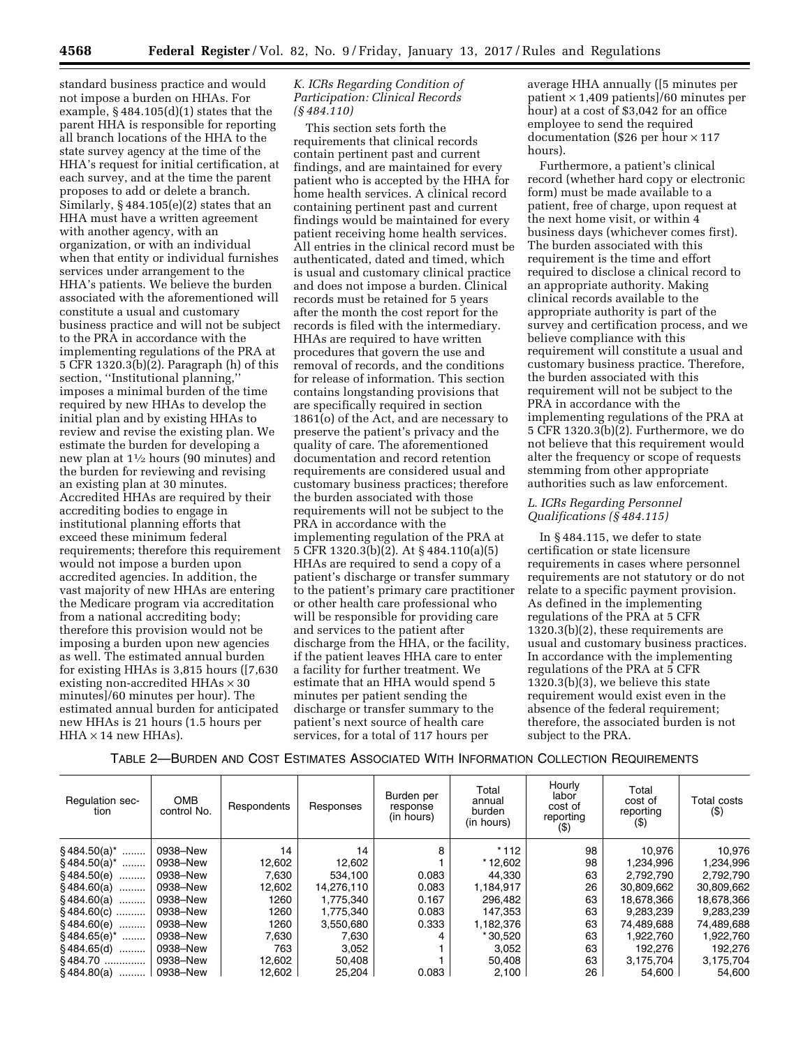standard business practice and would not impose a burden on HHAs. For example, § 484.105(d)(1) states that the parent HHA is responsible for reporting all branch locations of the HHA to the state survey agency at the time of the HHA's request for initial certification, at each survey, and at the time the parent proposes to add or delete a branch. Similarly, § 484.105(e)(2) states that an HHA must have a written agreement with another agency, with an organization, or with an individual when that entity or individual furnishes services under arrangement to the HHA's patients. We believe the burden associated with the aforementioned will constitute a usual and customary business practice and will not be subject to the PRA in accordance with the implementing regulations of the PRA at 5 CFR 1320.3(b)(2). Paragraph (h) of this section, ''Institutional planning,'' imposes a minimal burden of the time required by new HHAs to develop the initial plan and by existing HHAs to review and revise the existing plan. We estimate the burden for developing a new plan at 11⁄2 hours (90 minutes) and the burden for reviewing and revising an existing plan at 30 minutes. Accredited HHAs are required by their accrediting bodies to engage in institutional planning efforts that exceed these minimum federal requirements; therefore this requirement would not impose a burden upon accredited agencies. In addition, the vast majority of new HHAs are entering the Medicare program via accreditation from a national accrediting body; therefore this provision would not be imposing a burden upon new agencies as well. The estimated annual burden for existing HHAs is 3,815 hours ([7,630 existing non-accredited  $HHAs \times 30$ minutes]/60 minutes per hour). The estimated annual burden for anticipated new HHAs is 21 hours (1.5 hours per  $HHA \times 14$  new  $HHAs$ ).

# *K. ICRs Regarding Condition of Participation: Clinical Records (§ 484.110)*

This section sets forth the requirements that clinical records contain pertinent past and current findings, and are maintained for every patient who is accepted by the HHA for home health services. A clinical record containing pertinent past and current findings would be maintained for every patient receiving home health services. All entries in the clinical record must be authenticated, dated and timed, which is usual and customary clinical practice and does not impose a burden. Clinical records must be retained for 5 years after the month the cost report for the records is filed with the intermediary. HHAs are required to have written procedures that govern the use and removal of records, and the conditions for release of information. This section contains longstanding provisions that are specifically required in section 1861(o) of the Act, and are necessary to preserve the patient's privacy and the quality of care. The aforementioned documentation and record retention requirements are considered usual and customary business practices; therefore the burden associated with those requirements will not be subject to the PRA in accordance with the implementing regulation of the PRA at 5 CFR 1320.3(b)(2). At § 484.110(a)(5) HHAs are required to send a copy of a patient's discharge or transfer summary to the patient's primary care practitioner or other health care professional who will be responsible for providing care and services to the patient after discharge from the HHA, or the facility, if the patient leaves HHA care to enter a facility for further treatment. We estimate that an HHA would spend 5 minutes per patient sending the discharge or transfer summary to the patient's next source of health care services, for a total of 117 hours per

average HHA annually ([5 minutes per patient × 1,409 patients]/60 minutes per hour) at a cost of \$3,042 for an office employee to send the required documentation (\$26 per hour  $\times$  117 hours).

Furthermore, a patient's clinical record (whether hard copy or electronic form) must be made available to a patient, free of charge, upon request at the next home visit, or within 4 business days (whichever comes first). The burden associated with this requirement is the time and effort required to disclose a clinical record to an appropriate authority. Making clinical records available to the appropriate authority is part of the survey and certification process, and we believe compliance with this requirement will constitute a usual and customary business practice. Therefore, the burden associated with this requirement will not be subject to the PRA in accordance with the implementing regulations of the PRA at 5 CFR 1320.3(b)(2). Furthermore, we do not believe that this requirement would alter the frequency or scope of requests stemming from other appropriate authorities such as law enforcement.

# *L. ICRs Regarding Personnel Qualifications (§ 484.115)*

In § 484.115, we defer to state certification or state licensure requirements in cases where personnel requirements are not statutory or do not relate to a specific payment provision. As defined in the implementing regulations of the PRA at 5 CFR 1320.3(b)(2), these requirements are usual and customary business practices. In accordance with the implementing regulations of the PRA at 5 CFR 1320.3(b)(3), we believe this state requirement would exist even in the absence of the federal requirement; therefore, the associated burden is not subject to the PRA.

# TABLE 2—BURDEN AND COST ESTIMATES ASSOCIATED WITH INFORMATION COLLECTION REQUIREMENTS

| Regulation sec-<br>tion        | <b>OMB</b><br>control No. | Respondents | Responses  | Burden per<br>response<br>(in hours) | Total<br>annual<br>burden<br>(in hours) | Hourly<br>labor<br>cost of<br>reporting<br>$($ \$) | Total<br>cost of<br>reporting<br>(5) | Total costs<br>$($ \$) |
|--------------------------------|---------------------------|-------------|------------|--------------------------------------|-----------------------------------------|----------------------------------------------------|--------------------------------------|------------------------|
| $§$ 484.50(a) <sup>*</sup><br> | 0938-New                  | 14          | 14         | 8                                    | $*112$                                  | 98                                                 | 10,976                               | 10,976                 |
| $§$ 484.50(a) <sup>*</sup><br> | 0938-New                  | 12,602      | 12,602     |                                      | *12,602                                 | 98                                                 | 1,234,996                            | 1,234,996              |
| \$484.50(e)<br>                | 0938-New                  | 7.630       | 534.100    | 0.083                                | 44.330                                  | 63                                                 | 2.792.790                            | 2.792.790              |
| \$484.60(a)<br>                | 0938-New                  | 12.602      | 14.276.110 | 0.083                                | 1,184,917                               | 26                                                 | 30,809,662                           | 30,809,662             |
| \$484.60(a)<br>                | 0938-New                  | 1260        | 1.775.340  | 0.167                                | 296.482                                 | 63                                                 | 18,678,366                           | 18,678,366             |
| $$484.60(c)$                   | 0938-New                  | 1260        | 1.775.340  | 0.083                                | 147.353                                 | 63                                                 | 9.283.239                            | 9.283.239              |
| \$484.60(e)<br>                | 0938-New                  | 1260        | 3.550.680  | 0.333                                | 1,182,376                               | 63                                                 | 74,489,688                           | 74,489,688             |
| $§484.65(e)^*$<br>             | 0938-New                  | 7.630       | 7.630      | 4                                    | *30.520                                 | 63                                                 | 1,922,760                            | 1,922,760              |
| \$484.65(d)<br>                | 0938-New                  | 763         | 3.052      |                                      | 3.052                                   | 63                                                 | 192.276                              | 192.276                |
| §484.70                        | 0938-New                  | 12.602      | 50.408     |                                      | 50.408                                  | 63                                                 | 3.175.704                            | 3,175,704              |
| \$484.80(a)<br>. 1             | 0938-New                  | 12,602      | 25.204     | 0.083                                | 2.100                                   | 26                                                 | 54.600                               | 54.600                 |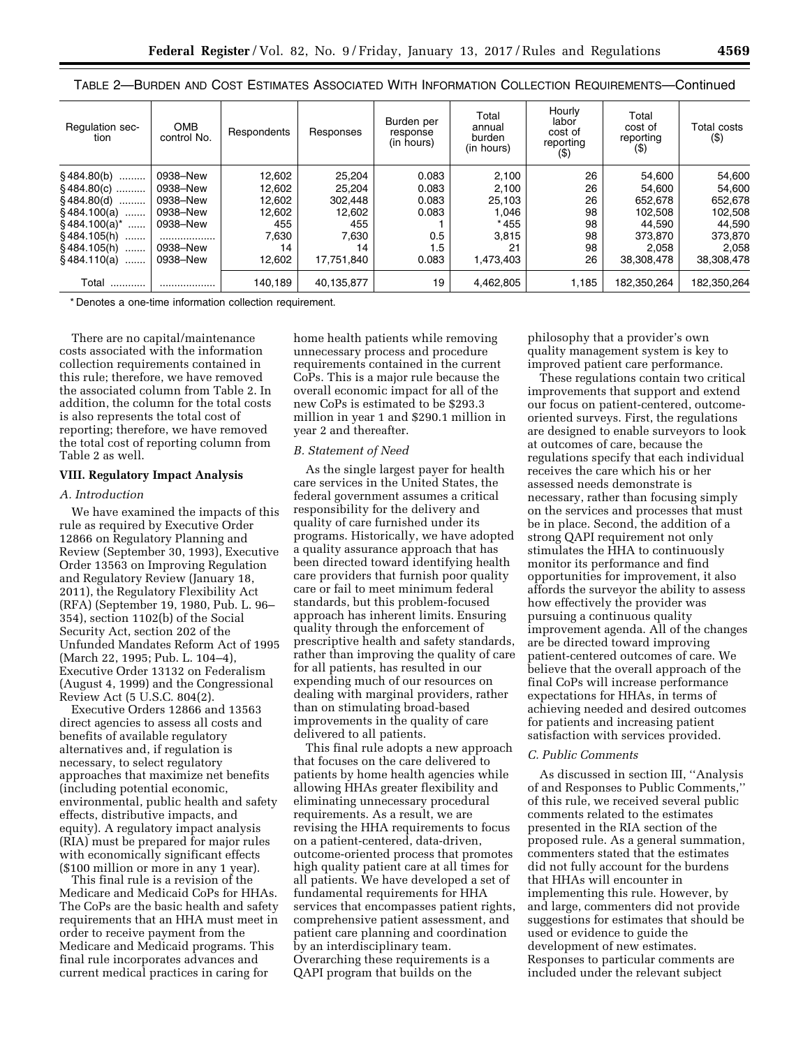| Regulation sec-<br>tion | <b>OMB</b><br>control No. | Respondents | Responses  | Burden per<br>response<br>(in hours) | Total<br>annual<br>burden<br>(in hours) | Hourly<br>labor<br>cost of<br>reporting<br>$($ \$) | Total<br>cost of<br>reporting<br>(S) | Total costs<br>$($ \$) |
|-------------------------|---------------------------|-------------|------------|--------------------------------------|-----------------------------------------|----------------------------------------------------|--------------------------------------|------------------------|
| § 484.80(b)<br>         | 0938-New                  | 12,602      | 25.204     | 0.083                                | 2,100                                   | 26                                                 | 54,600                               | 54,600                 |
| §484.80(c)              | 0938-New                  | 12.602      | 25,204     | 0.083                                | 2,100                                   | 26                                                 | 54,600                               | 54,600                 |
| § 484.80(d)<br>         | 0938-New                  | 12.602      | 302.448    | 0.083                                | 25.103                                  | 26                                                 | 652.678                              | 652.678                |
| §484.100(a)<br>         | 0938-New                  | 12,602      | 12,602     | 0.083                                | 1,046                                   | 98                                                 | 102,508                              | 102,508                |
| §484.100(a)*<br>        | 0938-New                  | 455         | 455        |                                      | * 455                                   | 98                                                 | 44,590                               | 44.590                 |
| § 484.105(h)<br>        |                           | 7,630       | 7,630      | 0.5                                  | 3,815                                   | 98                                                 | 373.870                              | 373,870                |
| § 484.105(h)<br>        | 0938-New                  | 14          | 14         | 1.5                                  | 21                                      | 98                                                 | 2.058                                | 2.058                  |
| §484.110(a)<br>         | 0938-New                  | 12.602      | 17,751,840 | 0.083                                | 1,473,403                               | 26                                                 | 38.308.478                           | 38,308,478             |
| Total                   |                           | 140.189     | 40,135,877 | 19                                   | 4,462,805                               | 1,185                                              | 182,350,264                          | 182,350,264            |

| Table 2—Burden and Cost Estimates Associated With Information Collection Requirements—Continued |  |  |  |  |
|-------------------------------------------------------------------------------------------------|--|--|--|--|
|-------------------------------------------------------------------------------------------------|--|--|--|--|

\* Denotes a one-time information collection requirement.

There are no capital/maintenance costs associated with the information collection requirements contained in this rule; therefore, we have removed the associated column from Table 2. In addition, the column for the total costs is also represents the total cost of reporting; therefore, we have removed the total cost of reporting column from Table 2 as well.

#### **VIII. Regulatory Impact Analysis**

### *A. Introduction*

We have examined the impacts of this rule as required by Executive Order 12866 on Regulatory Planning and Review (September 30, 1993), Executive Order 13563 on Improving Regulation and Regulatory Review (January 18, 2011), the Regulatory Flexibility Act (RFA) (September 19, 1980, Pub. L. 96– 354), section 1102(b) of the Social Security Act, section 202 of the Unfunded Mandates Reform Act of 1995 (March 22, 1995; Pub. L. 104–4), Executive Order 13132 on Federalism (August 4, 1999) and the Congressional Review Act (5 U.S.C. 804(2).

Executive Orders 12866 and 13563 direct agencies to assess all costs and benefits of available regulatory alternatives and, if regulation is necessary, to select regulatory approaches that maximize net benefits (including potential economic, environmental, public health and safety effects, distributive impacts, and equity). A regulatory impact analysis (RIA) must be prepared for major rules with economically significant effects (\$100 million or more in any 1 year).

This final rule is a revision of the Medicare and Medicaid CoPs for HHAs. The CoPs are the basic health and safety requirements that an HHA must meet in order to receive payment from the Medicare and Medicaid programs. This final rule incorporates advances and current medical practices in caring for

home health patients while removing unnecessary process and procedure requirements contained in the current CoPs. This is a major rule because the overall economic impact for all of the new CoPs is estimated to be \$293.3 million in year 1 and \$290.1 million in year 2 and thereafter.

### *B. Statement of Need*

As the single largest payer for health care services in the United States, the federal government assumes a critical responsibility for the delivery and quality of care furnished under its programs. Historically, we have adopted a quality assurance approach that has been directed toward identifying health care providers that furnish poor quality care or fail to meet minimum federal standards, but this problem-focused approach has inherent limits. Ensuring quality through the enforcement of prescriptive health and safety standards, rather than improving the quality of care for all patients, has resulted in our expending much of our resources on dealing with marginal providers, rather than on stimulating broad-based improvements in the quality of care delivered to all patients.

This final rule adopts a new approach that focuses on the care delivered to patients by home health agencies while allowing HHAs greater flexibility and eliminating unnecessary procedural requirements. As a result, we are revising the HHA requirements to focus on a patient-centered, data-driven, outcome-oriented process that promotes high quality patient care at all times for all patients. We have developed a set of fundamental requirements for HHA services that encompasses patient rights, comprehensive patient assessment, and patient care planning and coordination by an interdisciplinary team. Overarching these requirements is a QAPI program that builds on the

philosophy that a provider's own quality management system is key to improved patient care performance.

These regulations contain two critical improvements that support and extend our focus on patient-centered, outcomeoriented surveys. First, the regulations are designed to enable surveyors to look at outcomes of care, because the regulations specify that each individual receives the care which his or her assessed needs demonstrate is necessary, rather than focusing simply on the services and processes that must be in place. Second, the addition of a strong QAPI requirement not only stimulates the HHA to continuously monitor its performance and find opportunities for improvement, it also affords the surveyor the ability to assess how effectively the provider was pursuing a continuous quality improvement agenda. All of the changes are be directed toward improving patient-centered outcomes of care. We believe that the overall approach of the final CoPs will increase performance expectations for HHAs, in terms of achieving needed and desired outcomes for patients and increasing patient satisfaction with services provided.

#### *C. Public Comments*

As discussed in section III, ''Analysis of and Responses to Public Comments,'' of this rule, we received several public comments related to the estimates presented in the RIA section of the proposed rule. As a general summation, commenters stated that the estimates did not fully account for the burdens that HHAs will encounter in implementing this rule. However, by and large, commenters did not provide suggestions for estimates that should be used or evidence to guide the development of new estimates. Responses to particular comments are included under the relevant subject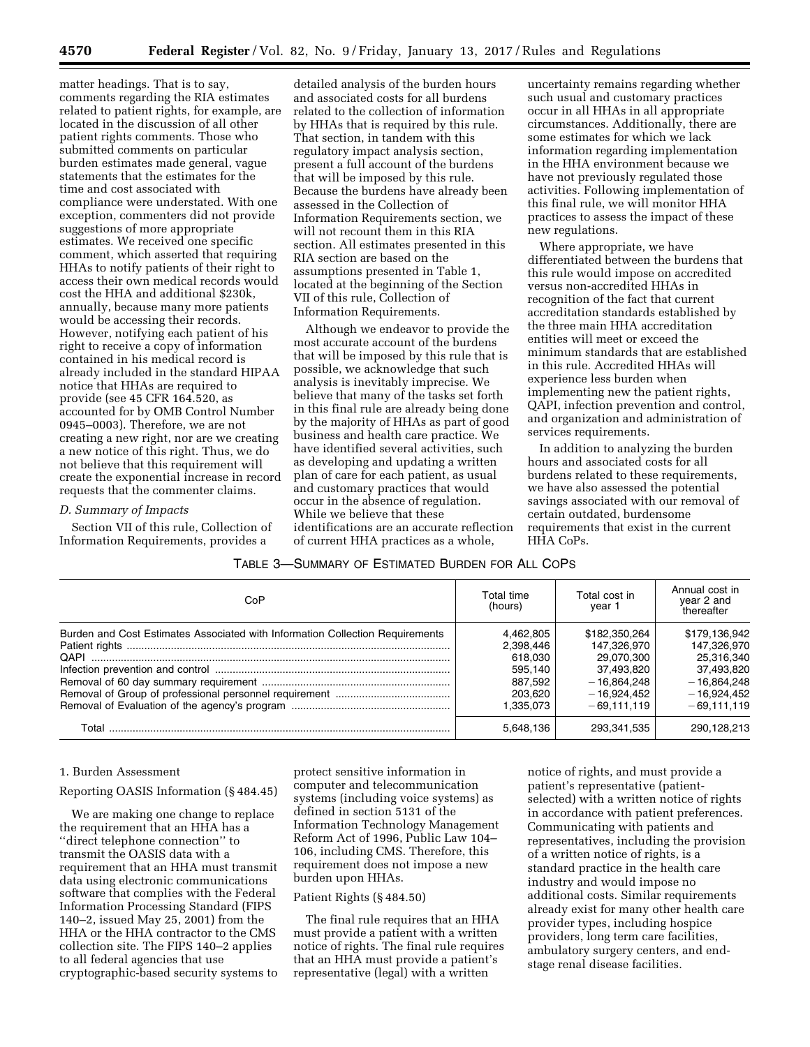matter headings. That is to say, comments regarding the RIA estimates related to patient rights, for example, are located in the discussion of all other patient rights comments. Those who submitted comments on particular burden estimates made general, vague statements that the estimates for the time and cost associated with compliance were understated. With one exception, commenters did not provide suggestions of more appropriate estimates. We received one specific comment, which asserted that requiring HHAs to notify patients of their right to access their own medical records would cost the HHA and additional \$230k, annually, because many more patients would be accessing their records. However, notifying each patient of his right to receive a copy of information contained in his medical record is already included in the standard HIPAA notice that HHAs are required to provide (see 45 CFR 164.520, as accounted for by OMB Control Number 0945–0003). Therefore, we are not creating a new right, nor are we creating a new notice of this right. Thus, we do not believe that this requirement will create the exponential increase in record requests that the commenter claims.

#### *D. Summary of Impacts*

Section VII of this rule, Collection of Information Requirements, provides a

detailed analysis of the burden hours and associated costs for all burdens related to the collection of information by HHAs that is required by this rule. That section, in tandem with this regulatory impact analysis section, present a full account of the burdens that will be imposed by this rule. Because the burdens have already been assessed in the Collection of Information Requirements section, we will not recount them in this RIA section. All estimates presented in this RIA section are based on the assumptions presented in Table 1, located at the beginning of the Section VII of this rule, Collection of Information Requirements.

Although we endeavor to provide the most accurate account of the burdens that will be imposed by this rule that is possible, we acknowledge that such analysis is inevitably imprecise. We believe that many of the tasks set forth in this final rule are already being done by the majority of HHAs as part of good business and health care practice. We have identified several activities, such as developing and updating a written plan of care for each patient, as usual and customary practices that would occur in the absence of regulation. While we believe that these identifications are an accurate reflection of current HHA practices as a whole,

uncertainty remains regarding whether such usual and customary practices occur in all HHAs in all appropriate circumstances. Additionally, there are some estimates for which we lack information regarding implementation in the HHA environment because we have not previously regulated those activities. Following implementation of this final rule, we will monitor HHA practices to assess the impact of these new regulations.

Where appropriate, we have differentiated between the burdens that this rule would impose on accredited versus non-accredited HHAs in recognition of the fact that current accreditation standards established by the three main HHA accreditation entities will meet or exceed the minimum standards that are established in this rule. Accredited HHAs will experience less burden when implementing new the patient rights, QAPI, infection prevention and control, and organization and administration of services requirements.

In addition to analyzing the burden hours and associated costs for all burdens related to these requirements, we have also assessed the potential savings associated with our removal of certain outdated, burdensome requirements that exist in the current HHA CoPs.

| Table 3—Summary of Estimated Burden for All CoPs |
|--------------------------------------------------|
|--------------------------------------------------|

| CoP                                                                           | Total time<br>(hours)  | Total cost in<br>vear 1      | Annual cost in<br>year 2 and<br>thereafter |
|-------------------------------------------------------------------------------|------------------------|------------------------------|--------------------------------------------|
| Burden and Cost Estimates Associated with Information Collection Requirements | 4.462.805<br>2.398.446 | \$182,350,264<br>147.326.970 | \$179,136,942<br>147.326.970               |
| <b>OAPI</b>                                                                   | 618.030                | 29.070.300                   | 25.316.340                                 |
|                                                                               | 595.140<br>887.592     | 37.493.820<br>$-16.864.248$  | 37.493.820<br>$-16.864.248$                |
|                                                                               | 203.620                | $-16.924.452$                | $-16.924.452$                              |
|                                                                               | 1.335.073              | $-69.111.119$                | $-69.111.119$                              |
| T∩tal                                                                         | 5,648,136              | 293.341.535                  | 290.128.213                                |

## 1. Burden Assessment

### Reporting OASIS Information (§ 484.45)

We are making one change to replace the requirement that an HHA has a ''direct telephone connection'' to transmit the OASIS data with a requirement that an HHA must transmit data using electronic communications software that complies with the Federal Information Processing Standard (FIPS 140–2, issued May 25, 2001) from the HHA or the HHA contractor to the CMS collection site. The FIPS 140–2 applies to all federal agencies that use cryptographic-based security systems to

protect sensitive information in computer and telecommunication systems (including voice systems) as defined in section 5131 of the Information Technology Management Reform Act of 1996, Public Law 104– 106, including CMS. Therefore, this requirement does not impose a new burden upon HHAs.

## Patient Rights (§ 484.50)

The final rule requires that an HHA must provide a patient with a written notice of rights. The final rule requires that an HHA must provide a patient's representative (legal) with a written

notice of rights, and must provide a patient's representative (patientselected) with a written notice of rights in accordance with patient preferences. Communicating with patients and representatives, including the provision of a written notice of rights, is a standard practice in the health care industry and would impose no additional costs. Similar requirements already exist for many other health care provider types, including hospice providers, long term care facilities, ambulatory surgery centers, and endstage renal disease facilities.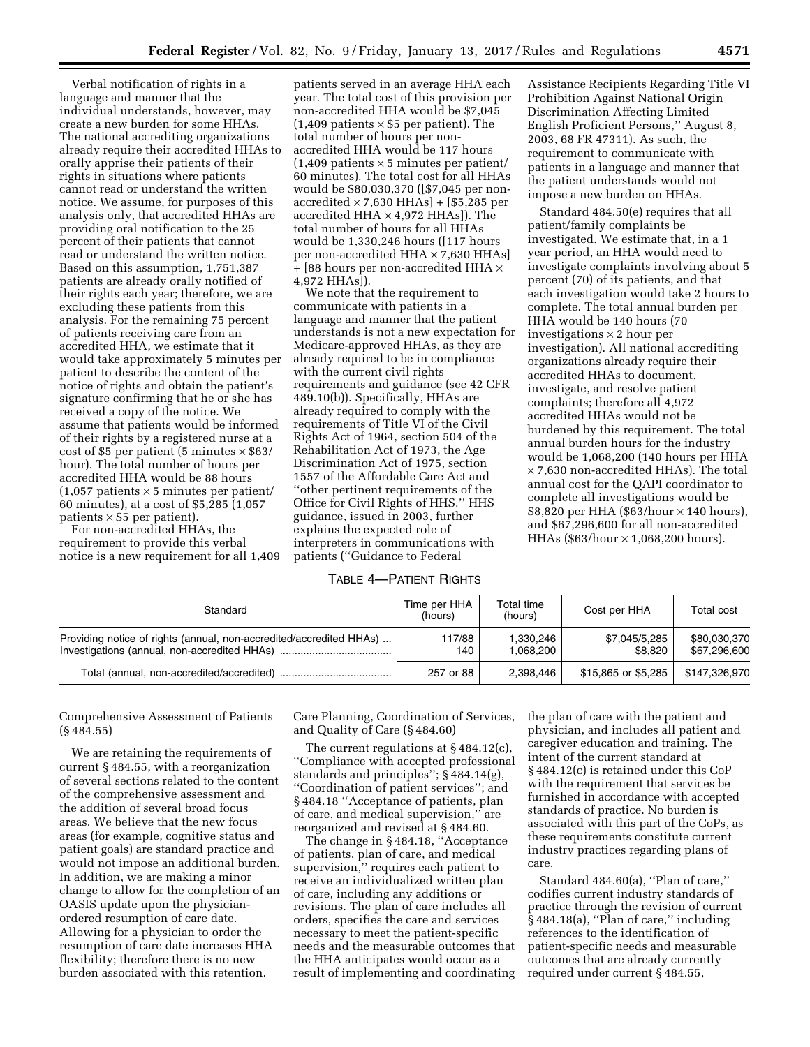Verbal notification of rights in a language and manner that the individual understands, however, may create a new burden for some HHAs. The national accrediting organizations already require their accredited HHAs to orally apprise their patients of their rights in situations where patients cannot read or understand the written notice. We assume, for purposes of this analysis only, that accredited HHAs are providing oral notification to the 25 percent of their patients that cannot read or understand the written notice. Based on this assumption, 1,751,387 patients are already orally notified of their rights each year; therefore, we are excluding these patients from this analysis. For the remaining 75 percent of patients receiving care from an accredited HHA, we estimate that it would take approximately 5 minutes per patient to describe the content of the notice of rights and obtain the patient's signature confirming that he or she has received a copy of the notice. We assume that patients would be informed of their rights by a registered nurse at a cost of \$5 per patient (5 minutes  $\times$  \$63/ hour). The total number of hours per accredited HHA would be 88 hours  $(1,057$  patients  $\times$  5 minutes per patient/ 60 minutes), at a cost of \$5,285 (1,057 patients  $\times$  \$5 per patient).

For non-accredited HHAs, the requirement to provide this verbal notice is a new requirement for all 1,409

patients served in an average HHA each year. The total cost of this provision per non-accredited HHA would be \$7,045  $(1,409 \text{ patients} \times $5 \text{ per patient})$ . The total number of hours per nonaccredited HHA would be 117 hours  $(1,409$  patients  $\times$  5 minutes per patient/ 60 minutes). The total cost for all HHAs would be \$80,030,370 ([\$7,045 per nonaccredited  $\times$  7,630 HHAs] + [\$5,285 per accredited HHA  $\times$  4,972 HHAs]). The total number of hours for all HHAs would be 1,330,246 hours ([117 hours per non-accredited HHA  $\times$  7,630 HHAs] + [88 hours per non-accredited HHA × 4,972 HHAs]).

We note that the requirement to communicate with patients in a language and manner that the patient understands is not a new expectation for Medicare-approved HHAs, as they are already required to be in compliance with the current civil rights requirements and guidance (see 42 CFR 489.10(b)). Specifically, HHAs are already required to comply with the requirements of Title VI of the Civil Rights Act of 1964, section 504 of the Rehabilitation Act of 1973, the Age Discrimination Act of 1975, section 1557 of the Affordable Care Act and ''other pertinent requirements of the Office for Civil Rights of HHS.'' HHS guidance, issued in 2003, further explains the expected role of interpreters in communications with patients (''Guidance to Federal

### TABLE 4—PATIENT RIGHTS

Assistance Recipients Regarding Title VI Prohibition Against National Origin Discrimination Affecting Limited English Proficient Persons,'' August 8, 2003, 68 FR 47311). As such, the requirement to communicate with patients in a language and manner that the patient understands would not impose a new burden on HHAs.

Standard 484.50(e) requires that all patient/family complaints be investigated. We estimate that, in a 1 year period, an HHA would need to investigate complaints involving about 5 percent (70) of its patients, and that each investigation would take 2 hours to complete. The total annual burden per HHA would be 140 hours (70 investigations  $\times$  2 hour per investigation). All national accrediting organizations already require their accredited HHAs to document, investigate, and resolve patient complaints; therefore all 4,972 accredited HHAs would not be burdened by this requirement. The total annual burden hours for the industry would be 1,068,200 (140 hours per HHA × 7,630 non-accredited HHAs). The total annual cost for the QAPI coordinator to complete all investigations would be \$8,820 per HHA (\$63/hour × 140 hours), and \$67,296,600 for all non-accredited HHAs (\$63/hour  $\times$  1,068,200 hours).

| Standard                                                            | Time per HHA<br>(hours) | Total time<br>(hours)  | Cost per HHA             | Total cost                   |
|---------------------------------------------------------------------|-------------------------|------------------------|--------------------------|------------------------------|
| Providing notice of rights (annual, non-accredited/accredited HHAs) | 117/88<br>140           | 1,330,246<br>1.068.200 | \$7,045/5,285<br>\$8,820 | \$80,030,370<br>\$67.296.600 |
|                                                                     | 257 or 88               | 2.398.446              | \$15,865 or \$5,285      | \$147,326,970                |

Comprehensive Assessment of Patients (§ 484.55)

We are retaining the requirements of current § 484.55, with a reorganization of several sections related to the content of the comprehensive assessment and the addition of several broad focus areas. We believe that the new focus areas (for example, cognitive status and patient goals) are standard practice and would not impose an additional burden. In addition, we are making a minor change to allow for the completion of an OASIS update upon the physicianordered resumption of care date. Allowing for a physician to order the resumption of care date increases HHA flexibility; therefore there is no new burden associated with this retention.

Care Planning, Coordination of Services, and Quality of Care (§ 484.60)

The current regulations at § 484.12(c), ''Compliance with accepted professional standards and principles''; § 484.14(g), ''Coordination of patient services''; and § 484.18 ''Acceptance of patients, plan of care, and medical supervision,'' are reorganized and revised at § 484.60.

The change in § 484.18, ''Acceptance of patients, plan of care, and medical supervision,'' requires each patient to receive an individualized written plan of care, including any additions or revisions. The plan of care includes all orders, specifies the care and services necessary to meet the patient-specific needs and the measurable outcomes that the HHA anticipates would occur as a result of implementing and coordinating the plan of care with the patient and physician, and includes all patient and caregiver education and training. The intent of the current standard at § 484.12(c) is retained under this CoP with the requirement that services be furnished in accordance with accepted standards of practice. No burden is associated with this part of the CoPs, as these requirements constitute current industry practices regarding plans of care.

Standard 484.60(a), ''Plan of care,'' codifies current industry standards of practice through the revision of current §484.18(a), "Plan of care," including references to the identification of patient-specific needs and measurable outcomes that are already currently required under current § 484.55,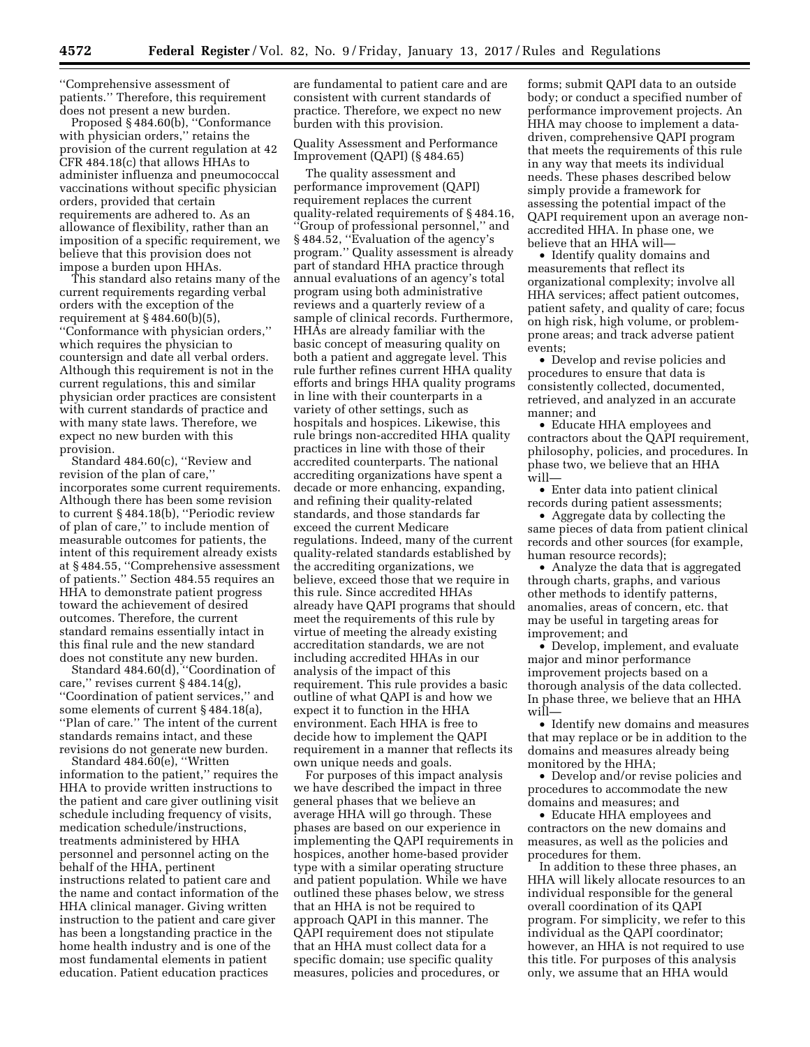''Comprehensive assessment of patients.'' Therefore, this requirement does not present a new burden.

Proposed § 484.60(b), ''Conformance with physician orders," retains the provision of the current regulation at 42 CFR 484.18(c) that allows HHAs to administer influenza and pneumococcal vaccinations without specific physician orders, provided that certain requirements are adhered to. As an allowance of flexibility, rather than an imposition of a specific requirement, we believe that this provision does not impose a burden upon HHAs.

This standard also retains many of the current requirements regarding verbal orders with the exception of the requirement at  $§$  484.60(b)(5), ''Conformance with physician orders,'' which requires the physician to countersign and date all verbal orders. Although this requirement is not in the current regulations, this and similar physician order practices are consistent with current standards of practice and with many state laws. Therefore, we expect no new burden with this provision.

Standard 484.60(c), ''Review and revision of the plan of care,'' incorporates some current requirements. Although there has been some revision to current § 484.18(b), ''Periodic review of plan of care,'' to include mention of measurable outcomes for patients, the intent of this requirement already exists at § 484.55, ''Comprehensive assessment of patients.'' Section 484.55 requires an HHA to demonstrate patient progress toward the achievement of desired outcomes. Therefore, the current standard remains essentially intact in this final rule and the new standard does not constitute any new burden.

Standard 484.60(d), ''Coordination of care,'' revises current § 484.14(g), ''Coordination of patient services,'' and some elements of current § 484.18(a), ''Plan of care.'' The intent of the current standards remains intact, and these revisions do not generate new burden.

Standard 484.60(e), ''Written information to the patient,'' requires the HHA to provide written instructions to the patient and care giver outlining visit schedule including frequency of visits, medication schedule/instructions, treatments administered by HHA personnel and personnel acting on the behalf of the HHA, pertinent instructions related to patient care and the name and contact information of the HHA clinical manager. Giving written instruction to the patient and care giver has been a longstanding practice in the home health industry and is one of the most fundamental elements in patient education. Patient education practices

are fundamental to patient care and are consistent with current standards of practice. Therefore, we expect no new burden with this provision.

## Quality Assessment and Performance Improvement (QAPI) (§ 484.65)

The quality assessment and performance improvement (QAPI) requirement replaces the current quality-related requirements of § 484.16, ''Group of professional personnel,'' and § 484.52, ''Evaluation of the agency's program.'' Quality assessment is already part of standard HHA practice through annual evaluations of an agency's total program using both administrative reviews and a quarterly review of a sample of clinical records. Furthermore, HHAs are already familiar with the basic concept of measuring quality on both a patient and aggregate level. This rule further refines current HHA quality efforts and brings HHA quality programs in line with their counterparts in a variety of other settings, such as hospitals and hospices. Likewise, this rule brings non-accredited HHA quality practices in line with those of their accredited counterparts. The national accrediting organizations have spent a decade or more enhancing, expanding, and refining their quality-related standards, and those standards far exceed the current Medicare regulations. Indeed, many of the current quality-related standards established by the accrediting organizations, we believe, exceed those that we require in this rule. Since accredited HHAs already have QAPI programs that should meet the requirements of this rule by virtue of meeting the already existing accreditation standards, we are not including accredited HHAs in our analysis of the impact of this requirement. This rule provides a basic outline of what QAPI is and how we expect it to function in the HHA environment. Each HHA is free to decide how to implement the QAPI requirement in a manner that reflects its own unique needs and goals.

For purposes of this impact analysis we have described the impact in three general phases that we believe an average HHA will go through. These phases are based on our experience in implementing the QAPI requirements in hospices, another home-based provider type with a similar operating structure and patient population. While we have outlined these phases below, we stress that an HHA is not be required to approach QAPI in this manner. The QAPI requirement does not stipulate that an HHA must collect data for a specific domain; use specific quality measures, policies and procedures, or

forms; submit QAPI data to an outside body; or conduct a specified number of performance improvement projects. An HHA may choose to implement a datadriven, comprehensive QAPI program that meets the requirements of this rule in any way that meets its individual needs. These phases described below simply provide a framework for assessing the potential impact of the QAPI requirement upon an average nonaccredited HHA. In phase one, we believe that an HHA will—

• Identify quality domains and measurements that reflect its organizational complexity; involve all HHA services; affect patient outcomes, patient safety, and quality of care; focus on high risk, high volume, or problemprone areas; and track adverse patient events;

• Develop and revise policies and procedures to ensure that data is consistently collected, documented, retrieved, and analyzed in an accurate manner; and

• Educate HHA employees and contractors about the QAPI requirement, philosophy, policies, and procedures. In phase two, we believe that an HHA will—

• Enter data into patient clinical records during patient assessments;

• Aggregate data by collecting the same pieces of data from patient clinical records and other sources (for example, human resource records);

• Analyze the data that is aggregated through charts, graphs, and various other methods to identify patterns, anomalies, areas of concern, etc. that may be useful in targeting areas for improvement; and

• Develop, implement, and evaluate major and minor performance improvement projects based on a thorough analysis of the data collected. In phase three, we believe that an HHA will—

• Identify new domains and measures that may replace or be in addition to the domains and measures already being monitored by the HHA;

• Develop and/or revise policies and procedures to accommodate the new domains and measures; and

• Educate HHA employees and contractors on the new domains and measures, as well as the policies and procedures for them.

In addition to these three phases, an HHA will likely allocate resources to an individual responsible for the general overall coordination of its QAPI program. For simplicity, we refer to this individual as the QAPI coordinator; however, an HHA is not required to use this title. For purposes of this analysis only, we assume that an HHA would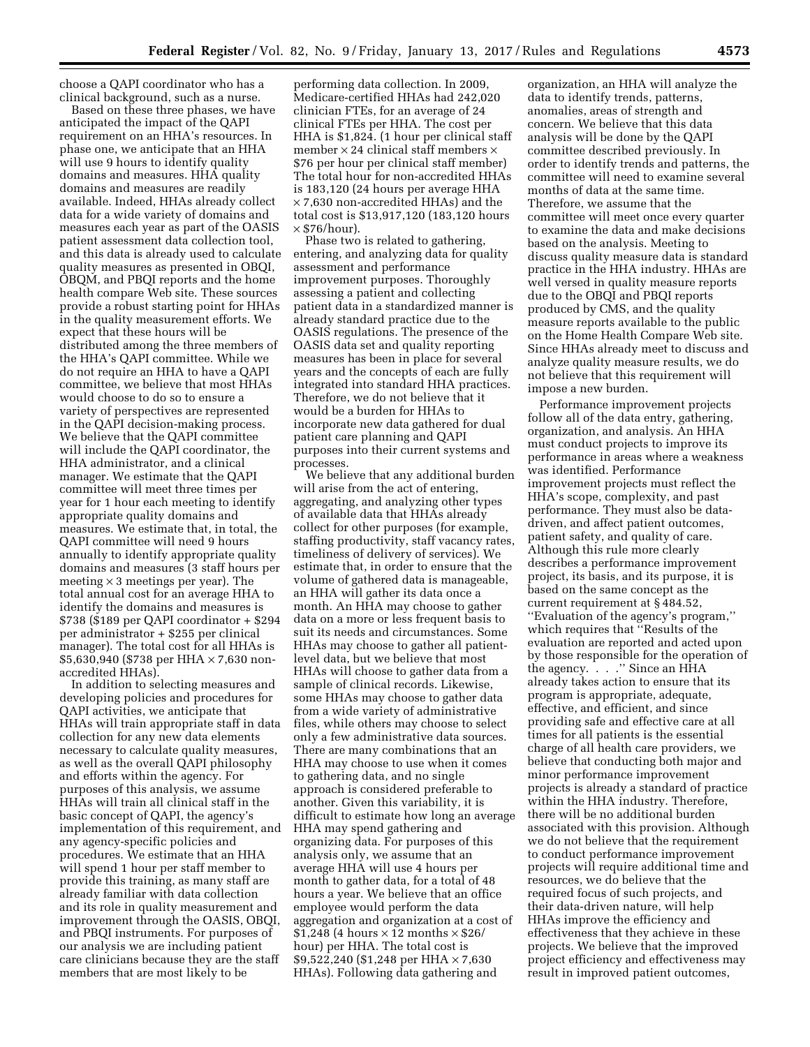choose a QAPI coordinator who has a clinical background, such as a nurse.

Based on these three phases, we have anticipated the impact of the QAPI requirement on an HHA's resources. In phase one, we anticipate that an HHA will use 9 hours to identify quality domains and measures. HHA quality domains and measures are readily available. Indeed, HHAs already collect data for a wide variety of domains and measures each year as part of the OASIS patient assessment data collection tool, and this data is already used to calculate quality measures as presented in OBQI, OBQM, and PBQI reports and the home health compare Web site. These sources provide a robust starting point for HHAs in the quality measurement efforts. We expect that these hours will be distributed among the three members of the HHA's QAPI committee. While we do not require an HHA to have a QAPI committee, we believe that most HHAs would choose to do so to ensure a variety of perspectives are represented in the QAPI decision-making process. We believe that the QAPI committee will include the QAPI coordinator, the HHA administrator, and a clinical manager. We estimate that the QAPI committee will meet three times per year for 1 hour each meeting to identify appropriate quality domains and measures. We estimate that, in total, the QAPI committee will need 9 hours annually to identify appropriate quality domains and measures (3 staff hours per meeting  $\times$  3 meetings per year). The total annual cost for an average HHA to identify the domains and measures is \$738 (\$189 per QAPI coordinator + \$294 per administrator + \$255 per clinical manager). The total cost for all HHAs is \$5,630,940 (\$738 per HHA × 7,630 nonaccredited HHAs).

In addition to selecting measures and developing policies and procedures for QAPI activities, we anticipate that HHAs will train appropriate staff in data collection for any new data elements necessary to calculate quality measures, as well as the overall QAPI philosophy and efforts within the agency. For purposes of this analysis, we assume HHAs will train all clinical staff in the basic concept of QAPI, the agency's implementation of this requirement, and any agency-specific policies and procedures. We estimate that an HHA will spend 1 hour per staff member to provide this training, as many staff are already familiar with data collection and its role in quality measurement and improvement through the OASIS, OBQI, and PBQI instruments. For purposes of our analysis we are including patient care clinicians because they are the staff members that are most likely to be

performing data collection. In 2009, Medicare-certified HHAs had 242,020 clinician FTEs, for an average of 24 clinical FTEs per HHA. The cost per HHA is \$1,824. (1 hour per clinical staff member  $\times$  24 clinical staff members  $\times$ \$76 per hour per clinical staff member) The total hour for non-accredited HHAs is 183,120 (24 hours per average HHA × 7,630 non-accredited HHAs) and the total cost is \$13,917,120 (183,120 hours  $\times$  \$76/hour).

Phase two is related to gathering, entering, and analyzing data for quality assessment and performance improvement purposes. Thoroughly assessing a patient and collecting patient data in a standardized manner is already standard practice due to the OASIS regulations. The presence of the OASIS data set and quality reporting measures has been in place for several years and the concepts of each are fully integrated into standard HHA practices. Therefore, we do not believe that it would be a burden for HHAs to incorporate new data gathered for dual patient care planning and QAPI purposes into their current systems and processes.

We believe that any additional burden will arise from the act of entering, aggregating, and analyzing other types of available data that HHAs already collect for other purposes (for example, staffing productivity, staff vacancy rates, timeliness of delivery of services). We estimate that, in order to ensure that the volume of gathered data is manageable, an HHA will gather its data once a month. An HHA may choose to gather data on a more or less frequent basis to suit its needs and circumstances. Some HHAs may choose to gather all patientlevel data, but we believe that most HHAs will choose to gather data from a sample of clinical records. Likewise, some HHAs may choose to gather data from a wide variety of administrative files, while others may choose to select only a few administrative data sources. There are many combinations that an HHA may choose to use when it comes to gathering data, and no single approach is considered preferable to another. Given this variability, it is difficult to estimate how long an average HHA may spend gathering and organizing data. For purposes of this analysis only, we assume that an average HHA will use 4 hours per month to gather data, for a total of 48 hours a year. We believe that an office employee would perform the data aggregation and organization at a cost of  $$1,248$  (4 hours  $\times$  12 months  $\times$  \$26/ hour) per HHA. The total cost is \$9,522,240 (\$1,248 per HHA × 7,630 HHAs). Following data gathering and

organization, an HHA will analyze the data to identify trends, patterns, anomalies, areas of strength and concern. We believe that this data analysis will be done by the QAPI committee described previously. In order to identify trends and patterns, the committee will need to examine several months of data at the same time. Therefore, we assume that the committee will meet once every quarter to examine the data and make decisions based on the analysis. Meeting to discuss quality measure data is standard practice in the HHA industry. HHAs are well versed in quality measure reports due to the OBQI and PBQI reports produced by CMS, and the quality measure reports available to the public on the Home Health Compare Web site. Since HHAs already meet to discuss and analyze quality measure results, we do not believe that this requirement will impose a new burden.

Performance improvement projects follow all of the data entry, gathering, organization, and analysis. An HHA must conduct projects to improve its performance in areas where a weakness was identified. Performance improvement projects must reflect the HHA's scope, complexity, and past performance. They must also be datadriven, and affect patient outcomes, patient safety, and quality of care. Although this rule more clearly describes a performance improvement project, its basis, and its purpose, it is based on the same concept as the current requirement at § 484.52, ''Evaluation of the agency's program,'' which requires that ''Results of the evaluation are reported and acted upon by those responsible for the operation of the agency. . . . " Since an HHA already takes action to ensure that its program is appropriate, adequate, effective, and efficient, and since providing safe and effective care at all times for all patients is the essential charge of all health care providers, we believe that conducting both major and minor performance improvement projects is already a standard of practice within the HHA industry. Therefore, there will be no additional burden associated with this provision. Although we do not believe that the requirement to conduct performance improvement projects will require additional time and resources, we do believe that the required focus of such projects, and their data-driven nature, will help HHAs improve the efficiency and effectiveness that they achieve in these projects. We believe that the improved project efficiency and effectiveness may result in improved patient outcomes,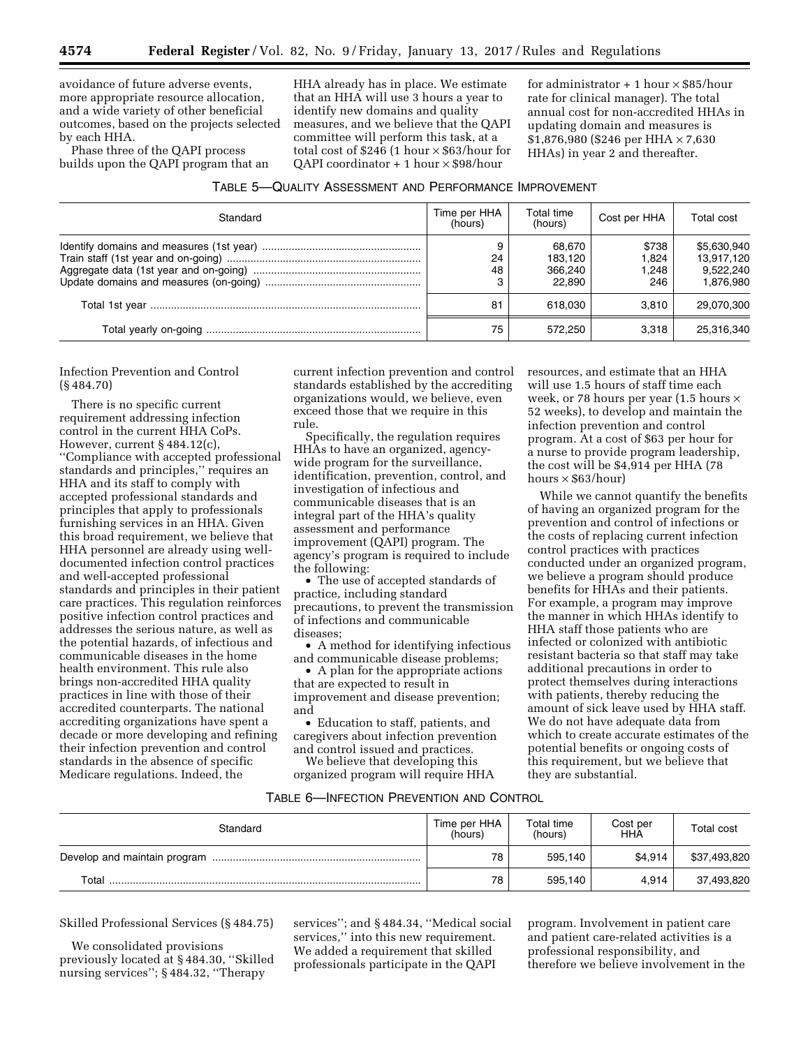avoidance of future adverse events, more appropriate resource allocation, and a wide variety of other beneficial outcomes, based on the projects selected by each HHA.

Phase three of the QAPI process builds upon the QAPI program that an

HHA already has in place. We estimate that an HHA will use 3 hours a year to identify new domains and quality measures, and we believe that the QAPI committee will perform this task, at a total cost of  $$246$  (1 hour  $\times $63/h$ our for  $OAPI$  coordinator + 1 hour  $\times$  \$98/hour

for administrator  $+1$  hour  $\times$  \$85/hour rate for clinical manager). The total annual cost for non-accredited HHAs in updating domain and measures is \$1,876,980 (\$246 per HHA × 7,630 HHAs) in year 2 and thereafter.

| Standard | Time per HHA<br>(hours) | Total time<br>(hours)                  | Cost per HHA                   | Total cost                                          |
|----------|-------------------------|----------------------------------------|--------------------------------|-----------------------------------------------------|
|          | 24<br>48                | 68,670<br>183.120<br>366,240<br>22,890 | \$738<br>1.824<br>1.248<br>246 | \$5,630,940<br>13,917,120<br>9.522.240<br>1.876.980 |
|          | 81                      | 618.030                                | 3.810                          | 29.070.300                                          |
|          | 75                      | 572.250                                | 3.318                          | 25,316,340                                          |

## Infection Prevention and Control (§ 484.70)

There is no specific current requirement addressing infection control in the current HHA CoPs. However, current § 484.12(c), ''Compliance with accepted professional standards and principles,'' requires an HHA and its staff to comply with accepted professional standards and principles that apply to professionals furnishing services in an HHA. Given this broad requirement, we believe that HHA personnel are already using welldocumented infection control practices and well-accepted professional standards and principles in their patient care practices. This regulation reinforces positive infection control practices and addresses the serious nature, as well as the potential hazards, of infectious and communicable diseases in the home health environment. This rule also brings non-accredited HHA quality practices in line with those of their accredited counterparts. The national accrediting organizations have spent a decade or more developing and refining their infection prevention and control standards in the absence of specific Medicare regulations. Indeed, the

current infection prevention and control standards established by the accrediting organizations would, we believe, even exceed those that we require in this rule.

Specifically, the regulation requires HHAs to have an organized, agencywide program for the surveillance, identification, prevention, control, and investigation of infectious and communicable diseases that is an integral part of the HHA's quality assessment and performance improvement (QAPI) program. The agency's program is required to include the following:

• The use of accepted standards of practice, including standard precautions, to prevent the transmission of infections and communicable diseases;

• A method for identifying infectious and communicable disease problems;

• A plan for the appropriate actions that are expected to result in improvement and disease prevention; and

• Education to staff, patients, and caregivers about infection prevention and control issued and practices.

We believe that developing this

organized program will require HHA

resources, and estimate that an HHA will use 1.5 hours of staff time each week, or 78 hours per year (1.5 hours × 52 weeks), to develop and maintain the infection prevention and control program. At a cost of \$63 per hour for a nurse to provide program leadership, the cost will be \$4,914 per HHA (78 hours  $\times$  \$63/hour)

While we cannot quantify the benefits of having an organized program for the prevention and control of infections or the costs of replacing current infection control practices with practices conducted under an organized program, we believe a program should produce benefits for HHAs and their patients. For example, a program may improve the manner in which HHAs identify to HHA staff those patients who are infected or colonized with antibiotic resistant bacteria so that staff may take additional precautions in order to protect themselves during interactions with patients, thereby reducing the amount of sick leave used by HHA staff. We do not have adequate data from which to create accurate estimates of the potential benefits or ongoing costs of this requirement, but we believe that they are substantial.

### TABLE 6—INFECTION PREVENTION AND CONTROL

| Standard                     | Time per HHA<br>(hours) | Total time<br>(hours) | Cost per<br><b>HHA</b> | Total cost   |
|------------------------------|-------------------------|-----------------------|------------------------|--------------|
| Develop and maintain program | 78                      | 595.140               | \$4.914                | \$37,493,820 |
| Total                        | 78                      | 595.140               | 4.914                  | 37,493,820   |

# Skilled Professional Services (§ 484.75)

We consolidated provisions previously located at § 484.30, ''Skilled nursing services''; § 484.32, ''Therapy

services''; and § 484.34, ''Medical social services,'' into this new requirement. We added a requirement that skilled professionals participate in the QAPI

program. Involvement in patient care and patient care-related activities is a professional responsibility, and therefore we believe involvement in the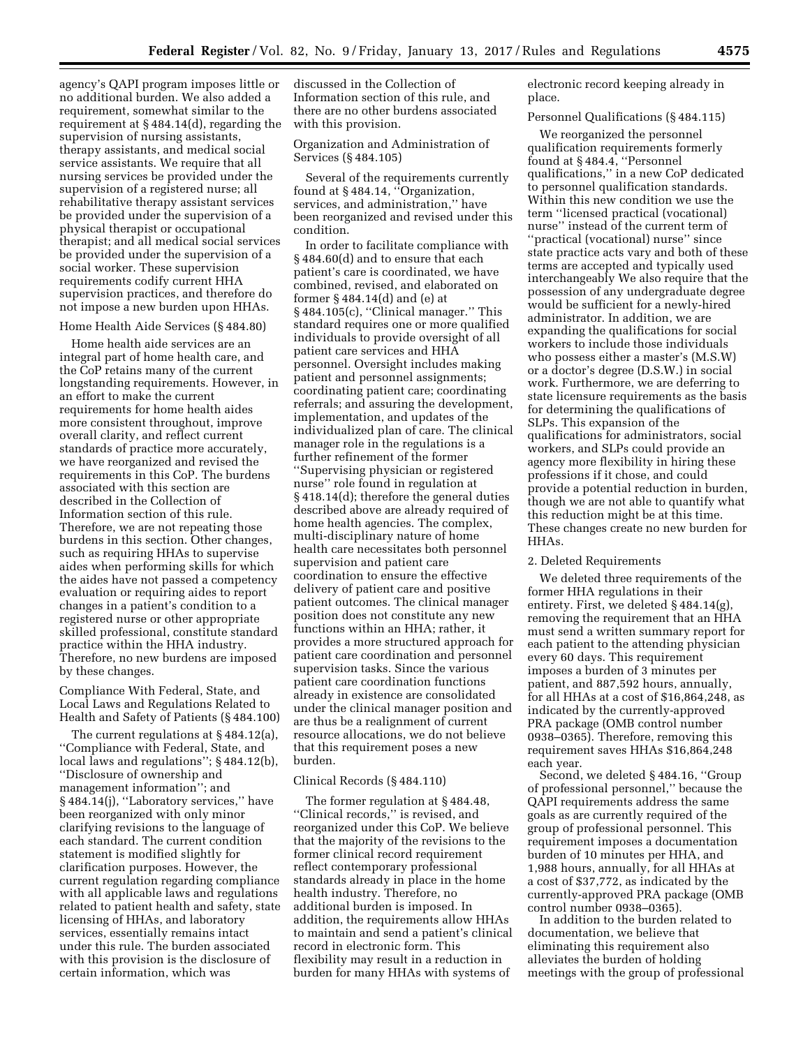agency's QAPI program imposes little or no additional burden. We also added a requirement, somewhat similar to the requirement at § 484.14(d), regarding the supervision of nursing assistants, therapy assistants, and medical social service assistants. We require that all nursing services be provided under the supervision of a registered nurse; all rehabilitative therapy assistant services be provided under the supervision of a physical therapist or occupational therapist; and all medical social services be provided under the supervision of a social worker. These supervision requirements codify current HHA supervision practices, and therefore do not impose a new burden upon HHAs.

# Home Health Aide Services (§ 484.80)

Home health aide services are an integral part of home health care, and the CoP retains many of the current longstanding requirements. However, in an effort to make the current requirements for home health aides more consistent throughout, improve overall clarity, and reflect current standards of practice more accurately, we have reorganized and revised the requirements in this CoP. The burdens associated with this section are described in the Collection of Information section of this rule. Therefore, we are not repeating those burdens in this section. Other changes, such as requiring HHAs to supervise aides when performing skills for which the aides have not passed a competency evaluation or requiring aides to report changes in a patient's condition to a registered nurse or other appropriate skilled professional, constitute standard practice within the HHA industry. Therefore, no new burdens are imposed by these changes.

Compliance With Federal, State, and Local Laws and Regulations Related to Health and Safety of Patients (§ 484.100)

The current regulations at § 484.12(a), ''Compliance with Federal, State, and local laws and regulations''; § 484.12(b), ''Disclosure of ownership and management information''; and § 484.14(j), ''Laboratory services,'' have been reorganized with only minor clarifying revisions to the language of each standard. The current condition statement is modified slightly for clarification purposes. However, the current regulation regarding compliance with all applicable laws and regulations related to patient health and safety, state licensing of HHAs, and laboratory services, essentially remains intact under this rule. The burden associated with this provision is the disclosure of certain information, which was

discussed in the Collection of Information section of this rule, and there are no other burdens associated with this provision.

Organization and Administration of Services (§ 484.105)

Several of the requirements currently found at § 484.14, ''Organization, services, and administration,'' have been reorganized and revised under this condition.

In order to facilitate compliance with § 484.60(d) and to ensure that each patient's care is coordinated, we have combined, revised, and elaborated on former § 484.14(d) and (e) at §484.105(c), "Clinical manager." This standard requires one or more qualified individuals to provide oversight of all patient care services and HHA personnel. Oversight includes making patient and personnel assignments; coordinating patient care; coordinating referrals; and assuring the development, implementation, and updates of the individualized plan of care. The clinical manager role in the regulations is a further refinement of the former ''Supervising physician or registered nurse'' role found in regulation at § 418.14(d); therefore the general duties described above are already required of home health agencies. The complex, multi-disciplinary nature of home health care necessitates both personnel supervision and patient care coordination to ensure the effective delivery of patient care and positive patient outcomes. The clinical manager position does not constitute any new functions within an HHA; rather, it provides a more structured approach for patient care coordination and personnel supervision tasks. Since the various patient care coordination functions already in existence are consolidated under the clinical manager position and are thus be a realignment of current resource allocations, we do not believe that this requirement poses a new burden.

### Clinical Records (§ 484.110)

The former regulation at § 484.48, ''Clinical records,'' is revised, and reorganized under this CoP. We believe that the majority of the revisions to the former clinical record requirement reflect contemporary professional standards already in place in the home health industry. Therefore, no additional burden is imposed. In addition, the requirements allow HHAs to maintain and send a patient's clinical record in electronic form. This flexibility may result in a reduction in burden for many HHAs with systems of

electronic record keeping already in place.

#### Personnel Qualifications (§ 484.115)

We reorganized the personnel qualification requirements formerly found at § 484.4, ''Personnel qualifications,'' in a new CoP dedicated to personnel qualification standards. Within this new condition we use the term ''licensed practical (vocational) nurse'' instead of the current term of ''practical (vocational) nurse'' since state practice acts vary and both of these terms are accepted and typically used interchangeably We also require that the possession of any undergraduate degree would be sufficient for a newly-hired administrator. In addition, we are expanding the qualifications for social workers to include those individuals who possess either a master's (M.S.W) or a doctor's degree (D.S.W.) in social work. Furthermore, we are deferring to state licensure requirements as the basis for determining the qualifications of SLPs. This expansion of the qualifications for administrators, social workers, and SLPs could provide an agency more flexibility in hiring these professions if it chose, and could provide a potential reduction in burden, though we are not able to quantify what this reduction might be at this time. These changes create no new burden for HHAs.

### 2. Deleted Requirements

We deleted three requirements of the former HHA regulations in their entirety. First, we deleted § 484.14(g), removing the requirement that an HHA must send a written summary report for each patient to the attending physician every 60 days. This requirement imposes a burden of 3 minutes per patient, and 887,592 hours, annually, for all HHAs at a cost of \$16,864,248, as indicated by the currently-approved PRA package (OMB control number 0938–0365). Therefore, removing this requirement saves HHAs \$16,864,248 each year.

Second, we deleted § 484.16, ''Group of professional personnel,'' because the QAPI requirements address the same goals as are currently required of the group of professional personnel. This requirement imposes a documentation burden of 10 minutes per HHA, and 1,988 hours, annually, for all HHAs at a cost of \$37,772, as indicated by the currently-approved PRA package (OMB control number 0938–0365).

In addition to the burden related to documentation, we believe that eliminating this requirement also alleviates the burden of holding meetings with the group of professional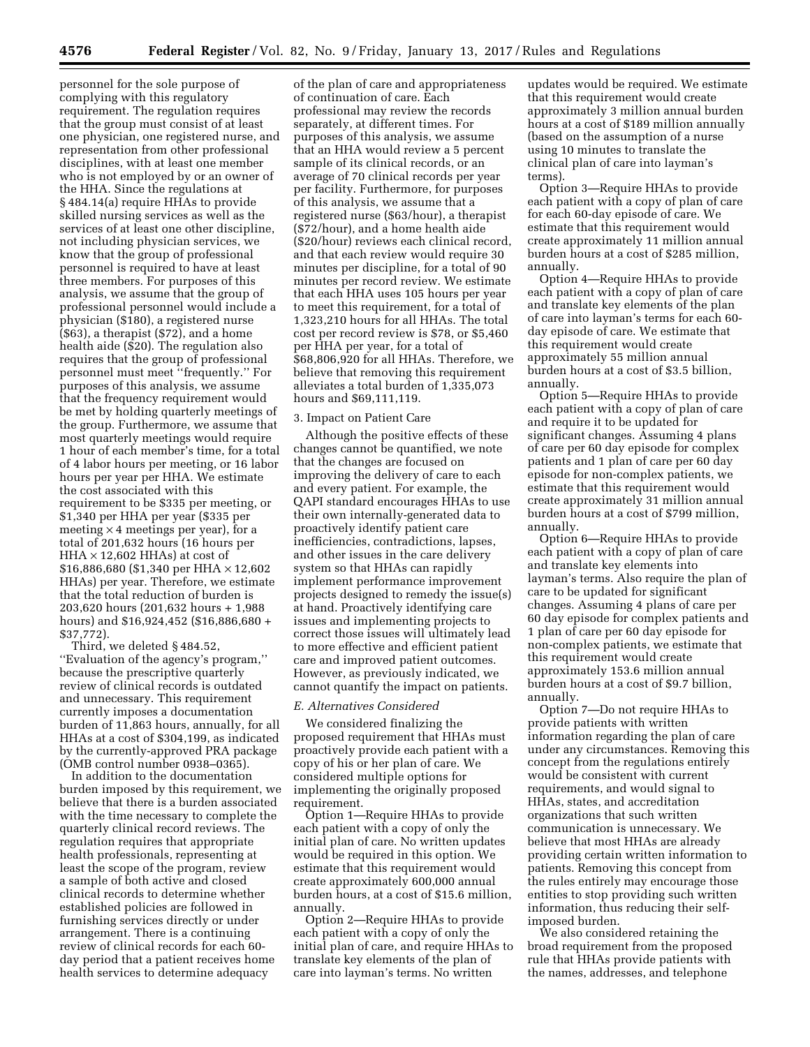personnel for the sole purpose of complying with this regulatory requirement. The regulation requires that the group must consist of at least one physician, one registered nurse, and representation from other professional disciplines, with at least one member who is not employed by or an owner of the HHA. Since the regulations at § 484.14(a) require HHAs to provide skilled nursing services as well as the services of at least one other discipline, not including physician services, we know that the group of professional personnel is required to have at least three members. For purposes of this analysis, we assume that the group of professional personnel would include a physician (\$180), a registered nurse (\$63), a therapist (\$72), and a home health aide (\$20). The regulation also requires that the group of professional personnel must meet ''frequently.'' For purposes of this analysis, we assume that the frequency requirement would be met by holding quarterly meetings of the group. Furthermore, we assume that most quarterly meetings would require 1 hour of each member's time, for a total of 4 labor hours per meeting, or 16 labor hours per year per HHA. We estimate the cost associated with this requirement to be \$335 per meeting, or \$1,340 per HHA per year (\$335 per meeting  $\times$  4 meetings per year), for a total of 201,632 hours (16 hours per  $HHA \times 12,602$  HHAs) at cost of \$16,886,680 (\$1,340 per HHA × 12,602 HHAs) per year. Therefore, we estimate that the total reduction of burden is 203,620 hours (201,632 hours + 1,988 hours) and \$16,924,452 (\$16,886,680 + \$37,772).

Third, we deleted § 484.52, ''Evaluation of the agency's program,'' because the prescriptive quarterly review of clinical records is outdated and unnecessary. This requirement currently imposes a documentation burden of 11,863 hours, annually, for all HHAs at a cost of \$304,199, as indicated by the currently-approved PRA package (OMB control number 0938–0365).

In addition to the documentation burden imposed by this requirement, we believe that there is a burden associated with the time necessary to complete the quarterly clinical record reviews. The regulation requires that appropriate health professionals, representing at least the scope of the program, review a sample of both active and closed clinical records to determine whether established policies are followed in furnishing services directly or under arrangement. There is a continuing review of clinical records for each 60 day period that a patient receives home health services to determine adequacy

of the plan of care and appropriateness of continuation of care. Each professional may review the records separately, at different times. For purposes of this analysis, we assume that an HHA would review a 5 percent sample of its clinical records, or an average of 70 clinical records per year per facility. Furthermore, for purposes of this analysis, we assume that a registered nurse (\$63/hour), a therapist (\$72/hour), and a home health aide (\$20/hour) reviews each clinical record, and that each review would require 30 minutes per discipline, for a total of 90 minutes per record review. We estimate that each HHA uses 105 hours per year to meet this requirement, for a total of 1,323,210 hours for all HHAs. The total cost per record review is \$78, or \$5,460 per HHA per year, for a total of \$68,806,920 for all HHAs. Therefore, we believe that removing this requirement alleviates a total burden of 1,335,073 hours and \$69,111,119.

#### 3. Impact on Patient Care

Although the positive effects of these changes cannot be quantified, we note that the changes are focused on improving the delivery of care to each and every patient. For example, the QAPI standard encourages HHAs to use their own internally-generated data to proactively identify patient care inefficiencies, contradictions, lapses, and other issues in the care delivery system so that HHAs can rapidly implement performance improvement projects designed to remedy the issue(s) at hand. Proactively identifying care issues and implementing projects to correct those issues will ultimately lead to more effective and efficient patient care and improved patient outcomes. However, as previously indicated, we cannot quantify the impact on patients.

### *E. Alternatives Considered*

We considered finalizing the proposed requirement that HHAs must proactively provide each patient with a copy of his or her plan of care. We considered multiple options for implementing the originally proposed requirement.

Option 1—Require HHAs to provide each patient with a copy of only the initial plan of care. No written updates would be required in this option. We estimate that this requirement would create approximately 600,000 annual burden hours, at a cost of \$15.6 million, annually.

Option 2—Require HHAs to provide each patient with a copy of only the initial plan of care, and require HHAs to translate key elements of the plan of care into layman's terms. No written

updates would be required. We estimate that this requirement would create approximately 3 million annual burden hours at a cost of \$189 million annually (based on the assumption of a nurse using 10 minutes to translate the clinical plan of care into layman's terms).

Option 3—Require HHAs to provide each patient with a copy of plan of care for each 60-day episode of care. We estimate that this requirement would create approximately 11 million annual burden hours at a cost of \$285 million, annually.

Option 4—Require HHAs to provide each patient with a copy of plan of care and translate key elements of the plan of care into layman's terms for each 60 day episode of care. We estimate that this requirement would create approximately 55 million annual burden hours at a cost of \$3.5 billion, annually.

Option 5—Require HHAs to provide each patient with a copy of plan of care and require it to be updated for significant changes. Assuming 4 plans of care per 60 day episode for complex patients and 1 plan of care per 60 day episode for non-complex patients, we estimate that this requirement would create approximately 31 million annual burden hours at a cost of \$799 million, annually.

Option 6—Require HHAs to provide each patient with a copy of plan of care and translate key elements into layman's terms. Also require the plan of care to be updated for significant changes. Assuming 4 plans of care per 60 day episode for complex patients and 1 plan of care per 60 day episode for non-complex patients, we estimate that this requirement would create approximately 153.6 million annual burden hours at a cost of \$9.7 billion, annually.

Option 7—Do not require HHAs to provide patients with written information regarding the plan of care under any circumstances. Removing this concept from the regulations entirely would be consistent with current requirements, and would signal to HHAs, states, and accreditation organizations that such written communication is unnecessary. We believe that most HHAs are already providing certain written information to patients. Removing this concept from the rules entirely may encourage those entities to stop providing such written information, thus reducing their selfimposed burden.

We also considered retaining the broad requirement from the proposed rule that HHAs provide patients with the names, addresses, and telephone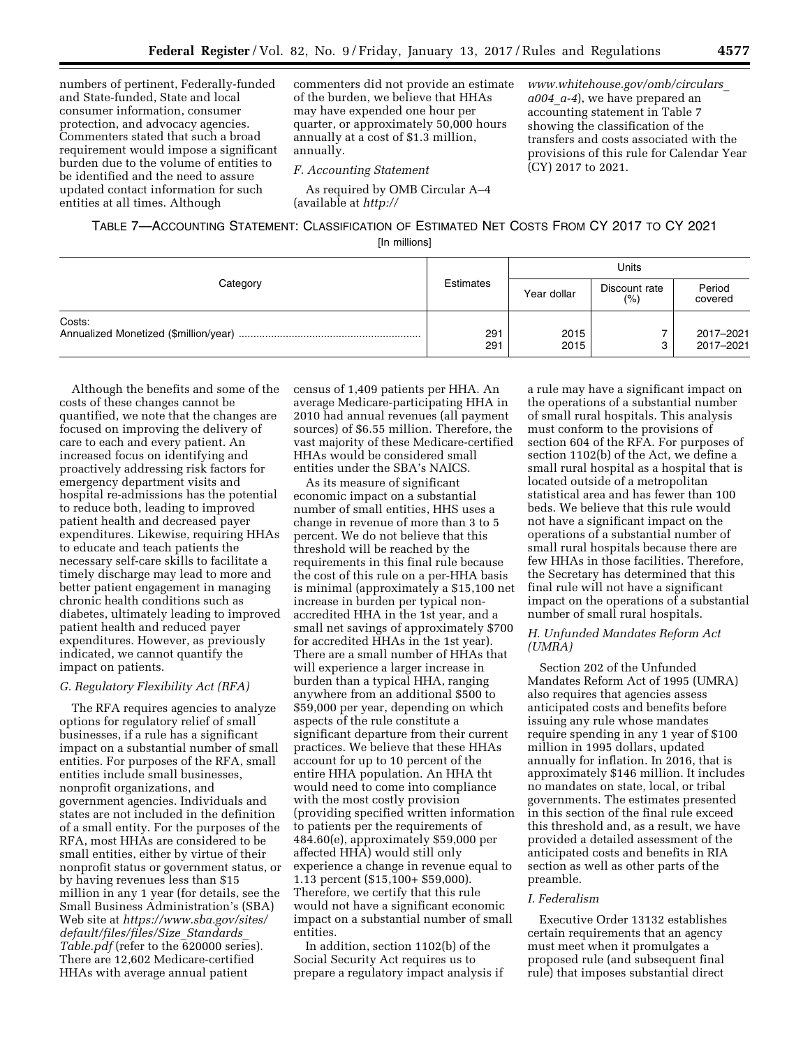numbers of pertinent, Federally-funded and State-funded, State and local consumer information, consumer protection, and advocacy agencies. Commenters stated that such a broad requirement would impose a significant burden due to the volume of entities to be identified and the need to assure updated contact information for such entities at all times. Although

commenters did not provide an estimate of the burden, we believe that HHAs may have expended one hour per quarter, or approximately 50,000 hours annually at a cost of \$1.3 million, annually.

*F. Accounting Statement* 

(available at *[http://](http://www.whitehouse.gov/omb/circulars_a004_a-4)*

*[www.whitehouse.gov/omb/circulars](http://www.whitehouse.gov/omb/circulars_a004_a-4)*\_ *[a004](http://www.whitehouse.gov/omb/circulars_a004_a-4)*\_*a-4*), we have prepared an accounting statement in Table 7 showing the classification of the transfers and costs associated with the provisions of this rule for Calendar Year (CY) 2017 to 2021.

# TABLE 7—ACCOUNTING STATEMENT: CLASSIFICATION OF ESTIMATED NET COSTS FROM CY 2017 TO CY 2021

As required by OMB Circular A–4

[In millions]

|          | Estimates  | Units        |                      |                        |
|----------|------------|--------------|----------------------|------------------------|
| Category |            | Year dollar  | Discount rate<br>(%) | Period<br>covered      |
| Costs:   | 291<br>291 | 2015<br>2015 |                      | 2017-2021<br>2017-2021 |

Although the benefits and some of the costs of these changes cannot be quantified, we note that the changes are focused on improving the delivery of care to each and every patient. An increased focus on identifying and proactively addressing risk factors for emergency department visits and hospital re-admissions has the potential to reduce both, leading to improved patient health and decreased payer expenditures. Likewise, requiring HHAs to educate and teach patients the necessary self-care skills to facilitate a timely discharge may lead to more and better patient engagement in managing chronic health conditions such as diabetes, ultimately leading to improved patient health and reduced payer expenditures. However, as previously indicated, we cannot quantify the impact on patients.

#### *G. Regulatory Flexibility Act (RFA)*

The RFA requires agencies to analyze options for regulatory relief of small businesses, if a rule has a significant impact on a substantial number of small entities. For purposes of the RFA, small entities include small businesses, nonprofit organizations, and government agencies. Individuals and states are not included in the definition of a small entity. For the purposes of the RFA, most HHAs are considered to be small entities, either by virtue of their nonprofit status or government status, or by having revenues less than \$15 million in any 1 year (for details, see the Small Business Administration's (SBA) Web site at *[https://www.sba.gov/sites/](https://www.sba.gov/sites/default/files/files/Size_Standards_Table.pdf) [default/files/files/Size](https://www.sba.gov/sites/default/files/files/Size_Standards_Table.pdf)*\_*Standards*\_ *[Table.pdf](https://www.sba.gov/sites/default/files/files/Size_Standards_Table.pdf)* (refer to the 620000 series). There are 12,602 Medicare-certified HHAs with average annual patient

census of 1,409 patients per HHA. An average Medicare-participating HHA in 2010 had annual revenues (all payment sources) of \$6.55 million. Therefore, the vast majority of these Medicare-certified HHAs would be considered small entities under the SBA's NAICS.

As its measure of significant economic impact on a substantial number of small entities, HHS uses a change in revenue of more than 3 to 5 percent. We do not believe that this threshold will be reached by the requirements in this final rule because the cost of this rule on a per-HHA basis is minimal (approximately a \$15,100 net increase in burden per typical nonaccredited HHA in the 1st year, and a small net savings of approximately \$700 for accredited HHAs in the 1st year). There are a small number of HHAs that will experience a larger increase in burden than a typical HHA, ranging anywhere from an additional \$500 to \$59,000 per year, depending on which aspects of the rule constitute a significant departure from their current practices. We believe that these HHAs account for up to 10 percent of the entire HHA population. An HHA tht would need to come into compliance with the most costly provision (providing specified written information to patients per the requirements of 484.60(e), approximately \$59,000 per affected HHA) would still only experience a change in revenue equal to 1.13 percent (\$15,100+ \$59,000). Therefore, we certify that this rule would not have a significant economic impact on a substantial number of small entities.

In addition, section 1102(b) of the Social Security Act requires us to prepare a regulatory impact analysis if

a rule may have a significant impact on the operations of a substantial number of small rural hospitals. This analysis must conform to the provisions of section 604 of the RFA. For purposes of section 1102(b) of the Act, we define a small rural hospital as a hospital that is located outside of a metropolitan statistical area and has fewer than 100 beds. We believe that this rule would not have a significant impact on the operations of a substantial number of small rural hospitals because there are few HHAs in those facilities. Therefore, the Secretary has determined that this final rule will not have a significant impact on the operations of a substantial number of small rural hospitals.

### *H. Unfunded Mandates Reform Act (UMRA)*

Section 202 of the Unfunded Mandates Reform Act of 1995 (UMRA) also requires that agencies assess anticipated costs and benefits before issuing any rule whose mandates require spending in any 1 year of \$100 million in 1995 dollars, updated annually for inflation. In 2016, that is approximately \$146 million. It includes no mandates on state, local, or tribal governments. The estimates presented in this section of the final rule exceed this threshold and, as a result, we have provided a detailed assessment of the anticipated costs and benefits in RIA section as well as other parts of the preamble.

#### *I. Federalism*

Executive Order 13132 establishes certain requirements that an agency must meet when it promulgates a proposed rule (and subsequent final rule) that imposes substantial direct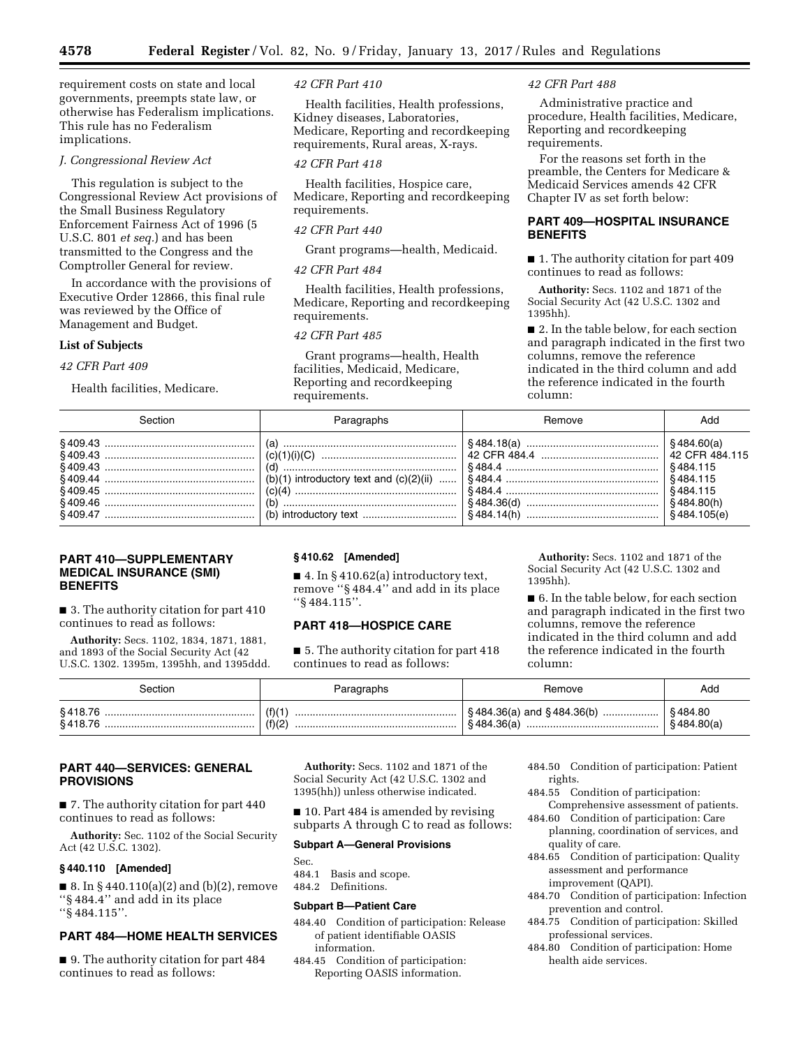requirement costs on state and local governments, preempts state law, or otherwise has Federalism implications. This rule has no Federalism implications.

### *J. Congressional Review Act*

This regulation is subject to the Congressional Review Act provisions of the Small Business Regulatory Enforcement Fairness Act of 1996 (5 U.S.C. 801 *et seq.*) and has been transmitted to the Congress and the Comptroller General for review.

In accordance with the provisions of Executive Order 12866, this final rule was reviewed by the Office of Management and Budget.

### **List of Subjects**

*42 CFR Part 409* 

Health facilities, Medicare.

#### *42 CFR Part 410*

Health facilities, Health professions, Kidney diseases, Laboratories, Medicare, Reporting and recordkeeping requirements, Rural areas, X-rays.

#### *42 CFR Part 418*

Health facilities, Hospice care, Medicare, Reporting and recordkeeping requirements.

### *42 CFR Part 440*

Grant programs—health, Medicaid.

### *42 CFR Part 484*

Health facilities, Health professions, Medicare, Reporting and recordkeeping requirements.

### *42 CFR Part 485*

Grant programs—health, Health facilities, Medicaid, Medicare, Reporting and recordkeeping requirements.

#### *42 CFR Part 488*

Administrative practice and procedure, Health facilities, Medicare, Reporting and recordkeeping requirements.

For the reasons set forth in the preamble, the Centers for Medicare & Medicaid Services amends 42 CFR Chapter IV as set forth below:

### **PART 409—HOSPITAL INSURANCE BENEFITS**

■ 1. The authority citation for part 409 continues to read as follows:

**Authority:** Secs. 1102 and 1871 of the Social Security Act (42 U.S.C. 1302 and 1395hh).

■ 2. In the table below, for each section and paragraph indicated in the first two columns, remove the reference indicated in the third column and add the reference indicated in the fourth column:

|                                                                               | aragraphs' | Remove | Add |
|-------------------------------------------------------------------------------|------------|--------|-----|
| $\left[ \frac{6}{9409.45} \ldots \right]$ $\left[ \frac{6}{940.4115} \right]$ |            |        |     |

### **PART 410—SUPPLEMENTARY MEDICAL INSURANCE (SMI) BENEFITS**

■ 3. The authority citation for part 410 continues to read as follows:

**Authority:** Secs. 1102, 1834, 1871, 1881, and 1893 of the Social Security Act (42 U.S.C. 1302. 1395m, 1395hh, and 1395ddd.

### **§ 410.62 [Amended]**

 $\blacksquare$  4. In § 410.62(a) introductory text, remove ''§ 484.4'' and add in its place ''§ 484.115''.

### **PART 418—HOSPICE CARE**

■ 5. The authority citation for part 418 continues to read as follows:

**Authority:** Secs. 1102 and 1871 of the Social Security Act (42 U.S.C. 1302 and 1395hh).

■ 6. In the table below, for each section and paragraph indicated in the first two columns, remove the reference indicated in the third column and add the reference indicated in the fourth column:

| Section            | Paragraphs       | Remove                                             | Add                         |
|--------------------|------------------|----------------------------------------------------|-----------------------------|
| §418.76<br>§418.76 | (f)(1)<br>(f)(2) | $\S$ 484.36(a) and $\S$ 484.36(b)<br>່§484.36(a) ∶ | ∣ § 484.80<br>$§$ 484.80(a) |

### **PART 440—SERVICES: GENERAL PROVISIONS**

■ 7. The authority citation for part 440 continues to read as follows:

**Authority:** Sec. 1102 of the Social Security Act (42 U.S.C. 1302).

### **§ 440.110 [Amended]**

■ 8. In § 440.110(a)(2) and (b)(2), remove ''§ 484.4'' and add in its place ''§ 484.115''.

## **PART 484—HOME HEALTH SERVICES**

■ 9. The authority citation for part 484 continues to read as follows:

**Authority:** Secs. 1102 and 1871 of the Social Security Act (42 U.S.C. 1302 and 1395(hh)) unless otherwise indicated.

■ 10. Part 484 is amended by revising subparts A through C to read as follows:

#### **Subpart A—General Provisions**

Sec.

- 484.1 Basis and scope.
- 484.2 Definitions.

#### **Subpart B—Patient Care**

- 484.40 Condition of participation: Release of patient identifiable OASIS information.
- 484.45 Condition of participation: Reporting OASIS information.
- 484.50 Condition of participation: Patient rights.
- 484.55 Condition of participation: Comprehensive assessment of patients.
- 484.60 Condition of participation: Care planning, coordination of services, and quality of care.
- 484.65 Condition of participation: Quality assessment and performance improvement (QAPI).
- 484.70 Condition of participation: Infection prevention and control.
- 484.75 Condition of participation: Skilled professional services.
- 484.80 Condition of participation: Home health aide services.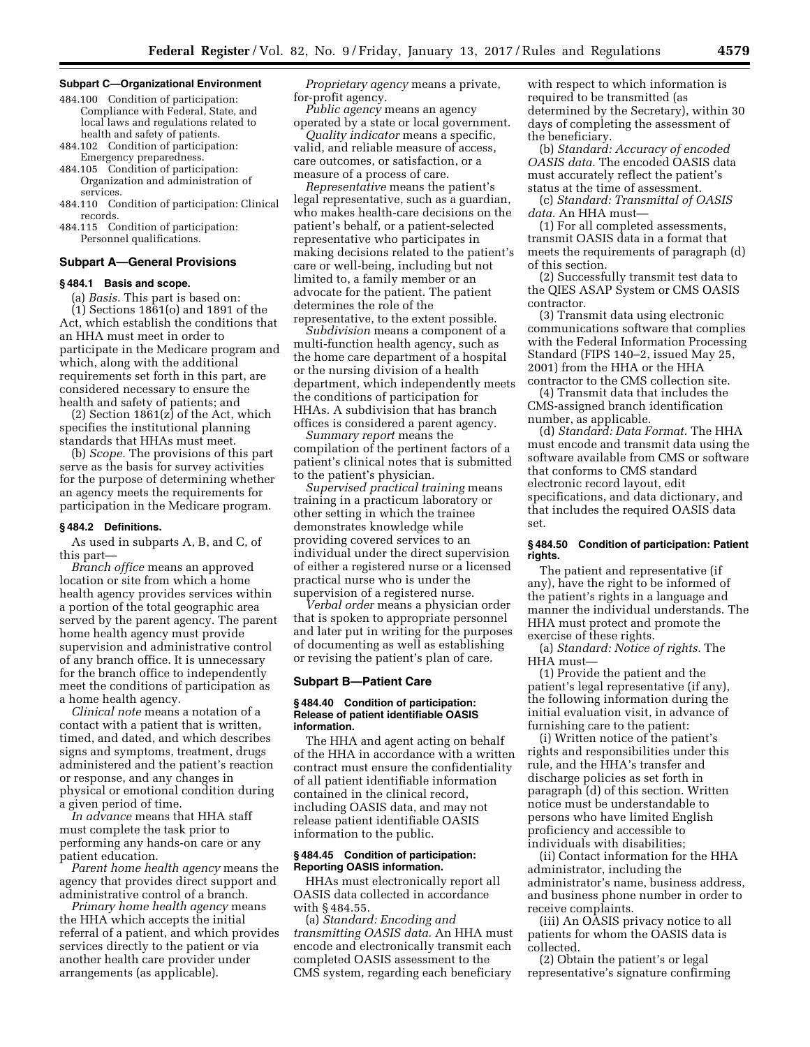#### **Subpart C—Organizational Environment**

- 484.100 Condition of participation: Compliance with Federal, State, and local laws and regulations related to health and safety of patients.
- 484.102 Condition of participation: Emergency preparedness.
- 484.105 Condition of participation: Organization and administration of services.
- 484.110 Condition of participation: Clinical records.
- 484.115 Condition of participation: Personnel qualifications.

#### **Subpart A—General Provisions**

#### **§ 484.1 Basis and scope.**

(a) *Basis.* This part is based on: (1) Sections 1861(o) and 1891 of the Act, which establish the conditions that an HHA must meet in order to participate in the Medicare program and which, along with the additional requirements set forth in this part, are considered necessary to ensure the health and safety of patients; and

 $(2)$  Section 1861 $(z)$  of the Act, which specifies the institutional planning standards that HHAs must meet.

(b) *Scope.* The provisions of this part serve as the basis for survey activities for the purpose of determining whether an agency meets the requirements for participation in the Medicare program.

#### **§ 484.2 Definitions.**

As used in subparts A, B, and C, of this part—

*Branch office* means an approved location or site from which a home health agency provides services within a portion of the total geographic area served by the parent agency. The parent home health agency must provide supervision and administrative control of any branch office. It is unnecessary for the branch office to independently meet the conditions of participation as a home health agency.

*Clinical note* means a notation of a contact with a patient that is written, timed, and dated, and which describes signs and symptoms, treatment, drugs administered and the patient's reaction or response, and any changes in physical or emotional condition during a given period of time.

*In advance* means that HHA staff must complete the task prior to performing any hands-on care or any patient education.

*Parent home health agency* means the agency that provides direct support and administrative control of a branch.

*Primary home health agency* means the HHA which accepts the initial referral of a patient, and which provides services directly to the patient or via another health care provider under arrangements (as applicable).

*Proprietary agency* means a private, for-profit agency.

*Public agency* means an agency operated by a state or local government.

*Quality indicator* means a specific, valid, and reliable measure of access, care outcomes, or satisfaction, or a measure of a process of care.

*Representative* means the patient's legal representative, such as a guardian, who makes health-care decisions on the patient's behalf, or a patient-selected representative who participates in making decisions related to the patient's care or well-being, including but not limited to, a family member or an advocate for the patient. The patient determines the role of the representative, to the extent possible.

*Subdivision* means a component of a multi-function health agency, such as the home care department of a hospital or the nursing division of a health department, which independently meets the conditions of participation for HHAs. A subdivision that has branch offices is considered a parent agency.

*Summary report* means the compilation of the pertinent factors of a patient's clinical notes that is submitted to the patient's physician.

*Supervised practical training* means training in a practicum laboratory or other setting in which the trainee demonstrates knowledge while providing covered services to an individual under the direct supervision of either a registered nurse or a licensed practical nurse who is under the supervision of a registered nurse.

*Verbal order* means a physician order that is spoken to appropriate personnel and later put in writing for the purposes of documenting as well as establishing or revising the patient's plan of care.

#### **Subpart B—Patient Care**

#### **§ 484.40 Condition of participation: Release of patient identifiable OASIS information.**

The HHA and agent acting on behalf of the HHA in accordance with a written contract must ensure the confidentiality of all patient identifiable information contained in the clinical record, including OASIS data, and may not release patient identifiable OASIS information to the public.

#### **§ 484.45 Condition of participation: Reporting OASIS information.**

HHAs must electronically report all OASIS data collected in accordance with § 484.55.

(a) *Standard: Encoding and transmitting OASIS data.* An HHA must encode and electronically transmit each completed OASIS assessment to the CMS system, regarding each beneficiary

with respect to which information is required to be transmitted (as determined by the Secretary), within 30 days of completing the assessment of the beneficiary.

(b) *Standard: Accuracy of encoded OASIS data.* The encoded OASIS data must accurately reflect the patient's status at the time of assessment.

(c) *Standard: Transmittal of OASIS data.* An HHA must—

(1) For all completed assessments, transmit OASIS data in a format that meets the requirements of paragraph (d) of this section.

(2) Successfully transmit test data to the QIES ASAP System or CMS OASIS contractor.

(3) Transmit data using electronic communications software that complies with the Federal Information Processing Standard (FIPS 140–2, issued May 25, 2001) from the HHA or the HHA contractor to the CMS collection site.

(4) Transmit data that includes the CMS-assigned branch identification number, as applicable.

(d) *Standard: Data Format.* The HHA must encode and transmit data using the software available from CMS or software that conforms to CMS standard electronic record layout, edit specifications, and data dictionary, and that includes the required OASIS data set.

#### **§ 484.50 Condition of participation: Patient rights.**

The patient and representative (if any), have the right to be informed of the patient's rights in a language and manner the individual understands. The HHA must protect and promote the exercise of these rights.

(a) *Standard: Notice of rights.* The HHA must—

(1) Provide the patient and the patient's legal representative (if any), the following information during the initial evaluation visit, in advance of furnishing care to the patient:

(i) Written notice of the patient's rights and responsibilities under this rule, and the HHA's transfer and discharge policies as set forth in paragraph (d) of this section. Written notice must be understandable to persons who have limited English proficiency and accessible to individuals with disabilities;

(ii) Contact information for the HHA administrator, including the administrator's name, business address, and business phone number in order to receive complaints.

(iii) An OASIS privacy notice to all patients for whom the OASIS data is collected.

(2) Obtain the patient's or legal representative's signature confirming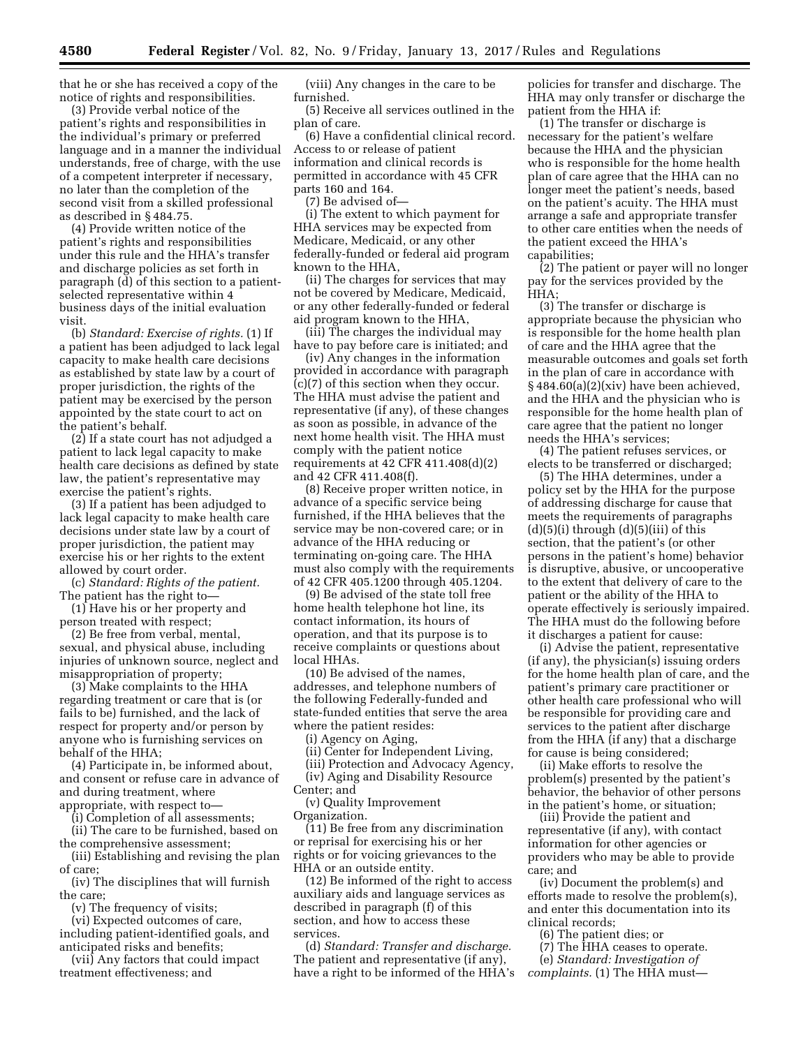that he or she has received a copy of the notice of rights and responsibilities.

(3) Provide verbal notice of the patient's rights and responsibilities in the individual's primary or preferred language and in a manner the individual understands, free of charge, with the use of a competent interpreter if necessary, no later than the completion of the second visit from a skilled professional as described in § 484.75.

(4) Provide written notice of the patient's rights and responsibilities under this rule and the HHA's transfer and discharge policies as set forth in paragraph (d) of this section to a patientselected representative within 4 business days of the initial evaluation visit.

(b) *Standard: Exercise of rights.* (1) If a patient has been adjudged to lack legal capacity to make health care decisions as established by state law by a court of proper jurisdiction, the rights of the patient may be exercised by the person appointed by the state court to act on the patient's behalf.

(2) If a state court has not adjudged a patient to lack legal capacity to make health care decisions as defined by state law, the patient's representative may exercise the patient's rights.

(3) If a patient has been adjudged to lack legal capacity to make health care decisions under state law by a court of proper jurisdiction, the patient may exercise his or her rights to the extent allowed by court order.

(c) *Standard: Rights of the patient.*  The patient has the right to—

(1) Have his or her property and person treated with respect;

(2) Be free from verbal, mental, sexual, and physical abuse, including injuries of unknown source, neglect and misappropriation of property;

(3) Make complaints to the HHA regarding treatment or care that is (or fails to be) furnished, and the lack of respect for property and/or person by anyone who is furnishing services on behalf of the HHA;

(4) Participate in, be informed about, and consent or refuse care in advance of and during treatment, where appropriate, with respect to—

(i) Completion of all assessments;

(ii) The care to be furnished, based on the comprehensive assessment;

(iii) Establishing and revising the plan of care;

(iv) The disciplines that will furnish the care;

(v) The frequency of visits;

(vi) Expected outcomes of care, including patient-identified goals, and anticipated risks and benefits;

(vii) Any factors that could impact treatment effectiveness; and

(viii) Any changes in the care to be furnished.

(5) Receive all services outlined in the plan of care.

(6) Have a confidential clinical record. Access to or release of patient information and clinical records is permitted in accordance with 45 CFR parts 160 and 164.

(7) Be advised of—

(i) The extent to which payment for HHA services may be expected from Medicare, Medicaid, or any other federally-funded or federal aid program known to the HHA,

(ii) The charges for services that may not be covered by Medicare, Medicaid, or any other federally-funded or federal aid program known to the HHA,

(iii) The charges the individual may have to pay before care is initiated; and

(iv) Any changes in the information provided in accordance with paragraph (c)(7) of this section when they occur. The HHA must advise the patient and representative (if any), of these changes as soon as possible, in advance of the next home health visit. The HHA must comply with the patient notice requirements at  $42$  CFR  $411.408(d)(2)$ and 42 CFR 411.408(f).

(8) Receive proper written notice, in advance of a specific service being furnished, if the HHA believes that the service may be non-covered care; or in advance of the HHA reducing or terminating on-going care. The HHA must also comply with the requirements of 42 CFR 405.1200 through 405.1204.

(9) Be advised of the state toll free home health telephone hot line, its contact information, its hours of operation, and that its purpose is to receive complaints or questions about local HHAs.

(10) Be advised of the names, addresses, and telephone numbers of the following Federally-funded and state-funded entities that serve the area where the patient resides:

(i) Agency on Aging,

(ii) Center for Independent Living,

(iii) Protection and Advocacy Agency, (iv) Aging and Disability Resource

Center; and

(v) Quality Improvement Organization.

(11) Be free from any discrimination or reprisal for exercising his or her rights or for voicing grievances to the HHA or an outside entity.

(12) Be informed of the right to access auxiliary aids and language services as described in paragraph (f) of this section, and how to access these services.

(d) *Standard: Transfer and discharge.*  The patient and representative (if any), have a right to be informed of the HHA's

policies for transfer and discharge. The HHA may only transfer or discharge the patient from the HHA if:

(1) The transfer or discharge is necessary for the patient's welfare because the HHA and the physician who is responsible for the home health plan of care agree that the HHA can no longer meet the patient's needs, based on the patient's acuity. The HHA must arrange a safe and appropriate transfer to other care entities when the needs of the patient exceed the HHA's capabilities;

(2) The patient or payer will no longer pay for the services provided by the HHA;

(3) The transfer or discharge is appropriate because the physician who is responsible for the home health plan of care and the HHA agree that the measurable outcomes and goals set forth in the plan of care in accordance with § 484.60(a)(2)(xiv) have been achieved, and the HHA and the physician who is responsible for the home health plan of care agree that the patient no longer needs the HHA's services;

(4) The patient refuses services, or elects to be transferred or discharged;

(5) The HHA determines, under a policy set by the HHA for the purpose of addressing discharge for cause that meets the requirements of paragraphs  $(d)(5)(i)$  through  $(d)(5)(iii)$  of this section, that the patient's (or other persons in the patient's home) behavior is disruptive, abusive, or uncooperative to the extent that delivery of care to the patient or the ability of the HHA to operate effectively is seriously impaired. The HHA must do the following before it discharges a patient for cause:

(i) Advise the patient, representative (if any), the physician(s) issuing orders for the home health plan of care, and the patient's primary care practitioner or other health care professional who will be responsible for providing care and services to the patient after discharge from the HHA (if any) that a discharge for cause is being considered;

(ii) Make efforts to resolve the problem(s) presented by the patient's behavior, the behavior of other persons in the patient's home, or situation;

(iii) Provide the patient and representative (if any), with contact information for other agencies or providers who may be able to provide care; and

(iv) Document the problem(s) and efforts made to resolve the problem(s), and enter this documentation into its clinical records;

- (6) The patient dies; or
- (7) The HHA ceases to operate.

(e) *Standard: Investigation of complaints.* (1) The HHA must—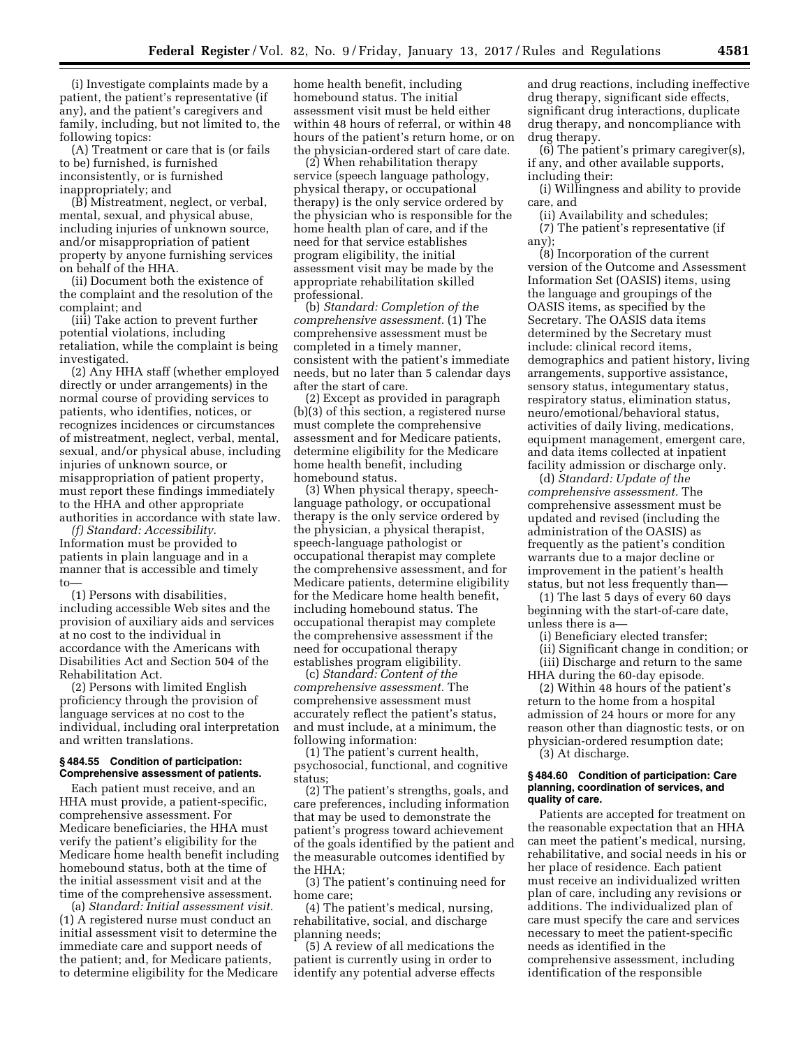(i) Investigate complaints made by a patient, the patient's representative (if any), and the patient's caregivers and family, including, but not limited to, the following topics:

(A) Treatment or care that is (or fails to be) furnished, is furnished inconsistently, or is furnished inappropriately; and

(B) Mistreatment, neglect, or verbal, mental, sexual, and physical abuse, including injuries of unknown source, and/or misappropriation of patient property by anyone furnishing services on behalf of the HHA.

(ii) Document both the existence of the complaint and the resolution of the complaint; and

(iii) Take action to prevent further potential violations, including retaliation, while the complaint is being investigated.

(2) Any HHA staff (whether employed directly or under arrangements) in the normal course of providing services to patients, who identifies, notices, or recognizes incidences or circumstances of mistreatment, neglect, verbal, mental, sexual, and/or physical abuse, including injuries of unknown source, or misappropriation of patient property, must report these findings immediately to the HHA and other appropriate authorities in accordance with state law.

*(f) Standard: Accessibility.*  Information must be provided to patients in plain language and in a manner that is accessible and timely to—

(1) Persons with disabilities, including accessible Web sites and the provision of auxiliary aids and services at no cost to the individual in accordance with the Americans with Disabilities Act and Section 504 of the Rehabilitation Act.

(2) Persons with limited English proficiency through the provision of language services at no cost to the individual, including oral interpretation and written translations.

### **§ 484.55 Condition of participation: Comprehensive assessment of patients.**

Each patient must receive, and an HHA must provide, a patient-specific, comprehensive assessment. For Medicare beneficiaries, the HHA must verify the patient's eligibility for the Medicare home health benefit including homebound status, both at the time of the initial assessment visit and at the time of the comprehensive assessment.

(a) *Standard: Initial assessment visit.*  (1) A registered nurse must conduct an initial assessment visit to determine the immediate care and support needs of the patient; and, for Medicare patients, to determine eligibility for the Medicare

home health benefit, including homebound status. The initial assessment visit must be held either within 48 hours of referral, or within 48 hours of the patient's return home, or on the physician-ordered start of care date.

(2) When rehabilitation therapy service (speech language pathology, physical therapy, or occupational therapy) is the only service ordered by the physician who is responsible for the home health plan of care, and if the need for that service establishes program eligibility, the initial assessment visit may be made by the appropriate rehabilitation skilled professional.

(b) *Standard: Completion of the comprehensive assessment.* (1) The comprehensive assessment must be completed in a timely manner, consistent with the patient's immediate needs, but no later than 5 calendar days after the start of care.

(2) Except as provided in paragraph (b)(3) of this section, a registered nurse must complete the comprehensive assessment and for Medicare patients, determine eligibility for the Medicare home health benefit, including homebound status.

(3) When physical therapy, speechlanguage pathology, or occupational therapy is the only service ordered by the physician, a physical therapist, speech-language pathologist or occupational therapist may complete the comprehensive assessment, and for Medicare patients, determine eligibility for the Medicare home health benefit, including homebound status. The occupational therapist may complete the comprehensive assessment if the need for occupational therapy establishes program eligibility.

(c) *Standard: Content of the comprehensive assessment.* The comprehensive assessment must accurately reflect the patient's status, and must include, at a minimum, the following information:

(1) The patient's current health, psychosocial, functional, and cognitive status;

(2) The patient's strengths, goals, and care preferences, including information that may be used to demonstrate the patient's progress toward achievement of the goals identified by the patient and the measurable outcomes identified by the HHA;

(3) The patient's continuing need for home care;

(4) The patient's medical, nursing, rehabilitative, social, and discharge planning needs;

(5) A review of all medications the patient is currently using in order to identify any potential adverse effects and drug reactions, including ineffective drug therapy, significant side effects, significant drug interactions, duplicate drug therapy, and noncompliance with drug therapy.

(6) The patient's primary caregiver(s), if any, and other available supports, including their:

(i) Willingness and ability to provide care, and

(ii) Availability and schedules;

(7) The patient's representative (if any);

(8) Incorporation of the current version of the Outcome and Assessment Information Set (OASIS) items, using the language and groupings of the OASIS items, as specified by the Secretary. The OASIS data items determined by the Secretary must include: clinical record items, demographics and patient history, living arrangements, supportive assistance, sensory status, integumentary status, respiratory status, elimination status, neuro/emotional/behavioral status, activities of daily living, medications, equipment management, emergent care, and data items collected at inpatient facility admission or discharge only.

(d) *Standard: Update of the comprehensive assessment.* The comprehensive assessment must be updated and revised (including the administration of the OASIS) as frequently as the patient's condition warrants due to a major decline or improvement in the patient's health status, but not less frequently than—

(1) The last 5 days of every 60 days beginning with the start-of-care date, unless there is a—

(i) Beneficiary elected transfer;

(ii) Significant change in condition; or (iii) Discharge and return to the same

HHA during the 60-day episode. (2) Within 48 hours of the patient's return to the home from a hospital admission of 24 hours or more for any reason other than diagnostic tests, or on physician-ordered resumption date;

(3) At discharge.

#### **§ 484.60 Condition of participation: Care planning, coordination of services, and quality of care.**

Patients are accepted for treatment on the reasonable expectation that an HHA can meet the patient's medical, nursing, rehabilitative, and social needs in his or her place of residence. Each patient must receive an individualized written plan of care, including any revisions or additions. The individualized plan of care must specify the care and services necessary to meet the patient-specific needs as identified in the comprehensive assessment, including identification of the responsible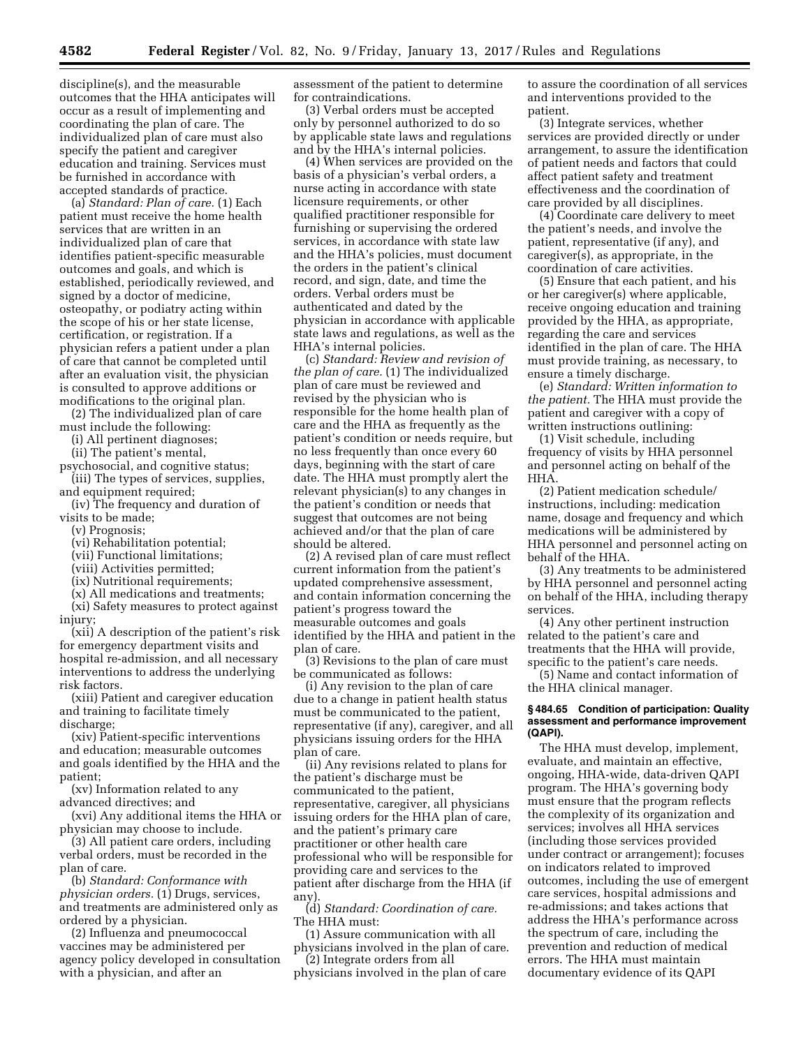discipline(s), and the measurable outcomes that the HHA anticipates will occur as a result of implementing and coordinating the plan of care. The individualized plan of care must also specify the patient and caregiver education and training. Services must be furnished in accordance with accepted standards of practice.

(a) *Standard: Plan of care.* (1) Each patient must receive the home health services that are written in an individualized plan of care that identifies patient-specific measurable outcomes and goals, and which is established, periodically reviewed, and signed by a doctor of medicine, osteopathy, or podiatry acting within the scope of his or her state license, certification, or registration. If a physician refers a patient under a plan of care that cannot be completed until after an evaluation visit, the physician is consulted to approve additions or modifications to the original plan.

(2) The individualized plan of care must include the following:

(i) All pertinent diagnoses;

(ii) The patient's mental,

psychosocial, and cognitive status; (iii) The types of services, supplies,

and equipment required; (iv) The frequency and duration of visits to be made;

(v) Prognosis;

(vi) Rehabilitation potential;

(vii) Functional limitations;

(viii) Activities permitted;

(ix) Nutritional requirements;

(x) All medications and treatments;

(xi) Safety measures to protect against injury;

(xii) A description of the patient's risk for emergency department visits and hospital re-admission, and all necessary interventions to address the underlying risk factors.

(xiii) Patient and caregiver education and training to facilitate timely discharge;

(xiv) Patient-specific interventions and education; measurable outcomes and goals identified by the HHA and the patient;

(xv) Information related to any advanced directives; and

(xvi) Any additional items the HHA or physician may choose to include.

(3) All patient care orders, including verbal orders, must be recorded in the plan of care.

(b) *Standard: Conformance with physician orders.* (1) Drugs, services, and treatments are administered only as ordered by a physician.

(2) Influenza and pneumococcal vaccines may be administered per agency policy developed in consultation with a physician, and after an

assessment of the patient to determine for contraindications.

(3) Verbal orders must be accepted only by personnel authorized to do so by applicable state laws and regulations and by the HHA's internal policies.

(4) When services are provided on the basis of a physician's verbal orders, a nurse acting in accordance with state licensure requirements, or other qualified practitioner responsible for furnishing or supervising the ordered services, in accordance with state law and the HHA's policies, must document the orders in the patient's clinical record, and sign, date, and time the orders. Verbal orders must be authenticated and dated by the physician in accordance with applicable state laws and regulations, as well as the HHA's internal policies.

(c) *Standard: Review and revision of the plan of care.* (1) The individualized plan of care must be reviewed and revised by the physician who is responsible for the home health plan of care and the HHA as frequently as the patient's condition or needs require, but no less frequently than once every 60 days, beginning with the start of care date. The HHA must promptly alert the relevant physician(s) to any changes in the patient's condition or needs that suggest that outcomes are not being achieved and/or that the plan of care should be altered.

(2) A revised plan of care must reflect current information from the patient's updated comprehensive assessment, and contain information concerning the patient's progress toward the measurable outcomes and goals identified by the HHA and patient in the plan of care.

(3) Revisions to the plan of care must be communicated as follows:

(i) Any revision to the plan of care due to a change in patient health status must be communicated to the patient, representative (if any), caregiver, and all physicians issuing orders for the HHA plan of care.

(ii) Any revisions related to plans for the patient's discharge must be communicated to the patient, representative, caregiver, all physicians issuing orders for the HHA plan of care, and the patient's primary care practitioner or other health care professional who will be responsible for providing care and services to the patient after discharge from the HHA (if any).

(d) *Standard: Coordination of care.*  The HHA must:

(1) Assure communication with all physicians involved in the plan of care.

(2) Integrate orders from all physicians involved in the plan of care to assure the coordination of all services and interventions provided to the patient.

(3) Integrate services, whether services are provided directly or under arrangement, to assure the identification of patient needs and factors that could affect patient safety and treatment effectiveness and the coordination of care provided by all disciplines.

(4) Coordinate care delivery to meet the patient's needs, and involve the patient, representative (if any), and caregiver(s), as appropriate, in the coordination of care activities.

(5) Ensure that each patient, and his or her caregiver(s) where applicable, receive ongoing education and training provided by the HHA, as appropriate, regarding the care and services identified in the plan of care. The HHA must provide training, as necessary, to ensure a timely discharge.

(e) *Standard: Written information to the patient.* The HHA must provide the patient and caregiver with a copy of written instructions outlining:

(1) Visit schedule, including frequency of visits by HHA personnel and personnel acting on behalf of the HHA.

(2) Patient medication schedule/ instructions, including: medication name, dosage and frequency and which medications will be administered by HHA personnel and personnel acting on behalf of the HHA.

(3) Any treatments to be administered by HHA personnel and personnel acting on behalf of the HHA, including therapy services.

(4) Any other pertinent instruction related to the patient's care and treatments that the HHA will provide, specific to the patient's care needs.

(5) Name and contact information of the HHA clinical manager.

#### **§ 484.65 Condition of participation: Quality assessment and performance improvement (QAPI).**

The HHA must develop, implement, evaluate, and maintain an effective, ongoing, HHA-wide, data-driven QAPI program. The HHA's governing body must ensure that the program reflects the complexity of its organization and services; involves all HHA services (including those services provided under contract or arrangement); focuses on indicators related to improved outcomes, including the use of emergent care services, hospital admissions and re-admissions; and takes actions that address the HHA's performance across the spectrum of care, including the prevention and reduction of medical errors. The HHA must maintain documentary evidence of its QAPI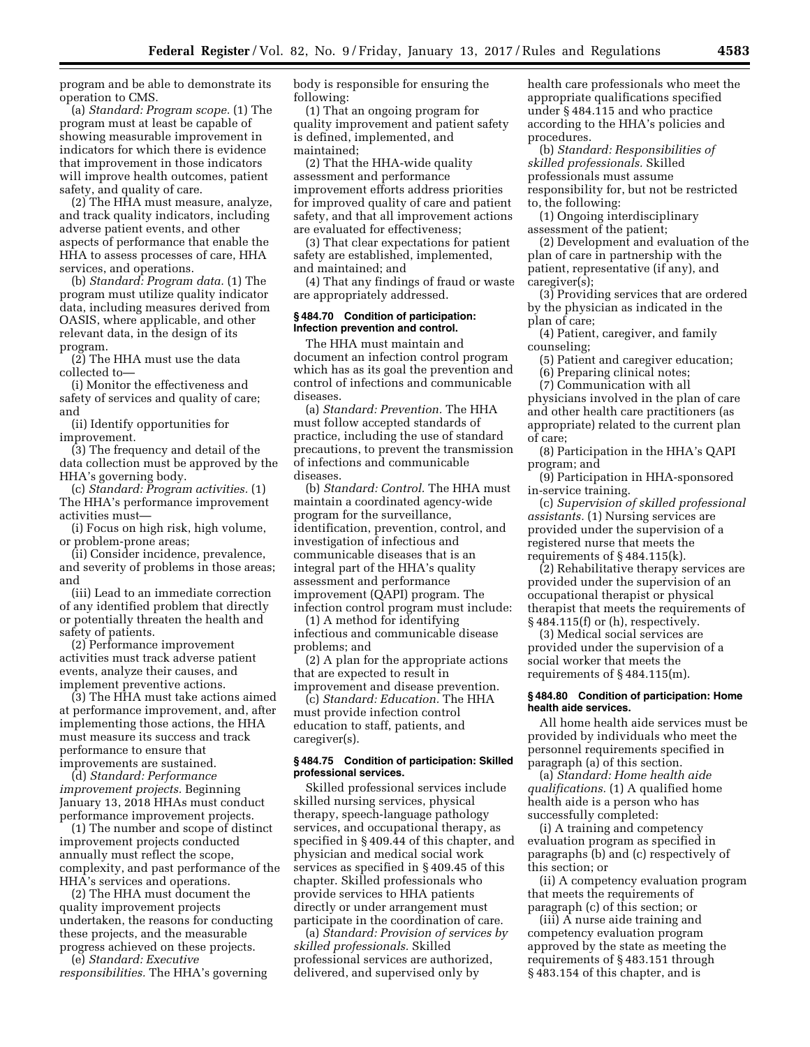program and be able to demonstrate its operation to CMS.

(a) *Standard: Program scope.* (1) The program must at least be capable of showing measurable improvement in indicators for which there is evidence that improvement in those indicators will improve health outcomes, patient safety, and quality of care.

(2) The HHA must measure, analyze, and track quality indicators, including adverse patient events, and other aspects of performance that enable the HHA to assess processes of care, HHA services, and operations.

(b) *Standard: Program data.* (1) The program must utilize quality indicator data, including measures derived from OASIS, where applicable, and other relevant data, in the design of its program.

(2) The HHA must use the data collected to—

(i) Monitor the effectiveness and safety of services and quality of care; and

(ii) Identify opportunities for improvement.

(3) The frequency and detail of the data collection must be approved by the HHA's governing body.

(c) *Standard: Program activities.* (1) The HHA's performance improvement activities must—

(i) Focus on high risk, high volume, or problem-prone areas;

(ii) Consider incidence, prevalence, and severity of problems in those areas; and

(iii) Lead to an immediate correction of any identified problem that directly or potentially threaten the health and safety of patients.

(2) Performance improvement activities must track adverse patient events, analyze their causes, and implement preventive actions.

(3) The HHA must take actions aimed at performance improvement, and, after implementing those actions, the HHA must measure its success and track performance to ensure that improvements are sustained.

(d) *Standard: Performance improvement projects.* Beginning January 13, 2018 HHAs must conduct performance improvement projects.

(1) The number and scope of distinct improvement projects conducted annually must reflect the scope, complexity, and past performance of the HHA's services and operations.

(2) The HHA must document the quality improvement projects undertaken, the reasons for conducting these projects, and the measurable progress achieved on these projects.

(e) *Standard: Executive responsibilities.* The HHA's governing body is responsible for ensuring the following:

(1) That an ongoing program for quality improvement and patient safety is defined, implemented, and maintained;

(2) That the HHA-wide quality assessment and performance improvement efforts address priorities for improved quality of care and patient safety, and that all improvement actions are evaluated for effectiveness;

(3) That clear expectations for patient safety are established, implemented, and maintained; and

(4) That any findings of fraud or waste are appropriately addressed.

#### **§ 484.70 Condition of participation: Infection prevention and control.**

The HHA must maintain and document an infection control program which has as its goal the prevention and control of infections and communicable diseases.

(a) *Standard: Prevention.* The HHA must follow accepted standards of practice, including the use of standard precautions, to prevent the transmission of infections and communicable diseases.

(b) *Standard: Control.* The HHA must maintain a coordinated agency-wide program for the surveillance, identification, prevention, control, and investigation of infectious and communicable diseases that is an integral part of the HHA's quality assessment and performance improvement (QAPI) program. The infection control program must include:

(1) A method for identifying infectious and communicable disease problems; and

(2) A plan for the appropriate actions that are expected to result in improvement and disease prevention.

(c) *Standard: Education.* The HHA must provide infection control education to staff, patients, and caregiver(s).

#### **§ 484.75 Condition of participation: Skilled professional services.**

Skilled professional services include skilled nursing services, physical therapy, speech-language pathology services, and occupational therapy, as specified in § 409.44 of this chapter, and physician and medical social work services as specified in § 409.45 of this chapter. Skilled professionals who provide services to HHA patients directly or under arrangement must participate in the coordination of care.

(a) *Standard: Provision of services by skilled professionals.* Skilled professional services are authorized, delivered, and supervised only by

health care professionals who meet the appropriate qualifications specified under § 484.115 and who practice according to the HHA's policies and procedures.

(b) *Standard: Responsibilities of skilled professionals.* Skilled professionals must assume responsibility for, but not be restricted to, the following:

(1) Ongoing interdisciplinary assessment of the patient;

(2) Development and evaluation of the plan of care in partnership with the patient, representative (if any), and caregiver(s);

(3) Providing services that are ordered by the physician as indicated in the plan of care;

(4) Patient, caregiver, and family counseling;

(5) Patient and caregiver education;

(6) Preparing clinical notes;

(7) Communication with all physicians involved in the plan of care and other health care practitioners (as appropriate) related to the current plan of care;

(8) Participation in the HHA's QAPI program; and

(9) Participation in HHA-sponsored in-service training.

(c) *Supervision of skilled professional assistants.* (1) Nursing services are provided under the supervision of a registered nurse that meets the requirements of § 484.115(k).

(2) Rehabilitative therapy services are provided under the supervision of an occupational therapist or physical therapist that meets the requirements of § 484.115(f) or (h), respectively.

(3) Medical social services are provided under the supervision of a social worker that meets the requirements of § 484.115(m).

### **§ 484.80 Condition of participation: Home health aide services.**

All home health aide services must be provided by individuals who meet the personnel requirements specified in paragraph (a) of this section.

(a) *Standard: Home health aide qualifications.* (1) A qualified home health aide is a person who has successfully completed:

(i) A training and competency evaluation program as specified in paragraphs (b) and (c) respectively of this section; or

(ii) A competency evaluation program that meets the requirements of paragraph (c) of this section; or

(iii) A nurse aide training and competency evaluation program approved by the state as meeting the requirements of § 483.151 through § 483.154 of this chapter, and is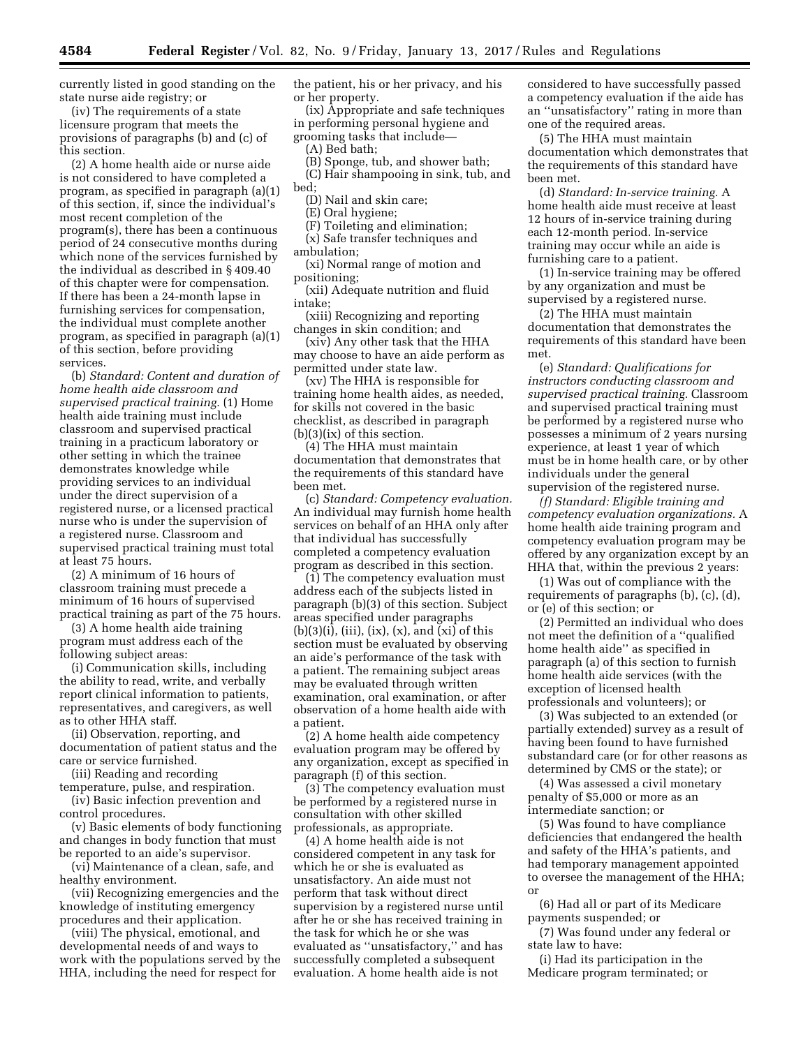currently listed in good standing on the state nurse aide registry; or

(iv) The requirements of a state licensure program that meets the provisions of paragraphs (b) and (c) of this section.

(2) A home health aide or nurse aide is not considered to have completed a program, as specified in paragraph (a)(1) of this section, if, since the individual's most recent completion of the program(s), there has been a continuous period of 24 consecutive months during which none of the services furnished by the individual as described in § 409.40 of this chapter were for compensation. If there has been a 24-month lapse in furnishing services for compensation, the individual must complete another program, as specified in paragraph (a)(1) of this section, before providing services.

(b) *Standard: Content and duration of home health aide classroom and supervised practical training.* (1) Home health aide training must include classroom and supervised practical training in a practicum laboratory or other setting in which the trainee demonstrates knowledge while providing services to an individual under the direct supervision of a registered nurse, or a licensed practical nurse who is under the supervision of a registered nurse. Classroom and supervised practical training must total at least 75 hours.

(2) A minimum of 16 hours of classroom training must precede a minimum of 16 hours of supervised practical training as part of the 75 hours.

(3) A home health aide training program must address each of the following subject areas:

(i) Communication skills, including the ability to read, write, and verbally report clinical information to patients, representatives, and caregivers, as well as to other HHA staff.

(ii) Observation, reporting, and documentation of patient status and the care or service furnished.

(iii) Reading and recording

temperature, pulse, and respiration. (iv) Basic infection prevention and

control procedures. (v) Basic elements of body functioning and changes in body function that must be reported to an aide's supervisor.

(vi) Maintenance of a clean, safe, and healthy environment.

(vii) Recognizing emergencies and the knowledge of instituting emergency procedures and their application.

(viii) The physical, emotional, and developmental needs of and ways to work with the populations served by the HHA, including the need for respect for

the patient, his or her privacy, and his or her property.

(ix) Appropriate and safe techniques in performing personal hygiene and grooming tasks that include—

(A) Bed bath;

(B) Sponge, tub, and shower bath; (C) Hair shampooing in sink, tub, and bed;

(D) Nail and skin care;

(E) Oral hygiene;

(F) Toileting and elimination; (x) Safe transfer techniques and

ambulation;

(xi) Normal range of motion and positioning;

(xii) Adequate nutrition and fluid intake;

(xiii) Recognizing and reporting changes in skin condition; and

(xiv) Any other task that the HHA may choose to have an aide perform as permitted under state law.

(xv) The HHA is responsible for training home health aides, as needed, for skills not covered in the basic checklist, as described in paragraph  $(b)(3)(ix)$  of this section.

(4) The HHA must maintain documentation that demonstrates that the requirements of this standard have been met.

(c) *Standard: Competency evaluation.*  An individual may furnish home health services on behalf of an HHA only after that individual has successfully completed a competency evaluation program as described in this section.

(1) The competency evaluation must address each of the subjects listed in paragraph (b)(3) of this section. Subject areas specified under paragraphs  $(b)(3)(i)$ ,  $(iii)$ ,  $(ix)$ ,  $(x)$ , and  $(xi)$  of this section must be evaluated by observing an aide's performance of the task with a patient. The remaining subject areas may be evaluated through written examination, oral examination, or after observation of a home health aide with a patient.

(2) A home health aide competency evaluation program may be offered by any organization, except as specified in paragraph (f) of this section.

(3) The competency evaluation must be performed by a registered nurse in consultation with other skilled professionals, as appropriate.

(4) A home health aide is not considered competent in any task for which he or she is evaluated as unsatisfactory. An aide must not perform that task without direct supervision by a registered nurse until after he or she has received training in the task for which he or she was evaluated as ''unsatisfactory,'' and has successfully completed a subsequent evaluation. A home health aide is not

considered to have successfully passed a competency evaluation if the aide has an ''unsatisfactory'' rating in more than one of the required areas.

(5) The HHA must maintain documentation which demonstrates that the requirements of this standard have been met.

(d) *Standard: In-service training.* A home health aide must receive at least 12 hours of in-service training during each 12-month period. In-service training may occur while an aide is furnishing care to a patient.

(1) In-service training may be offered by any organization and must be supervised by a registered nurse.

(2) The HHA must maintain documentation that demonstrates the requirements of this standard have been met.

(e) *Standard: Qualifications for instructors conducting classroom and supervised practical training.* Classroom and supervised practical training must be performed by a registered nurse who possesses a minimum of 2 years nursing experience, at least 1 year of which must be in home health care, or by other individuals under the general supervision of the registered nurse.

*(f) Standard: Eligible training and competency evaluation organizations.* A home health aide training program and competency evaluation program may be offered by any organization except by an HHA that, within the previous 2 years:

(1) Was out of compliance with the requirements of paragraphs (b), (c), (d), or (e) of this section; or

(2) Permitted an individual who does not meet the definition of a ''qualified home health aide'' as specified in paragraph (a) of this section to furnish home health aide services (with the exception of licensed health professionals and volunteers); or

(3) Was subjected to an extended (or partially extended) survey as a result of having been found to have furnished substandard care (or for other reasons as determined by CMS or the state); or

(4) Was assessed a civil monetary penalty of \$5,000 or more as an intermediate sanction; or

(5) Was found to have compliance deficiencies that endangered the health and safety of the HHA's patients, and had temporary management appointed to oversee the management of the HHA; or

(6) Had all or part of its Medicare payments suspended; or

(7) Was found under any federal or state law to have:

(i) Had its participation in the Medicare program terminated; or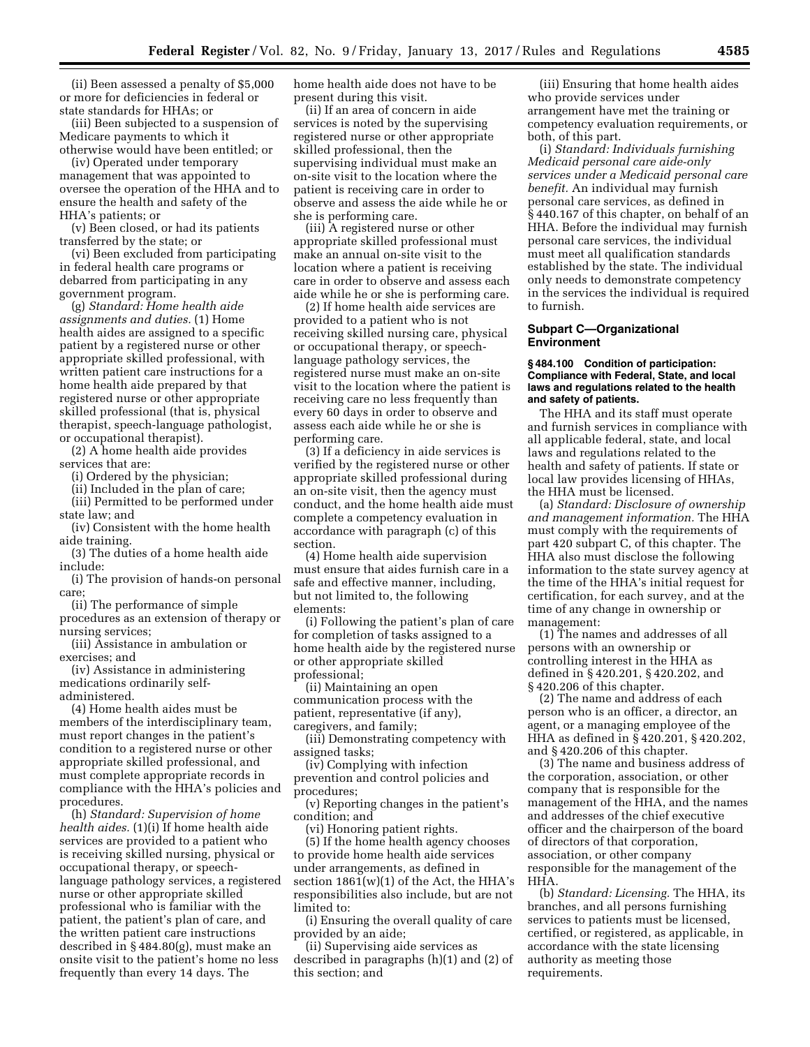(ii) Been assessed a penalty of \$5,000 or more for deficiencies in federal or state standards for HHAs; or

(iii) Been subjected to a suspension of Medicare payments to which it otherwise would have been entitled; or

(iv) Operated under temporary management that was appointed to oversee the operation of the HHA and to ensure the health and safety of the HHA's patients; or

(v) Been closed, or had its patients transferred by the state; or

(vi) Been excluded from participating in federal health care programs or debarred from participating in any government program.

(g) *Standard: Home health aide assignments and duties.* (1) Home health aides are assigned to a specific patient by a registered nurse or other appropriate skilled professional, with written patient care instructions for a home health aide prepared by that registered nurse or other appropriate skilled professional (that is, physical therapist, speech-language pathologist, or occupational therapist).

(2) A home health aide provides services that are:

(i) Ordered by the physician;

(ii) Included in the plan of care;

(iii) Permitted to be performed under state law; and

(iv) Consistent with the home health aide training.

(3) The duties of a home health aide include:

(i) The provision of hands-on personal care;

(ii) The performance of simple procedures as an extension of therapy or nursing services;

(iii) Assistance in ambulation or exercises; and

(iv) Assistance in administering medications ordinarily selfadministered.

(4) Home health aides must be members of the interdisciplinary team, must report changes in the patient's condition to a registered nurse or other appropriate skilled professional, and must complete appropriate records in compliance with the HHA's policies and procedures.

(h) *Standard: Supervision of home health aides.* (1)(i) If home health aide services are provided to a patient who is receiving skilled nursing, physical or occupational therapy, or speechlanguage pathology services, a registered nurse or other appropriate skilled professional who is familiar with the patient, the patient's plan of care, and the written patient care instructions described in § 484.80(g), must make an onsite visit to the patient's home no less frequently than every 14 days. The

home health aide does not have to be present during this visit.

(ii) If an area of concern in aide services is noted by the supervising registered nurse or other appropriate skilled professional, then the supervising individual must make an on-site visit to the location where the patient is receiving care in order to observe and assess the aide while he or she is performing care.

(iii) A registered nurse or other appropriate skilled professional must make an annual on-site visit to the location where a patient is receiving care in order to observe and assess each aide while he or she is performing care.

(2) If home health aide services are provided to a patient who is not receiving skilled nursing care, physical or occupational therapy, or speechlanguage pathology services, the registered nurse must make an on-site visit to the location where the patient is receiving care no less frequently than every 60 days in order to observe and assess each aide while he or she is performing care.

(3) If a deficiency in aide services is verified by the registered nurse or other appropriate skilled professional during an on-site visit, then the agency must conduct, and the home health aide must complete a competency evaluation in accordance with paragraph (c) of this section.

(4) Home health aide supervision must ensure that aides furnish care in a safe and effective manner, including, but not limited to, the following elements:

(i) Following the patient's plan of care for completion of tasks assigned to a home health aide by the registered nurse or other appropriate skilled professional;

(ii) Maintaining an open communication process with the patient, representative (if any), caregivers, and family;

(iii) Demonstrating competency with assigned tasks;

(iv) Complying with infection prevention and control policies and procedures;

(v) Reporting changes in the patient's condition; and

(vi) Honoring patient rights.

(5) If the home health agency chooses to provide home health aide services under arrangements, as defined in section  $1861(w)(1)$  of the Act, the HHA's responsibilities also include, but are not limited to:

(i) Ensuring the overall quality of care provided by an aide;

(ii) Supervising aide services as described in paragraphs (h)(1) and (2) of this section; and

(iii) Ensuring that home health aides who provide services under arrangement have met the training or competency evaluation requirements, or both, of this part.

(i) *Standard: Individuals furnishing Medicaid personal care aide-only services under a Medicaid personal care benefit.* An individual may furnish personal care services, as defined in § 440.167 of this chapter, on behalf of an HHA. Before the individual may furnish personal care services, the individual must meet all qualification standards established by the state. The individual only needs to demonstrate competency in the services the individual is required to furnish.

### **Subpart C—Organizational Environment**

#### **§ 484.100 Condition of participation: Compliance with Federal, State, and local laws and regulations related to the health and safety of patients.**

The HHA and its staff must operate and furnish services in compliance with all applicable federal, state, and local laws and regulations related to the health and safety of patients. If state or local law provides licensing of HHAs, the HHA must be licensed.

(a) *Standard: Disclosure of ownership and management information.* The HHA must comply with the requirements of part 420 subpart C, of this chapter. The HHA also must disclose the following information to the state survey agency at the time of the HHA's initial request for certification, for each survey, and at the time of any change in ownership or management:

(1) The names and addresses of all persons with an ownership or controlling interest in the HHA as defined in § 420.201, § 420.202, and § 420.206 of this chapter.

(2) The name and address of each person who is an officer, a director, an agent, or a managing employee of the HHA as defined in § 420.201, § 420.202, and § 420.206 of this chapter.

(3) The name and business address of the corporation, association, or other company that is responsible for the management of the HHA, and the names and addresses of the chief executive officer and the chairperson of the board of directors of that corporation, association, or other company responsible for the management of the HHA.

(b) *Standard: Licensing.* The HHA, its branches, and all persons furnishing services to patients must be licensed, certified, or registered, as applicable, in accordance with the state licensing authority as meeting those requirements.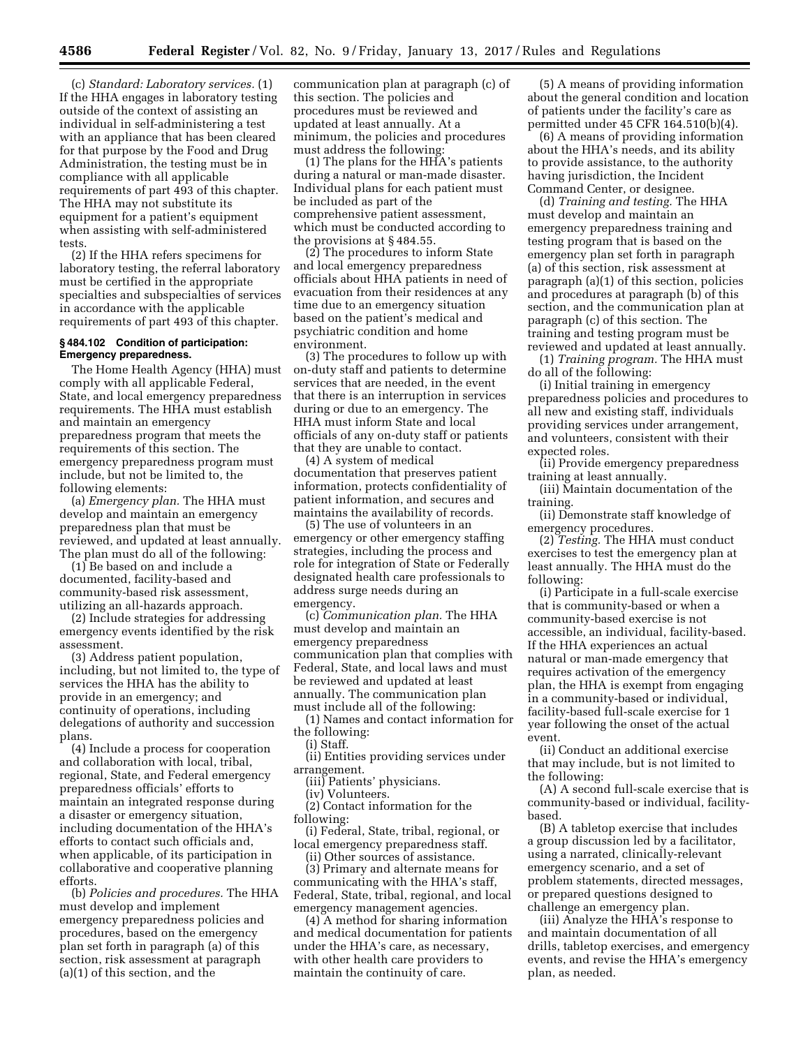(c) *Standard: Laboratory services.* (1) If the HHA engages in laboratory testing outside of the context of assisting an individual in self-administering a test with an appliance that has been cleared for that purpose by the Food and Drug Administration, the testing must be in compliance with all applicable requirements of part 493 of this chapter. The HHA may not substitute its equipment for a patient's equipment when assisting with self-administered tests.

(2) If the HHA refers specimens for laboratory testing, the referral laboratory must be certified in the appropriate specialties and subspecialties of services in accordance with the applicable requirements of part 493 of this chapter.

### **§ 484.102 Condition of participation: Emergency preparedness.**

The Home Health Agency (HHA) must comply with all applicable Federal, State, and local emergency preparedness requirements. The HHA must establish and maintain an emergency preparedness program that meets the requirements of this section. The emergency preparedness program must include, but not be limited to, the following elements:

(a) *Emergency plan.* The HHA must develop and maintain an emergency preparedness plan that must be reviewed, and updated at least annually. The plan must do all of the following:

(1) Be based on and include a documented, facility-based and community-based risk assessment, utilizing an all-hazards approach.

(2) Include strategies for addressing emergency events identified by the risk assessment.

(3) Address patient population, including, but not limited to, the type of services the HHA has the ability to provide in an emergency; and continuity of operations, including delegations of authority and succession plans.

(4) Include a process for cooperation and collaboration with local, tribal, regional, State, and Federal emergency preparedness officials' efforts to maintain an integrated response during a disaster or emergency situation, including documentation of the HHA's efforts to contact such officials and, when applicable, of its participation in collaborative and cooperative planning efforts.

(b) *Policies and procedures.* The HHA must develop and implement emergency preparedness policies and procedures, based on the emergency plan set forth in paragraph (a) of this section, risk assessment at paragraph (a)(1) of this section, and the

communication plan at paragraph (c) of this section. The policies and procedures must be reviewed and updated at least annually. At a minimum, the policies and procedures must address the following:

(1) The plans for the HHA's patients during a natural or man-made disaster. Individual plans for each patient must be included as part of the comprehensive patient assessment, which must be conducted according to the provisions at § 484.55.

(2) The procedures to inform State and local emergency preparedness officials about HHA patients in need of evacuation from their residences at any time due to an emergency situation based on the patient's medical and psychiatric condition and home environment.

(3) The procedures to follow up with on-duty staff and patients to determine services that are needed, in the event that there is an interruption in services during or due to an emergency. The HHA must inform State and local officials of any on-duty staff or patients that they are unable to contact.

(4) A system of medical documentation that preserves patient information, protects confidentiality of patient information, and secures and maintains the availability of records.

(5) The use of volunteers in an emergency or other emergency staffing strategies, including the process and role for integration of State or Federally designated health care professionals to address surge needs during an emergency.

(c) *Communication plan.* The HHA must develop and maintain an emergency preparedness communication plan that complies with Federal, State, and local laws and must be reviewed and updated at least annually. The communication plan must include all of the following:

(1) Names and contact information for the following:

(i) Staff.

(ii) Entities providing services under arrangement.

(iii) Patients' physicians.

(iv) Volunteers. (2) Contact information for the

following:

(i) Federal, State, tribal, regional, or local emergency preparedness staff.

(ii) Other sources of assistance.

(3) Primary and alternate means for communicating with the HHA's staff, Federal, State, tribal, regional, and local emergency management agencies.

(4) A method for sharing information and medical documentation for patients under the HHA's care, as necessary, with other health care providers to maintain the continuity of care.

(5) A means of providing information about the general condition and location of patients under the facility's care as permitted under 45 CFR 164.510(b)(4).

(6) A means of providing information about the HHA's needs, and its ability to provide assistance, to the authority having jurisdiction, the Incident Command Center, or designee.

(d) *Training and testing.* The HHA must develop and maintain an emergency preparedness training and testing program that is based on the emergency plan set forth in paragraph (a) of this section, risk assessment at paragraph (a)(1) of this section, policies and procedures at paragraph (b) of this section, and the communication plan at paragraph (c) of this section. The training and testing program must be reviewed and updated at least annually.

(1) *Training program.* The HHA must do all of the following:

(i) Initial training in emergency preparedness policies and procedures to all new and existing staff, individuals providing services under arrangement, and volunteers, consistent with their expected roles.

(ii) Provide emergency preparedness training at least annually.

(iii) Maintain documentation of the training.

(ii) Demonstrate staff knowledge of emergency procedures.

(2) *Testing.* The HHA must conduct exercises to test the emergency plan at least annually. The HHA must do the following:

(i) Participate in a full-scale exercise that is community-based or when a community-based exercise is not accessible, an individual, facility-based. If the HHA experiences an actual natural or man-made emergency that requires activation of the emergency plan, the HHA is exempt from engaging in a community-based or individual, facility-based full-scale exercise for 1 year following the onset of the actual event.

(ii) Conduct an additional exercise that may include, but is not limited to the following:

(A) A second full-scale exercise that is community-based or individual, facilitybased.

(B) A tabletop exercise that includes a group discussion led by a facilitator, using a narrated, clinically-relevant emergency scenario, and a set of problem statements, directed messages, or prepared questions designed to challenge an emergency plan.

(iii) Analyze the HHA's response to and maintain documentation of all drills, tabletop exercises, and emergency events, and revise the HHA's emergency plan, as needed.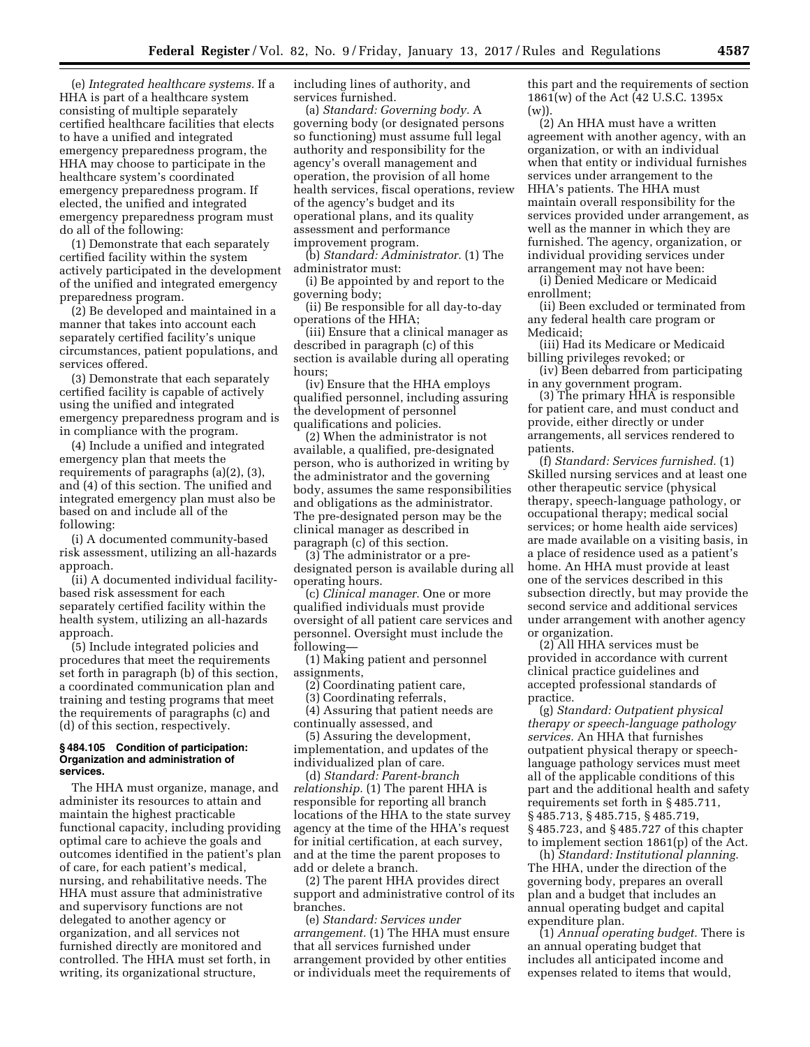(e) *Integrated healthcare systems.* If a HHA is part of a healthcare system consisting of multiple separately certified healthcare facilities that elects to have a unified and integrated emergency preparedness program, the HHA may choose to participate in the healthcare system's coordinated emergency preparedness program. If elected, the unified and integrated emergency preparedness program must do all of the following:

(1) Demonstrate that each separately certified facility within the system actively participated in the development of the unified and integrated emergency preparedness program.

(2) Be developed and maintained in a manner that takes into account each separately certified facility's unique circumstances, patient populations, and services offered.

(3) Demonstrate that each separately certified facility is capable of actively using the unified and integrated emergency preparedness program and is in compliance with the program.

(4) Include a unified and integrated emergency plan that meets the requirements of paragraphs (a)(2), (3), and (4) of this section. The unified and integrated emergency plan must also be based on and include all of the following:

(i) A documented community-based risk assessment, utilizing an all-hazards approach.

(ii) A documented individual facilitybased risk assessment for each separately certified facility within the health system, utilizing an all-hazards approach.

(5) Include integrated policies and procedures that meet the requirements set forth in paragraph (b) of this section, a coordinated communication plan and training and testing programs that meet the requirements of paragraphs (c) and (d) of this section, respectively.

#### **§ 484.105 Condition of participation: Organization and administration of services.**

The HHA must organize, manage, and administer its resources to attain and maintain the highest practicable functional capacity, including providing optimal care to achieve the goals and outcomes identified in the patient's plan of care, for each patient's medical, nursing, and rehabilitative needs. The HHA must assure that administrative and supervisory functions are not delegated to another agency or organization, and all services not furnished directly are monitored and controlled. The HHA must set forth, in writing, its organizational structure,

including lines of authority, and services furnished.

(a) *Standard: Governing body.* A governing body (or designated persons so functioning) must assume full legal authority and responsibility for the agency's overall management and operation, the provision of all home health services, fiscal operations, review of the agency's budget and its operational plans, and its quality assessment and performance improvement program.

(b) *Standard: Administrator.* (1) The administrator must:

(i) Be appointed by and report to the governing body;

(ii) Be responsible for all day-to-day operations of the HHA;

(iii) Ensure that a clinical manager as described in paragraph (c) of this section is available during all operating hours;

(iv) Ensure that the HHA employs qualified personnel, including assuring the development of personnel qualifications and policies.

(2) When the administrator is not available, a qualified, pre-designated person, who is authorized in writing by the administrator and the governing body, assumes the same responsibilities and obligations as the administrator. The pre-designated person may be the clinical manager as described in paragraph (c) of this section.

(3) The administrator or a predesignated person is available during all operating hours.

(c) *Clinical manager.* One or more qualified individuals must provide oversight of all patient care services and personnel. Oversight must include the following—

(1) Making patient and personnel assignments,

(2) Coordinating patient care,

(3) Coordinating referrals,

(4) Assuring that patient needs are continually assessed, and

(5) Assuring the development, implementation, and updates of the individualized plan of care.

(d) *Standard: Parent-branch relationship.* (1) The parent HHA is responsible for reporting all branch locations of the HHA to the state survey agency at the time of the HHA's request for initial certification, at each survey, and at the time the parent proposes to add or delete a branch.

(2) The parent HHA provides direct support and administrative control of its branches.

(e) *Standard: Services under arrangement.* (1) The HHA must ensure that all services furnished under arrangement provided by other entities or individuals meet the requirements of this part and the requirements of section 1861(w) of the Act (42 U.S.C. 1395x  $(w)$ 

(2) An HHA must have a written agreement with another agency, with an organization, or with an individual when that entity or individual furnishes services under arrangement to the HHA's patients. The HHA must maintain overall responsibility for the services provided under arrangement, as well as the manner in which they are furnished. The agency, organization, or individual providing services under arrangement may not have been:

(i) Denied Medicare or Medicaid enrollment;

(ii) Been excluded or terminated from any federal health care program or Medicaid<sup>.</sup>

(iii) Had its Medicare or Medicaid billing privileges revoked; or

(iv) Been debarred from participating in any government program.

(3) The primary HHA is responsible for patient care, and must conduct and provide, either directly or under arrangements, all services rendered to patients.

(f) *Standard: Services furnished.* (1) Skilled nursing services and at least one other therapeutic service (physical therapy, speech-language pathology, or occupational therapy; medical social services; or home health aide services) are made available on a visiting basis, in a place of residence used as a patient's home. An HHA must provide at least one of the services described in this subsection directly, but may provide the second service and additional services under arrangement with another agency or organization.

(2) All HHA services must be provided in accordance with current clinical practice guidelines and accepted professional standards of practice.

(g) *Standard: Outpatient physical therapy or speech-language pathology services.* An HHA that furnishes outpatient physical therapy or speechlanguage pathology services must meet all of the applicable conditions of this part and the additional health and safety requirements set forth in § 485.711, § 485.713, § 485.715, § 485.719, § 485.723, and § 485.727 of this chapter to implement section 1861(p) of the Act.

(h) *Standard: Institutional planning.*  The HHA, under the direction of the governing body, prepares an overall plan and a budget that includes an annual operating budget and capital expenditure plan.

(1) *Annual operating budget.* There is an annual operating budget that includes all anticipated income and expenses related to items that would,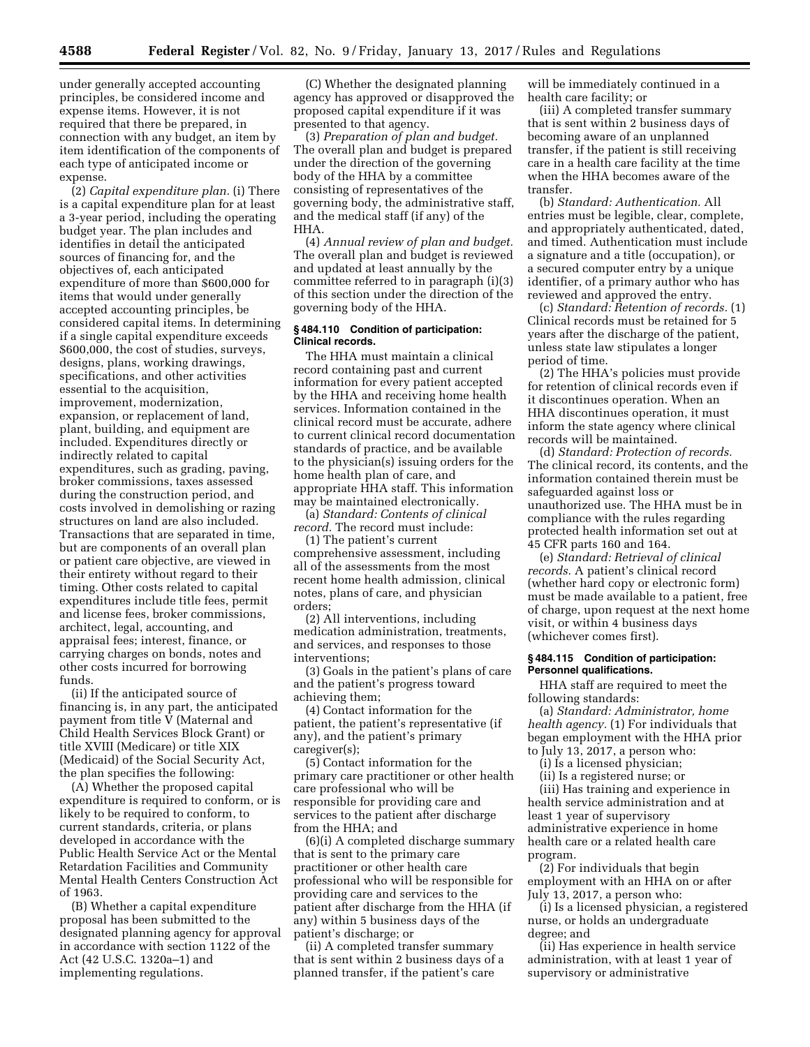under generally accepted accounting principles, be considered income and expense items. However, it is not required that there be prepared, in connection with any budget, an item by item identification of the components of each type of anticipated income or expense.

(2) *Capital expenditure plan.* (i) There is a capital expenditure plan for at least a 3-year period, including the operating budget year. The plan includes and identifies in detail the anticipated sources of financing for, and the objectives of, each anticipated expenditure of more than \$600,000 for items that would under generally accepted accounting principles, be considered capital items. In determining if a single capital expenditure exceeds \$600,000, the cost of studies, surveys, designs, plans, working drawings, specifications, and other activities essential to the acquisition, improvement, modernization, expansion, or replacement of land, plant, building, and equipment are included. Expenditures directly or indirectly related to capital expenditures, such as grading, paving, broker commissions, taxes assessed during the construction period, and costs involved in demolishing or razing structures on land are also included. Transactions that are separated in time, but are components of an overall plan or patient care objective, are viewed in their entirety without regard to their timing. Other costs related to capital expenditures include title fees, permit and license fees, broker commissions, architect, legal, accounting, and appraisal fees; interest, finance, or carrying charges on bonds, notes and other costs incurred for borrowing funds.

(ii) If the anticipated source of financing is, in any part, the anticipated payment from title V (Maternal and Child Health Services Block Grant) or title XVIII (Medicare) or title XIX (Medicaid) of the Social Security Act, the plan specifies the following:

(A) Whether the proposed capital expenditure is required to conform, or is likely to be required to conform, to current standards, criteria, or plans developed in accordance with the Public Health Service Act or the Mental Retardation Facilities and Community Mental Health Centers Construction Act of 1963.

(B) Whether a capital expenditure proposal has been submitted to the designated planning agency for approval in accordance with section 1122 of the Act (42 U.S.C. 1320a–1) and implementing regulations.

(C) Whether the designated planning agency has approved or disapproved the proposed capital expenditure if it was presented to that agency.

(3) *Preparation of plan and budget.*  The overall plan and budget is prepared under the direction of the governing body of the HHA by a committee consisting of representatives of the governing body, the administrative staff, and the medical staff (if any) of the HHA.

(4) *Annual review of plan and budget.*  The overall plan and budget is reviewed and updated at least annually by the committee referred to in paragraph (i)(3) of this section under the direction of the governing body of the HHA.

#### **§ 484.110 Condition of participation: Clinical records.**

The HHA must maintain a clinical record containing past and current information for every patient accepted by the HHA and receiving home health services. Information contained in the clinical record must be accurate, adhere to current clinical record documentation standards of practice, and be available to the physician(s) issuing orders for the home health plan of care, and appropriate HHA staff. This information may be maintained electronically.

(a) *Standard: Contents of clinical record.* The record must include:

(1) The patient's current comprehensive assessment, including all of the assessments from the most recent home health admission, clinical notes, plans of care, and physician orders;

(2) All interventions, including medication administration, treatments, and services, and responses to those interventions;

(3) Goals in the patient's plans of care and the patient's progress toward achieving them;

(4) Contact information for the patient, the patient's representative (if any), and the patient's primary caregiver(s);

(5) Contact information for the primary care practitioner or other health care professional who will be responsible for providing care and services to the patient after discharge from the HHA; and

(6)(i) A completed discharge summary that is sent to the primary care practitioner or other health care professional who will be responsible for providing care and services to the patient after discharge from the HHA (if any) within 5 business days of the patient's discharge; or

(ii) A completed transfer summary that is sent within 2 business days of a planned transfer, if the patient's care

will be immediately continued in a health care facility; or

(iii) A completed transfer summary that is sent within 2 business days of becoming aware of an unplanned transfer, if the patient is still receiving care in a health care facility at the time when the HHA becomes aware of the transfer.

(b) *Standard: Authentication.* All entries must be legible, clear, complete, and appropriately authenticated, dated, and timed. Authentication must include a signature and a title (occupation), or a secured computer entry by a unique identifier, of a primary author who has reviewed and approved the entry.

(c) *Standard: Retention of records.* (1) Clinical records must be retained for 5 years after the discharge of the patient, unless state law stipulates a longer period of time.

(2) The HHA's policies must provide for retention of clinical records even if it discontinues operation. When an HHA discontinues operation, it must inform the state agency where clinical records will be maintained.

(d) *Standard: Protection of records.*  The clinical record, its contents, and the information contained therein must be safeguarded against loss or unauthorized use. The HHA must be in compliance with the rules regarding protected health information set out at 45 CFR parts 160 and 164.

(e) *Standard: Retrieval of clinical records.* A patient's clinical record (whether hard copy or electronic form) must be made available to a patient, free of charge, upon request at the next home visit, or within 4 business days (whichever comes first).

#### **§ 484.115 Condition of participation: Personnel qualifications.**

HHA staff are required to meet the following standards:

(a) *Standard: Administrator, home health agency.* (1) For individuals that began employment with the HHA prior to July 13, 2017, a person who:

(i) Is a licensed physician;

(ii) Is a registered nurse; or

(iii) Has training and experience in health service administration and at least 1 year of supervisory administrative experience in home health care or a related health care program.

(2) For individuals that begin employment with an HHA on or after July 13, 2017, a person who:

(i) Is a licensed physician, a registered nurse, or holds an undergraduate degree; and

(ii) Has experience in health service administration, with at least 1 year of supervisory or administrative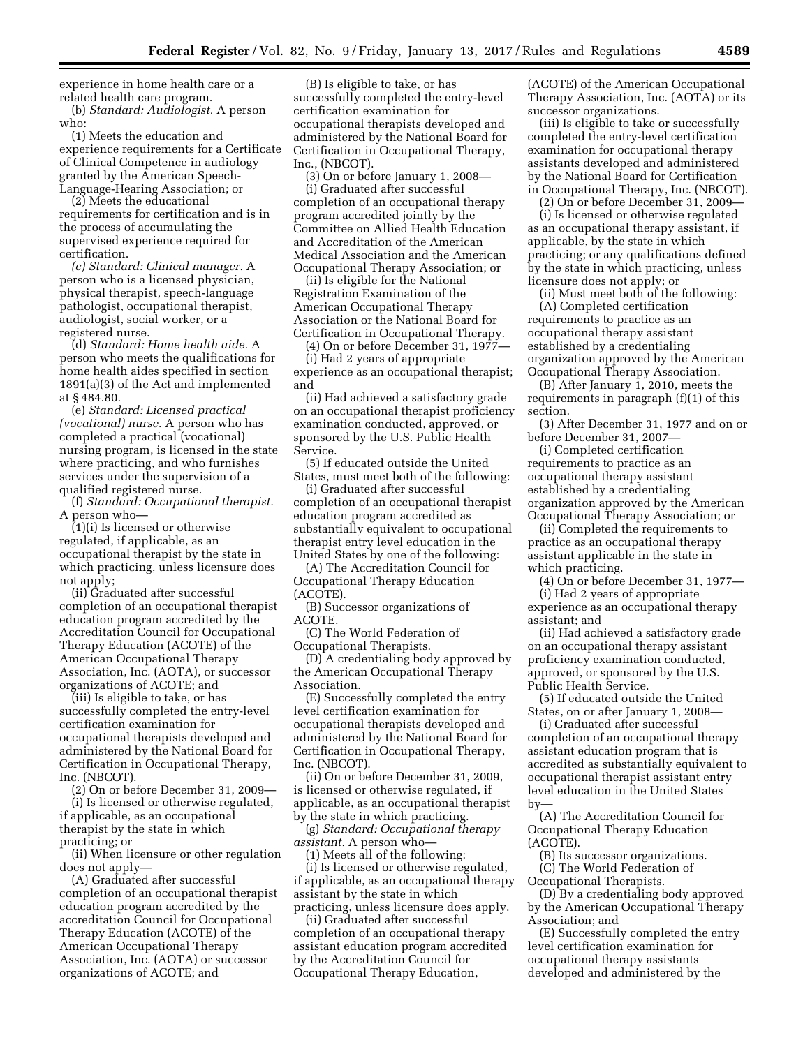experience in home health care or a related health care program.

(b) *Standard: Audiologist.* A person who:

(1) Meets the education and experience requirements for a Certificate of Clinical Competence in audiology granted by the American Speech-Language-Hearing Association; or

(2) Meets the educational requirements for certification and is in the process of accumulating the supervised experience required for certification.

*(c) Standard: Clinical manager.* A person who is a licensed physician, physical therapist, speech-language pathologist, occupational therapist, audiologist, social worker, or a registered nurse.

(d) *Standard: Home health aide.* A person who meets the qualifications for home health aides specified in section 1891(a)(3) of the Act and implemented at § 484.80.

(e) *Standard: Licensed practical (vocational) nurse.* A person who has completed a practical (vocational) nursing program, is licensed in the state where practicing, and who furnishes services under the supervision of a qualified registered nurse.

(f) *Standard: Occupational therapist.*  A person who—

(1)(i) Is licensed or otherwise regulated, if applicable, as an occupational therapist by the state in which practicing, unless licensure does not apply;

(ii) Graduated after successful completion of an occupational therapist education program accredited by the Accreditation Council for Occupational Therapy Education (ACOTE) of the American Occupational Therapy Association, Inc. (AOTA), or successor organizations of ACOTE; and

(iii) Is eligible to take, or has successfully completed the entry-level certification examination for occupational therapists developed and administered by the National Board for Certification in Occupational Therapy, Inc. (NBCOT).

(2) On or before December 31, 2009— (i) Is licensed or otherwise regulated, if applicable, as an occupational therapist by the state in which practicing; or

(ii) When licensure or other regulation does not apply—

(A) Graduated after successful completion of an occupational therapist education program accredited by the accreditation Council for Occupational Therapy Education (ACOTE) of the American Occupational Therapy Association, Inc. (AOTA) or successor organizations of ACOTE; and

(B) Is eligible to take, or has successfully completed the entry-level certification examination for occupational therapists developed and administered by the National Board for Certification in Occupational Therapy, Inc., (NBCOT).

(3) On or before January 1, 2008— (i) Graduated after successful completion of an occupational therapy program accredited jointly by the Committee on Allied Health Education and Accreditation of the American Medical Association and the American Occupational Therapy Association; or

(ii) Is eligible for the National Registration Examination of the American Occupational Therapy Association or the National Board for Certification in Occupational Therapy.

(4) On or before December 31, 1977—

(i) Had 2 years of appropriate experience as an occupational therapist; and

(ii) Had achieved a satisfactory grade on an occupational therapist proficiency examination conducted, approved, or sponsored by the U.S. Public Health Service.

(5) If educated outside the United States, must meet both of the following:

(i) Graduated after successful completion of an occupational therapist education program accredited as substantially equivalent to occupational therapist entry level education in the United States by one of the following:

(A) The Accreditation Council for Occupational Therapy Education (ACOTE).

(B) Successor organizations of ACOTE.

(C) The World Federation of Occupational Therapists.

(D) A credentialing body approved by the American Occupational Therapy Association.

(E) Successfully completed the entry level certification examination for occupational therapists developed and administered by the National Board for Certification in Occupational Therapy, Inc. (NBCOT).

(ii) On or before December 31, 2009, is licensed or otherwise regulated, if applicable, as an occupational therapist by the state in which practicing.

(g) *Standard: Occupational therapy assistant.* A person who—

(1) Meets all of the following:

(i) Is licensed or otherwise regulated, if applicable, as an occupational therapy assistant by the state in which practicing, unless licensure does apply.

(ii) Graduated after successful completion of an occupational therapy assistant education program accredited by the Accreditation Council for Occupational Therapy Education,

(ACOTE) of the American Occupational Therapy Association, Inc. (AOTA) or its successor organizations.

(iii) Is eligible to take or successfully completed the entry-level certification examination for occupational therapy assistants developed and administered by the National Board for Certification in Occupational Therapy, Inc. (NBCOT).

(2) On or before December 31, 2009—

(i) Is licensed or otherwise regulated as an occupational therapy assistant, if applicable, by the state in which practicing; or any qualifications defined by the state in which practicing, unless licensure does not apply; or

(ii) Must meet both of the following:

(A) Completed certification requirements to practice as an occupational therapy assistant established by a credentialing organization approved by the American Occupational Therapy Association.

(B) After January 1, 2010, meets the requirements in paragraph (f)(1) of this section.

(3) After December 31, 1977 and on or before December 31, 2007—

(i) Completed certification requirements to practice as an occupational therapy assistant established by a credentialing organization approved by the American Occupational Therapy Association; or

(ii) Completed the requirements to practice as an occupational therapy assistant applicable in the state in which practicing.

(4) On or before December 31, 1977— (i) Had 2 years of appropriate

experience as an occupational therapy assistant; and

(ii) Had achieved a satisfactory grade on an occupational therapy assistant proficiency examination conducted, approved, or sponsored by the U.S. Public Health Service.

(5) If educated outside the United States, on or after January 1, 2008—

(i) Graduated after successful completion of an occupational therapy assistant education program that is accredited as substantially equivalent to occupational therapist assistant entry level education in the United States by—

(A) The Accreditation Council for Occupational Therapy Education (ACOTE).

(B) Its successor organizations. (C) The World Federation of Occupational Therapists.

(D) By a credentialing body approved by the American Occupational Therapy Association; and

(E) Successfully completed the entry level certification examination for occupational therapy assistants developed and administered by the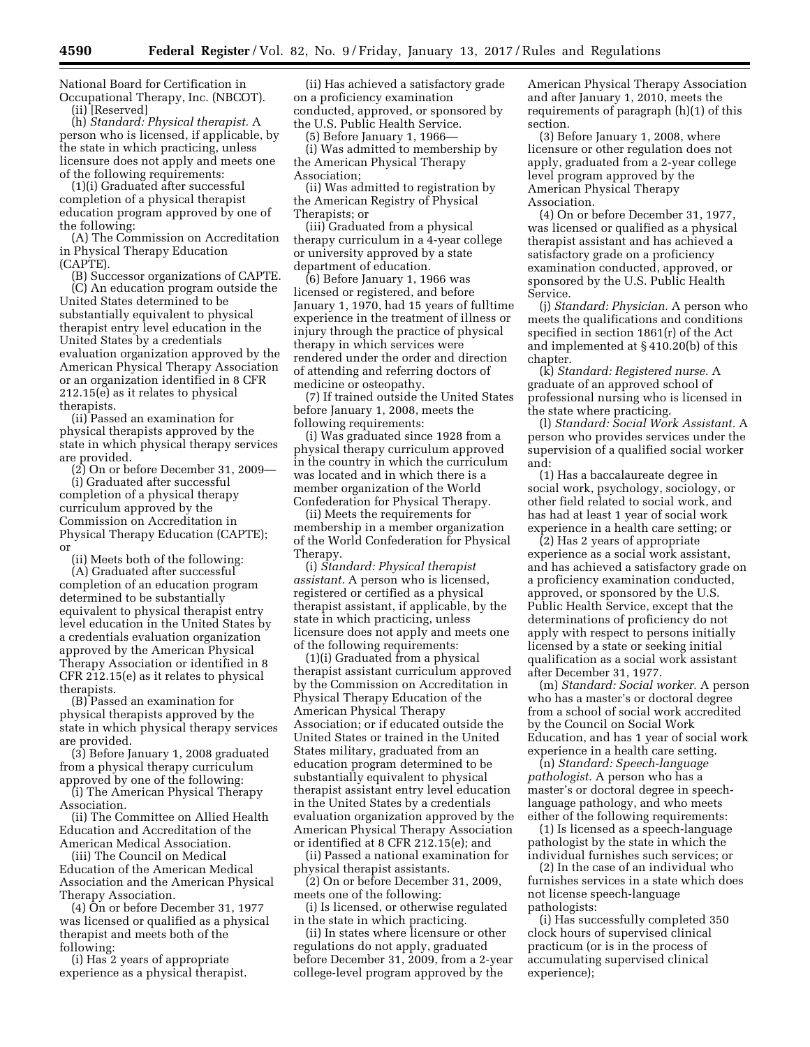National Board for Certification in Occupational Therapy, Inc. (NBCOT). (ii) [Reserved]

(h) *Standard: Physical therapist.* A person who is licensed, if applicable, by the state in which practicing, unless licensure does not apply and meets one of the following requirements:

(1)(i) Graduated after successful completion of a physical therapist education program approved by one of the following:

(A) The Commission on Accreditation in Physical Therapy Education (CAPTE).

(B) Successor organizations of CAPTE. (C) An education program outside the United States determined to be substantially equivalent to physical therapist entry level education in the United States by a credentials evaluation organization approved by the American Physical Therapy Association or an organization identified in 8 CFR 212.15(e) as it relates to physical therapists.

(ii) Passed an examination for physical therapists approved by the state in which physical therapy services are provided.

(2) On or before December 31, 2009— (i) Graduated after successful completion of a physical therapy curriculum approved by the Commission on Accreditation in Physical Therapy Education (CAPTE); or

(ii) Meets both of the following:

(A) Graduated after successful completion of an education program determined to be substantially equivalent to physical therapist entry level education in the United States by a credentials evaluation organization approved by the American Physical Therapy Association or identified in 8 CFR 212.15(e) as it relates to physical therapists.

(B) Passed an examination for physical therapists approved by the state in which physical therapy services are provided.

(3) Before January 1, 2008 graduated from a physical therapy curriculum approved by one of the following:

(i) The American Physical Therapy Association.

(ii) The Committee on Allied Health Education and Accreditation of the American Medical Association.

(iii) The Council on Medical Education of the American Medical Association and the American Physical Therapy Association.

(4) On or before December 31, 1977 was licensed or qualified as a physical therapist and meets both of the following:

(i) Has 2 years of appropriate experience as a physical therapist.

(ii) Has achieved a satisfactory grade on a proficiency examination conducted, approved, or sponsored by the U.S. Public Health Service.

(5) Before January 1, 1966—

(i) Was admitted to membership by the American Physical Therapy Association;

(ii) Was admitted to registration by the American Registry of Physical Therapists; or

(iii) Graduated from a physical therapy curriculum in a 4-year college or university approved by a state department of education.

(6) Before January 1, 1966 was licensed or registered, and before January 1, 1970, had 15 years of fulltime experience in the treatment of illness or injury through the practice of physical therapy in which services were rendered under the order and direction of attending and referring doctors of medicine or osteopathy.

(7) If trained outside the United States before January 1, 2008, meets the following requirements:

(i) Was graduated since 1928 from a physical therapy curriculum approved in the country in which the curriculum was located and in which there is a member organization of the World Confederation for Physical Therapy.

(ii) Meets the requirements for membership in a member organization of the World Confederation for Physical Therapy.

(i) *Standard: Physical therapist assistant.* A person who is licensed, registered or certified as a physical therapist assistant, if applicable, by the state in which practicing, unless licensure does not apply and meets one of the following requirements:

(1)(i) Graduated from a physical therapist assistant curriculum approved by the Commission on Accreditation in Physical Therapy Education of the American Physical Therapy Association; or if educated outside the United States or trained in the United States military, graduated from an education program determined to be substantially equivalent to physical therapist assistant entry level education in the United States by a credentials evaluation organization approved by the American Physical Therapy Association or identified at 8 CFR 212.15(e); and

(ii) Passed a national examination for physical therapist assistants.

(2) On or before December 31, 2009, meets one of the following:

(i) Is licensed, or otherwise regulated in the state in which practicing.

(ii) In states where licensure or other regulations do not apply, graduated before December 31, 2009, from a 2-year college-level program approved by the

American Physical Therapy Association and after January 1, 2010, meets the requirements of paragraph (h)(1) of this section.

(3) Before January 1, 2008, where licensure or other regulation does not apply, graduated from a 2-year college level program approved by the American Physical Therapy Association.

(4) On or before December 31, 1977, was licensed or qualified as a physical therapist assistant and has achieved a satisfactory grade on a proficiency examination conducted, approved, or sponsored by the U.S. Public Health Service.

(j) *Standard: Physician.* A person who meets the qualifications and conditions specified in section 1861(r) of the Act and implemented at § 410.20(b) of this chapter.

(k) *Standard: Registered nurse.* A graduate of an approved school of professional nursing who is licensed in the state where practicing.

(l) *Standard: Social Work Assistant.* A person who provides services under the supervision of a qualified social worker and:

(1) Has a baccalaureate degree in social work, psychology, sociology, or other field related to social work, and has had at least 1 year of social work experience in a health care setting; or

(2) Has 2 years of appropriate experience as a social work assistant, and has achieved a satisfactory grade on a proficiency examination conducted, approved, or sponsored by the U.S. Public Health Service, except that the determinations of proficiency do not apply with respect to persons initially licensed by a state or seeking initial qualification as a social work assistant after December 31, 1977.

(m) *Standard: Social worker.* A person who has a master's or doctoral degree from a school of social work accredited by the Council on Social Work Education, and has 1 year of social work experience in a health care setting.

(n) *Standard: Speech-language pathologist.* A person who has a master's or doctoral degree in speechlanguage pathology, and who meets either of the following requirements:

(1) Is licensed as a speech-language pathologist by the state in which the individual furnishes such services; or

(2) In the case of an individual who furnishes services in a state which does not license speech-language pathologists:

(i) Has successfully completed 350 clock hours of supervised clinical practicum (or is in the process of accumulating supervised clinical experience);